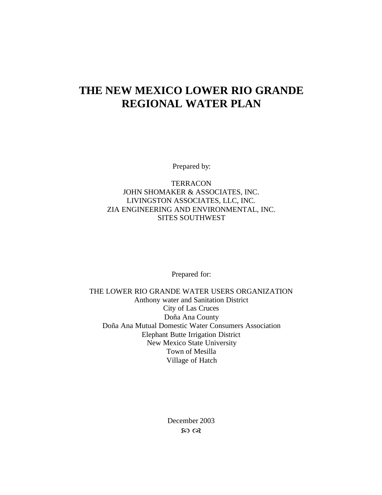# **THE NEW MEXICO LOWER RIO GRANDE REGIONAL WATER PLAN**

Prepared by:

# **TERRACON** JOHN SHOMAKER & ASSOCIATES, INC. LIVINGSTON ASSOCIATES, LLC, INC. ZIA ENGINEERING AND ENVIRONMENTAL, INC. SITES SOUTHWEST

Prepared for:

THE LOWER RIO GRANDE WATER USERS ORGANIZATION Anthony water and Sanitation District City of Las Cruces Doña Ana County Doña Ana Mutual Domestic Water Consumers Association Elephant Butte Irrigation District New Mexico State University Town of Mesilla Village of Hatch

> December 2003  $\infty$   $\infty$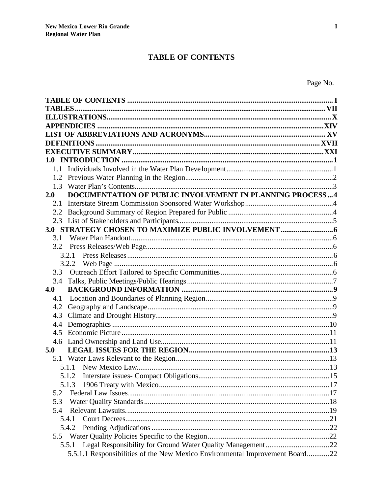# **TABLE OF CONTENTS**

Page No.

| 1.1 |                                                                              |  |
|-----|------------------------------------------------------------------------------|--|
| 1.2 |                                                                              |  |
| 1.3 |                                                                              |  |
| 2.0 | DOCUMENTATION OF PUBLIC INVOLVEMENT IN PLANNING PROCESS 4                    |  |
| 2.1 |                                                                              |  |
| 2.2 |                                                                              |  |
| 2.3 |                                                                              |  |
|     | 3.0 STRATEGY CHOSEN TO MAXIMIZE PUBLIC INVOLVEMENT  6                        |  |
| 3.1 |                                                                              |  |
| 3.2 |                                                                              |  |
|     | 3.2.1                                                                        |  |
|     | 3.2.2                                                                        |  |
| 3.3 |                                                                              |  |
| 3.4 |                                                                              |  |
| 4.0 |                                                                              |  |
| 4.1 |                                                                              |  |
| 4.2 |                                                                              |  |
| 4.3 |                                                                              |  |
| 4.4 |                                                                              |  |
| 4.5 |                                                                              |  |
| 4.6 |                                                                              |  |
| 5.0 |                                                                              |  |
|     |                                                                              |  |
|     | 5.1.1                                                                        |  |
|     |                                                                              |  |
|     |                                                                              |  |
| 5.2 |                                                                              |  |
| 5.3 |                                                                              |  |
| 5.4 |                                                                              |  |
|     | 5.4.1                                                                        |  |
|     | 5.4.2                                                                        |  |
| 5.5 |                                                                              |  |
|     |                                                                              |  |
|     | 5.5.1.1 Responsibilities of the New Mexico Environmental Improvement Board22 |  |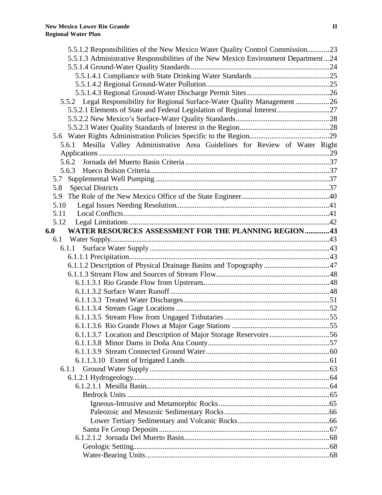| 5.5.1.2 Responsibilities of the New Mexico Water Quality Control Commission23      |  |
|------------------------------------------------------------------------------------|--|
| 5.5.1.3 Administrative Responsibilities of the New Mexico Environment Department24 |  |
|                                                                                    |  |
|                                                                                    |  |
|                                                                                    |  |
|                                                                                    |  |
| 5.5.2 Legal Responsibility for Regional Surface-Water Quality Management 26        |  |
| 5.5.2.1 Elements of State and Federal Legislation of Regional Interest27           |  |
|                                                                                    |  |
|                                                                                    |  |
|                                                                                    |  |
| 5.6.1 Mesilla Valley Administrative Area Guidelines for Review of Water Right      |  |
|                                                                                    |  |
|                                                                                    |  |
| 5.6.3                                                                              |  |
| 5.7                                                                                |  |
|                                                                                    |  |
|                                                                                    |  |
| 5.10                                                                               |  |
| 5.11                                                                               |  |
| 5.12                                                                               |  |
| WATER RESOURCES ASSESSMENT FOR THE PLANNING REGION  43<br>6.0                      |  |
|                                                                                    |  |
|                                                                                    |  |
|                                                                                    |  |
|                                                                                    |  |
|                                                                                    |  |
|                                                                                    |  |
|                                                                                    |  |
|                                                                                    |  |
|                                                                                    |  |
|                                                                                    |  |
|                                                                                    |  |
|                                                                                    |  |
|                                                                                    |  |
|                                                                                    |  |
|                                                                                    |  |
| 6.1.1                                                                              |  |
|                                                                                    |  |
|                                                                                    |  |
|                                                                                    |  |
|                                                                                    |  |
|                                                                                    |  |
|                                                                                    |  |
|                                                                                    |  |
|                                                                                    |  |
|                                                                                    |  |
|                                                                                    |  |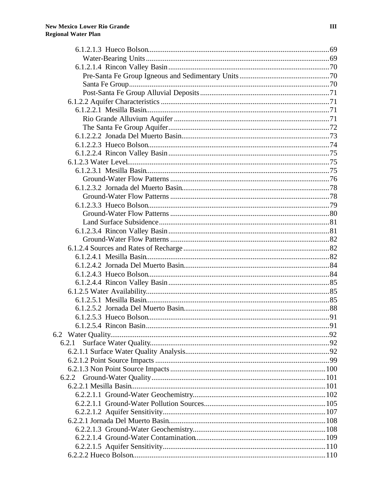| 6.1.2.5.4 Rincon Basin. | .91 |
|-------------------------|-----|
|                         |     |
| 6.2.1                   |     |
|                         |     |
|                         |     |
|                         |     |
|                         |     |
|                         |     |
|                         |     |
|                         |     |
|                         |     |
|                         |     |
|                         |     |
|                         |     |
|                         |     |
|                         |     |
|                         |     |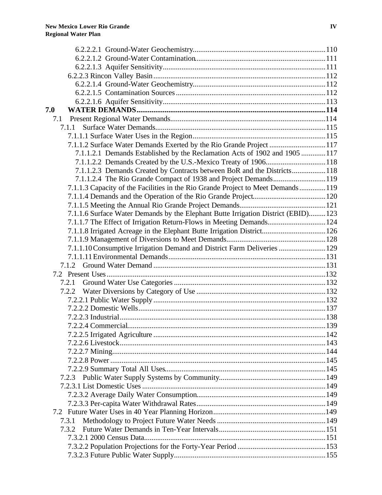| 7.0                                                                               |  |
|-----------------------------------------------------------------------------------|--|
| 7.1                                                                               |  |
| 7.1.1                                                                             |  |
|                                                                                   |  |
| 7.1.1.2 Surface Water Demands Exerted by the Rio Grande Project 117               |  |
| 7.1.1.2.1 Demands Established by the Reclamation Acts of 1902 and 1905 117        |  |
| 7.1.1.2.2 Demands Created by the U.S.-Mexico Treaty of 1906118                    |  |
| 7.1.1.2.3 Demands Created by Contracts between BoR and the Districts118           |  |
|                                                                                   |  |
| 7.1.1.3 Capacity of the Facilities in the Rio Grande Project to Meet Demands119   |  |
|                                                                                   |  |
|                                                                                   |  |
| 7.1.1.6 Surface Water Demands by the Elephant Butte Irrigation District (EBID)123 |  |
| 7.1.1.7 The Effect of Irrigation Return-Flows in Meeting Demands 124              |  |
| 7.1.1.8 Irrigated Acreage in the Elephant Butte Irrigation District 126           |  |
|                                                                                   |  |
| 7.1.1.10 Consumptive Irrigation Demand and District Farm Deliveries  129          |  |
|                                                                                   |  |
| 7.1.2                                                                             |  |
|                                                                                   |  |
| 7.2.1                                                                             |  |
|                                                                                   |  |
|                                                                                   |  |
|                                                                                   |  |
|                                                                                   |  |
| 7224 Commercial                                                                   |  |
|                                                                                   |  |
|                                                                                   |  |
|                                                                                   |  |
|                                                                                   |  |
|                                                                                   |  |
| 7.2.3                                                                             |  |
|                                                                                   |  |
|                                                                                   |  |
|                                                                                   |  |
|                                                                                   |  |
| 7.3.1                                                                             |  |
| 7.3.2                                                                             |  |
|                                                                                   |  |
|                                                                                   |  |
|                                                                                   |  |
|                                                                                   |  |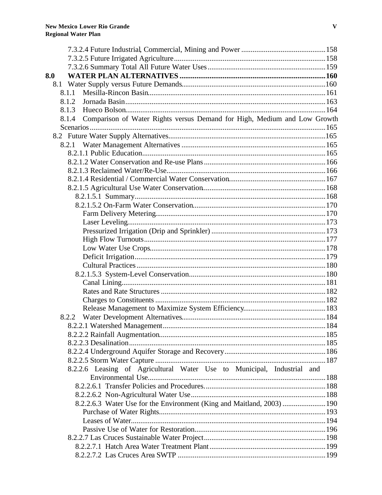| 8.0                                                                               |  |
|-----------------------------------------------------------------------------------|--|
|                                                                                   |  |
| 8.1.1                                                                             |  |
| 8.1.2                                                                             |  |
| 8.1.3                                                                             |  |
| Comparison of Water Rights versus Demand for High, Medium and Low Growth<br>8.1.4 |  |
|                                                                                   |  |
|                                                                                   |  |
|                                                                                   |  |
|                                                                                   |  |
|                                                                                   |  |
|                                                                                   |  |
|                                                                                   |  |
|                                                                                   |  |
|                                                                                   |  |
|                                                                                   |  |
|                                                                                   |  |
|                                                                                   |  |
|                                                                                   |  |
|                                                                                   |  |
|                                                                                   |  |
|                                                                                   |  |
|                                                                                   |  |
|                                                                                   |  |
|                                                                                   |  |
|                                                                                   |  |
|                                                                                   |  |
|                                                                                   |  |
| 8.2.2                                                                             |  |
| 8.2.2.1 Watershed Management                                                      |  |
|                                                                                   |  |
|                                                                                   |  |
|                                                                                   |  |
|                                                                                   |  |
| 8.2.2.6 Leasing of Agricultural Water Use to Municipal, Industrial and            |  |
|                                                                                   |  |
|                                                                                   |  |
|                                                                                   |  |
| 8.2.2.6.3 Water Use for the Environment (King and Maitland, 2003)  190            |  |
|                                                                                   |  |
|                                                                                   |  |
|                                                                                   |  |
|                                                                                   |  |
|                                                                                   |  |
|                                                                                   |  |
|                                                                                   |  |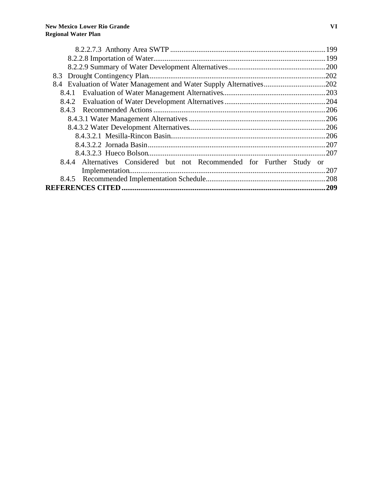| 8.4.4 Alternatives Considered but not Recommended for Further Study or |      |
|------------------------------------------------------------------------|------|
|                                                                        | .207 |
|                                                                        |      |
|                                                                        |      |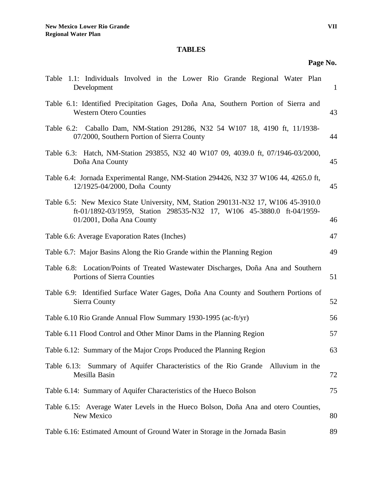# **TABLES**

| Table 1.1: Individuals Involved in the Lower Rio Grande Regional Water Plan<br>Development                                                                                             | $\mathbf{1}$ |
|----------------------------------------------------------------------------------------------------------------------------------------------------------------------------------------|--------------|
| Table 6.1: Identified Precipitation Gages, Doña Ana, Southern Portion of Sierra and<br><b>Western Otero Counties</b>                                                                   | 43           |
| Table 6.2: Caballo Dam, NM-Station 291286, N32 54 W107 18, 4190 ft, 11/1938-<br>07/2000, Southern Portion of Sierra County                                                             | 44           |
| Table 6.3: Hatch, NM-Station 293855, N32 40 W107 09, 4039.0 ft, 07/1946-03/2000,<br>Doña Ana County                                                                                    | 45           |
| Table 6.4: Jornada Experimental Range, NM-Station 294426, N32 37 W106 44, 4265.0 ft,<br>12/1925-04/2000, Doña County                                                                   | 45           |
| Table 6.5: New Mexico State University, NM, Station 290131-N32 17, W106 45-3910.0<br>ft-01/1892-03/1959, Station 298535-N32 17, W106 45-3880.0 ft-04/1959-<br>01/2001, Doña Ana County | 46           |
| Table 6.6: Average Evaporation Rates (Inches)                                                                                                                                          | 47           |
| Table 6.7: Major Basins Along the Rio Grande within the Planning Region                                                                                                                | 49           |
| Table 6.8: Location/Points of Treated Wastewater Discharges, Doña Ana and Southern<br>Portions of Sierra Counties                                                                      | 51           |
| Table 6.9: Identified Surface Water Gages, Doña Ana County and Southern Portions of<br><b>Sierra County</b>                                                                            | 52           |
| Table 6.10 Rio Grande Annual Flow Summary 1930-1995 (ac-ft/yr)                                                                                                                         | 56           |
| Table 6.11 Flood Control and Other Minor Dams in the Planning Region                                                                                                                   | 57           |
| Table 6.12: Summary of the Major Crops Produced the Planning Region                                                                                                                    | 63           |
| Table 6.13: Summary of Aquifer Characteristics of the Rio Grande Alluvium in the<br>Mesilla Basin                                                                                      | 72           |
| Table 6.14: Summary of Aquifer Characteristics of the Hueco Bolson                                                                                                                     | 75           |
| Table 6.15: Average Water Levels in the Hueco Bolson, Doña Ana and otero Counties,<br>New Mexico                                                                                       | 80           |
| Table 6.16: Estimated Amount of Ground Water in Storage in the Jornada Basin                                                                                                           | 89           |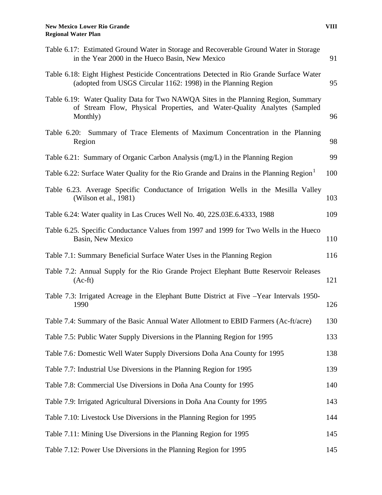| Table 6.17: Estimated Ground Water in Storage and Recoverable Ground Water in Storage<br>in the Year 2000 in the Hueco Basin, New Mexico                                   | 91  |
|----------------------------------------------------------------------------------------------------------------------------------------------------------------------------|-----|
| Table 6.18: Eight Highest Pesticide Concentrations Detected in Rio Grande Surface Water<br>(adopted from USGS Circular 1162: 1998) in the Planning Region                  | 95  |
| Table 6.19: Water Quality Data for Two NAWQA Sites in the Planning Region, Summary<br>of Stream Flow, Physical Properties, and Water-Quality Analytes (Sampled<br>Monthly) | 96  |
| Table 6.20: Summary of Trace Elements of Maximum Concentration in the Planning<br>Region                                                                                   | 98  |
| Table 6.21: Summary of Organic Carbon Analysis (mg/L) in the Planning Region                                                                                               | 99  |
| Table 6.22: Surface Water Quality for the Rio Grande and Drains in the Planning Region <sup>1</sup>                                                                        | 100 |
| Table 6.23. Average Specific Conductance of Irrigation Wells in the Mesilla Valley<br>(Wilson et al., 1981)                                                                | 103 |
| Table 6.24: Water quality in Las Cruces Well No. 40, 22S.03E.6.4333, 1988                                                                                                  | 109 |
| Table 6.25. Specific Conductance Values from 1997 and 1999 for Two Wells in the Hueco<br>Basin, New Mexico                                                                 | 110 |
| Table 7.1: Summary Beneficial Surface Water Uses in the Planning Region                                                                                                    | 116 |
| Table 7.2: Annual Supply for the Rio Grande Project Elephant Butte Reservoir Releases<br>$(Ac-fit)$                                                                        | 121 |
| Table 7.3: Irrigated Acreage in the Elephant Butte District at Five -Year Intervals 1950-<br>1990                                                                          | 126 |
| Table 7.4: Summary of the Basic Annual Water Allotment to EBID Farmers (Ac-ft/acre)                                                                                        | 130 |
| Table 7.5: Public Water Supply Diversions in the Planning Region for 1995                                                                                                  | 133 |
| Table 7.6: Domestic Well Water Supply Diversions Doña Ana County for 1995                                                                                                  | 138 |
| Table 7.7: Industrial Use Diversions in the Planning Region for 1995                                                                                                       | 139 |
| Table 7.8: Commercial Use Diversions in Doña Ana County for 1995                                                                                                           | 140 |
| Table 7.9: Irrigated Agricultural Diversions in Doña Ana County for 1995                                                                                                   | 143 |
| Table 7.10: Livestock Use Diversions in the Planning Region for 1995                                                                                                       | 144 |
| Table 7.11: Mining Use Diversions in the Planning Region for 1995                                                                                                          | 145 |
| Table 7.12: Power Use Diversions in the Planning Region for 1995                                                                                                           | 145 |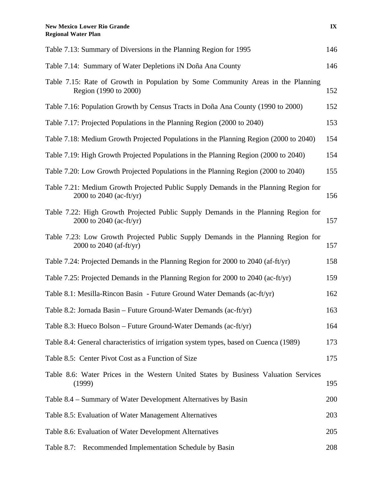| Table 7.13: Summary of Diversions in the Planning Region for 1995                                               | 146 |
|-----------------------------------------------------------------------------------------------------------------|-----|
| Table 7.14: Summary of Water Depletions iN Doña Ana County                                                      | 146 |
| Table 7.15: Rate of Growth in Population by Some Community Areas in the Planning<br>Region (1990 to 2000)       | 152 |
| Table 7.16: Population Growth by Census Tracts in Doña Ana County (1990 to 2000)                                | 152 |
| Table 7.17: Projected Populations in the Planning Region (2000 to 2040)                                         | 153 |
| Table 7.18: Medium Growth Projected Populations in the Planning Region (2000 to 2040)                           | 154 |
| Table 7.19: High Growth Projected Populations in the Planning Region (2000 to 2040)                             | 154 |
| Table 7.20: Low Growth Projected Populations in the Planning Region (2000 to 2040)                              | 155 |
| Table 7.21: Medium Growth Projected Public Supply Demands in the Planning Region for<br>2000 to 2040 (ac-ft/yr) | 156 |
| Table 7.22: High Growth Projected Public Supply Demands in the Planning Region for<br>2000 to 2040 (ac-ft/yr)   | 157 |
| Table 7.23: Low Growth Projected Public Supply Demands in the Planning Region for<br>2000 to 2040 (af-ft/yr)    | 157 |
| Table 7.24: Projected Demands in the Planning Region for 2000 to 2040 (af-ft/yr)                                | 158 |
| Table 7.25: Projected Demands in the Planning Region for 2000 to 2040 (ac-ft/yr)                                | 159 |
| Table 8.1: Mesilla-Rincon Basin - Future Ground Water Demands (ac-ft/yr)                                        | 162 |
| Table 8.2: Jornada Basin – Future Ground-Water Demands (ac-ft/yr)                                               | 163 |
| Table 8.3: Hueco Bolson - Future Ground-Water Demands (ac-ft/yr)                                                | 164 |
| Table 8.4: General characteristics of irrigation system types, based on Cuenca (1989)                           | 173 |
| Table 8.5: Center Pivot Cost as a Function of Size                                                              | 175 |
| Table 8.6: Water Prices in the Western United States by Business Valuation Services<br>(1999)                   | 195 |
| Table 8.4 – Summary of Water Development Alternatives by Basin                                                  | 200 |
| Table 8.5: Evaluation of Water Management Alternatives                                                          | 203 |
| Table 8.6: Evaluation of Water Development Alternatives                                                         | 205 |
| Recommended Implementation Schedule by Basin<br>Table 8.7:                                                      | 208 |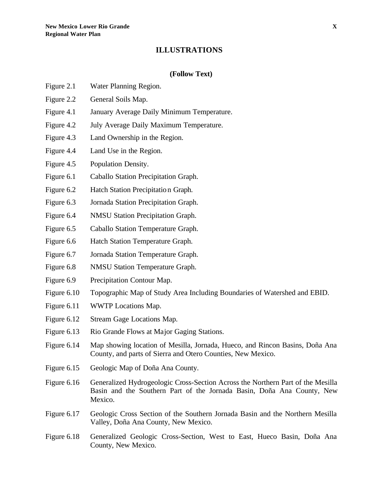- Figure 2.1 Water Planning Region.
- Figure 2.2 General Soils Map.
- Figure 4.1 January Average Daily Minimum Temperature.
- Figure 4.2 July Average Daily Maximum Temperature.
- Figure 4.3 Land Ownership in the Region.
- Figure 4.4 Land Use in the Region.
- Figure 4.5 Population Density.
- Figure 6.1 Caballo Station Precipitation Graph.
- Figure 6.2 Hatch Station Precipitation Graph.
- Figure 6.3 Jornada Station Precipitation Graph.
- Figure 6.4 NMSU Station Precipitation Graph.
- Figure 6.5 Caballo Station Temperature Graph.
- Figure 6.6 Hatch Station Temperature Graph.
- Figure 6.7 Jornada Station Temperature Graph.
- Figure 6.8 NMSU Station Temperature Graph.
- Figure 6.9 Precipitation Contour Map.
- Figure 6.10 Topographic Map of Study Area Including Boundaries of Watershed and EBID.
- Figure 6.11 WWTP Locations Map.
- Figure 6.12 Stream Gage Locations Map.
- Figure 6.13 Rio Grande Flows at Major Gaging Stations.
- Figure 6.14 Map showing location of Mesilla, Jornada, Hueco, and Rincon Basins, Doña Ana County, and parts of Sierra and Otero Counties, New Mexico.
- Figure 6.15 Geologic Map of Doña Ana County.
- Figure 6.16 Generalized Hydrogeologic Cross-Section Across the Northern Part of the Mesilla Basin and the Southern Part of the Jornada Basin, Doña Ana County, New Mexico.
- Figure 6.17 Geologic Cross Section of the Southern Jornada Basin and the Northern Mesilla Valley, Doña Ana County, New Mexico.
- Figure 6.18 Generalized Geologic Cross-Section, West to East, Hueco Basin, Doña Ana County, New Mexico.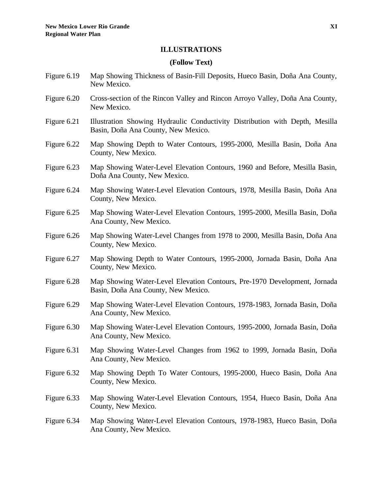- Figure 6.19 Map Showing Thickness of Basin-Fill Deposits, Hueco Basin, Doña Ana County, New Mexico.
- Figure 6.20 Cross-section of the Rincon Valley and Rincon Arroyo Valley, Doña Ana County, New Mexico.
- Figure 6.21 Illustration Showing Hydraulic Conductivity Distribution with Depth, Mesilla Basin, Doña Ana County, New Mexico.
- Figure 6.22 Map Showing Depth to Water Contours, 1995-2000, Mesilla Basin, Doña Ana County, New Mexico.
- Figure 6.23 Map Showing Water-Level Elevation Contours, 1960 and Before, Mesilla Basin, Doña Ana County, New Mexico.
- Figure 6.24 Map Showing Water-Level Elevation Contours, 1978, Mesilla Basin, Doña Ana County, New Mexico.
- Figure 6.25 Map Showing Water-Level Elevation Contours, 1995-2000, Mesilla Basin, Doña Ana County, New Mexico.
- Figure 6.26 Map Showing Water-Level Changes from 1978 to 2000, Mesilla Basin, Doña Ana County, New Mexico.
- Figure 6.27 Map Showing Depth to Water Contours, 1995-2000, Jornada Basin, Doña Ana County, New Mexico.
- Figure 6.28 Map Showing Water-Level Elevation Contours, Pre-1970 Development, Jornada Basin, Doña Ana County, New Mexico.
- Figure 6.29 Map Showing Water-Level Elevation Contours, 1978-1983, Jornada Basin, Doña Ana County, New Mexico.
- Figure 6.30 Map Showing Water-Level Elevation Contours, 1995-2000, Jornada Basin, Doña Ana County, New Mexico.
- Figure 6.31 Map Showing Water-Level Changes from 1962 to 1999, Jornada Basin, Doña Ana County, New Mexico.
- Figure 6.32 Map Showing Depth To Water Contours, 1995-2000, Hueco Basin, Doña Ana County, New Mexico.
- Figure 6.33 Map Showing Water-Level Elevation Contours, 1954, Hueco Basin, Doña Ana County, New Mexico.
- Figure 6.34 Map Showing Water-Level Elevation Contours, 1978-1983, Hueco Basin, Doña Ana County, New Mexico.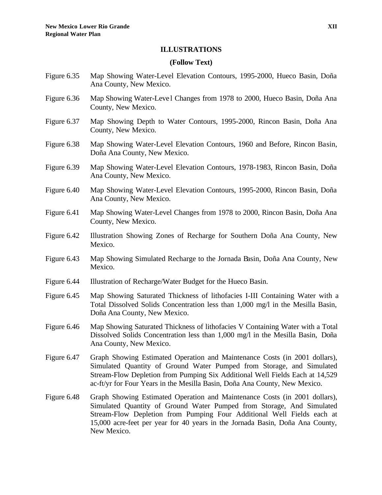- Figure 6.35 Map Showing Water-Level Elevation Contours, 1995-2000, Hueco Basin, Doña Ana County, New Mexico.
- Figure 6.36 Map Showing Water-Level Changes from 1978 to 2000, Hueco Basin, Doña Ana County, New Mexico.
- Figure 6.37 Map Showing Depth to Water Contours, 1995-2000, Rincon Basin, Doña Ana County, New Mexico.
- Figure 6.38 Map Showing Water-Level Elevation Contours, 1960 and Before, Rincon Basin, Doña Ana County, New Mexico.
- Figure 6.39 Map Showing Water-Level Elevation Contours, 1978-1983, Rincon Basin, Doña Ana County, New Mexico.
- Figure 6.40 Map Showing Water-Level Elevation Contours, 1995-2000, Rincon Basin, Doña Ana County, New Mexico.
- Figure 6.41 Map Showing Water-Level Changes from 1978 to 2000, Rincon Basin, Doña Ana County, New Mexico.
- Figure 6.42 Illustration Showing Zones of Recharge for Southern Doña Ana County, New Mexico.
- Figure 6.43 Map Showing Simulated Recharge to the Jornada Basin, Doña Ana County, New Mexico.
- Figure 6.44 Illustration of Recharge/Water Budget for the Hueco Basin.
- Figure 6.45 Map Showing Saturated Thickness of lithofacies I-III Containing Water with a Total Dissolved Solids Concentration less than 1,000 mg/l in the Mesilla Basin, Doña Ana County, New Mexico.
- Figure 6.46 Map Showing Saturated Thickness of lithofacies V Containing Water with a Total Dissolved Solids Concentration less than 1,000 mg/l in the Mesilla Basin, Doña Ana County, New Mexico.
- Figure 6.47 Graph Showing Estimated Operation and Maintenance Costs (in 2001 dollars), Simulated Quantity of Ground Water Pumped from Storage, and Simulated Stream-Flow Depletion from Pumping Six Additional Well Fields Each at 14,529 ac-ft/yr for Four Years in the Mesilla Basin, Doña Ana County, New Mexico.
- Figure 6.48 Graph Showing Estimated Operation and Maintenance Costs (in 2001 dollars), Simulated Quantity of Ground Water Pumped from Storage, And Simulated Stream-Flow Depletion from Pumping Four Additional Well Fields each at 15,000 acre-feet per year for 40 years in the Jornada Basin, Doña Ana County, New Mexico.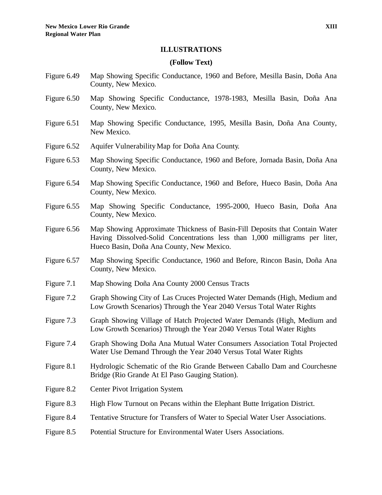- Figure 6.49 Map Showing Specific Conductance, 1960 and Before, Mesilla Basin, Doña Ana County, New Mexico.
- Figure 6.50 Map Showing Specific Conductance, 1978-1983, Mesilla Basin, Doña Ana County, New Mexico.
- Figure 6.51 Map Showing Specific Conductance, 1995, Mesilla Basin, Doña Ana County, New Mexico.
- Figure 6.52 Aquifer Vulnerability Map for Doña Ana County.
- Figure 6.53 Map Showing Specific Conductance, 1960 and Before, Jornada Basin, Doña Ana County, New Mexico.
- Figure 6.54 Map Showing Specific Conductance, 1960 and Before, Hueco Basin, Doña Ana County, New Mexico.
- Figure 6.55 Map Showing Specific Conductance, 1995-2000, Hueco Basin, Doña Ana County, New Mexico.
- Figure 6.56 Map Showing Approximate Thickness of Basin-Fill Deposits that Contain Water Having Dissolved-Solid Concentrations less than 1,000 milligrams per liter, Hueco Basin, Doña Ana County, New Mexico.
- Figure 6.57 Map Showing Specific Conductance, 1960 and Before, Rincon Basin, Doña Ana County, New Mexico.
- Figure 7.1 Map Showing Doña Ana County 2000 Census Tracts
- Figure 7.2 Graph Showing City of Las Cruces Projected Water Demands (High, Medium and Low Growth Scenarios) Through the Year 2040 Versus Total Water Rights
- Figure 7.3 Graph Showing Village of Hatch Projected Water Demands (High, Medium and Low Growth Scenarios) Through the Year 2040 Versus Total Water Rights
- Figure 7.4 Graph Showing Doña Ana Mutual Water Consumers Association Total Projected Water Use Demand Through the Year 2040 Versus Total Water Rights
- Figure 8.1 Hydrologic Schematic of the Rio Grande Between Caballo Dam and Courchesne Bridge (Rio Grande At El Paso Gauging Station).
- Figure 8.2 Center Pivot Irrigation System.
- Figure 8.3 High Flow Turnout on Pecans within the Elephant Butte Irrigation District.
- Figure 8.4 Tentative Structure for Transfers of Water to Special Water User Associations.
- Figure 8.5 Potential Structure for Environmental Water Users Associations.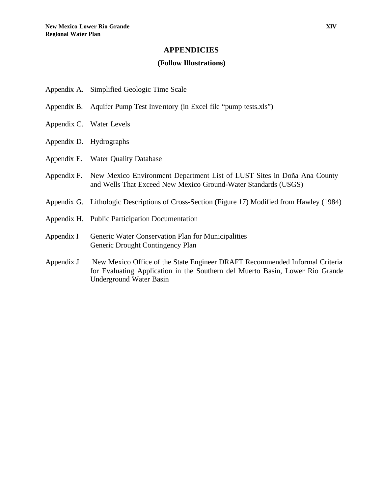#### **APPENDICIES**

#### **(Follow Illustrations)**

- Appendix A. Simplified Geologic Time Scale
- Appendix B. Aquifer Pump Test Inventory (in Excel file "pump tests.xls")
- Appendix C. Water Levels
- Appendix D. Hydrographs
- Appendix E. Water Quality Database
- Appendix F. New Mexico Environment Department List of LUST Sites in Doña Ana County and Wells That Exceed New Mexico Ground-Water Standards (USGS)
- Appendix G. Lithologic Descriptions of Cross-Section (Figure 17) Modified from Hawley (1984)
- Appendix H. Public Participation Documentation
- Appendix I Generic Water Conservation Plan for Municipalities Generic Drought Contingency Plan
- Appendix J New Mexico Office of the State Engineer DRAFT Recommended Informal Criteria for Evaluating Application in the Southern del Muerto Basin, Lower Rio Grande Underground Water Basin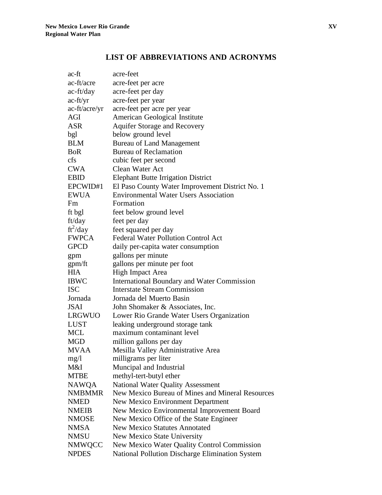# **LIST OF ABBREVIATIONS AND ACRONYMS**

| ac-ft         | acre-feet                                              |
|---------------|--------------------------------------------------------|
| ac-ft/acre    | acre-feet per acre                                     |
| $ac-ft/day$   | acre-feet per day                                      |
| $ac$ -ft/yr   | acre-feet per year                                     |
| ac-ft/acre/yr | acre-feet per acre per year                            |
| AGI           | American Geological Institute                          |
| ASR           | <b>Aquifer Storage and Recovery</b>                    |
| bgl           | below ground level                                     |
| <b>BLM</b>    | <b>Bureau of Land Management</b>                       |
| <b>BoR</b>    | <b>Bureau of Reclamation</b>                           |
| cfs           | cubic feet per second                                  |
| <b>CWA</b>    | Clean Water Act                                        |
| <b>EBID</b>   | <b>Elephant Butte Irrigation District</b>              |
| EPCWID#1      | El Paso County Water Improvement District No. 1        |
| <b>EWUA</b>   | <b>Environmental Water Users Association</b>           |
| Fm            | Formation                                              |
| ft bgl        | feet below ground level                                |
| ft/day        | feet per day                                           |
| $ft^2/day$    | feet squared per day                                   |
| <b>FWPCA</b>  | <b>Federal Water Pollution Control Act</b>             |
| <b>GPCD</b>   | daily per-capita water consumption                     |
| gpm           | gallons per minute                                     |
| gpm/ft        | gallons per minute per foot                            |
| <b>HIA</b>    | <b>High Impact Area</b>                                |
| <b>IBWC</b>   | <b>International Boundary and Water Commission</b>     |
| <b>ISC</b>    | <b>Interstate Stream Commission</b>                    |
| Jornada       | Jornada del Muerto Basin                               |
| <b>JSAI</b>   | John Shomaker & Associates, Inc.                       |
| LRGWUO        | Lower Rio Grande Water Users Organization              |
| <b>LUST</b>   | leaking underground storage tank                       |
| <b>MCL</b>    | maximum contaminant level                              |
| <b>MGD</b>    | million gallons per day                                |
| <b>MVAA</b>   | Mesilla Valley Administrative Area                     |
| mg/1          | milligrams per liter                                   |
| M&I           | Muncipal and Industrial                                |
| <b>MTBE</b>   | methyl-tert-butyl ether                                |
| <b>NAWOA</b>  | <b>National Water Quality Assessment</b>               |
| <b>NMBMMR</b> | New Mexico Bureau of Mines and Mineral Resources       |
| <b>NMED</b>   | New Mexico Environment Department                      |
| <b>NMEIB</b>  | New Mexico Environmental Improvement Board             |
| <b>NMOSE</b>  | New Mexico Office of the State Engineer                |
| <b>NMSA</b>   | <b>New Mexico Statutes Annotated</b>                   |
| <b>NMSU</b>   | New Mexico State University                            |
| <b>NMWQCC</b> | New Mexico Water Quality Control Commission            |
| <b>NPDES</b>  | <b>National Pollution Discharge Elimination System</b> |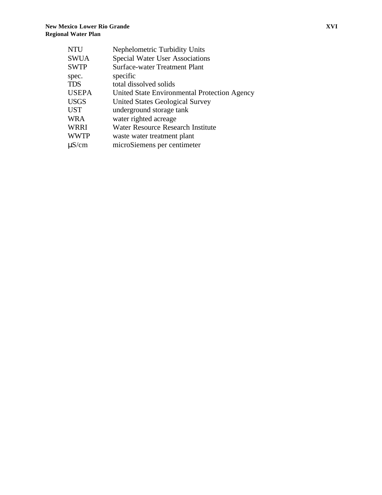| <b>NTU</b>   | <b>Nephelometric Turbidity Units</b>         |
|--------------|----------------------------------------------|
| <b>SWUA</b>  | <b>Special Water User Associations</b>       |
| <b>SWTP</b>  | <b>Surface-water Treatment Plant</b>         |
| spec.        | specific                                     |
| <b>TDS</b>   | total dissolved solids                       |
| <b>USEPA</b> | United State Environmental Protection Agency |
| <b>USGS</b>  | United States Geological Survey              |
| <b>UST</b>   | underground storage tank                     |
| <b>WRA</b>   | water righted acreage                        |
| <b>WRRI</b>  | Water Resource Research Institute            |
| <b>WWTP</b>  | waste water treatment plant                  |
| $\mu$ S/cm   | microSiemens per centimeter                  |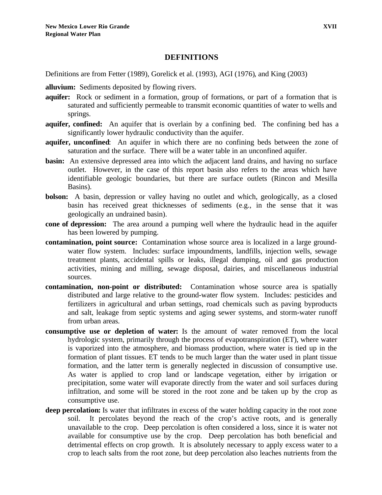### **DEFINITIONS**

Definitions are from Fetter (1989), Gorelick et al. (1993), AGI (1976), and King (2003)

**alluvium:** Sediments deposited by flowing rivers.

- **aquifer:** Rock or sediment in a formation, group of formations, or part of a formation that is saturated and sufficiently permeable to transmit economic quantities of water to wells and springs.
- **aquifer, confined:** An aquifer that is overlain by a confining bed. The confining bed has a significantly lower hydraulic conductivity than the aquifer.
- **aquifer, unconfined**: An aquifer in which there are no confining beds between the zone of saturation and the surface. There will be a water table in an unconfined aquifer.
- **basin:** An extensive depressed area into which the adjacent land drains, and having no surface outlet. However, in the case of this report basin also refers to the areas which have identifiable geologic boundaries, but there are surface outlets (Rincon and Mesilla Basins).
- **bolson:** A basin, depression or valley having no outlet and which, geologically, as a closed basin has received great thicknesses of sediments (e.g., in the sense that it was geologically an undrained basin).
- **cone of depression:** The area around a pumping well where the hydraulic head in the aquifer has been lowered by pumping.
- **contamination, point source:** Contamination whose source area is localized in a large groundwater flow system. Includes: surface impoundments, landfills, injection wells, sewage treatment plants, accidental spills or leaks, illegal dumping, oil and gas production activities, mining and milling, sewage disposal, dairies, and miscellaneous industrial sources.
- **contamination, non-point or distributed:** Contamination whose source area is spatially distributed and large relative to the ground-water flow system. Includes: pesticides and fertilizers in agricultural and urban settings, road chemicals such as paving byproducts and salt, leakage from septic systems and aging sewer systems, and storm-water runoff from urban areas.
- **consumptive use or depletion of water:** Is the amount of water removed from the local hydrologic system, primarily through the process of evapotranspiration (ET), where water is vaporized into the atmosphere, and biomass production, where water is tied up in the formation of plant tissues. ET tends to be much larger than the water used in plant tissue formation, and the latter term is generally neglected in discussion of consumptive use. As water is applied to crop land or landscape vegetation, either by irrigation or precipitation, some water will evaporate directly from the water and soil surfaces during infiltration, and some will be stored in the root zone and be taken up by the crop as consumptive use.
- **deep percolation:** Is water that infiltrates in excess of the water holding capacity in the root zone soil. It percolates beyond the reach of the crop's active roots, and is generally unavailable to the crop. Deep percolation is often considered a loss, since it is water not available for consumptive use by the crop. Deep percolation has both beneficial and detrimental effects on crop growth. It is absolutely necessary to apply excess water to a crop to leach salts from the root zone, but deep percolation also leaches nutrients from the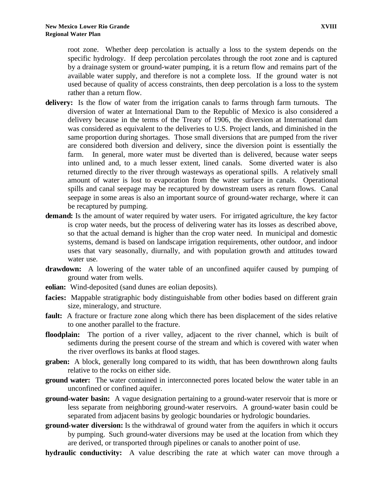root zone. Whether deep percolation is actually a loss to the system depends on the specific hydrology. If deep percolation percolates through the root zone and is captured by a drainage system or ground-water pumping, it is a return flow and remains part of the available water supply, and therefore is not a complete loss. If the ground water is not used because of quality of access constraints, then deep percolation is a loss to the system rather than a return flow.

- **delivery:** Is the flow of water from the irrigation canals to farms through farm turnouts. The diversion of water at International Dam to the Republic of Mexico is also considered a delivery because in the terms of the Treaty of 1906, the diversion at International dam was considered as equivalent to the deliveries to U.S. Project lands, and diminished in the same proportion during shortages. Those small diversions that are pumped from the river are considered both diversion and delivery, since the diversion point is essentially the farm. In general, more water must be diverted than is delivered, because water seeps into unlined and, to a much lesser extent, lined canals. Some diverted water is also returned directly to the river through wasteways as operational spills. A relatively small amount of water is lost to evaporation from the water surface in canals. Operational spills and canal seepage may be recaptured by downstream users as return flows. Canal seepage in some areas is also an important source of ground-water recharge, where it can be recaptured by pumping.
- demand: Is the amount of water required by water users. For irrigated agriculture, the key factor is crop water needs, but the process of delivering water has its losses as described above, so that the actual demand is higher than the crop water need. In municipal and domestic systems, demand is based on landscape irrigation requirements, other outdoor, and indoor uses that vary seasonally, diurnally, and with population growth and attitudes toward water use.
- **drawdown:** A lowering of the water table of an unconfined aquifer caused by pumping of ground water from wells.
- **eolian:** Wind-deposited (sand dunes are eolian deposits).
- **facies:** Mappable stratigraphic body distinguishable from other bodies based on different grain size, mineralogy, and structure.
- **fault:** A fracture or fracture zone along which there has been displacement of the sides relative to one another parallel to the fracture.
- floodplain: The portion of a river valley, adjacent to the river channel, which is built of sediments during the present course of the stream and which is covered with water when the river overflows its banks at flood stages.
- **graben:** A block, generally long compared to its width, that has been downthrown along faults relative to the rocks on either side.
- **ground water:** The water contained in interconnected pores located below the water table in an unconfined or confined aquifer.
- **ground-water basin:** A vague designation pertaining to a ground-water reservoir that is more or less separate from neighboring ground-water reservoirs. A ground-water basin could be separated from adjacent basins by geologic boundaries or hydrologic boundaries.
- **ground-water diversion:** Is the withdrawal of ground water from the aquifers in which it occurs by pumping. Such ground-water diversions may be used at the location from which they are derived, or transported through pipelines or canals to another point of use.
- **hydraulic conductivity:** A value describing the rate at which water can move through a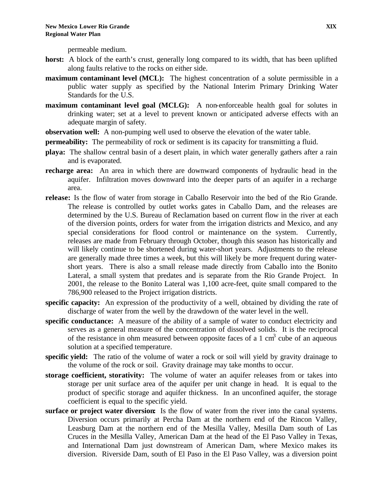permeable medium.

- **horst:** A block of the earth's crust, generally long compared to its width, that has been uplifted along faults relative to the rocks on either side.
- **maximum contaminant level (MCL):** The highest concentration of a solute permissible in a public water supply as specified by the National Interim Primary Drinking Water Standards for the U.S.
- **maximum contaminant level goal (MCLG):** A non-enforceable health goal for solutes in drinking water; set at a level to prevent known or anticipated adverse effects with an adequate margin of safety.
- **observation well:** A non-pumping well used to observe the elevation of the water table.
- **permeability:** The permeability of rock or sediment is its capacity for transmitting a fluid.
- **playa:** The shallow central basin of a desert plain, in which water generally gathers after a rain and is evaporated.
- **recharge area:** An area in which there are downward components of hydraulic head in the aquifer. Infiltration moves downward into the deeper parts of an aquifer in a recharge area.
- **release:** Is the flow of water from storage in Caballo Reservoir into the bed of the Rio Grande. The release is controlled by outlet works gates in Caballo Dam, and the releases are determined by the U.S. Bureau of Reclamation based on current flow in the river at each of the diversion points, orders for water from the irrigation districts and Mexico, and any special considerations for flood control or maintenance on the system. Currently, releases are made from February through October, though this season has historically and will likely continue to be shortened during water-short years. Adjustments to the release are generally made three times a week, but this will likely be more frequent during watershort years. There is also a small release made directly from Caballo into the Bonito Lateral, a small system that predates and is separate from the Rio Grande Project. In 2001, the release to the Bonito Lateral was 1,100 acre-feet, quite small compared to the 786,900 released to the Project irrigation districts.
- **specific capacity:** An expression of the productivity of a well, obtained by dividing the rate of discharge of water from the well by the drawdown of the water level in the well.
- **specific conductance:** A measure of the ability of a sample of water to conduct electricity and serves as a general measure of the concentration of dissolved solids. It is the reciprocal of the resistance in ohm measured between opposite faces of a 1  $\text{cm}^3$  cube of an aqueous solution at a specified temperature.
- **specific yield:** The ratio of the volume of water a rock or soil will yield by gravity drainage to the volume of the rock or soil. Gravity drainage may take months to occur.
- **storage coefficient, storativity:** The volume of water an aquifer releases from or takes into storage per unit surface area of the aquifer per unit change in head. It is equal to the product of specific storage and aquifer thickness. In an unconfined aquifer, the storage coefficient is equal to the specific yield.
- **surface or project water diversion:** Is the flow of water from the river into the canal systems. Diversion occurs primarily at Percha Dam at the northern end of the Rincon Valley, Leasburg Dam at the northern end of the Mesilla Valley, Mesilla Dam south of Las Cruces in the Mesilla Valley, American Dam at the head of the El Paso Valley in Texas, and International Dam just downstream of American Dam, where Mexico makes its diversion. Riverside Dam, south of El Paso in the El Paso Valley, was a diversion point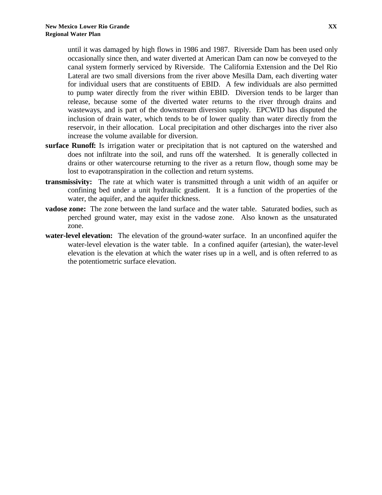until it was damaged by high flows in 1986 and 1987. Riverside Dam has been used only occasionally since then, and water diverted at American Dam can now be conveyed to the canal system formerly serviced by Riverside. The California Extension and the Del Rio Lateral are two small diversions from the river above Mesilla Dam, each diverting water for individual users that are constituents of EBID. A few individuals are also permitted to pump water directly from the river within EBID. Diversion tends to be larger than release, because some of the diverted water returns to the river through drains and wasteways, and is part of the downstream diversion supply. EPCWID has disputed the inclusion of drain water, which tends to be of lower quality than water directly from the reservoir, in their allocation. Local precipitation and other discharges into the river also increase the volume available for diversion.

- **surface Runoff:** Is irrigation water or precipitation that is not captured on the watershed and does not infiltrate into the soil, and runs off the watershed. It is generally collected in drains or other watercourse returning to the river as a return flow, though some may be lost to evapotranspiration in the collection and return systems.
- **transmissivity:** The rate at which water is transmitted through a unit width of an aquifer or confining bed under a unit hydraulic gradient. It is a function of the properties of the water, the aquifer, and the aquifer thickness.
- **vadose zone:** The zone between the land surface and the water table. Saturated bodies, such as perched ground water, may exist in the vadose zone. Also known as the unsaturated zone.
- **water-level elevation:** The elevation of the ground-water surface. In an unconfined aquifer the water-level elevation is the water table. In a confined aquifer (artesian), the water-level elevation is the elevation at which the water rises up in a well, and is often referred to as the potentiometric surface elevation.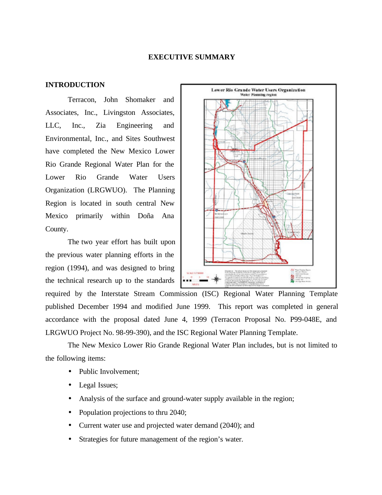#### **EXECUTIVE SUMMARY**

#### **INTRODUCTION**

Terracon, John Shomaker and Associates, Inc., Livingston Associates, LLC, Inc., Zia Engineering and Environmental, Inc., and Sites Southwest have completed the New Mexico Lower Rio Grande Regional Water Plan for the Lower Rio Grande Water Users Organization (LRGWUO). The Planning Region is located in south central New Mexico primarily within Doña Ana County.

The two year effort has built upon the previous water planning efforts in the region (1994), and was designed to bring the technical research up to the standards



required by the Interstate Stream Commission (ISC) Regional Water Planning Template published December 1994 and modified June 1999. This report was completed in general accordance with the proposal dated June 4, 1999 (Terracon Proposal No. P99-048E, and LRGWUO Project No. 98-99-390), and the ISC Regional Water Planning Template.

The New Mexico Lower Rio Grande Regional Water Plan includes, but is not limited to the following items:

- Public Involvement:
- Legal Issues;
- Analysis of the surface and ground-water supply available in the region;
- Population projections to thru 2040;
- Current water use and projected water demand (2040); and
- Strategies for future management of the region's water.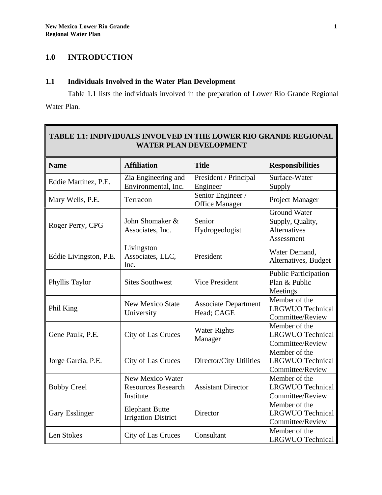# **1.0 INTRODUCTION**

# **1.1 Individuals Involved in the Water Plan Development**

Table 1.1 lists the individuals involved in the preparation of Lower Rio Grande Regional Water Plan.

# **TABLE 1.1: INDIVIDUALS INVOLVED IN THE LOWER RIO GRANDE REGIONAL WATER PLAN DEVELOPMENT**

| <b>Name</b>            | <b>Affiliation</b>                                         | <b>Title</b>                               | <b>Responsibilities</b>                                                      |
|------------------------|------------------------------------------------------------|--------------------------------------------|------------------------------------------------------------------------------|
| Eddie Martinez, P.E.   | Zia Engineering and<br>Environmental, Inc.                 | President / Principal<br>Engineer          | Surface-Water<br>Supply                                                      |
| Mary Wells, P.E.       | Terracon                                                   | Senior Engineer /<br><b>Office Manager</b> | Project Manager                                                              |
| Roger Perry, CPG       | John Shomaker &<br>Associates, Inc.                        | Senior<br>Hydrogeologist                   | <b>Ground Water</b><br>Supply, Quality,<br><b>Alternatives</b><br>Assessment |
| Eddie Livingston, P.E. | Livingston<br>Associates, LLC,<br>Inc.                     | President                                  | Water Demand,<br>Alternatives, Budget                                        |
| Phyllis Taylor         | <b>Sites Southwest</b>                                     | <b>Vice President</b>                      | <b>Public Participation</b><br>Plan & Public<br>Meetings                     |
| Phil King              | <b>New Mexico State</b><br>University                      | <b>Associate Department</b><br>Head; CAGE  | Member of the<br><b>LRGWUO Technical</b><br>Committee/Review                 |
| Gene Paulk, P.E.       | City of Las Cruces                                         | <b>Water Rights</b><br>Manager             | Member of the<br><b>LRGWUO Technical</b><br>Committee/Review                 |
| Jorge Garcia, P.E.     | City of Las Cruces                                         | Director/City Utilities                    | Member of the<br><b>LRGWUO</b> Technical<br>Committee/Review                 |
| <b>Bobby Creel</b>     | New Mexico Water<br><b>Resources Research</b><br>Institute | <b>Assistant Director</b>                  | Member of the<br><b>LRGWUO</b> Technical<br>Committee/Review                 |
| Gary Esslinger         | <b>Elephant Butte</b><br><b>Irrigation District</b>        | Director                                   | Member of the<br><b>LRGWUO</b> Technical<br>Committee/Review                 |
| Len Stokes             | City of Las Cruces                                         | Consultant                                 | Member of the<br>LRGWUO Technical                                            |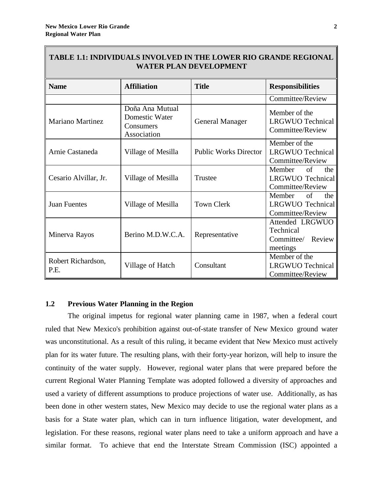| <b>TABLE 1.1: INDIVIDUALS INVOLVED IN THE LOWER RIO GRANDE REGIONAL</b><br><b>WATER PLAN DEVELOPMENT</b> |                                                                      |                              |                                                               |
|----------------------------------------------------------------------------------------------------------|----------------------------------------------------------------------|------------------------------|---------------------------------------------------------------|
| <b>Name</b>                                                                                              | <b>Affiliation</b>                                                   | <b>Title</b>                 | <b>Responsibilities</b>                                       |
|                                                                                                          |                                                                      |                              | Committee/Review                                              |
| <b>Mariano Martinez</b>                                                                                  | Doña Ana Mutual<br><b>Domestic Water</b><br>Consumers<br>Association | <b>General Manager</b>       | Member of the<br><b>LRGWUO</b> Technical<br>Committee/Review  |
| Arnie Castaneda                                                                                          | Village of Mesilla                                                   | <b>Public Works Director</b> | Member of the<br><b>LRGWUO</b> Technical<br>Committee/Review  |
| Cesario Alvillar, Jr.                                                                                    | Village of Mesilla                                                   | <b>Trustee</b>               | Member<br>of<br>the<br>LRGWUO Technical<br>Committee/Review   |
| Juan Fuentes                                                                                             | Village of Mesilla                                                   | <b>Town Clerk</b>            | Member<br>of<br>the<br>LRGWUO Technical<br>Committee/Review   |
| Minerva Rayos                                                                                            | Berino M.D.W.C.A.                                                    | Representative               | Attended LRGWUO<br>Technical<br>Committee/ Review<br>meetings |
| Robert Richardson,<br>P.E.                                                                               | Village of Hatch                                                     | Consultant                   | Member of the<br><b>LRGWUO</b> Technical<br>Committee/Review  |

### **1.2 Previous Water Planning in the Region**

The original impetus for regional water planning came in 1987, when a federal court ruled that New Mexico's prohibition against out-of-state transfer of New Mexico ground water was unconstitutional. As a result of this ruling, it became evident that New Mexico must actively plan for its water future. The resulting plans, with their forty-year horizon, will help to insure the continuity of the water supply. However, regional water plans that were prepared before the current Regional Water Planning Template was adopted followed a diversity of approaches and used a variety of different assumptions to produce projections of water use. Additionally, as has been done in other western states, New Mexico may decide to use the regional water plans as a basis for a State water plan, which can in turn influence litigation, water development, and legislation. For these reasons, regional water plans need to take a uniform approach and have a similar format. To achieve that end the Interstate Stream Commission (ISC) appointed a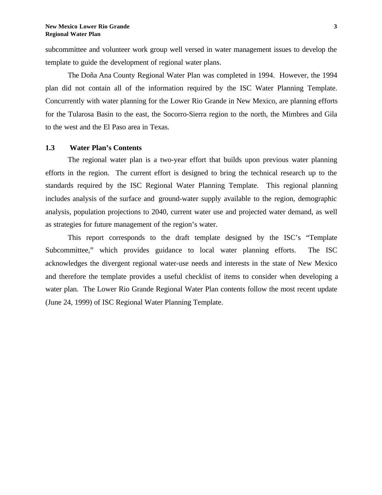subcommittee and volunteer work group well versed in water management issues to develop the template to guide the development of regional water plans.

The Doña Ana County Regional Water Plan was completed in 1994. However, the 1994 plan did not contain all of the information required by the ISC Water Planning Template. Concurrently with water planning for the Lower Rio Grande in New Mexico, are planning efforts for the Tularosa Basin to the east, the Socorro-Sierra region to the north, the Mimbres and Gila to the west and the El Paso area in Texas.

#### **1.3 Water Plan's Contents**

The regional water plan is a two-year effort that builds upon previous water planning efforts in the region. The current effort is designed to bring the technical research up to the standards required by the ISC Regional Water Planning Template. This regional planning includes analysis of the surface and ground-water supply available to the region, demographic analysis, population projections to 2040, current water use and projected water demand, as well as strategies for future management of the region's water.

This report corresponds to the draft template designed by the ISC's "Template Subcommittee," which provides guidance to local water planning efforts. The ISC acknowledges the divergent regional water-use needs and interests in the state of New Mexico and therefore the template provides a useful checklist of items to consider when developing a water plan. The Lower Rio Grande Regional Water Plan contents follow the most recent update (June 24, 1999) of ISC Regional Water Planning Template.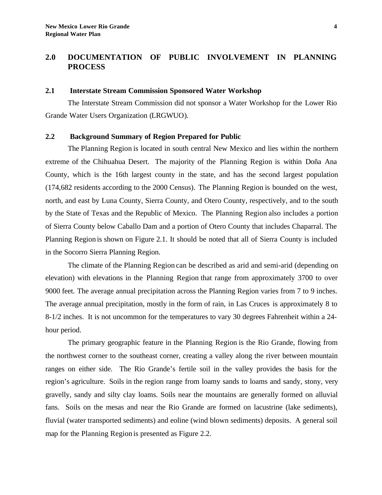# **2.0 DOCUMENTATION OF PUBLIC INVOLVEMENT IN PLANNING PROCESS**

#### **2.1 Interstate Stream Commission Sponsored Water Workshop**

The Interstate Stream Commission did not sponsor a Water Workshop for the Lower Rio Grande Water Users Organization (LRGWUO).

#### **2.2 Background Summary of Region Prepared for Public**

The Planning Region is located in south central New Mexico and lies within the northern extreme of the Chihuahua Desert. The majority of the Planning Region is within Doña Ana County, which is the 16th largest county in the state, and has the second largest population (174,682 residents according to the 2000 Census). The Planning Region is bounded on the west, north, and east by Luna County, Sierra County, and Otero County, respectively, and to the south by the State of Texas and the Republic of Mexico. The Planning Region also includes a portion of Sierra County below Caballo Dam and a portion of Otero County that includes Chaparral. The Planning Region is shown on Figure 2.1. It should be noted that all of Sierra County is included in the Socorro Sierra Planning Region.

The climate of the Planning Region can be described as arid and semi-arid (depending on elevation) with elevations in the Planning Region that range from approximately 3700 to over 9000 feet. The average annual precipitation across the Planning Region varies from 7 to 9 inches. The average annual precipitation, mostly in the form of rain, in Las Cruces is approximately 8 to 8-1/2 inches. It is not uncommon for the temperatures to vary 30 degrees Fahrenheit within a 24 hour period.

The primary geographic feature in the Planning Region is the Rio Grande, flowing from the northwest corner to the southeast corner, creating a valley along the river between mountain ranges on either side. The Rio Grande's fertile soil in the valley provides the basis for the region's agriculture. Soils in the region range from loamy sands to loams and sandy, stony, very gravelly, sandy and silty clay loams. Soils near the mountains are generally formed on alluvial fans. Soils on the mesas and near the Rio Grande are formed on lacustrine (lake sediments), fluvial (water transported sediments) and eoline (wind blown sediments) deposits. A general soil map for the Planning Region is presented as Figure 2.2.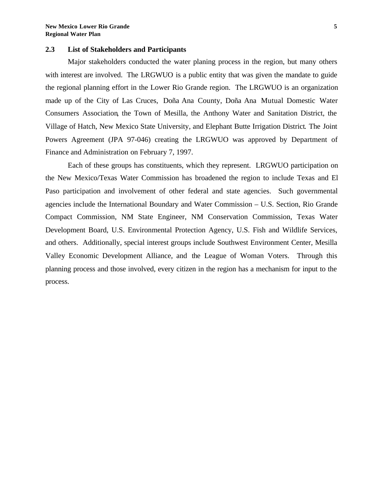#### **2.3 List of Stakeholders and Participants**

Major stakeholders conducted the water planing process in the region, but many others with interest are involved. The LRGWUO is a public entity that was given the mandate to guide the regional planning effort in the Lower Rio Grande region. The LRGWUO is an organization made up of the City of Las Cruces, Doña Ana County, Doña Ana Mutual Domestic Water Consumers Association, the Town of Mesilla, the Anthony Water and Sanitation District, the Village of Hatch, New Mexico State University, and Elephant Butte Irrigation District. The Joint Powers Agreement (JPA 97-046) creating the LRGWUO was approved by Department of Finance and Administration on February 7, 1997.

Each of these groups has constituents, which they represent. LRGWUO participation on the New Mexico/Texas Water Commission has broadened the region to include Texas and El Paso participation and involvement of other federal and state agencies. Such governmental agencies include the International Boundary and Water Commission – U.S. Section, Rio Grande Compact Commission, NM State Engineer, NM Conservation Commission, Texas Water Development Board, U.S. Environmental Protection Agency, U.S. Fish and Wildlife Services, and others. Additionally, special interest groups include Southwest Environment Center, Mesilla Valley Economic Development Alliance, and the League of Woman Voters. Through this planning process and those involved, every citizen in the region has a mechanism for input to the process.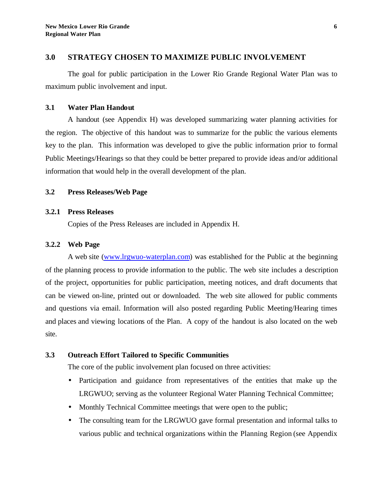#### **3.0 STRATEGY CHOSEN TO MAXIMIZE PUBLIC INVOLVEMENT**

The goal for public participation in the Lower Rio Grande Regional Water Plan was to maximum public involvement and input.

#### **3.1 Water Plan Handout**

A handout (see Appendix H) was developed summarizing water planning activities for the region. The objective of this handout was to summarize for the public the various elements key to the plan. This information was developed to give the public information prior to formal Public Meetings/Hearings so that they could be better prepared to provide ideas and/or additional information that would help in the overall development of the plan.

#### **3.2 Press Releases/Web Page**

#### **3.2.1 Press Releases**

Copies of the Press Releases are included in Appendix H.

#### **3.2.2 Web Page**

A web site (www.lrgwuo-waterplan.com) was established for the Public at the beginning of the planning process to provide information to the public. The web site includes a description of the project, opportunities for public participation, meeting notices, and draft documents that can be viewed on-line, printed out or downloaded. The web site allowed for public comments and questions via email. Information will also posted regarding Public Meeting/Hearing times and places and viewing locations of the Plan. A copy of the handout is also located on the web site.

#### **3.3 Outreach Effort Tailored to Specific Communities**

The core of the public involvement plan focused on three activities:

- Participation and guidance from representatives of the entities that make up the LRGWUO; serving as the volunteer Regional Water Planning Technical Committee;
- Monthly Technical Committee meetings that were open to the public;
- The consulting team for the LRGWUO gave formal presentation and informal talks to various public and technical organizations within the Planning Region (see Appendix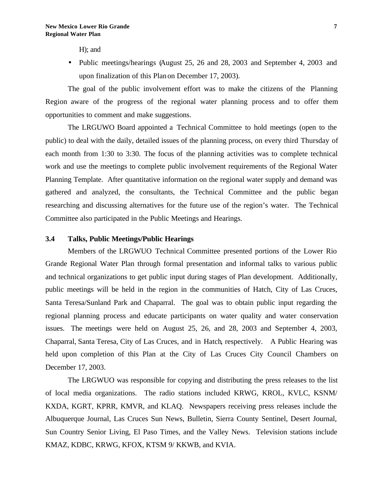H); and

• Public meetings/hearings (August 25, 26 and 28, 2003 and September 4, 2003 and upon finalization of this Plan on December 17, 2003).

The goal of the public involvement effort was to make the citizens of the Planning Region aware of the progress of the regional water planning process and to offer them opportunities to comment and make suggestions.

The LRGUWO Board appointed a Technical Committee to hold meetings (open to the public) to deal with the daily, detailed issues of the planning process, on every third Thursday of each month from 1:30 to 3:30. The focus of the planning activities was to complete technical work and use the meetings to complete public involvement requirements of the Regional Water Planning Template. After quantitative information on the regional water supply and demand was gathered and analyzed, the consultants, the Technical Committee and the public began researching and discussing alternatives for the future use of the region's water. The Technical Committee also participated in the Public Meetings and Hearings.

# **3.4 Talks, Public Meetings/Public Hearings**

Members of the LRGWUO Technical Committee presented portions of the Lower Rio Grande Regional Water Plan through formal presentation and informal talks to various public and technical organizations to get public input during stages of Plan development. Additionally, public meetings will be held in the region in the communities of Hatch, City of Las Cruces, Santa Teresa/Sunland Park and Chaparral. The goal was to obtain public input regarding the regional planning process and educate participants on water quality and water conservation issues. The meetings were held on August 25, 26, and 28, 2003 and September 4, 2003, Chaparral, Santa Teresa, City of Las Cruces, and in Hatch, respectively. A Public Hearing was held upon completion of this Plan at the City of Las Cruces City Council Chambers on December 17, 2003.

The LRGWUO was responsible for copying and distributing the press releases to the list of local media organizations. The radio stations included KRWG, KROL, KVLC, KSNM/ KXDA, KGRT, KPRR, KMVR, and KLAQ. Newspapers receiving press releases include the Albuquerque Journal, Las Cruces Sun News, Bulletin, Sierra County Sentinel, Desert Journal, Sun Country Senior Living, El Paso Times, and the Valley News. Television stations include KMAZ, KDBC, KRWG, KFOX, KTSM 9/ KKWB, and KVIA.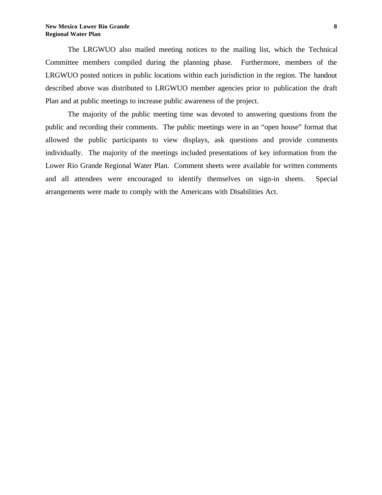The LRGWUO also mailed meeting notices to the mailing list, which the Technical Committee members compiled during the planning phase. Furthermore, members of the LRGWUO posted notices in public locations within each jurisdiction in the region. The handout described above was distributed to LRGWUO member agencies prior to publication the draft Plan and at public meetings to increase public awareness of the project.

The majority of the public meeting time was devoted to answering questions from the public and recording their comments. The public meetings were in an "open house" format that allowed the public participants to view displays, ask questions and provide comments individually. The majority of the meetings included presentations of key information from the Lower Rio Grande Regional Water Plan. Comment sheets were available for written comments and all attendees were encouraged to identify themselves on sign-in sheets. Special arrangements were made to comply with the Americans with Disabilities Act.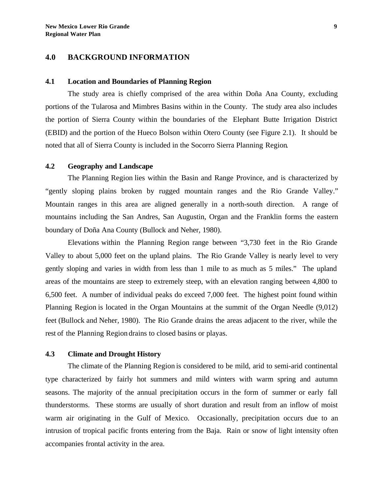#### **4.0 BACKGROUND INFORMATION**

#### **4.1 Location and Boundaries of Planning Region**

The study area is chiefly comprised of the area within Doña Ana County, excluding portions of the Tularosa and Mimbres Basins within in the County. The study area also includes the portion of Sierra County within the boundaries of the Elephant Butte Irrigation District (EBID) and the portion of the Hueco Bolson within Otero County (see Figure 2.1). It should be noted that all of Sierra County is included in the Socorro Sierra Planning Region.

#### **4.2 Geography and Landscape**

The Planning Region lies within the Basin and Range Province, and is characterized by "gently sloping plains broken by rugged mountain ranges and the Rio Grande Valley." Mountain ranges in this area are aligned generally in a north-south direction. A range of mountains including the San Andres, San Augustin, Organ and the Franklin forms the eastern boundary of Doña Ana County (Bullock and Neher, 1980).

Elevations within the Planning Region range between "3,730 feet in the Rio Grande Valley to about 5,000 feet on the upland plains. The Rio Grande Valley is nearly level to very gently sloping and varies in width from less than 1 mile to as much as 5 miles." The upland areas of the mountains are steep to extremely steep, with an elevation ranging between 4,800 to 6,500 feet. A number of individual peaks do exceed 7,000 feet. The highest point found within Planning Region is located in the Organ Mountains at the summit of the Organ Needle (9,012) feet (Bullock and Neher, 1980). The Rio Grande drains the areas adjacent to the river, while the rest of the Planning Region drains to closed basins or playas.

#### **4.3 Climate and Drought History**

The climate of the Planning Region is considered to be mild, arid to semi-arid continental type characterized by fairly hot summers and mild winters with warm spring and autumn seasons. The majority of the annual precipitation occurs in the form of summer or early fall thunderstorms. These storms are usually of short duration and result from an inflow of moist warm air originating in the Gulf of Mexico. Occasionally, precipitation occurs due to an intrusion of tropical pacific fronts entering from the Baja. Rain or snow of light intensity often accompanies frontal activity in the area.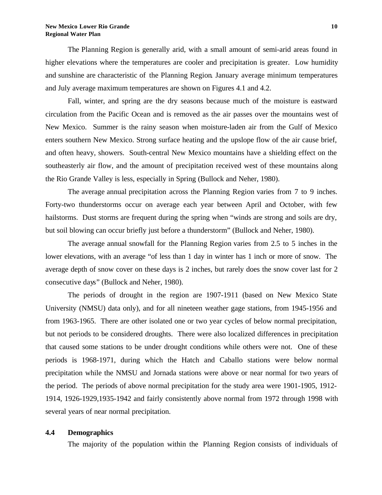The Planning Region is generally arid, with a small amount of semi-arid areas found in higher elevations where the temperatures are cooler and precipitation is greater. Low humidity and sunshine are characteristic of the Planning Region. January average minimum temperatures and July average maximum temperatures are shown on Figures 4.1 and 4.2.

Fall, winter, and spring are the dry seasons because much of the moisture is eastward circulation from the Pacific Ocean and is removed as the air passes over the mountains west of New Mexico. Summer is the rainy season when moisture-laden air from the Gulf of Mexico enters southern New Mexico. Strong surface heating and the upslope flow of the air cause brief, and often heavy, showers. South-central New Mexico mountains have a shielding effect on the southeasterly air flow, and the amount of precipitation received west of these mountains along the Rio Grande Valley is less, especially in Spring (Bullock and Neher, 1980).

The average annual precipitation across the Planning Region varies from 7 to 9 inches. Forty-two thunderstorms occur on average each year between April and October, with few hailstorms. Dust storms are frequent during the spring when "winds are strong and soils are dry, but soil blowing can occur briefly just before a thunderstorm" (Bullock and Neher, 1980).

The average annual snowfall for the Planning Region varies from 2.5 to 5 inches in the lower elevations, with an average "of less than 1 day in winter has 1 inch or more of snow. The average depth of snow cover on these days is 2 inches, but rarely does the snow cover last for 2 consecutive days" (Bullock and Neher, 1980).

The periods of drought in the region are 1907-1911 (based on New Mexico State University (NMSU) data only), and for all nineteen weather gage stations, from 1945-1956 and from 1963-1965. There are other isolated one or two year cycles of below normal precipitation, but not periods to be considered droughts. There were also localized differences in precipitation that caused some stations to be under drought conditions while others were not. One of these periods is 1968-1971, during which the Hatch and Caballo stations were below normal precipitation while the NMSU and Jornada stations were above or near normal for two years of the period. The periods of above normal precipitation for the study area were 1901-1905, 1912- 1914, 1926-1929,1935-1942 and fairly consistently above normal from 1972 through 1998 with several years of near normal precipitation.

#### **4.4 Demographics**

The majority of the population within the Planning Region consists of individuals of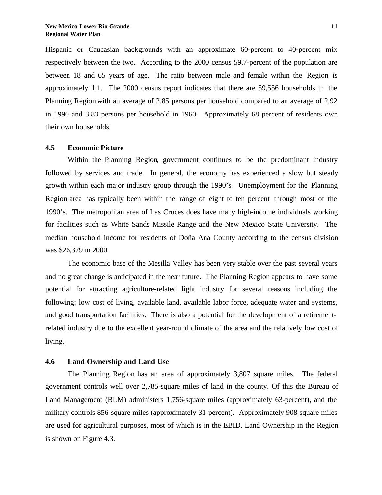Hispanic or Caucasian backgrounds with an approximate 60-percent to 40-percent mix respectively between the two. According to the 2000 census 59.7-percent of the population are between 18 and 65 years of age. The ratio between male and female within the Region is approximately 1:1. The 2000 census report indicates that there are 59,556 households in the Planning Region with an average of 2.85 persons per household compared to an average of 2.92 in 1990 and 3.83 persons per household in 1960. Approximately 68 percent of residents own their own households.

#### **4.5 Economic Picture**

Within the Planning Region, government continues to be the predominant industry followed by services and trade. In general, the economy has experienced a slow but steady growth within each major industry group through the 1990's. Unemployment for the Planning Region area has typically been within the range of eight to ten percent through most of the 1990's. The metropolitan area of Las Cruces does have many high-income individuals working for facilities such as White Sands Missile Range and the New Mexico State University. The median household income for residents of Doña Ana County according to the census division was \$26,379 in 2000.

The economic base of the Mesilla Valley has been very stable over the past several years and no great change is anticipated in the near future. The Planning Region appears to have some potential for attracting agriculture-related light industry for several reasons including the following: low cost of living, available land, available labor force, adequate water and systems, and good transportation facilities. There is also a potential for the development of a retirementrelated industry due to the excellent year-round climate of the area and the relatively low cost of living.

#### **4.6 Land Ownership and Land Use**

The Planning Region has an area of approximately 3,807 square miles. The federal government controls well over 2,785-square miles of land in the county. Of this the Bureau of Land Management (BLM) administers 1,756-square miles (approximately 63-percent), and the military controls 856-square miles (approximately 31-percent). Approximately 908 square miles are used for agricultural purposes, most of which is in the EBID. Land Ownership in the Region is shown on Figure 4.3.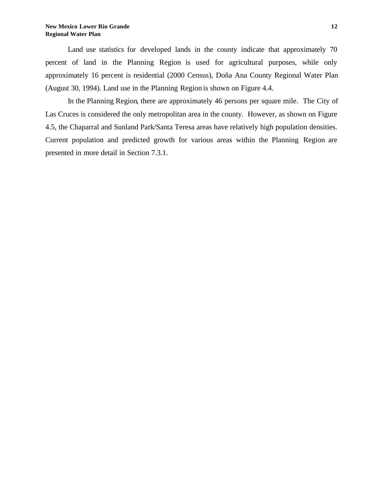Land use statistics for developed lands in the county indicate that approximately 70 percent of land in the Planning Region is used for agricultural purposes, while only approximately 16 percent is residential (2000 Census), Doña Ana County Regional Water Plan (August 30, 1994). Land use in the Planning Region is shown on Figure 4.4.

In the Planning Region, there are approximately 46 persons per square mile. The City of Las Cruces is considered the only metropolitan area in the county. However, as shown on Figure 4.5, the Chaparral and Sunland Park/Santa Teresa areas have relatively high population densities. Current population and predicted growth for various areas within the Planning Region are presented in more detail in Section 7.3.1.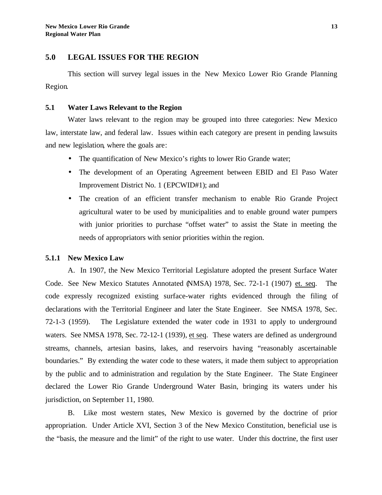### **5.0 LEGAL ISSUES FOR THE REGION**

This section will survey legal issues in the New Mexico Lower Rio Grande Planning Region.

# **5.1 Water Laws Relevant to the Region**

Water laws relevant to the region may be grouped into three categories: New Mexico law, interstate law, and federal law. Issues within each category are present in pending lawsuits and new legislation, where the goals are:

- The quantification of New Mexico's rights to lower Rio Grande water;
- The development of an Operating Agreement between EBID and El Paso Water Improvement District No. 1 (EPCWID#1); and
- The creation of an efficient transfer mechanism to enable Rio Grande Project agricultural water to be used by municipalities and to enable ground water pumpers with junior priorities to purchase "offset water" to assist the State in meeting the needs of appropriators with senior priorities within the region.

#### **5.1.1 New Mexico Law**

A. In 1907, the New Mexico Territorial Legislature adopted the present Surface Water Code. See New Mexico Statutes Annotated (NMSA) 1978, Sec. 72-1-1 (1907) et. seq. The code expressly recognized existing surface-water rights evidenced through the filing of declarations with the Territorial Engineer and later the State Engineer. See NMSA 1978, Sec. 72-1-3 (1959). The Legislature extended the water code in 1931 to apply to underground waters. See NMSA 1978, Sec. 72-12-1 (1939), et seq. These waters are defined as underground streams, channels, artesian basins, lakes, and reservoirs having "reasonably ascertainable boundaries." By extending the water code to these waters, it made them subject to appropriation by the public and to administration and regulation by the State Engineer. The State Engineer declared the Lower Rio Grande Underground Water Basin, bringing its waters under his jurisdiction, on September 11, 1980.

B. Like most western states, New Mexico is governed by the doctrine of prior appropriation. Under Article XVI, Section 3 of the New Mexico Constitution, beneficial use is the "basis, the measure and the limit" of the right to use water. Under this doctrine, the first user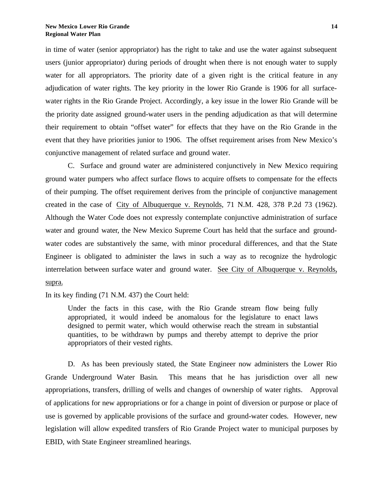in time of water (senior appropriator) has the right to take and use the water against subsequent users (junior appropriator) during periods of drought when there is not enough water to supply water for all appropriators. The priority date of a given right is the critical feature in any adjudication of water rights. The key priority in the lower Rio Grande is 1906 for all surfacewater rights in the Rio Grande Project. Accordingly, a key issue in the lower Rio Grande will be the priority date assigned ground-water users in the pending adjudication as that will determine their requirement to obtain "offset water" for effects that they have on the Rio Grande in the event that they have priorities junior to 1906. The offset requirement arises from New Mexico's conjunctive management of related surface and ground water.

C. Surface and ground water are administered conjunctively in New Mexico requiring ground water pumpers who affect surface flows to acquire offsets to compensate for the effects of their pumping. The offset requirement derives from the principle of conjunctive management created in the case of City of Albuquerque v. Reynolds, 71 N.M. 428, 378 P.2d 73 (1962). Although the Water Code does not expressly contemplate conjunctive administration of surface water and ground water, the New Mexico Supreme Court has held that the surface and groundwater codes are substantively the same, with minor procedural differences, and that the State Engineer is obligated to administer the laws in such a way as to recognize the hydrologic interrelation between surface water and ground water. See City of Albuquerque v. Reynolds, supra.

In its key finding (71 N.M. 437) the Court held:

Under the facts in this case, with the Rio Grande stream flow being fully appropriated, it would indeed be anomalous for the legislature to enact laws designed to permit water, which would otherwise reach the stream in substantial quantities, to be withdrawn by pumps and thereby attempt to deprive the prior appropriators of their vested rights.

D. As has been previously stated, the State Engineer now administers the Lower Rio Grande Underground Water Basin. This means that he has jurisdiction over all new appropriations, transfers, drilling of wells and changes of ownership of water rights. Approval of applications for new appropriations or for a change in point of diversion or purpose or place of use is governed by applicable provisions of the surface and ground-water codes. However, new legislation will allow expedited transfers of Rio Grande Project water to municipal purposes by EBID, with State Engineer streamlined hearings.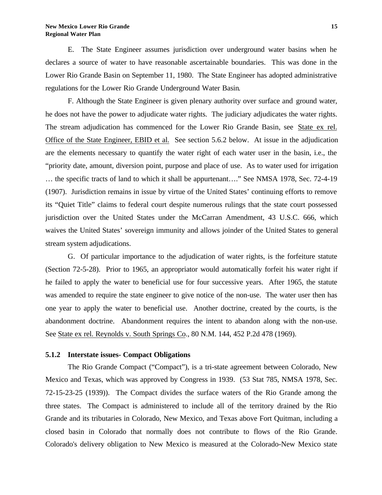E. The State Engineer assumes jurisdiction over underground water basins when he declares a source of water to have reasonable ascertainable boundaries. This was done in the Lower Rio Grande Basin on September 11, 1980. The State Engineer has adopted administrative regulations for the Lower Rio Grande Underground Water Basin.

F. Although the State Engineer is given plenary authority over surface and ground water, he does not have the power to adjudicate water rights. The judiciary adjudicates the water rights. The stream adjudication has commenced for the Lower Rio Grande Basin, see State ex rel. Office of the State Engineer, EBID et al. See section 5.6.2 below. At issue in the adjudication are the elements necessary to quantify the water right of each water user in the basin, i.e., the "priority date, amount, diversion point, purpose and place of use. As to water used for irrigation … the specific tracts of land to which it shall be appurtenant…." See NMSA 1978, Sec. 72-4-19 (1907). Jurisdiction remains in issue by virtue of the United States' continuing efforts to remove its "Quiet Title" claims to federal court despite numerous rulings that the state court possessed jurisdiction over the United States under the McCarran Amendment, 43 U.S.C. 666, which waives the United States' sovereign immunity and allows joinder of the United States to general stream system adjudications.

G. Of particular importance to the adjudication of water rights, is the forfeiture statute (Section 72-5-28). Prior to 1965, an appropriator would automatically forfeit his water right if he failed to apply the water to beneficial use for four successive years. After 1965, the statute was amended to require the state engineer to give notice of the non-use. The water user then has one year to apply the water to beneficial use. Another doctrine, created by the courts, is the abandonment doctrine. Abandonment requires the intent to abandon along with the non-use. See State ex rel. Reynolds v. South Springs Co., 80 N.M. 144, 452 P.2d 478 (1969).

## **5.1.2 Interstate issues- Compact Obligations**

The Rio Grande Compact ("Compact"), is a tri-state agreement between Colorado, New Mexico and Texas, which was approved by Congress in 1939. (53 Stat 785, NMSA 1978, Sec. 72-15-23-25 (1939)). The Compact divides the surface waters of the Rio Grande among the three states. The Compact is administered to include all of the territory drained by the Rio Grande and its tributaries in Colorado, New Mexico, and Texas above Fort Quitman, including a closed basin in Colorado that normally does not contribute to flows of the Rio Grande. Colorado's delivery obligation to New Mexico is measured at the Colorado-New Mexico state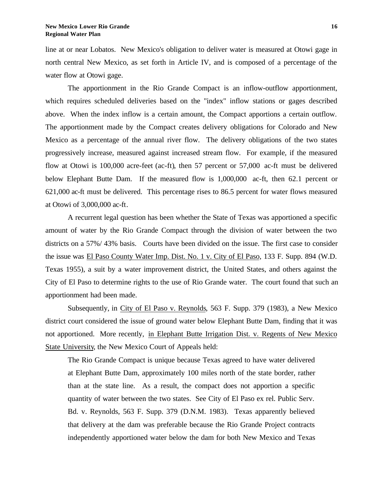line at or near Lobatos. New Mexico's obligation to deliver water is measured at Otowi gage in north central New Mexico, as set forth in Article IV, and is composed of a percentage of the water flow at Otowi gage.

The apportionment in the Rio Grande Compact is an inflow-outflow apportionment, which requires scheduled deliveries based on the "index" inflow stations or gages described above. When the index inflow is a certain amount, the Compact apportions a certain outflow. The apportionment made by the Compact creates delivery obligations for Colorado and New Mexico as a percentage of the annual river flow. The delivery obligations of the two states progressively increase, measured against increased stream flow. For example, if the measured flow at Otowi is 100,000 acre-feet (ac-ft), then 57 percent or 57,000 ac-ft must be delivered below Elephant Butte Dam. If the measured flow is 1,000,000 ac-ft, then 62.1 percent or 621,000 ac-ft must be delivered. This percentage rises to 86.5 percent for water flows measured at Otowi of 3,000,000 ac-ft.

A recurrent legal question has been whether the State of Texas was apportioned a specific amount of water by the Rio Grande Compact through the division of water between the two districts on a 57%/ 43% basis. Courts have been divided on the issue. The first case to consider the issue was El Paso County Water Imp. Dist. No. 1 v. City of El Paso, 133 F. Supp. 894 (W.D. Texas 1955), a suit by a water improvement district, the United States, and others against the City of El Paso to determine rights to the use of Rio Grande water. The court found that such an apportionment had been made.

Subsequently, in City of El Paso v. Reynolds, 563 F. Supp. 379 (1983), a New Mexico district court considered the issue of ground water below Elephant Butte Dam, finding that it was not apportioned. More recently, in Elephant Butte Irrigation Dist. v. Regents of New Mexico State University, the New Mexico Court of Appeals held:

The Rio Grande Compact is unique because Texas agreed to have water delivered at Elephant Butte Dam, approximately 100 miles north of the state border, rather than at the state line. As a result, the compact does not apportion a specific quantity of water between the two states. See City of El Paso ex rel. Public Serv. Bd. v. Reynolds, 563 F. Supp. 379 (D.N.M. 1983). Texas apparently believed that delivery at the dam was preferable because the Rio Grande Project contracts independently apportioned water below the dam for both New Mexico and Texas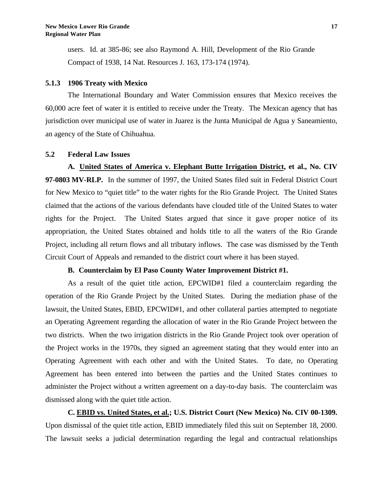users. Id. at 385-86; see also Raymond A. Hill, Development of the Rio Grande Compact of 1938, 14 Nat. Resources J. 163, 173-174 (1974).

## **5.1.3 1906 Treaty with Mexico**

The International Boundary and Water Commission ensures that Mexico receives the 60,000 acre feet of water it is entitled to receive under the Treaty. The Mexican agency that has jurisdiction over municipal use of water in Juarez is the Junta Municipal de Agua y Saneamiento, an agency of the State of Chihuahua.

## **5.2 Federal Law Issues**

**A. United States of America v. Elephant Butte Irrigation District, et al., No. CIV 97-0803 MV-RLP.** In the summer of 1997, the United States filed suit in Federal District Court for New Mexico to "quiet title" to the water rights for the Rio Grande Project. The United States claimed that the actions of the various defendants have clouded title of the United States to water rights for the Project. The United States argued that since it gave proper notice of its appropriation, the United States obtained and holds title to all the waters of the Rio Grande Project, including all return flows and all tributary inflows. The case was dismissed by the Tenth Circuit Court of Appeals and remanded to the district court where it has been stayed.

#### **B. Counterclaim by El Paso County Water Improvement District #1.**

As a result of the quiet title action, EPCWID#1 filed a counterclaim regarding the operation of the Rio Grande Project by the United States. During the mediation phase of the lawsuit, the United States, EBID, EPCWID#1, and other collateral parties attempted to negotiate an Operating Agreement regarding the allocation of water in the Rio Grande Project between the two districts. When the two irrigation districts in the Rio Grande Project took over operation of the Project works in the 1970s, they signed an agreement stating that they would enter into an Operating Agreement with each other and with the United States. To date, no Operating Agreement has been entered into between the parties and the United States continues to administer the Project without a written agreement on a day-to-day basis. The counterclaim was dismissed along with the quiet title action.

**C. EBID vs. United States, et al.; U.S. District Court (New Mexico) No. CIV 00-1309.** Upon dismissal of the quiet title action, EBID immediately filed this suit on September 18, 2000. The lawsuit seeks a judicial determination regarding the legal and contractual relationships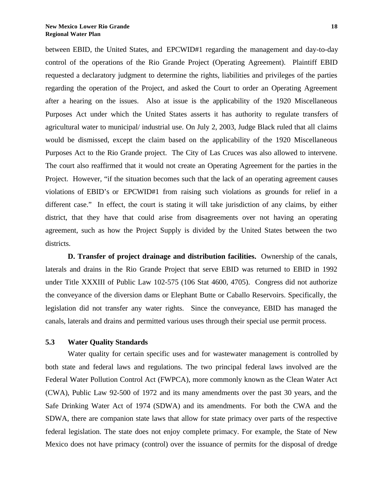**18**

between EBID, the United States, and EPCWID#1 regarding the management and day-to-day control of the operations of the Rio Grande Project (Operating Agreement). Plaintiff EBID requested a declaratory judgment to determine the rights, liabilities and privileges of the parties regarding the operation of the Project, and asked the Court to order an Operating Agreement after a hearing on the issues. Also at issue is the applicability of the 1920 Miscellaneous Purposes Act under which the United States asserts it has authority to regulate transfers of agricultural water to municipal/ industrial use. On July 2, 2003, Judge Black ruled that all claims would be dismissed, except the claim based on the applicability of the 1920 Miscellaneous Purposes Act to the Rio Grande project. The City of Las Cruces was also allowed to intervene. The court also reaffirmed that it would not create an Operating Agreement for the parties in the Project. However, "if the situation becomes such that the lack of an operating agreement causes violations of EBID's or EPCWID#1 from raising such violations as grounds for relief in a different case." In effect, the court is stating it will take jurisdiction of any claims, by either district, that they have that could arise from disagreements over not having an operating agreement, such as how the Project Supply is divided by the United States between the two districts.

**D. Transfer of project drainage and distribution facilities.** Ownership of the canals, laterals and drains in the Rio Grande Project that serve EBID was returned to EBID in 1992 under Title XXXIII of Public Law 102-575 (106 Stat 4600, 4705). Congress did not authorize the conveyance of the diversion dams or Elephant Butte or Caballo Reservoirs. Specifically, the legislation did not transfer any water rights. Since the conveyance, EBID has managed the canals, laterals and drains and permitted various uses through their special use permit process.

#### **5.3 Water Quality Standards**

Water quality for certain specific uses and for wastewater management is controlled by both state and federal laws and regulations. The two principal federal laws involved are the Federal Water Pollution Control Act (FWPCA), more commonly known as the Clean Water Act (CWA), Public Law 92-500 of 1972 and its many amendments over the past 30 years, and the Safe Drinking Water Act of 1974 (SDWA) and its amendments. For both the CWA and the SDWA, there are companion state laws that allow for state primacy over parts of the respective federal legislation. The state does not enjoy complete primacy. For example, the State of New Mexico does not have primacy (control) over the issuance of permits for the disposal of dredge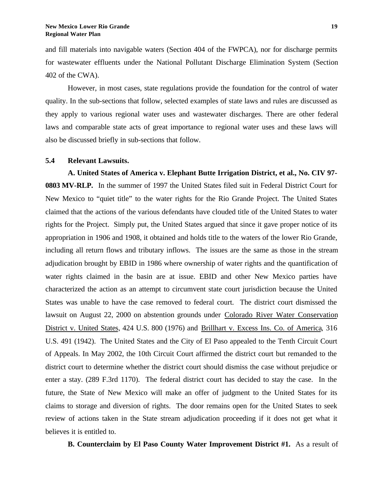and fill materials into navigable waters (Section 404 of the FWPCA), nor for discharge permits for wastewater effluents under the National Pollutant Discharge Elimination System (Section 402 of the CWA).

However, in most cases, state regulations provide the foundation for the control of water quality. In the sub-sections that follow, selected examples of state laws and rules are discussed as they apply to various regional water uses and wastewater discharges. There are other federal laws and comparable state acts of great importance to regional water uses and these laws will also be discussed briefly in sub-sections that follow.

#### **5.4 Relevant Lawsuits.**

**A. United States of America v. Elephant Butte Irrigation District, et al., No. CIV 97- 0803 MV-RLP.** In the summer of 1997 the United States filed suit in Federal District Court for New Mexico to "quiet title" to the water rights for the Rio Grande Project. The United States claimed that the actions of the various defendants have clouded title of the United States to water rights for the Project. Simply put, the United States argued that since it gave proper notice of its appropriation in 1906 and 1908, it obtained and holds title to the waters of the lower Rio Grande, including all return flows and tributary inflows. The issues are the same as those in the stream adjudication brought by EBID in 1986 where ownership of water rights and the quantification of water rights claimed in the basin are at issue. EBID and other New Mexico parties have characterized the action as an attempt to circumvent state court jurisdiction because the United States was unable to have the case removed to federal court. The district court dismissed the lawsuit on August 22, 2000 on abstention grounds under Colorado River Water Conservation District v. United States, 424 U.S. 800 (1976) and Brillhart v. Excess Ins. Co. of America, 316 U.S. 491 (1942). The United States and the City of El Paso appealed to the Tenth Circuit Court of Appeals. In May 2002, the 10th Circuit Court affirmed the district court but remanded to the district court to determine whether the district court should dismiss the case without prejudice or enter a stay. (289 F.3rd 1170). The federal district court has decided to stay the case. In the future, the State of New Mexico will make an offer of judgment to the United States for its claims to storage and diversion of rights. The door remains open for the United States to seek review of actions taken in the State stream adjudication proceeding if it does not get what it believes it is entitled to.

**B. Counterclaim by El Paso County Water Improvement District #1.** As a result of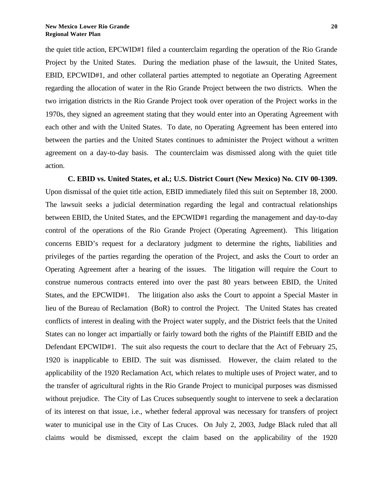the quiet title action, EPCWID#1 filed a counterclaim regarding the operation of the Rio Grande Project by the United States. During the mediation phase of the lawsuit, the United States, EBID, EPCWID#1, and other collateral parties attempted to negotiate an Operating Agreement regarding the allocation of water in the Rio Grande Project between the two districts. When the two irrigation districts in the Rio Grande Project took over operation of the Project works in the 1970s, they signed an agreement stating that they would enter into an Operating Agreement with each other and with the United States. To date, no Operating Agreement has been entered into between the parties and the United States continues to administer the Project without a written agreement on a day-to-day basis. The counterclaim was dismissed along with the quiet title action.

**C. EBID vs. United States, et al.; U.S. District Court (New Mexico) No. CIV 00-1309.** Upon dismissal of the quiet title action, EBID immediately filed this suit on September 18, 2000. The lawsuit seeks a judicial determination regarding the legal and contractual relationships between EBID, the United States, and the EPCWID#1 regarding the management and day-to-day control of the operations of the Rio Grande Project (Operating Agreement). This litigation concerns EBID's request for a declaratory judgment to determine the rights, liabilities and privileges of the parties regarding the operation of the Project, and asks the Court to order an Operating Agreement after a hearing of the issues. The litigation will require the Court to construe numerous contracts entered into over the past 80 years between EBID, the United States, and the EPCWID#1. The litigation also asks the Court to appoint a Special Master in lieu of the Bureau of Reclamation (BoR) to control the Project. The United States has created conflicts of interest in dealing with the Project water supply, and the District feels that the United States can no longer act impartially or fairly toward both the rights of the Plaintiff EBID and the Defendant EPCWID#1. The suit also requests the court to declare that the Act of February 25, 1920 is inapplicable to EBID. The suit was dismissed. However, the claim related to the applicability of the 1920 Reclamation Act, which relates to multiple uses of Project water, and to the transfer of agricultural rights in the Rio Grande Project to municipal purposes was dismissed without prejudice. The City of Las Cruces subsequently sought to intervene to seek a declaration of its interest on that issue, i.e., whether federal approval was necessary for transfers of project water to municipal use in the City of Las Cruces. On July 2, 2003, Judge Black ruled that all claims would be dismissed, except the claim based on the applicability of the 1920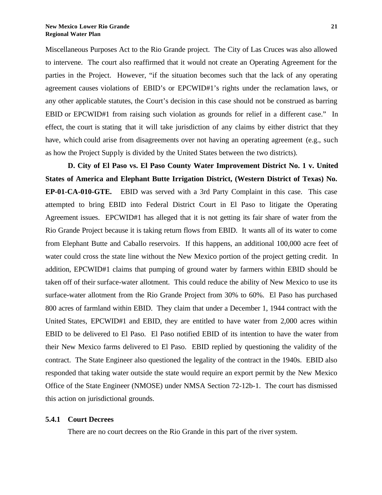Miscellaneous Purposes Act to the Rio Grande project. The City of Las Cruces was also allowed to intervene. The court also reaffirmed that it would not create an Operating Agreement for the parties in the Project. However, "if the situation becomes such that the lack of any operating agreement causes violations of EBID's or EPCWID#1's rights under the reclamation laws, or any other applicable statutes, the Court's decision in this case should not be construed as barring EBID or EPCWID#1 from raising such violation as grounds for relief in a different case." In effect, the court is stating that it will take jurisdiction of any claims by either district that they have, which could arise from disagreements over not having an operating agreement (e.g., such as how the Project Supply is divided by the United States between the two districts).

**D. City of El Paso vs. El Paso County Water Improvement District No. 1 v. United States of America and Elephant Butte Irrigation District, (Western District of Texas) No. EP-01-CA-010-GTE.** EBID was served with a 3rd Party Complaint in this case. This case attempted to bring EBID into Federal District Court in El Paso to litigate the Operating Agreement issues. EPCWID#1 has alleged that it is not getting its fair share of water from the Rio Grande Project because it is taking return flows from EBID. It wants all of its water to come from Elephant Butte and Caballo reservoirs. If this happens, an additional 100,000 acre feet of water could cross the state line without the New Mexico portion of the project getting credit. In addition, EPCWID#1 claims that pumping of ground water by farmers within EBID should be taken off of their surface-water allotment. This could reduce the ability of New Mexico to use its surface-water allotment from the Rio Grande Project from 30% to 60%. El Paso has purchased 800 acres of farmland within EBID. They claim that under a December 1, 1944 contract with the United States, EPCWID#1 and EBID, they are entitled to have water from 2,000 acres within EBID to be delivered to El Paso. El Paso notified EBID of its intention to have the water from their New Mexico farms delivered to El Paso. EBID replied by questioning the validity of the contract. The State Engineer also questioned the legality of the contract in the 1940s. EBID also responded that taking water outside the state would require an export permit by the New Mexico Office of the State Engineer (NMOSE) under NMSA Section 72-12b-1. The court has dismissed this action on jurisdictional grounds.

#### **5.4.1 Court Decrees**

There are no court decrees on the Rio Grande in this part of the river system.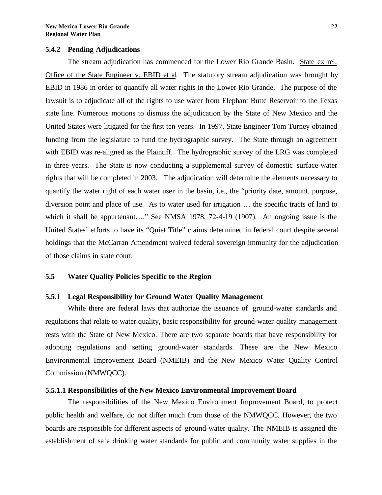#### **5.4.2 Pending Adjudications**

The stream adjudication has commenced for the Lower Rio Grande Basin. State ex rel. Office of the State Engineer v. EBID et al. The statutory stream adjudication was brought by EBID in 1986 in order to quantify all water rights in the Lower Rio Grande. The purpose of the lawsuit is to adjudicate all of the rights to use water from Elephant Butte Reservoir to the Texas state line. Numerous motions to dismiss the adjudication by the State of New Mexico and the United States were litigated for the first ten years. In 1997, State Engineer Tom Turney obtained funding from the legislature to fund the hydrographic survey. The State through an agreement with EBID was re-aligned as the Plaintiff. The hydrographic survey of the LRG was completed in three years. The State is now conducting a supplemental survey of domestic surface-water rights that will be completed in 2003. The adjudication will determine the elements necessary to quantify the water right of each water user in the basin, i.e., the "priority date, amount, purpose, diversion point and place of use. As to water used for irrigation … the specific tracts of land to which it shall be appurtenant...." See NMSA 1978, 72-4-19 (1907). An ongoing issue is the United States' efforts to have its "Quiet Title" claims determined in federal court despite several holdings that the McCarran Amendment waived federal sovereign immunity for the adjudication of those claims in state court.

## **5.5 Water Quality Policies Specific to the Region**

## **5.5.1 Legal Responsibility for Ground Water Quality Management**

While there are federal laws that authorize the issuance of ground-water standards and regulations that relate to water quality, basic responsibility for ground-water quality management rests with the State of New Mexico. There are two separate boards that have responsibility for adopting regulations and setting ground-water standards. These are the New Mexico Environmental Improvement Board (NMEIB) and the New Mexico Water Quality Control Commission (NMWQCC).

#### **5.5.1.1 Responsibilities of the New Mexico Environmental Improvement Board**

The responsibilities of the New Mexico Environment Improvement Board, to protect public health and welfare, do not differ much from those of the NMWQCC. However, the two boards are responsible for different aspects of ground-water quality. The NMEIB is assigned the establishment of safe drinking water standards for public and community water supplies in the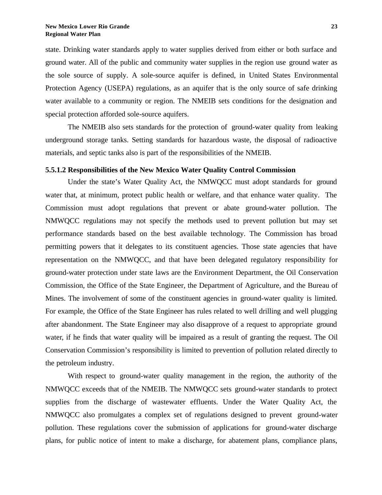state. Drinking water standards apply to water supplies derived from either or both surface and ground water. All of the public and community water supplies in the region use ground water as the sole source of supply. A sole-source aquifer is defined, in United States Environmental Protection Agency (USEPA) regulations, as an aquifer that is the only source of safe drinking water available to a community or region. The NMEIB sets conditions for the designation and special protection afforded sole-source aquifers.

The NMEIB also sets standards for the protection of ground-water quality from leaking underground storage tanks. Setting standards for hazardous waste, the disposal of radioactive materials, and septic tanks also is part of the responsibilities of the NMEIB.

#### **5.5.1.2 Responsibilities of the New Mexico Water Quality Control Commission**

Under the state's Water Quality Act, the NMWQCC must adopt standards for ground water that, at minimum, protect public health or welfare, and that enhance water quality. The Commission must adopt regulations that prevent or abate ground-water pollution. The NMWQCC regulations may not specify the methods used to prevent pollution but may set performance standards based on the best available technology. The Commission has broad permitting powers that it delegates to its constituent agencies. Those state agencies that have representation on the NMWQCC, and that have been delegated regulatory responsibility for ground-water protection under state laws are the Environment Department, the Oil Conservation Commission, the Office of the State Engineer, the Department of Agriculture, and the Bureau of Mines. The involvement of some of the constituent agencies in ground-water quality is limited. For example, the Office of the State Engineer has rules related to well drilling and well plugging after abandonment. The State Engineer may also disapprove of a request to appropriate ground water, if he finds that water quality will be impaired as a result of granting the request. The Oil Conservation Commission's responsibility is limited to prevention of pollution related directly to the petroleum industry.

With respect to ground-water quality management in the region, the authority of the NMWQCC exceeds that of the NMEIB. The NMWQCC sets ground-water standards to protect supplies from the discharge of wastewater effluents. Under the Water Quality Act, the NMWQCC also promulgates a complex set of regulations designed to prevent ground-water pollution. These regulations cover the submission of applications for ground-water discharge plans, for public notice of intent to make a discharge, for abatement plans, compliance plans,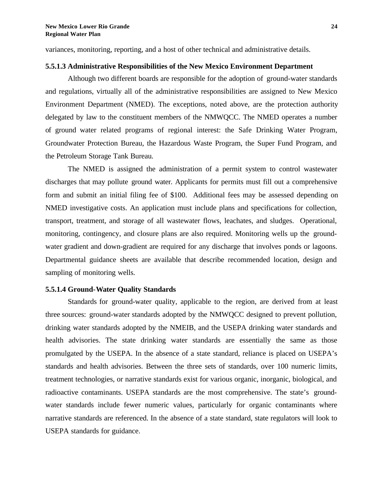variances, monitoring, reporting, and a host of other technical and administrative details.

#### **5.5.1.3 Administrative Responsibilities of the New Mexico Environment Department**

Although two different boards are responsible for the adoption of ground-water standards and regulations, virtually all of the administrative responsibilities are assigned to New Mexico Environment Department (NMED). The exceptions, noted above, are the protection authority delegated by law to the constituent members of the NMWQCC. The NMED operates a number of ground water related programs of regional interest: the Safe Drinking Water Program, Groundwater Protection Bureau, the Hazardous Waste Program, the Super Fund Program, and the Petroleum Storage Tank Bureau.

The NMED is assigned the administration of a permit system to control wastewater discharges that may pollute ground water. Applicants for permits must fill out a comprehensive form and submit an initial filing fee of \$100. Additional fees may be assessed depending on NMED investigative costs. An application must include plans and specifications for collection, transport, treatment, and storage of all wastewater flows, leachates, and sludges. Operational, monitoring, contingency, and closure plans are also required. Monitoring wells up the groundwater gradient and down-gradient are required for any discharge that involves ponds or lagoons. Departmental guidance sheets are available that describe recommended location, design and sampling of monitoring wells.

## **5.5.1.4 Ground-Water Quality Standards**

Standards for ground-water quality, applicable to the region, are derived from at least three sources: ground-water standards adopted by the NMWQCC designed to prevent pollution, drinking water standards adopted by the NMEIB, and the USEPA drinking water standards and health advisories. The state drinking water standards are essentially the same as those promulgated by the USEPA. In the absence of a state standard, reliance is placed on USEPA's standards and health advisories. Between the three sets of standards, over 100 numeric limits, treatment technologies, or narrative standards exist for various organic, inorganic, biological, and radioactive contaminants. USEPA standards are the most comprehensive. The state's groundwater standards include fewer numeric values, particularly for organic contaminants where narrative standards are referenced. In the absence of a state standard, state regulators will look to USEPA standards for guidance.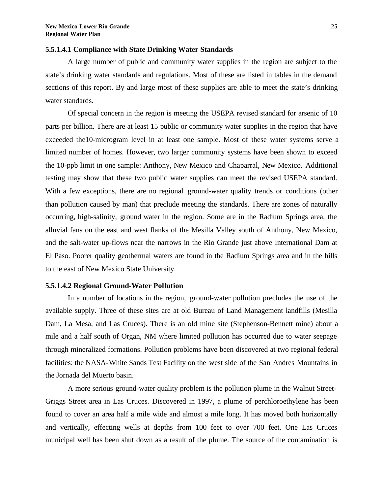### **5.5.1.4.1 Compliance with State Drinking Water Standards**

A large number of public and community water supplies in the region are subject to the state's drinking water standards and regulations. Most of these are listed in tables in the demand sections of this report. By and large most of these supplies are able to meet the state's drinking water standards.

Of special concern in the region is meeting the USEPA revised standard for arsenic of 10 parts per billion. There are at least 15 public or community water supplies in the region that have exceeded the10-microgram level in at least one sample. Most of these water systems serve a limited number of homes. However, two larger community systems have been shown to exceed the 10-ppb limit in one sample: Anthony, New Mexico and Chaparral, New Mexico. Additional testing may show that these two public water supplies can meet the revised USEPA standard. With a few exceptions, there are no regional ground-water quality trends or conditions (other than pollution caused by man) that preclude meeting the standards. There are zones of naturally occurring, high-salinity, ground water in the region. Some are in the Radium Springs area, the alluvial fans on the east and west flanks of the Mesilla Valley south of Anthony, New Mexico, and the salt-water up-flows near the narrows in the Rio Grande just above International Dam at El Paso. Poorer quality geothermal waters are found in the Radium Springs area and in the hills to the east of New Mexico State University.

#### **5.5.1.4.2 Regional Ground-Water Pollution**

In a number of locations in the region, ground-water pollution precludes the use of the available supply. Three of these sites are at old Bureau of Land Management landfills (Mesilla Dam, La Mesa, and Las Cruces). There is an old mine site (Stephenson-Bennett mine) about a mile and a half south of Organ, NM where limited pollution has occurred due to water seepage through mineralized formations. Pollution problems have been discovered at two regional federal facilities: the NASA-White Sands Test Facility on the west side of the San Andres Mountains in the Jornada del Muerto basin.

A more serious ground-water quality problem is the pollution plume in the Walnut Street-Griggs Street area in Las Cruces. Discovered in 1997, a plume of perchloroethylene has been found to cover an area half a mile wide and almost a mile long. It has moved both horizontally and vertically, effecting wells at depths from 100 feet to over 700 feet. One Las Cruces municipal well has been shut down as a result of the plume. The source of the contamination is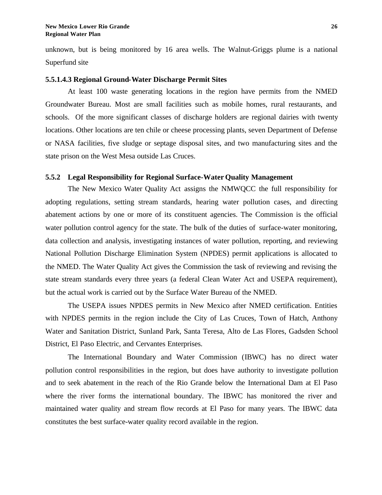unknown, but is being monitored by 16 area wells. The Walnut-Griggs plume is a national Superfund site

## **5.5.1.4.3 Regional Ground-Water Discharge Permit Sites**

At least 100 waste generating locations in the region have permits from the NMED Groundwater Bureau. Most are small facilities such as mobile homes, rural restaurants, and schools. Of the more significant classes of discharge holders are regional dairies with twenty locations. Other locations are ten chile or cheese processing plants, seven Department of Defense or NASA facilities, five sludge or septage disposal sites, and two manufacturing sites and the state prison on the West Mesa outside Las Cruces.

## **5.5.2 Legal Responsibility for Regional Surface-Water Quality Management**

The New Mexico Water Quality Act assigns the NMWQCC the full responsibility for adopting regulations, setting stream standards, hearing water pollution cases, and directing abatement actions by one or more of its constituent agencies. The Commission is the official water pollution control agency for the state. The bulk of the duties of surface-water monitoring, data collection and analysis, investigating instances of water pollution, reporting, and reviewing National Pollution Discharge Elimination System (NPDES) permit applications is allocated to the NMED. The Water Quality Act gives the Commission the task of reviewing and revising the state stream standards every three years (a federal Clean Water Act and USEPA requirement), but the actual work is carried out by the Surface Water Bureau of the NMED.

The USEPA issues NPDES permits in New Mexico after NMED certification. Entities with NPDES permits in the region include the City of Las Cruces, Town of Hatch, Anthony Water and Sanitation District, Sunland Park, Santa Teresa, Alto de Las Flores, Gadsden School District, El Paso Electric, and Cervantes Enterprises.

The International Boundary and Water Commission (IBWC) has no direct water pollution control responsibilities in the region, but does have authority to investigate pollution and to seek abatement in the reach of the Rio Grande below the International Dam at El Paso where the river forms the international boundary. The IBWC has monitored the river and maintained water quality and stream flow records at El Paso for many years. The IBWC data constitutes the best surface-water quality record available in the region.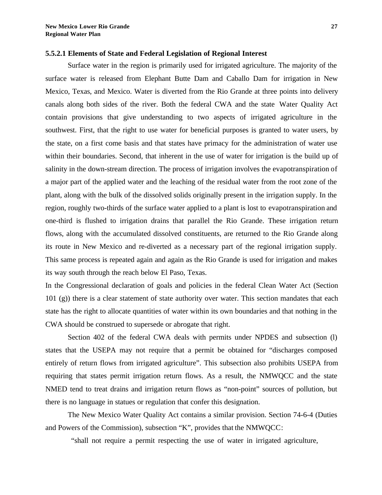#### **5.5.2.1 Elements of State and Federal Legislation of Regional Interest**

Surface water in the region is primarily used for irrigated agriculture. The majority of the surface water is released from Elephant Butte Dam and Caballo Dam for irrigation in New Mexico, Texas, and Mexico. Water is diverted from the Rio Grande at three points into delivery canals along both sides of the river. Both the federal CWA and the state Water Quality Act contain provisions that give understanding to two aspects of irrigated agriculture in the southwest. First, that the right to use water for beneficial purposes is granted to water users, by the state, on a first come basis and that states have primacy for the administration of water use within their boundaries. Second, that inherent in the use of water for irrigation is the build up of salinity in the down-stream direction. The process of irrigation involves the evapotranspiration of a major part of the applied water and the leaching of the residual water from the root zone of the plant, along with the bulk of the dissolved solids originally present in the irrigation supply. In the region, roughly two-thirds of the surface water applied to a plant is lost to evapotranspiration and one-third is flushed to irrigation drains that parallel the Rio Grande. These irrigation return flows, along with the accumulated dissolved constituents, are returned to the Rio Grande along its route in New Mexico and re-diverted as a necessary part of the regional irrigation supply. This same process is repeated again and again as the Rio Grande is used for irrigation and makes its way south through the reach below El Paso, Texas.

In the Congressional declaration of goals and policies in the federal Clean Water Act (Section 101 (g)) there is a clear statement of state authority over water. This section mandates that each state has the right to allocate quantities of water within its own boundaries and that nothing in the CWA should be construed to supersede or abrogate that right.

Section 402 of the federal CWA deals with permits under NPDES and subsection (l) states that the USEPA may not require that a permit be obtained for "discharges composed entirely of return flows from irrigated agriculture". This subsection also prohibits USEPA from requiring that states permit irrigation return flows. As a result, the NMWQCC and the state NMED tend to treat drains and irrigation return flows as "non-point" sources of pollution, but there is no language in statues or regulation that confer this designation.

The New Mexico Water Quality Act contains a similar provision. Section 74-6-4 (Duties and Powers of the Commission), subsection "K", provides that the NMWQCC:

"shall not require a permit respecting the use of water in irrigated agriculture,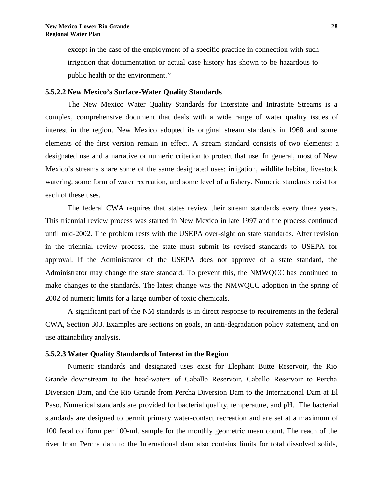except in the case of the employment of a specific practice in connection with such irrigation that documentation or actual case history has shown to be hazardous to public health or the environment."

#### **5.5.2.2 New Mexico's Surface-Water Quality Standards**

The New Mexico Water Quality Standards for Interstate and Intrastate Streams is a complex, comprehensive document that deals with a wide range of water quality issues of interest in the region. New Mexico adopted its original stream standards in 1968 and some elements of the first version remain in effect. A stream standard consists of two elements: a designated use and a narrative or numeric criterion to protect that use. In general, most of New Mexico's streams share some of the same designated uses: irrigation, wildlife habitat, livestock watering, some form of water recreation, and some level of a fishery. Numeric standards exist for each of these uses.

The federal CWA requires that states review their stream standards every three years. This triennial review process was started in New Mexico in late 1997 and the process continued until mid-2002. The problem rests with the USEPA over-sight on state standards. After revision in the triennial review process, the state must submit its revised standards to USEPA for approval. If the Administrator of the USEPA does not approve of a state standard, the Administrator may change the state standard. To prevent this, the NMWQCC has continued to make changes to the standards. The latest change was the NMWQCC adoption in the spring of 2002 of numeric limits for a large number of toxic chemicals.

A significant part of the NM standards is in direct response to requirements in the federal CWA, Section 303. Examples are sections on goals, an anti-degradation policy statement, and on use attainability analysis.

## **5.5.2.3 Water Quality Standards of Interest in the Region**

Numeric standards and designated uses exist for Elephant Butte Reservoir, the Rio Grande downstream to the head-waters of Caballo Reservoir, Caballo Reservoir to Percha Diversion Dam, and the Rio Grande from Percha Diversion Dam to the International Dam at El Paso. Numerical standards are provided for bacterial quality, temperature, and pH. The bacterial standards are designed to permit primary water-contact recreation and are set at a maximum of 100 fecal coliform per 100-ml. sample for the monthly geometric mean count. The reach of the river from Percha dam to the International dam also contains limits for total dissolved solids,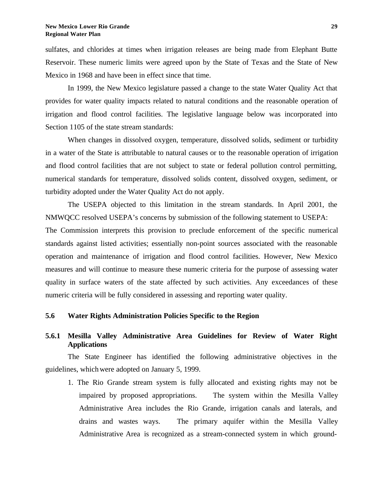sulfates, and chlorides at times when irrigation releases are being made from Elephant Butte Reservoir. These numeric limits were agreed upon by the State of Texas and the State of New Mexico in 1968 and have been in effect since that time.

In 1999, the New Mexico legislature passed a change to the state Water Quality Act that provides for water quality impacts related to natural conditions and the reasonable operation of irrigation and flood control facilities. The legislative language below was incorporated into Section 1105 of the state stream standards:

When changes in dissolved oxygen, temperature, dissolved solids, sediment or turbidity in a water of the State is attributable to natural causes or to the reasonable operation of irrigation and flood control facilities that are not subject to state or federal pollution control permitting, numerical standards for temperature, dissolved solids content, dissolved oxygen, sediment, or turbidity adopted under the Water Quality Act do not apply.

The USEPA objected to this limitation in the stream standards. In April 2001, the NMWQCC resolved USEPA's concerns by submission of the following statement to USEPA:

The Commission interprets this provision to preclude enforcement of the specific numerical standards against listed activities; essentially non-point sources associated with the reasonable operation and maintenance of irrigation and flood control facilities. However, New Mexico measures and will continue to measure these numeric criteria for the purpose of assessing water quality in surface waters of the state affected by such activities. Any exceedances of these numeric criteria will be fully considered in assessing and reporting water quality.

## **5.6 Water Rights Administration Policies Specific to the Region**

## **5.6.1 Mesilla Valley Administrative Area Guidelines for Review of Water Right Applications**

 The State Engineer has identified the following administrative objectives in the guidelines, which were adopted on January 5, 1999.

1. The Rio Grande stream system is fully allocated and existing rights may not be impaired by proposed appropriations. The system within the Mesilla Valley Administrative Area includes the Rio Grande, irrigation canals and laterals, and drains and wastes ways. The primary aquifer within the Mesilla Valley Administrative Area is recognized as a stream-connected system in which ground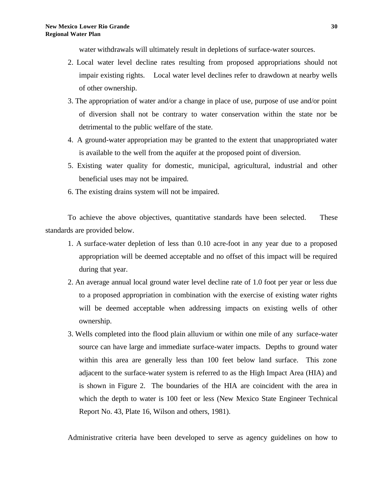water withdrawals will ultimately result in depletions of surface-water sources.

- 2. Local water level decline rates resulting from proposed appropriations should not impair existing rights. Local water level declines refer to drawdown at nearby wells of other ownership.
- 3. The appropriation of water and/or a change in place of use, purpose of use and/or point of diversion shall not be contrary to water conservation within the state nor be detrimental to the public welfare of the state.
- 4. A ground-water appropriation may be granted to the extent that unappropriated water is available to the well from the aquifer at the proposed point of diversion.
- 5. Existing water quality for domestic, municipal, agricultural, industrial and other beneficial uses may not be impaired.
- 6. The existing drains system will not be impaired.

To achieve the above objectives, quantitative standards have been selected. These standards are provided below.

- 1. A surface-water depletion of less than 0.10 acre-foot in any year due to a proposed appropriation will be deemed acceptable and no offset of this impact will be required during that year.
- 2. An average annual local ground water level decline rate of 1.0 foot per year or less due to a proposed appropriation in combination with the exercise of existing water rights will be deemed acceptable when addressing impacts on existing wells of other ownership.
- 3. Wells completed into the flood plain alluvium or within one mile of any surface-water source can have large and immediate surface-water impacts. Depths to ground water within this area are generally less than 100 feet below land surface. This zone adjacent to the surface-water system is referred to as the High Impact Area (HIA) and is shown in Figure 2. The boundaries of the HIA are coincident with the area in which the depth to water is 100 feet or less (New Mexico State Engineer Technical Report No. 43, Plate 16, Wilson and others, 1981).

Administrative criteria have been developed to serve as agency guidelines on how to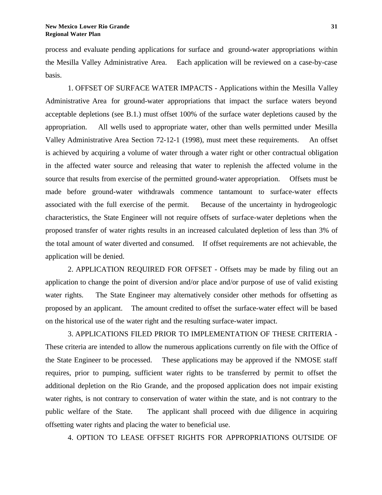process and evaluate pending applications for surface and ground-water appropriations within the Mesilla Valley Administrative Area. Each application will be reviewed on a case-by-case basis.

 1. OFFSET OF SURFACE WATER IMPACTS - Applications within the Mesilla Valley Administrative Area for ground-water appropriations that impact the surface waters beyond acceptable depletions (see B.1.) must offset 100% of the surface water depletions caused by the appropriation. All wells used to appropriate water, other than wells permitted under Mesilla Valley Administrative Area Section 72-12-1 (1998), must meet these requirements. An offset is achieved by acquiring a volume of water through a water right or other contractual obligation in the affected water source and releasing that water to replenish the affected volume in the source that results from exercise of the permitted ground-water appropriation. Offsets must be made before ground-water withdrawals commence tantamount to surface-water effects associated with the full exercise of the permit. Because of the uncertainty in hydrogeologic characteristics, the State Engineer will not require offsets of surface-water depletions when the proposed transfer of water rights results in an increased calculated depletion of less than 3% of the total amount of water diverted and consumed. If offset requirements are not achievable, the application will be denied.

 2. APPLICATION REQUIRED FOR OFFSET - Offsets may be made by filing out an application to change the point of diversion and/or place and/or purpose of use of valid existing water rights. The State Engineer may alternatively consider other methods for offsetting as proposed by an applicant. The amount credited to offset the surface-water effect will be based on the historical use of the water right and the resulting surface-water impact.

 3. APPLICATIONS FILED PRIOR TO IMPLEMENTATION OF THESE CRITERIA - These criteria are intended to allow the numerous applications currently on file with the Office of the State Engineer to be processed. These applications may be approved if the NMOSE staff requires, prior to pumping, sufficient water rights to be transferred by permit to offset the additional depletion on the Rio Grande, and the proposed application does not impair existing water rights, is not contrary to conservation of water within the state, and is not contrary to the public welfare of the State. The applicant shall proceed with due diligence in acquiring offsetting water rights and placing the water to beneficial use.

4. OPTION TO LEASE OFFSET RIGHTS FOR APPROPRIATIONS OUTSIDE OF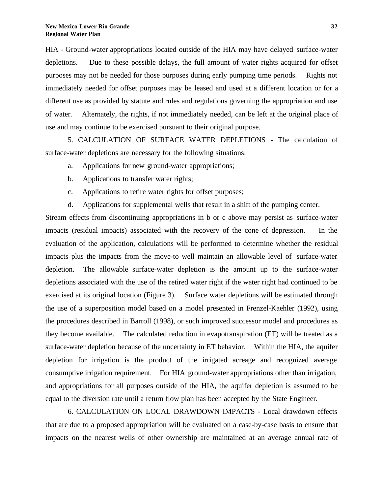HIA - Ground-water appropriations located outside of the HIA may have delayed surface-water depletions. Due to these possible delays, the full amount of water rights acquired for offset purposes may not be needed for those purposes during early pumping time periods. Rights not immediately needed for offset purposes may be leased and used at a different location or for a different use as provided by statute and rules and regulations governing the appropriation and use of water. Alternately, the rights, if not immediately needed, can be left at the original place of use and may continue to be exercised pursuant to their original purpose.

 5. CALCULATION OF SURFACE WATER DEPLETIONS - The calculation of surface-water depletions are necessary for the following situations:

- a. Applications for new ground-water appropriations;
- b. Applications to transfer water rights;
- c. Applications to retire water rights for offset purposes;
- d. Applications for supplemental wells that result in a shift of the pumping center.

Stream effects from discontinuing appropriations in b or c above may persist as surface-water impacts (residual impacts) associated with the recovery of the cone of depression. In the evaluation of the application, calculations will be performed to determine whether the residual impacts plus the impacts from the move-to well maintain an allowable level of surface-water depletion. The allowable surface-water depletion is the amount up to the surface-water depletions associated with the use of the retired water right if the water right had continued to be exercised at its original location (Figure 3). Surface water depletions will be estimated through the use of a superposition model based on a model presented in Frenzel-Kaehler (1992), using the procedures described in Barroll (1998), or such improved successor model and procedures as they become available. The calculated reduction in evapotranspiration (ET) will be treated as a surface-water depletion because of the uncertainty in ET behavior. Within the HIA, the aquifer depletion for irrigation is the product of the irrigated acreage and recognized average consumptive irrigation requirement. For HIA ground-water appropriations other than irrigation, and appropriations for all purposes outside of the HIA, the aquifer depletion is assumed to be equal to the diversion rate until a return flow plan has been accepted by the State Engineer.

 6. CALCULATION ON LOCAL DRAWDOWN IMPACTS - Local drawdown effects that are due to a proposed appropriation will be evaluated on a case-by-case basis to ensure that impacts on the nearest wells of other ownership are maintained at an average annual rate of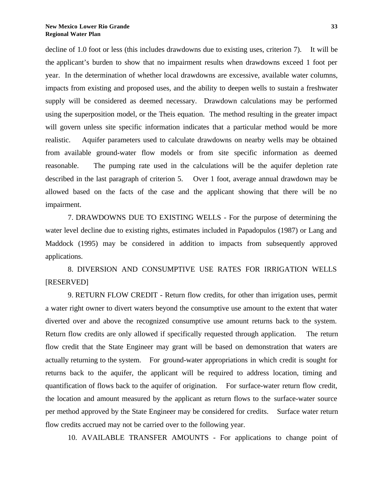decline of 1.0 foot or less (this includes drawdowns due to existing uses, criterion 7). It will be the applicant's burden to show that no impairment results when drawdowns exceed 1 foot per year. In the determination of whether local drawdowns are excessive, available water columns, impacts from existing and proposed uses, and the ability to deepen wells to sustain a freshwater supply will be considered as deemed necessary. Drawdown calculations may be performed using the superposition model, or the Theis equation. The method resulting in the greater impact will govern unless site specific information indicates that a particular method would be more realistic. Aquifer parameters used to calculate drawdowns on nearby wells may be obtained from available ground-water flow models or from site specific information as deemed reasonable. The pumping rate used in the calculations will be the aquifer depletion rate described in the last paragraph of criterion 5. Over 1 foot, average annual drawdown may be allowed based on the facts of the case and the applicant showing that there will be no impairment.

 7. DRAWDOWNS DUE TO EXISTING WELLS - For the purpose of determining the water level decline due to existing rights, estimates included in Papadopulos (1987) or Lang and Maddock (1995) may be considered in addition to impacts from subsequently approved applications.

 8. DIVERSION AND CONSUMPTIVE USE RATES FOR IRRIGATION WELLS [RESERVED]

 9. RETURN FLOW CREDIT - Return flow credits, for other than irrigation uses, permit a water right owner to divert waters beyond the consumptive use amount to the extent that water diverted over and above the recognized consumptive use amount returns back to the system. Return flow credits are only allowed if specifically requested through application. The return flow credit that the State Engineer may grant will be based on demonstration that waters are actually returning to the system. For ground-water appropriations in which credit is sought for returns back to the aquifer, the applicant will be required to address location, timing and quantification of flows back to the aquifer of origination. For surface-water return flow credit, the location and amount measured by the applicant as return flows to the surface-water source per method approved by the State Engineer may be considered for credits. Surface water return flow credits accrued may not be carried over to the following year.

10. AVAILABLE TRANSFER AMOUNTS - For applications to change point of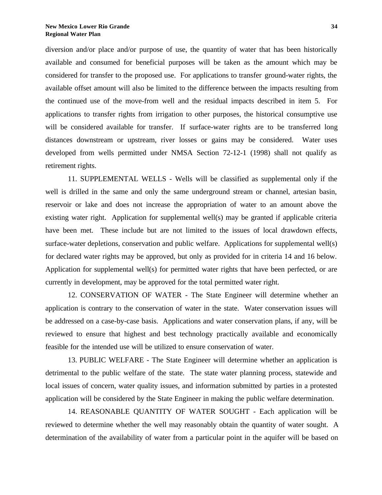diversion and/or place and/or purpose of use, the quantity of water that has been historically available and consumed for beneficial purposes will be taken as the amount which may be considered for transfer to the proposed use. For applications to transfer ground-water rights, the available offset amount will also be limited to the difference between the impacts resulting from the continued use of the move-from well and the residual impacts described in item 5. For applications to transfer rights from irrigation to other purposes, the historical consumptive use will be considered available for transfer. If surface-water rights are to be transferred long distances downstream or upstream, river losses or gains may be considered. Water uses developed from wells permitted under NMSA Section 72-12-1 (1998) shall not qualify as retirement rights.

 11. SUPPLEMENTAL WELLS - Wells will be classified as supplemental only if the well is drilled in the same and only the same underground stream or channel, artesian basin, reservoir or lake and does not increase the appropriation of water to an amount above the existing water right. Application for supplemental well(s) may be granted if applicable criteria have been met. These include but are not limited to the issues of local drawdown effects, surface-water depletions, conservation and public welfare. Applications for supplemental well(s) for declared water rights may be approved, but only as provided for in criteria 14 and 16 below. Application for supplemental well(s) for permitted water rights that have been perfected, or are currently in development, may be approved for the total permitted water right.

 12. CONSERVATION OF WATER - The State Engineer will determine whether an application is contrary to the conservation of water in the state. Water conservation issues will be addressed on a case-by-case basis. Applications and water conservation plans, if any, will be reviewed to ensure that highest and best technology practically available and economically feasible for the intended use will be utilized to ensure conservation of water.

 13. PUBLIC WELFARE - The State Engineer will determine whether an application is detrimental to the public welfare of the state. The state water planning process, statewide and local issues of concern, water quality issues, and information submitted by parties in a protested application will be considered by the State Engineer in making the public welfare determination.

 14. REASONABLE QUANTITY OF WATER SOUGHT - Each application will be reviewed to determine whether the well may reasonably obtain the quantity of water sought. A determination of the availability of water from a particular point in the aquifer will be based on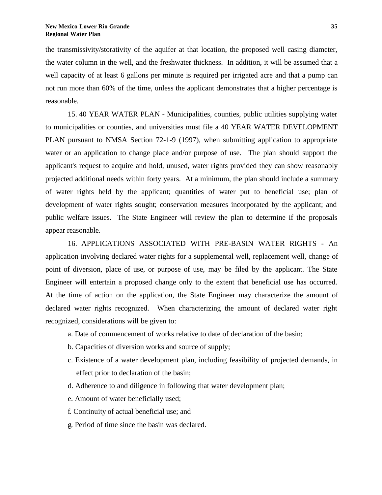the transmissivity/storativity of the aquifer at that location, the proposed well casing diameter, the water column in the well, and the freshwater thickness. In addition, it will be assumed that a well capacity of at least 6 gallons per minute is required per irrigated acre and that a pump can not run more than 60% of the time, unless the applicant demonstrates that a higher percentage is reasonable.

 15. 40 YEAR WATER PLAN - Municipalities, counties, public utilities supplying water to municipalities or counties, and universities must file a 40 YEAR WATER DEVELOPMENT PLAN pursuant to NMSA Section 72-1-9 (1997), when submitting application to appropriate water or an application to change place and/or purpose of use. The plan should support the applicant's request to acquire and hold, unused, water rights provided they can show reasonably projected additional needs within forty years. At a minimum, the plan should include a summary of water rights held by the applicant; quantities of water put to beneficial use; plan of development of water rights sought; conservation measures incorporated by the applicant; and public welfare issues. The State Engineer will review the plan to determine if the proposals appear reasonable.

 16. APPLICATIONS ASSOCIATED WITH PRE-BASIN WATER RIGHTS - An application involving declared water rights for a supplemental well, replacement well, change of point of diversion, place of use, or purpose of use, may be filed by the applicant. The State Engineer will entertain a proposed change only to the extent that beneficial use has occurred. At the time of action on the application, the State Engineer may characterize the amount of declared water rights recognized. When characterizing the amount of declared water right recognized, considerations will be given to:

- a. Date of commencement of works relative to date of declaration of the basin;
- b. Capacities of diversion works and source of supply;
- c. Existence of a water development plan, including feasibility of projected demands, in effect prior to declaration of the basin;
- d. Adherence to and diligence in following that water development plan;
- e. Amount of water beneficially used;
- f. Continuity of actual beneficial use; and
- g. Period of time since the basin was declared.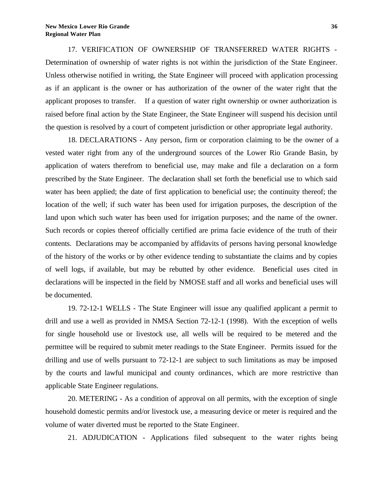17. VERIFICATION OF OWNERSHIP OF TRANSFERRED WATER RIGHTS - Determination of ownership of water rights is not within the jurisdiction of the State Engineer. Unless otherwise notified in writing, the State Engineer will proceed with application processing as if an applicant is the owner or has authorization of the owner of the water right that the applicant proposes to transfer. If a question of water right ownership or owner authorization is raised before final action by the State Engineer, the State Engineer will suspend his decision until the question is resolved by a court of competent jurisdiction or other appropriate legal authority.

 18. DECLARATIONS - Any person, firm or corporation claiming to be the owner of a vested water right from any of the underground sources of the Lower Rio Grande Basin, by application of waters therefrom to beneficial use, may make and file a declaration on a form prescribed by the State Engineer. The declaration shall set forth the beneficial use to which said water has been applied; the date of first application to beneficial use; the continuity thereof; the location of the well; if such water has been used for irrigation purposes, the description of the land upon which such water has been used for irrigation purposes; and the name of the owner. Such records or copies thereof officially certified are prima facie evidence of the truth of their contents. Declarations may be accompanied by affidavits of persons having personal knowledge of the history of the works or by other evidence tending to substantiate the claims and by copies of well logs, if available, but may be rebutted by other evidence. Beneficial uses cited in declarations will be inspected in the field by NMOSE staff and all works and beneficial uses will be documented.

 19. 72-12-1 WELLS - The State Engineer will issue any qualified applicant a permit to drill and use a well as provided in NMSA Section 72-12-1 (1998). With the exception of wells for single household use or livestock use, all wells will be required to be metered and the permittee will be required to submit meter readings to the State Engineer. Permits issued for the drilling and use of wells pursuant to 72-12-1 are subject to such limitations as may be imposed by the courts and lawful municipal and county ordinances, which are more restrictive than applicable State Engineer regulations.

 20. METERING - As a condition of approval on all permits, with the exception of single household domestic permits and/or livestock use, a measuring device or meter is required and the volume of water diverted must be reported to the State Engineer.

21. ADJUDICATION - Applications filed subsequent to the water rights being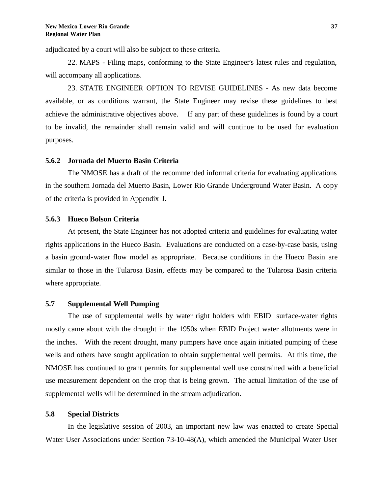adjudicated by a court will also be subject to these criteria.

 22. MAPS - Filing maps, conforming to the State Engineer's latest rules and regulation, will accompany all applications.

 23. STATE ENGINEER OPTION TO REVISE GUIDELINES - As new data become available, or as conditions warrant, the State Engineer may revise these guidelines to best achieve the administrative objectives above. If any part of these guidelines is found by a court to be invalid, the remainder shall remain valid and will continue to be used for evaluation purposes.

#### **5.6.2 Jornada del Muerto Basin Criteria**

The NMOSE has a draft of the recommended informal criteria for evaluating applications in the southern Jornada del Muerto Basin, Lower Rio Grande Underground Water Basin. A copy of the criteria is provided in Appendix J.

#### **5.6.3 Hueco Bolson Criteria**

At present, the State Engineer has not adopted criteria and guidelines for evaluating water rights applications in the Hueco Basin. Evaluations are conducted on a case-by-case basis, using a basin ground-water flow model as appropriate. Because conditions in the Hueco Basin are similar to those in the Tularosa Basin, effects may be compared to the Tularosa Basin criteria where appropriate.

#### **5.7 Supplemental Well Pumping**

The use of supplemental wells by water right holders with EBID surface-water rights mostly came about with the drought in the 1950s when EBID Project water allotments were in the inches. With the recent drought, many pumpers have once again initiated pumping of these wells and others have sought application to obtain supplemental well permits. At this time, the NMOSE has continued to grant permits for supplemental well use constrained with a beneficial use measurement dependent on the crop that is being grown. The actual limitation of the use of supplemental wells will be determined in the stream adjudication.

#### **5.8 Special Districts**

In the legislative session of 2003, an important new law was enacted to create Special Water User Associations under Section 73-10-48(A), which amended the Municipal Water User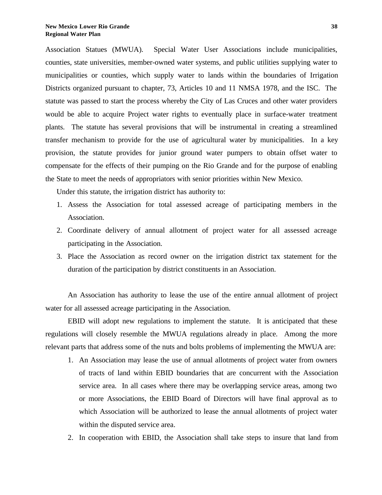Association Statues (MWUA). Special Water User Associations include municipalities, counties, state universities, member-owned water systems, and public utilities supplying water to municipalities or counties, which supply water to lands within the boundaries of Irrigation Districts organized pursuant to chapter, 73, Articles 10 and 11 NMSA 1978, and the ISC. The statute was passed to start the process whereby the City of Las Cruces and other water providers would be able to acquire Project water rights to eventually place in surface-water treatment plants. The statute has several provisions that will be instrumental in creating a streamlined transfer mechanism to provide for the use of agricultural water by municipalities. In a key provision, the statute provides for junior ground water pumpers to obtain offset water to compensate for the effects of their pumping on the Rio Grande and for the purpose of enabling the State to meet the needs of appropriators with senior priorities within New Mexico.

Under this statute, the irrigation district has authority to:

- 1. Assess the Association for total assessed acreage of participating members in the Association.
- 2. Coordinate delivery of annual allotment of project water for all assessed acreage participating in the Association.
- 3. Place the Association as record owner on the irrigation district tax statement for the duration of the participation by district constituents in an Association.

An Association has authority to lease the use of the entire annual allotment of project water for all assessed acreage participating in the Association.

EBID will adopt new regulations to implement the statute. It is anticipated that these regulations will closely resemble the MWUA regulations already in place. Among the more relevant parts that address some of the nuts and bolts problems of implementing the MWUA are:

- 1. An Association may lease the use of annual allotments of project water from owners of tracts of land within EBID boundaries that are concurrent with the Association service area. In all cases where there may be overlapping service areas, among two or more Associations, the EBID Board of Directors will have final approval as to which Association will be authorized to lease the annual allotments of project water within the disputed service area.
- 2. In cooperation with EBID, the Association shall take steps to insure that land from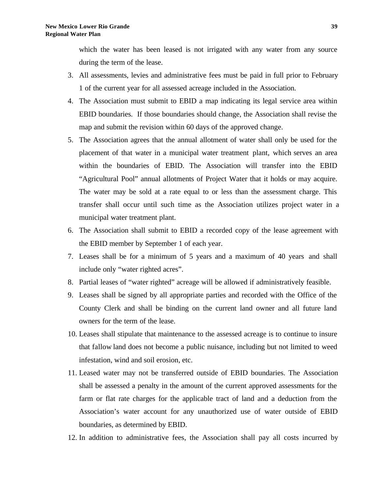which the water has been leased is not irrigated with any water from any source during the term of the lease.

- 3. All assessments, levies and administrative fees must be paid in full prior to February 1 of the current year for all assessed acreage included in the Association.
- 4. The Association must submit to EBID a map indicating its legal service area within EBID boundaries. If those boundaries should change, the Association shall revise the map and submit the revision within 60 days of the approved change.
- 5. The Association agrees that the annual allotment of water shall only be used for the placement of that water in a municipal water treatment plant, which serves an area within the boundaries of EBID. The Association will transfer into the EBID "Agricultural Pool" annual allotments of Project Water that it holds or may acquire. The water may be sold at a rate equal to or less than the assessment charge. This transfer shall occur until such time as the Association utilizes project water in a municipal water treatment plant.
- 6. The Association shall submit to EBID a recorded copy of the lease agreement with the EBID member by September 1 of each year.
- 7. Leases shall be for a minimum of 5 years and a maximum of 40 years and shall include only "water righted acres".
- 8. Partial leases of "water righted" acreage will be allowed if administratively feasible.
- 9. Leases shall be signed by all appropriate parties and recorded with the Office of the County Clerk and shall be binding on the current land owner and all future land owners for the term of the lease.
- 10. Leases shall stipulate that maintenance to the assessed acreage is to continue to insure that fallow land does not become a public nuisance, including but not limited to weed infestation, wind and soil erosion, etc.
- 11. Leased water may not be transferred outside of EBID boundaries. The Association shall be assessed a penalty in the amount of the current approved assessments for the farm or flat rate charges for the applicable tract of land and a deduction from the Association's water account for any unauthorized use of water outside of EBID boundaries, as determined by EBID.
- 12. In addition to administrative fees, the Association shall pay all costs incurred by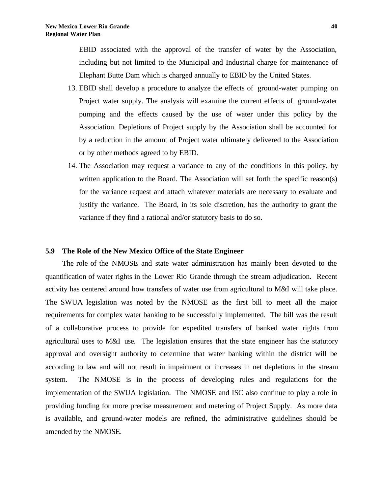EBID associated with the approval of the transfer of water by the Association, including but not limited to the Municipal and Industrial charge for maintenance of Elephant Butte Dam which is charged annually to EBID by the United States.

- 13. EBID shall develop a procedure to analyze the effects of ground-water pumping on Project water supply. The analysis will examine the current effects of ground-water pumping and the effects caused by the use of water under this policy by the Association. Depletions of Project supply by the Association shall be accounted for by a reduction in the amount of Project water ultimately delivered to the Association or by other methods agreed to by EBID.
- 14. The Association may request a variance to any of the conditions in this policy, by written application to the Board. The Association will set forth the specific reason(s) for the variance request and attach whatever materials are necessary to evaluate and justify the variance. The Board, in its sole discretion, has the authority to grant the variance if they find a rational and/or statutory basis to do so.

#### **5.9 The Role of the New Mexico Office of the State Engineer**

The role of the NMOSE and state water administration has mainly been devoted to the quantification of water rights in the Lower Rio Grande through the stream adjudication. Recent activity has centered around how transfers of water use from agricultural to M&I will take place. The SWUA legislation was noted by the NMOSE as the first bill to meet all the major requirements for complex water banking to be successfully implemented. The bill was the result of a collaborative process to provide for expedited transfers of banked water rights from agricultural uses to M&I use. The legislation ensures that the state engineer has the statutory approval and oversight authority to determine that water banking within the district will be according to law and will not result in impairment or increases in net depletions in the stream system. The NMOSE is in the process of developing rules and regulations for the implementation of the SWUA legislation. The NMOSE and ISC also continue to play a role in providing funding for more precise measurement and metering of Project Supply. As more data is available, and ground-water models are refined, the administrative guidelines should be amended by the NMOSE.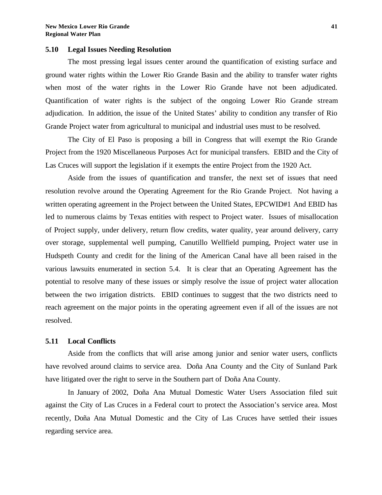## **5.10 Legal Issues Needing Resolution**

The most pressing legal issues center around the quantification of existing surface and ground water rights within the Lower Rio Grande Basin and the ability to transfer water rights when most of the water rights in the Lower Rio Grande have not been adjudicated. Quantification of water rights is the subject of the ongoing Lower Rio Grande stream adjudication. In addition, the issue of the United States' ability to condition any transfer of Rio Grande Project water from agricultural to municipal and industrial uses must to be resolved.

The City of El Paso is proposing a bill in Congress that will exempt the Rio Grande Project from the 1920 Miscellaneous Purposes Act for municipal transfers. EBID and the City of Las Cruces will support the legislation if it exempts the entire Project from the 1920 Act.

Aside from the issues of quantification and transfer, the next set of issues that need resolution revolve around the Operating Agreement for the Rio Grande Project. Not having a written operating agreement in the Project between the United States, EPCWID#1 And EBID has led to numerous claims by Texas entities with respect to Project water. Issues of misallocation of Project supply, under delivery, return flow credits, water quality, year around delivery, carry over storage, supplemental well pumping, Canutillo Wellfield pumping, Project water use in Hudspeth County and credit for the lining of the American Canal have all been raised in the various lawsuits enumerated in section 5.4. It is clear that an Operating Agreement has the potential to resolve many of these issues or simply resolve the issue of project water allocation between the two irrigation districts. EBID continues to suggest that the two districts need to reach agreement on the major points in the operating agreement even if all of the issues are not resolved.

## **5.11 Local Conflicts**

Aside from the conflicts that will arise among junior and senior water users, conflicts have revolved around claims to service area. Doña Ana County and the City of Sunland Park have litigated over the right to serve in the Southern part of Doña Ana County.

In January of 2002, Doña Ana Mutual Domestic Water Users Association filed suit against the City of Las Cruces in a Federal court to protect the Association's service area. Most recently, Doña Ana Mutual Domestic and the City of Las Cruces have settled their issues regarding service area.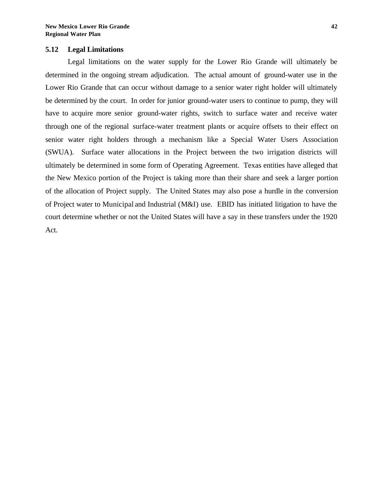### **5.12 Legal Limitations**

Legal limitations on the water supply for the Lower Rio Grande will ultimately be determined in the ongoing stream adjudication. The actual amount of ground-water use in the Lower Rio Grande that can occur without damage to a senior water right holder will ultimately be determined by the court. In order for junior ground-water users to continue to pump, they will have to acquire more senior ground-water rights, switch to surface water and receive water through one of the regional surface-water treatment plants or acquire offsets to their effect on senior water right holders through a mechanism like a Special Water Users Association (SWUA). Surface water allocations in the Project between the two irrigation districts will ultimately be determined in some form of Operating Agreement. Texas entities have alleged that the New Mexico portion of the Project is taking more than their share and seek a larger portion of the allocation of Project supply. The United States may also pose a hurdle in the conversion of Project water to Municipal and Industrial (M&I) use. EBID has initiated litigation to have the court determine whether or not the United States will have a say in these transfers under the 1920 Act.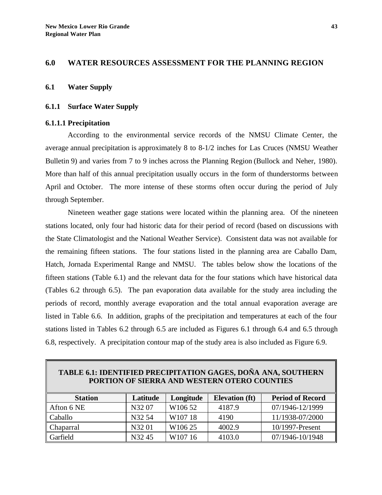## **6.0 WATER RESOURCES ASSESSMENT FOR THE PLANNING REGION**

#### **6.1 Water Supply**

#### **6.1.1 Surface Water Supply**

## **6.1.1.1 Precipitation**

According to the environmental service records of the NMSU Climate Center, the average annual precipitation is approximately 8 to 8-1/2 inches for Las Cruces (NMSU Weather Bulletin 9) and varies from 7 to 9 inches across the Planning Region (Bullock and Neher, 1980). More than half of this annual precipitation usually occurs in the form of thunderstorms between April and October. The more intense of these storms often occur during the period of July through September.

Nineteen weather gage stations were located within the planning area. Of the nineteen stations located, only four had historic data for their period of record (based on discussions with the State Climatologist and the National Weather Service). Consistent data was not available for the remaining fifteen stations. The four stations listed in the planning area are Caballo Dam, Hatch, Jornada Experimental Range and NMSU. The tables below show the locations of the fifteen stations (Table 6.1) and the relevant data for the four stations which have historical data (Tables 6.2 through 6.5). The pan evaporation data available for the study area including the periods of record, monthly average evaporation and the total annual evaporation average are listed in Table 6.6. In addition, graphs of the precipitation and temperatures at each of the four stations listed in Tables 6.2 through 6.5 are included as Figures 6.1 through 6.4 and 6.5 through 6.8, respectively. A precipitation contour map of the study area is also included as Figure 6.9.

| <b>TABLE 6.1: IDENTIFIED PRECIPITATION GAGES, DOÑA ANA, SOUTHERN</b> |
|----------------------------------------------------------------------|
| <b>PORTION OF SIERRA AND WESTERN OTERO COUNTIES</b>                  |

| <b>Station</b> | Latitude           | Longitude           | <b>Elevation</b> (ft) | <b>Period of Record</b> |
|----------------|--------------------|---------------------|-----------------------|-------------------------|
| Afton 6 NE     | N32 07             | W <sub>106</sub> 52 | 4187.9                | 07/1946-12/1999         |
| Caballo        | N32.54             | W <sub>107</sub> 18 | 4190                  | 11/1938-07/2000         |
| Chaparral      | N32 01             | W <sub>106</sub> 25 | 4002.9                | $10/1997$ -Present      |
| Garfield       | N <sub>3</sub> 245 | W <sub>107</sub> 16 | 4103.0                | 07/1946-10/1948         |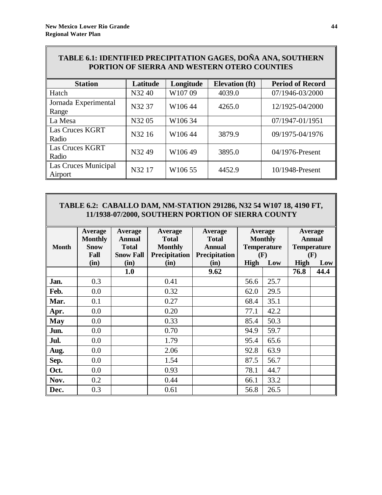| TABLE 6.1: IDENTIFIED PRECIPITATION GAGES, DONA ANA, SOUTHERN |          |           | PORTION OF SIERRA AND WESTERN OTERO COUNTIES |                         |
|---------------------------------------------------------------|----------|-----------|----------------------------------------------|-------------------------|
| <b>Station</b>                                                | Latitude | Longitude | <b>Elevation</b> (ft)                        | <b>Period of Record</b> |
| Hatch                                                         | N3240    | W10709    | 4039.0                                       | 07/1946-03/2000         |
| Jornada Experimental<br>Range                                 | N32 37   | W10644    | 4265.0                                       | 12/1925-04/2000         |
| La Mesa                                                       | N3205    | W10634    |                                              | 07/1947-01/1951         |
| Las Cruces KGRT<br>Radio                                      | N32 16   | W10644    | 3879.9                                       | 09/1975-04/1976         |
| Las Cruces KGRT<br>Radio                                      | N3249    | W10649    | 3895.0                                       | 04/1976-Present         |
| Las Cruces Municipal<br>Airport                               | N32 17   | W106 55   | 4452.9                                       | 10/1948-Present         |

# **TABLE 6.1: IDENTIFIED PRECIPITATION GAGES, DOÑA ANA, SOUTHERN**

# **TABLE 6.2: CABALLO DAM, NM-STATION 291286, N32 54 W107 18, 4190 FT, 11/1938-07/2000, SOUTHERN PORTION OF SIERRA COUNTY**

| <b>Month</b> | Average<br><b>Monthly</b><br><b>Snow</b><br>Fall | Average<br><b>Annual</b><br><b>Total</b><br><b>Snow Fall</b> | <b>Average</b><br><b>Total</b><br><b>Monthly</b><br><b>Precipitation</b> | Average<br><b>Total</b><br>Annual<br>Precipitation | <b>Average</b><br><b>Monthly</b><br><b>Temperature</b><br>(F) |      |      | <b>Average</b><br><b>Annual</b><br><b>Temperature</b><br>(F) |
|--------------|--------------------------------------------------|--------------------------------------------------------------|--------------------------------------------------------------------------|----------------------------------------------------|---------------------------------------------------------------|------|------|--------------------------------------------------------------|
|              | (in)                                             | (in)                                                         | (in)                                                                     | (in)                                               | High                                                          | Low  | High | Low                                                          |
|              |                                                  | 1.0                                                          |                                                                          | 9.62                                               |                                                               |      | 76.8 | 44.4                                                         |
| Jan.         | 0.3                                              |                                                              | 0.41                                                                     |                                                    | 56.6                                                          | 25.7 |      |                                                              |
| Feb.         | 0.0                                              |                                                              | 0.32                                                                     |                                                    | 62.0                                                          | 29.5 |      |                                                              |
| Mar.         | 0.1                                              |                                                              | 0.27                                                                     |                                                    | 68.4                                                          | 35.1 |      |                                                              |
| Apr.         | 0.0                                              |                                                              | 0.20                                                                     |                                                    | 77.1                                                          | 42.2 |      |                                                              |
| May          | 0.0                                              |                                                              | 0.33                                                                     |                                                    | 85.4                                                          | 50.3 |      |                                                              |
| Jun.         | 0.0                                              |                                                              | 0.70                                                                     |                                                    | 94.9                                                          | 59.7 |      |                                                              |
| Jul.         | 0.0                                              |                                                              | 1.79                                                                     |                                                    | 95.4                                                          | 65.6 |      |                                                              |
| Aug.         | 0.0                                              |                                                              | 2.06                                                                     |                                                    | 92.8                                                          | 63.9 |      |                                                              |
| Sep.         | 0.0                                              |                                                              | 1.54                                                                     |                                                    | 87.5                                                          | 56.7 |      |                                                              |
| Oct.         | 0.0                                              |                                                              | 0.93                                                                     |                                                    | 78.1                                                          | 44.7 |      |                                                              |
| Nov.         | 0.2                                              |                                                              | 0.44                                                                     |                                                    | 66.1                                                          | 33.2 |      |                                                              |
| Dec.         | 0.3                                              |                                                              | 0.61                                                                     |                                                    | 56.8                                                          | 26.5 |      |                                                              |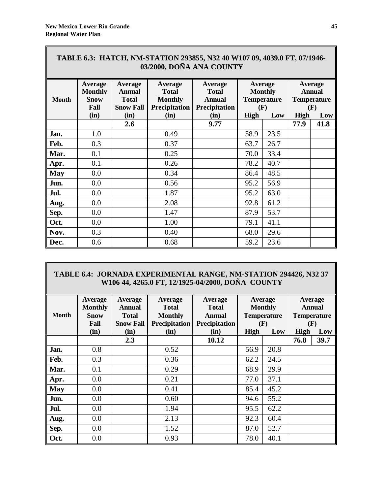| TABLE 6.3: HATCH, NM-STATION 293855, N32 40 W107 09, 4039.0 FT, 07/1946-<br>03/2000, DOÑA ANA COUNTY |                                                                 |                                                                             |                                                                                  |                                                                   |                                                                       |      |             |                                                                     |  |  |  |
|------------------------------------------------------------------------------------------------------|-----------------------------------------------------------------|-----------------------------------------------------------------------------|----------------------------------------------------------------------------------|-------------------------------------------------------------------|-----------------------------------------------------------------------|------|-------------|---------------------------------------------------------------------|--|--|--|
| <b>Month</b>                                                                                         | <b>Average</b><br><b>Monthly</b><br><b>Snow</b><br>Fall<br>(in) | <b>Average</b><br><b>Annual</b><br><b>Total</b><br><b>Snow Fall</b><br>(in) | <b>Average</b><br><b>Total</b><br><b>Monthly</b><br><b>Precipitation</b><br>(in) | Average<br><b>Total</b><br><b>Annual</b><br>Precipitation<br>(in) | Average<br><b>Monthly</b><br><b>Temperature</b><br>(F)<br>High<br>Low |      | <b>High</b> | <b>Average</b><br><b>Annual</b><br><b>Temperature</b><br>(F)<br>Low |  |  |  |
|                                                                                                      |                                                                 | 2.6                                                                         |                                                                                  | 9.77                                                              |                                                                       |      | 77.9        | 41.8                                                                |  |  |  |
| Jan.                                                                                                 | 1.0                                                             |                                                                             | 0.49                                                                             |                                                                   | 58.9                                                                  | 23.5 |             |                                                                     |  |  |  |
| Feb.                                                                                                 | 0.3                                                             |                                                                             | 0.37                                                                             |                                                                   | 63.7                                                                  | 26.7 |             |                                                                     |  |  |  |
| Mar.                                                                                                 | 0.1                                                             |                                                                             | 0.25                                                                             |                                                                   | 70.0                                                                  | 33.4 |             |                                                                     |  |  |  |
| Apr.                                                                                                 | 0.1                                                             |                                                                             | 0.26                                                                             |                                                                   | 78.2                                                                  | 40.7 |             |                                                                     |  |  |  |
| May                                                                                                  | 0.0                                                             |                                                                             | 0.34                                                                             |                                                                   | 86.4                                                                  | 48.5 |             |                                                                     |  |  |  |
| Jun.                                                                                                 | 0.0                                                             |                                                                             | 0.56                                                                             |                                                                   | 95.2                                                                  | 56.9 |             |                                                                     |  |  |  |
| Jul.                                                                                                 | 0.0                                                             |                                                                             | 1.87                                                                             |                                                                   | 95.2                                                                  | 63.0 |             |                                                                     |  |  |  |
| Aug.                                                                                                 | 0.0                                                             |                                                                             | 2.08                                                                             |                                                                   | 92.8                                                                  | 61.2 |             |                                                                     |  |  |  |
| Sep.                                                                                                 | 0.0                                                             |                                                                             | 1.47                                                                             |                                                                   | 87.9                                                                  | 53.7 |             |                                                                     |  |  |  |
| Oct.                                                                                                 | 0.0                                                             |                                                                             | 1.00                                                                             |                                                                   | 79.1                                                                  | 41.1 |             |                                                                     |  |  |  |
| Nov.                                                                                                 | 0.3                                                             |                                                                             | 0.40                                                                             |                                                                   | 68.0                                                                  | 29.6 |             |                                                                     |  |  |  |
| Dec.                                                                                                 | 0.6                                                             |                                                                             | 0.68                                                                             |                                                                   | 59.2                                                                  | 23.6 |             |                                                                     |  |  |  |

# **TABLE 6.3: HATCH, NM-STATION 293855, N32 40 W107 09, 4039.0 FT, 07/1946-**

# **TABLE 6.4: JORNADA EXPERIMENTAL RANGE, NM-STATION 294426, N32 37 W106 44, 4265.0 FT, 12/1925-04/2000, DOÑA COUNTY**

|              | Average        | Average          | Average              | Average              |                    | Average        |                    | Average |
|--------------|----------------|------------------|----------------------|----------------------|--------------------|----------------|--------------------|---------|
|              | <b>Monthly</b> | <b>Annual</b>    | <b>Total</b>         | <b>Total</b>         |                    | <b>Monthly</b> | <b>Annual</b>      |         |
| <b>Month</b> | Snow           | <b>Total</b>     | <b>Monthly</b>       | <b>Annual</b>        | <b>Temperature</b> |                | <b>Temperature</b> |         |
|              | Fall           | <b>Snow Fall</b> | <b>Precipitation</b> | <b>Precipitation</b> |                    | (F)            | (F)                |         |
|              | (in)           | (in)             | (in)                 | (in)                 | <b>High</b>        | Low            | High               | Low     |
|              |                | 2.3              |                      | 10.12                |                    |                | 76.8               | 39.7    |
| Jan.         | 0.8            |                  | 0.52                 |                      | 56.9               | 20.8           |                    |         |
| Feb.         | 0.3            |                  | 0.36                 |                      | 62.2               | 24.5           |                    |         |
| Mar.         | 0.1            |                  | 0.29                 |                      | 68.9               | 29.9           |                    |         |
| Apr.         | 0.0            |                  | 0.21                 |                      | 77.0               | 37.1           |                    |         |
| <b>May</b>   | 0.0            |                  | 0.41                 |                      | 85.4               | 45.2           |                    |         |
| Jun.         | 0.0            |                  | 0.60                 |                      | 94.6               | 55.2           |                    |         |
| Jul.         | 0.0            |                  | 1.94                 |                      | 95.5               | 62.2           |                    |         |
| Aug.         | 0.0            |                  | 2.13                 |                      | 92.3               | 60.4           |                    |         |
| Sep.         | 0.0            |                  | 1.52                 |                      | 87.0               | 52.7           |                    |         |
| Oct.         | 0.0            |                  | 0.93                 |                      | 78.0               | 40.1           |                    |         |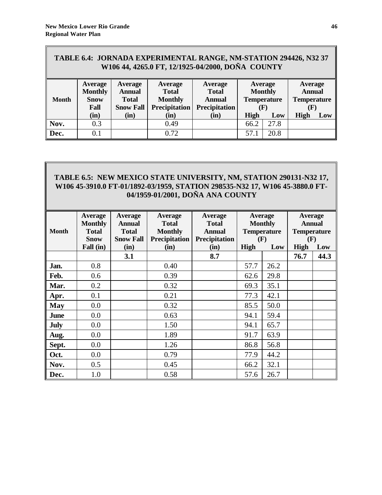| TABLE 6.4: JORNADA EXPERIMENTAL RANGE, NM-STATION 294426, N32 37<br>W106 44, 4265.0 FT, 12/1925-04/2000, DOÑA COUNTY |                                                                                                                                                                                                                                                                                                                                                                                     |      |      |      |             |      |             |     |  |  |
|----------------------------------------------------------------------------------------------------------------------|-------------------------------------------------------------------------------------------------------------------------------------------------------------------------------------------------------------------------------------------------------------------------------------------------------------------------------------------------------------------------------------|------|------|------|-------------|------|-------------|-----|--|--|
| <b>Month</b>                                                                                                         | <b>Average</b><br>Average<br><b>Average</b><br>Average<br>Average<br>Average<br><b>Monthly</b><br><b>Monthly</b><br><b>Annual</b><br><b>Annual</b><br><b>Total</b><br><b>Total</b><br><b>Monthly</b><br><b>Temperature</b><br><b>Snow</b><br><b>Total</b><br><b>Temperature</b><br><b>Annual</b><br><b>Precipitation</b><br>Precipitation<br><b>Snow Fall</b><br>Fall<br>(F)<br>(F) |      |      |      |             |      |             |     |  |  |
|                                                                                                                      | (in)                                                                                                                                                                                                                                                                                                                                                                                | (in) | (in) | (in) | <b>High</b> | Low  | <b>High</b> | Low |  |  |
| Nov.                                                                                                                 | 0.3                                                                                                                                                                                                                                                                                                                                                                                 |      | 0.49 |      | 66.2        | 27.8 |             |     |  |  |
| Dec.                                                                                                                 | 0.1                                                                                                                                                                                                                                                                                                                                                                                 |      | 0.72 |      | 57.1        | 20.8 |             |     |  |  |

# **TABLE 6.5: NEW MEXICO STATE UNIVERSITY, NM, STATION 290131-N32 17, W106 45-3910.0 FT-01/1892-03/1959, STATION 298535-N32 17, W106 45-3880.0 FT-04/1959-01/2001, DOÑA ANA COUNTY**

| <b>Month</b> | <b>Average</b><br><b>Monthly</b><br><b>Total</b><br><b>Snow</b> | <b>Average</b><br><b>Annual</b><br><b>Total</b><br><b>Snow Fall</b> | Average<br><b>Total</b><br><b>Monthly</b><br>Precipitation | <b>Average</b><br><b>Total</b><br><b>Annual</b><br>Precipitation | <b>Average</b><br><b>Monthly</b><br><b>Temperature</b><br>(F) |      | <b>Average</b><br><b>Annual</b><br><b>Temperature</b><br>(F) |      |
|--------------|-----------------------------------------------------------------|---------------------------------------------------------------------|------------------------------------------------------------|------------------------------------------------------------------|---------------------------------------------------------------|------|--------------------------------------------------------------|------|
|              | Fall (in)                                                       | (in)                                                                | (in)                                                       | (in)                                                             | <b>High</b>                                                   | Low  | <b>High</b>                                                  | Low  |
|              |                                                                 | 3.1                                                                 |                                                            | 8.7                                                              |                                                               |      | 76.7                                                         | 44.3 |
| Jan.         | 0.8                                                             |                                                                     | 0.40                                                       |                                                                  | 57.7                                                          | 26.2 |                                                              |      |
| Feb.         | 0.6                                                             |                                                                     | 0.39                                                       |                                                                  | 62.6                                                          | 29.8 |                                                              |      |
| Mar.         | 0.2                                                             |                                                                     | 0.32                                                       |                                                                  | 69.3                                                          | 35.1 |                                                              |      |
| Apr.         | 0.1                                                             |                                                                     | 0.21                                                       |                                                                  | 77.3                                                          | 42.1 |                                                              |      |
| May          | 0.0                                                             |                                                                     | 0.32                                                       |                                                                  | 85.5                                                          | 50.0 |                                                              |      |
| <b>June</b>  | 0.0                                                             |                                                                     | 0.63                                                       |                                                                  | 94.1                                                          | 59.4 |                                                              |      |
| <b>July</b>  | 0.0                                                             |                                                                     | 1.50                                                       |                                                                  | 94.1                                                          | 65.7 |                                                              |      |
| Aug.         | 0.0                                                             |                                                                     | 1.89                                                       |                                                                  | 91.7                                                          | 63.9 |                                                              |      |
| Sept.        | 0.0                                                             |                                                                     | 1.26                                                       |                                                                  | 86.8                                                          | 56.8 |                                                              |      |
| Oct.         | 0.0                                                             |                                                                     | 0.79                                                       |                                                                  | 77.9                                                          | 44.2 |                                                              |      |
| Nov.         | 0.5                                                             |                                                                     | 0.45                                                       |                                                                  | 66.2                                                          | 32.1 |                                                              |      |
| Dec.         | 1.0                                                             |                                                                     | 0.58                                                       |                                                                  | 57.6                                                          | 26.7 |                                                              |      |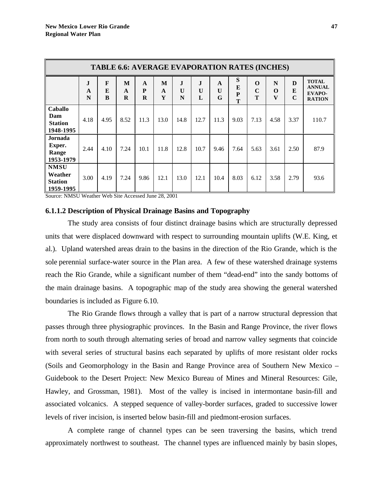| <b>TABLE 6.6: AVERAGE EVAPORATION RATES (INCHES)</b>    |              |                       |                        |                               |             |                        |                        |                                   |                          |                                 |                                  |                       |                                                          |
|---------------------------------------------------------|--------------|-----------------------|------------------------|-------------------------------|-------------|------------------------|------------------------|-----------------------------------|--------------------------|---------------------------------|----------------------------------|-----------------------|----------------------------------------------------------|
|                                                         | J.<br>A<br>N | $\mathbf F$<br>E<br>B | M<br>$\mathbf{A}$<br>R | $\mathbf{A}$<br>P<br>$\bf{R}$ | M<br>A<br>Y | J<br>$\mathbf{U}$<br>N | $\mathbf{J}$<br>U<br>L | $\mathbf{A}$<br>$\mathbf{U}$<br>G | S<br>E<br>${\bf P}$<br>T | $\mathbf 0$<br>$\mathbf C$<br>T | N<br>$\mathbf 0$<br>$\mathbf{V}$ | D<br>E<br>$\mathbf C$ | <b>TOTAL</b><br><b>ANNUAL</b><br>EVAPO-<br><b>RATION</b> |
| Caballo<br>Dam<br><b>Station</b><br>1948-1995           | 4.18         | 4.95                  | 8.52                   | 11.3                          | 13.0        | 14.8                   | 12.7                   | 11.3                              | 9.03                     | 7.13                            | 4.58                             | 3.37                  | 110.7                                                    |
| Jornada<br>Exper.<br>Range<br>1953-1979                 | 2.44         | 4.10                  | 7.24                   | 10.1                          | 11.8        | 12.8                   | 10.7                   | 9.46                              | 7.64                     | 5.63                            | 3.61                             | 2.50                  | 87.9                                                     |
| <b>NMSU</b><br>Weather<br><b>Station</b><br>  1959-1995 | 3.00         | 4.19                  | 7.24                   | 9.86                          | 12.1        | 13.0                   | 12.1                   | 10.4                              | 8.03                     | 6.12                            | 3.58                             | 2.79                  | 93.6                                                     |

Source: NMSU Weather Web Site Accessed June 28, 2001

#### **6.1.1.2 Description of Physical Drainage Basins and Topography**

The study area consists of four distinct drainage basins which are structurally depressed units that were displaced downward with respect to surrounding mountain uplifts (W.E. King, et al.). Upland watershed areas drain to the basins in the direction of the Rio Grande, which is the sole perennial surface-water source in the Plan area. A few of these watershed drainage systems reach the Rio Grande, while a significant number of them "dead-end" into the sandy bottoms of the main drainage basins. A topographic map of the study area showing the general watershed boundaries is included as Figure 6.10.

The Rio Grande flows through a valley that is part of a narrow structural depression that passes through three physiographic provinces. In the Basin and Range Province, the river flows from north to south through alternating series of broad and narrow valley segments that coincide with several series of structural basins each separated by uplifts of more resistant older rocks (Soils and Geomorphology in the Basin and Range Province area of Southern New Mexico – Guidebook to the Desert Project: New Mexico Bureau of Mines and Mineral Resources: Gile, Hawley, and Grossman, 1981). Most of the valley is incised in intermontane basin-fill and associated volcanics. A stepped sequence of valley-border surfaces, graded to successive lower levels of river incision, is inserted below basin-fill and piedmont-erosion surfaces.

A complete range of channel types can be seen traversing the basins, which trend approximately northwest to southeast. The channel types are influenced mainly by basin slopes,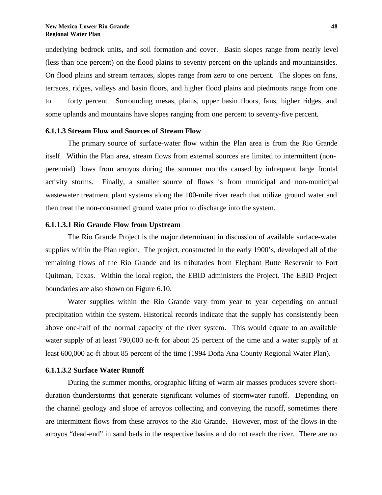underlying bedrock units, and soil formation and cover. Basin slopes range from nearly level (less than one percent) on the flood plains to seventy percent on the uplands and mountainsides. On flood plains and stream terraces, slopes range from zero to one percent. The slopes on fans, terraces, ridges, valleys and basin floors, and higher flood plains and piedmonts range from one to forty percent. Surrounding mesas, plains, upper basin floors, fans, higher ridges, and some uplands and mountains have slopes ranging from one percent to seventy-five percent.

#### **6.1.1.3 Stream Flow and Sources of Stream Flow**

The primary source of surface-water flow within the Plan area is from the Rio Grande itself. Within the Plan area, stream flows from external sources are limited to intermittent (nonperennial) flows from arroyos during the summer months caused by infrequent large frontal activity storms. Finally, a smaller source of flows is from municipal and non-municipal wastewater treatment plant systems along the 100-mile river reach that utilize ground water and then treat the non-consumed ground water prior to discharge into the system.

#### **6.1.1.3.1 Rio Grande Flow from Upstream**

The Rio Grande Project is the major determinant in discussion of available surface-water supplies within the Plan region. The project, constructed in the early 1900's, developed all of the remaining flows of the Rio Grande and its tributaries from Elephant Butte Reservoir to Fort Quitman, Texas. Within the local region, the EBID administers the Project. The EBID Project boundaries are also shown on Figure 6.10.

Water supplies within the Rio Grande vary from year to year depending on annual precipitation within the system. Historical records indicate that the supply has consistently been above one-half of the normal capacity of the river system. This would equate to an available water supply of at least 790,000 ac-ft for about 25 percent of the time and a water supply of at least 600,000 ac-ft about 85 percent of the time (1994 Doña Ana County Regional Water Plan).

#### **6.1.1.3.2 Surface Water Runoff**

During the summer months, orographic lifting of warm air masses produces severe shortduration thunderstorms that generate significant volumes of stormwater runoff. Depending on the channel geology and slope of arroyos collecting and conveying the runoff, sometimes there are intermittent flows from these arroyos to the Rio Grande. However, most of the flows in the arroyos "dead-end" in sand beds in the respective basins and do not reach the river. There are no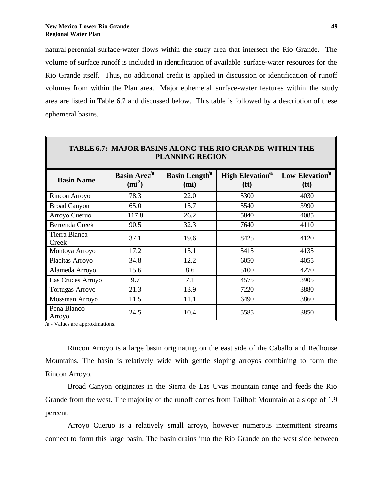natural perennial surface-water flows within the study area that intersect the Rio Grande. The volume of surface runoff is included in identification of available surface-water resources for the Rio Grande itself. Thus, no additional credit is applied in discussion or identification of runoff volumes from within the Plan area. Major ephemeral surface-water features within the study area are listed in Table 6.7 and discussed below. This table is followed by a description of these ephemeral basins.

| <b>TABLE 6.7: MAJOR BASINS ALONG THE RIO GRANDE WITHIN THE</b><br><b>PLANNING REGION</b> |                                             |                                                       |                                                         |                                                  |  |  |  |  |  |  |  |  |
|------------------------------------------------------------------------------------------|---------------------------------------------|-------------------------------------------------------|---------------------------------------------------------|--------------------------------------------------|--|--|--|--|--|--|--|--|
| <b>Basin Name</b>                                                                        | <b>Basin Area</b> <sup>/a</sup><br>$(mi^2)$ | <b>Basin Length</b> <sup>a</sup><br>(m <sub>i</sub> ) | <b>High Elevation</b> <sup>a</sup><br>(f <sup>t</sup> ) | Low Elevation <sup>'a</sup><br>(f <sup>t</sup> ) |  |  |  |  |  |  |  |  |
| Rincon Arroyo                                                                            | 78.3                                        | 22.0                                                  | 5300                                                    | 4030                                             |  |  |  |  |  |  |  |  |
| <b>Broad Canyon</b>                                                                      | 65.0                                        | 15.7                                                  | 5540                                                    | 3990                                             |  |  |  |  |  |  |  |  |
| Arroyo Cueruo                                                                            | 117.8                                       | 26.2                                                  | 5840                                                    | 4085                                             |  |  |  |  |  |  |  |  |
| Berrenda Creek                                                                           | 90.5                                        | 32.3                                                  | 7640                                                    | 4110                                             |  |  |  |  |  |  |  |  |
| Tierra Blanca<br>Creek                                                                   | 37.1                                        | 19.6                                                  | 8425                                                    | 4120                                             |  |  |  |  |  |  |  |  |
| Montoya Arroyo                                                                           | 17.2                                        | 15.1                                                  | 5415                                                    | 4135                                             |  |  |  |  |  |  |  |  |
| Placitas Arroyo                                                                          | 34.8                                        | 12.2                                                  | 6050                                                    | 4055                                             |  |  |  |  |  |  |  |  |
| Alameda Arroyo                                                                           | 15.6                                        | 8.6                                                   | 5100                                                    | 4270                                             |  |  |  |  |  |  |  |  |
| Las Cruces Arroyo                                                                        | 9.7                                         | 7.1                                                   | 4575                                                    | 3905                                             |  |  |  |  |  |  |  |  |
| <b>Tortugas Arroyo</b>                                                                   | 21.3                                        | 13.9                                                  | 7220                                                    | 3880                                             |  |  |  |  |  |  |  |  |
| Mossman Arroyo                                                                           | 11.5                                        | 11.1                                                  | 6490                                                    | 3860                                             |  |  |  |  |  |  |  |  |
| Pena Blanco<br>Arroyo                                                                    | 24.5                                        | 10.4                                                  | 5585                                                    | 3850                                             |  |  |  |  |  |  |  |  |

/a - Values are approximations.

Rincon Arroyo is a large basin originating on the east side of the Caballo and Redhouse Mountains. The basin is relatively wide with gentle sloping arroyos combining to form the Rincon Arroyo.

Broad Canyon originates in the Sierra de Las Uvas mountain range and feeds the Rio Grande from the west. The majority of the runoff comes from Tailholt Mountain at a slope of 1.9 percent.

Arroyo Cueruo is a relatively small arroyo, however numerous intermittent streams connect to form this large basin. The basin drains into the Rio Grande on the west side between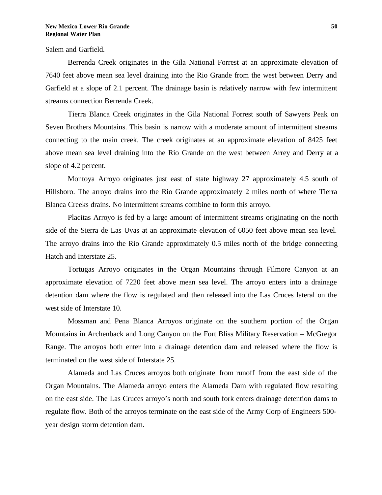Salem and Garfield.

Berrenda Creek originates in the Gila National Forrest at an approximate elevation of 7640 feet above mean sea level draining into the Rio Grande from the west between Derry and Garfield at a slope of 2.1 percent. The drainage basin is relatively narrow with few intermittent streams connection Berrenda Creek.

Tierra Blanca Creek originates in the Gila National Forrest south of Sawyers Peak on Seven Brothers Mountains. This basin is narrow with a moderate amount of intermittent streams connecting to the main creek. The creek originates at an approximate elevation of 8425 feet above mean sea level draining into the Rio Grande on the west between Arrey and Derry at a slope of 4.2 percent.

Montoya Arroyo originates just east of state highway 27 approximately 4.5 south of Hillsboro. The arroyo drains into the Rio Grande approximately 2 miles north of where Tierra Blanca Creeks drains. No intermittent streams combine to form this arroyo.

Placitas Arroyo is fed by a large amount of intermittent streams originating on the north side of the Sierra de Las Uvas at an approximate elevation of 6050 feet above mean sea level. The arroyo drains into the Rio Grande approximately 0.5 miles north of the bridge connecting Hatch and Interstate 25.

Tortugas Arroyo originates in the Organ Mountains through Filmore Canyon at an approximate elevation of 7220 feet above mean sea level. The arroyo enters into a drainage detention dam where the flow is regulated and then released into the Las Cruces lateral on the west side of Interstate 10.

Mossman and Pena Blanca Arroyos originate on the southern portion of the Organ Mountains in Archenback and Long Canyon on the Fort Bliss Military Reservation – McGregor Range. The arroyos both enter into a drainage detention dam and released where the flow is terminated on the west side of Interstate 25.

Alameda and Las Cruces arroyos both originate from runoff from the east side of the Organ Mountains. The Alameda arroyo enters the Alameda Dam with regulated flow resulting on the east side. The Las Cruces arroyo's north and south fork enters drainage detention dams to regulate flow. Both of the arroyos terminate on the east side of the Army Corp of Engineers 500 year design storm detention dam.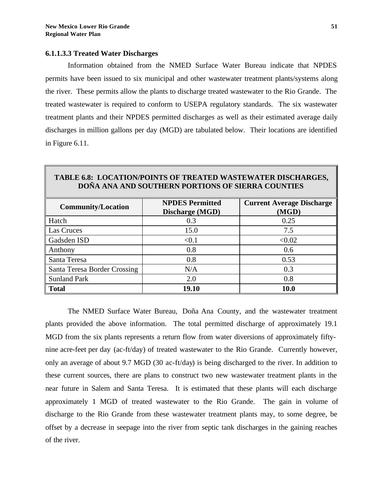#### **6.1.1.3.3 Treated Water Discharges**

Information obtained from the NMED Surface Water Bureau indicate that NPDES permits have been issued to six municipal and other wastewater treatment plants/systems along the river. These permits allow the plants to discharge treated wastewater to the Rio Grande. The treated wastewater is required to conform to USEPA regulatory standards. The six wastewater treatment plants and their NPDES permitted discharges as well as their estimated average daily discharges in million gallons per day (MGD) are tabulated below. Their locations are identified in Figure 6.11.

| <b>Community/Location</b>    | <b>NPDES Permitted</b> | <b>Current Average Discharge</b> |
|------------------------------|------------------------|----------------------------------|
|                              | <b>Discharge (MGD)</b> | (MGD)                            |
| Hatch                        | 0.3                    | 0.25                             |
| Las Cruces                   | 15.0                   | 7.5                              |
| Gadsden ISD                  | < 0.1                  | < 0.02                           |
| Anthony                      | 0.8                    | 0.6                              |
| Santa Teresa                 | 0.8                    | 0.53                             |
| Santa Teresa Border Crossing | N/A                    | 0.3                              |
| <b>Sunland Park</b>          | 2.0                    | 0.8                              |
| <b>Total</b>                 | 19.10                  | 10.0                             |

## **TABLE 6.8: LOCATION/POINTS OF TREATED WASTEWATER DISCHARGES, DOÑA ANA AND SOUTHERN PORTIONS OF SIERRA COUNTIES**

The NMED Surface Water Bureau, Doña Ana County, and the wastewater treatment plants provided the above information. The total permitted discharge of approximately 19.1 MGD from the six plants represents a return flow from water diversions of approximately fiftynine acre-feet per day (ac-ft/day) of treated wastewater to the Rio Grande. Currently however, only an average of about 9.7 MGD (30 ac-ft/day) is being discharged to the river. In addition to these current sources, there are plans to construct two new wastewater treatment plants in the near future in Salem and Santa Teresa. It is estimated that these plants will each discharge approximately 1 MGD of treated wastewater to the Rio Grande. The gain in volume of discharge to the Rio Grande from these wastewater treatment plants may, to some degree, be offset by a decrease in seepage into the river from septic tank discharges in the gaining reaches of the river.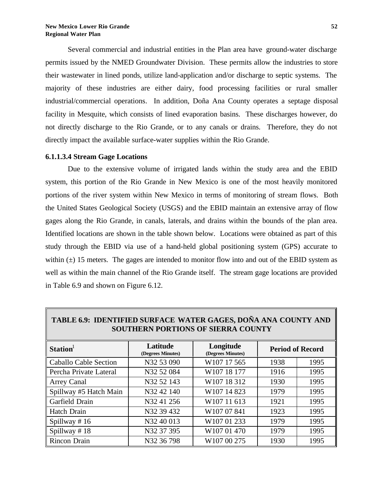Several commercial and industrial entities in the Plan area have ground-water discharge permits issued by the NMED Groundwater Division. These permits allow the industries to store their wastewater in lined ponds, utilize land-application and/or discharge to septic systems. The majority of these industries are either dairy, food processing facilities or rural smaller industrial/commercial operations. In addition, Doña Ana County operates a septage disposal facility in Mesquite, which consists of lined evaporation basins. These discharges however, do not directly discharge to the Rio Grande, or to any canals or drains. Therefore, they do not directly impact the available surface-water supplies within the Rio Grande.

#### **6.1.1.3.4 Stream Gage Locations**

Due to the extensive volume of irrigated lands within the study area and the EBID system, this portion of the Rio Grande in New Mexico is one of the most heavily monitored portions of the river system within New Mexico in terms of monitoring of stream flows. Both the United States Geological Society (USGS) and the EBID maintain an extensive array of flow gages along the Rio Grande, in canals, laterals, and drains within the bounds of the plan area. Identified locations are shown in the table shown below. Locations were obtained as part of this study through the EBID via use of a hand-held global positioning system (GPS) accurate to within  $(\pm)$  15 meters. The gages are intended to monitor flow into and out of the EBID system as well as within the main channel of the Rio Grande itself. The stream gage locations are provided in Table 6.9 and shown on Figure 6.12.

| SOUTHERN PORTIONS OF SIERRA COUNTY |                               |                                |      |                         |  |
|------------------------------------|-------------------------------|--------------------------------|------|-------------------------|--|
| Station <sup>1</sup>               | Latitude<br>(Degrees Minutes) | Longitude<br>(Degrees Minutes) |      | <b>Period of Record</b> |  |
| <b>Caballo Cable Section</b>       | N32 53 090                    | W107 17 565                    | 1938 | 1995                    |  |
| Percha Private Lateral             | N32 52 084                    | W107 18 177                    | 1916 | 1995                    |  |
| Arrey Canal                        | N32 52 143                    | W107 18 312                    | 1930 | 1995                    |  |
| Spillway #5 Hatch Main             | N32 42 140                    | W107 14 823                    | 1979 | 1995                    |  |
| Garfield Drain                     | N32 41 256                    | W107 11 613                    | 1921 | 1995                    |  |
| <b>Hatch Drain</b>                 | N32 39 432                    | W107 07 841                    | 1923 | 1995                    |  |
| Spillway #16                       | N32 40 013                    | W107 01 233                    | 1979 | 1995                    |  |
| Spillway #18                       | N32 37 395                    | W107 01 470                    | 1979 | 1995                    |  |
| Rincon Drain                       | N32 36 798                    | W107 00 275                    | 1930 | 1995                    |  |

## **TABLE 6.9: IDENTIFIED SURFACE WATER GAGES, DOÑA ANA COUNTY AND**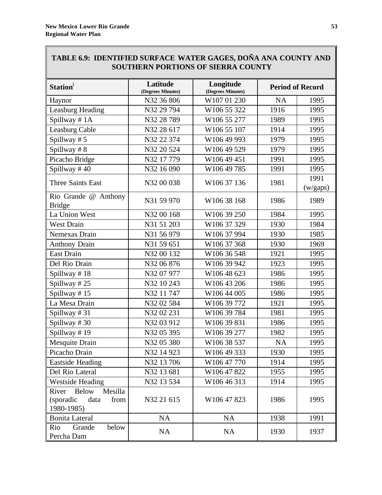| TABLE 6.9: IDENTIFIED SURFACE WATER GAGES, DOÑA ANA COUNTY AND |  |
|----------------------------------------------------------------|--|
| <b>SOUTHERN PORTIONS OF SIERRA COUNTY</b>                      |  |

| Station <sup>1</sup>                                                        | Latitude                        | Longitude                        |      | <b>Period of Record</b> |
|-----------------------------------------------------------------------------|---------------------------------|----------------------------------|------|-------------------------|
|                                                                             | (Degrees Minutes)<br>N32 36 806 | (Degrees Minutes)<br>W107 01 230 | NA   | 1995                    |
| Haynor                                                                      | N32 29 794                      | W106 55 322                      | 1916 | 1995                    |
| <b>Leasburg Heading</b>                                                     |                                 | W106 55 277                      | 1989 | 1995                    |
| Spillway #1A                                                                | N32 28 789                      |                                  |      |                         |
| Leasburg Cable                                                              | N32 28 617                      | W106 55 107                      | 1914 | 1995                    |
| Spillway #5                                                                 | N32 22 374                      | W106 49 993                      | 1979 | 1995                    |
| Spillway #8                                                                 | N32 20 524                      | W106 49 529                      | 1979 | 1995                    |
| Picacho Bridge                                                              | N32 17 779                      | W106 49 451                      | 1991 | 1995                    |
| Spillway #40                                                                | N32 16 090                      | W106 49 785                      | 1991 | 1995                    |
| <b>Three Saints East</b>                                                    | N32 00 038                      | W106 37 136                      | 1981 | 1991<br>(w/gaps)        |
| Rio Grande @ Anthony<br><b>Bridge</b>                                       | N31 59 970                      | W106 38 168                      | 1986 | 1989                    |
| La Union West                                                               | N32 00 168                      | W106 39 250                      | 1984 | 1995                    |
| <b>West Drain</b>                                                           | N31 51 203                      | W106 37 329                      | 1930 | 1984                    |
| Nemexas Drain                                                               | N31 56 979                      | W106 37 994                      | 1930 | 1985                    |
| <b>Anthony Drain</b>                                                        | N31 59 651                      | W106 37 368                      | 1930 | 1969                    |
| <b>East Drain</b>                                                           | N32 00 132                      | W106 36 548                      | 1921 | 1995                    |
| Del Rio Drain                                                               | N32 06 876                      | W106 39 942                      | 1923 | 1995                    |
| Spillway #18                                                                | N32 07 977                      | W106 48 623                      | 1986 | 1995                    |
| Spillway #25                                                                | N32 10 243                      | W106 43 206                      | 1986 | 1995                    |
| Spillway #15                                                                | N32 11 747                      | W106 44 005                      | 1986 | 1995                    |
| La Mesa Drain                                                               | N32 02 584                      | W106 39 772                      | 1921 | 1995                    |
| Spillway #31                                                                | N32 02 231                      | W106 39 784                      | 1981 | 1995                    |
| Spillway #30                                                                | N32 03 912                      | W106 39 831                      | 1986 | 1995                    |
| Spillway #19                                                                | N32 05 395                      | W106 39 277                      | 1982 | 1995                    |
| Mesquite Drain                                                              | N32 05 380                      | W106 38 537                      | NA   | 1995                    |
| Picacho Drain                                                               | N32 14 923                      | W106 49 333                      | 1930 | 1995                    |
| <b>Eastside Heading</b>                                                     | N32 13 706                      | W106 47 770                      | 1914 | 1995                    |
| Del Rio Lateral                                                             | N32 13 681                      | W106 47 822                      | 1955 | 1995                    |
| <b>Westside Heading</b>                                                     | N32 13 534                      | W106 46 313                      | 1914 | 1995                    |
| Mesilla<br><b>Below</b><br>River<br>(sporadic<br>data<br>from<br>1980-1985) | N32 21 615                      | W106 47 823                      | 1986 | 1995                    |
| <b>Bonita Lateral</b>                                                       | NA                              | <b>NA</b>                        | 1938 | 1991                    |
| Grande<br>Rio<br>below<br>Percha Dam                                        | NA                              | NA                               | 1930 | 1937                    |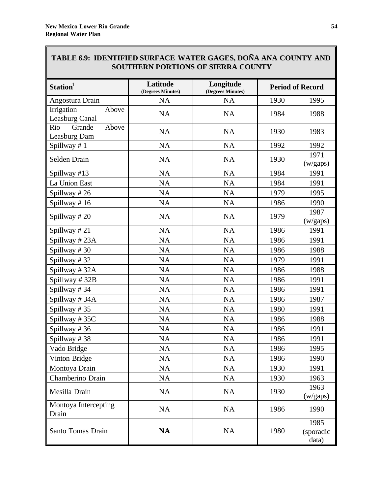| TABLE 6.9:  IDENTIFIED SURFACE  WATER GAGES, DONA ANA  COUNTY  AND<br>SOUTHERN PORTIONS OF SIERRA COUNTY |                                                                 |           |      |                            |
|----------------------------------------------------------------------------------------------------------|-----------------------------------------------------------------|-----------|------|----------------------------|
| Station <sup>1</sup>                                                                                     | Latitude<br>Longitude<br>(Degrees Minutes)<br>(Degrees Minutes) |           |      | <b>Period of Record</b>    |
| Angostura Drain                                                                                          | NA                                                              | NA        | 1930 | 1995                       |
| Irrigation<br>Above<br>Leasburg Canal                                                                    | <b>NA</b>                                                       | <b>NA</b> | 1984 | 1988                       |
| Rio<br>Grande<br>Above<br>Leasburg Dam                                                                   | <b>NA</b>                                                       | NA        | 1930 | 1983                       |
| Spillway #1                                                                                              | NA                                                              | NA        | 1992 | 1992                       |
| Selden Drain                                                                                             | <b>NA</b>                                                       | <b>NA</b> | 1930 | 1971<br>(w/gaps)           |
| Spillway #13                                                                                             | <b>NA</b>                                                       | NA        | 1984 | 1991                       |
| La Union East                                                                                            | <b>NA</b>                                                       | NA        | 1984 | 1991                       |
| Spillway #26                                                                                             | <b>NA</b>                                                       | NA        | 1979 | 1995                       |
| Spillway #16                                                                                             | <b>NA</b>                                                       | NA        | 1986 | 1990                       |
| Spillway #20                                                                                             | NA                                                              | NA        | 1979 | 1987<br>(w/gaps)           |
| Spillway $#21$                                                                                           | <b>NA</b>                                                       | NA        | 1986 | 1991                       |
| Spillway #23A                                                                                            | NA                                                              | NA        | 1986 | 1991                       |
| Spillway #30                                                                                             | <b>NA</b>                                                       | NA        | 1986 | 1988                       |
| Spillway #32                                                                                             | <b>NA</b>                                                       | <b>NA</b> | 1979 | 1991                       |
| Spillway #32A                                                                                            | NA                                                              | NA        | 1986 | 1988                       |
| Spillway #32B                                                                                            | <b>NA</b>                                                       | NA        | 1986 | 1991                       |
| Spillway #34                                                                                             | <b>NA</b>                                                       | NA        | 1986 | 1991                       |
| Spillway #34A                                                                                            | NA                                                              | NA        | 1986 | 1987                       |
| Spillway #35                                                                                             | <b>NA</b>                                                       | <b>NA</b> | 1980 | 1991                       |
| Spillway #35C                                                                                            | <b>NA</b>                                                       | NA        | 1986 | 1988                       |
| Spillway #36                                                                                             | <b>NA</b>                                                       | NA        | 1986 | 1991                       |
| Spillway #38                                                                                             | NA                                                              | <b>NA</b> | 1986 | 1991                       |
| Vado Bridge                                                                                              | <b>NA</b>                                                       | NA        | 1986 | 1995                       |
| Vinton Bridge                                                                                            | <b>NA</b>                                                       | NA        | 1986 | 1990                       |
| Montoya Drain                                                                                            | <b>NA</b>                                                       | NA        | 1930 | 1991                       |
| Chamberino Drain                                                                                         | <b>NA</b>                                                       | NA        | 1930 | 1963                       |
| Mesilla Drain                                                                                            | <b>NA</b>                                                       | NA        | 1930 | 1963<br>(w/gaps)           |
| Montoya Intercepting<br>Drain                                                                            | NA                                                              | NA        | 1986 | 1990                       |
| Santo Tomas Drain                                                                                        | <b>NA</b>                                                       | NA        | 1980 | 1985<br>(sporadic<br>data) |

# **TABLE 6.9: IDENTIFIED SURFACE WATER GAGES, DOÑA ANA COUNTY AND**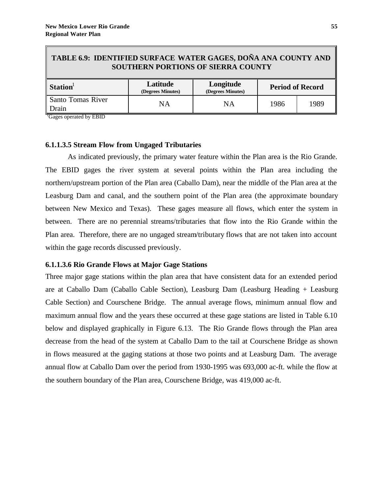| TABLE 6.9: IDENTIFIED SURFACE WATER GAGES, DOÑA ANA COUNTY AND<br><b>SOUTHERN PORTIONS OF SIERRA COUNTY</b> |                                                                                            |           |      |      |  |  |
|-------------------------------------------------------------------------------------------------------------|--------------------------------------------------------------------------------------------|-----------|------|------|--|--|
| $\vert$ Station <sup>1</sup>                                                                                | Longitude<br>Latitude<br><b>Period of Record</b><br>(Degrees Minutes)<br>(Degrees Minutes) |           |      |      |  |  |
| Santo Tomas River<br>Drain                                                                                  | <b>NA</b>                                                                                  | <b>NA</b> | 1986 | 1989 |  |  |

<sup>1</sup>Gages operated by EBID

#### **6.1.1.3.5 Stream Flow from Ungaged Tributaries**

As indicated previously, the primary water feature within the Plan area is the Rio Grande. The EBID gages the river system at several points within the Plan area including the northern/upstream portion of the Plan area (Caballo Dam), near the middle of the Plan area at the Leasburg Dam and canal, and the southern point of the Plan area (the approximate boundary between New Mexico and Texas). These gages measure all flows, which enter the system in between. There are no perennial streams/tributaries that flow into the Rio Grande within the Plan area. Therefore, there are no ungaged stream/tributary flows that are not taken into account within the gage records discussed previously.

## **6.1.1.3.6 Rio Grande Flows at Major Gage Stations**

Three major gage stations within the plan area that have consistent data for an extended period are at Caballo Dam (Caballo Cable Section), Leasburg Dam (Leasburg Heading + Leasburg Cable Section) and Courschene Bridge. The annual average flows, minimum annual flow and maximum annual flow and the years these occurred at these gage stations are listed in Table 6.10 below and displayed graphically in Figure 6.13. The Rio Grande flows through the Plan area decrease from the head of the system at Caballo Dam to the tail at Courschene Bridge as shown in flows measured at the gaging stations at those two points and at Leasburg Dam. The average annual flow at Caballo Dam over the period from 1930-1995 was 693,000 ac-ft. while the flow at the southern boundary of the Plan area, Courschene Bridge, was 419,000 ac-ft.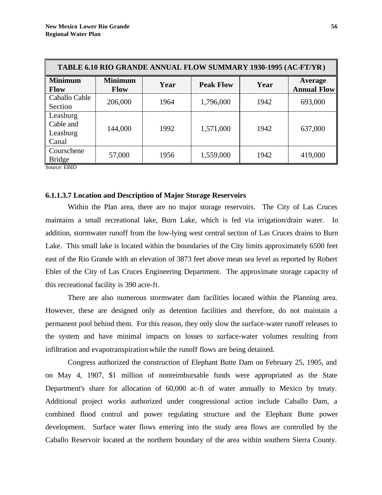| TABLE 6.10 RIO GRANDE ANNUAL FLOW SUMMARY 1930-1995 (AC-FT/YR) |                               |      |                  |      |                               |
|----------------------------------------------------------------|-------------------------------|------|------------------|------|-------------------------------|
| <b>Minimum</b><br><b>Flow</b>                                  | <b>Minimum</b><br><b>Flow</b> | Year | <b>Peak Flow</b> | Year | Average<br><b>Annual Flow</b> |
| Caballo Cable<br>Section                                       | 206,000                       | 1964 | 1,796,000        | 1942 | 693,000                       |
| Leasburg<br>Cable and<br>Leasburg<br>Canal                     | 144,000                       | 1992 | 1,571,000        | 1942 | 637,000                       |
| Courschene<br><b>Bridge</b>                                    | 57,000                        | 1956 | 1,559,000        | 1942 | 419,000                       |

Source: EBID

#### **6.1.1.3.7 Location and Description of Major Storage Reservoirs**

Within the Plan area, there are no major storage reservoirs. The City of Las Cruces maintains a small recreational lake, Burn Lake, which is fed via irrigation/drain water. In addition, stormwater runoff from the low-lying west central section of Las Cruces drains to Burn Lake. This small lake is located within the boundaries of the City limits approximately 6500 feet east of the Rio Grande with an elevation of 3873 feet above mean sea level as reported by Robert Ebler of the City of Las Cruces Engineering Department. The approximate storage capacity of this recreational facility is 390 acre-ft.

There are also numerous stormwater dam facilities located within the Planning area. However, these are designed only as detention facilities and therefore, do not maintain a permanent pool behind them. For this reason, they only slow the surface-water runoff releases to the system and have minimal impacts on losses to surface-water volumes resulting from infiltration and evapotranspiration while the runoff flows are being detained.

Congress authorized the construction of Elephant Butte Dam on February 25, 1905, and on May 4, 1907, \$1 million of nonreimbursable funds were appropriated as the State Department's share for allocation of 60,000 ac-ft of water annually to Mexico by treaty. Additional project works authorized under congressional action include Caballo Dam, a combined flood control and power regulating structure and the Elephant Butte power development. Surface water flows entering into the study area flows are controlled by the Caballo Reservoir located at the northern boundary of the area within southern Sierra County.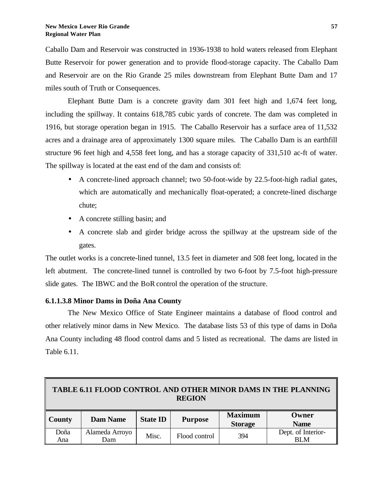Caballo Dam and Reservoir was constructed in 1936-1938 to hold waters released from Elephant Butte Reservoir for power generation and to provide flood-storage capacity. The Caballo Dam and Reservoir are on the Rio Grande 25 miles downstream from Elephant Butte Dam and 17 miles south of Truth or Consequences.

Elephant Butte Dam is a concrete gravity dam 301 feet high and 1,674 feet long, including the spillway. It contains 618,785 cubic yards of concrete. The dam was completed in 1916, but storage operation began in 1915. The Caballo Reservoir has a surface area of 11,532 acres and a drainage area of approximately 1300 square miles. The Caballo Dam is an earthfill structure 96 feet high and 4,558 feet long, and has a storage capacity of 331,510 ac-ft of water. The spillway is located at the east end of the dam and consists of:

- A concrete-lined approach channel; two 50-foot-wide by 22.5-foot-high radial gates, which are automatically and mechanically float-operated; a concrete-lined discharge chute;
- A concrete stilling basin; and
- A concrete slab and girder bridge across the spillway at the upstream side of the gates.

The outlet works is a concrete-lined tunnel, 13.5 feet in diameter and 508 feet long, located in the left abutment. The concrete-lined tunnel is controlled by two 6-foot by 7.5-foot high-pressure slide gates. The IBWC and the BoR control the operation of the structure.

## **6.1.1.3.8 Minor Dams in Doña Ana County**

The New Mexico Office of State Engineer maintains a database of flood control and other relatively minor dams in New Mexico. The database lists 53 of this type of dams in Doña Ana County including 48 flood control dams and 5 listed as recreational. The dams are listed in Table 6.11.

| TABLE 6.11 FLOOD CONTROL AND OTHER MINOR DAMS IN THE PLANNING<br><b>REGION</b> |                       |                 |                |                                  |                                  |
|--------------------------------------------------------------------------------|-----------------------|-----------------|----------------|----------------------------------|----------------------------------|
| <b>County</b>                                                                  | <b>Dam Name</b>       | <b>State ID</b> | <b>Purpose</b> | <b>Maximum</b><br><b>Storage</b> | Owner<br><b>Name</b>             |
| Doña<br>Ana                                                                    | Alameda Arroyo<br>Dam | Misc.           | Flood control  | 394                              | Dept. of Interior-<br><b>BLM</b> |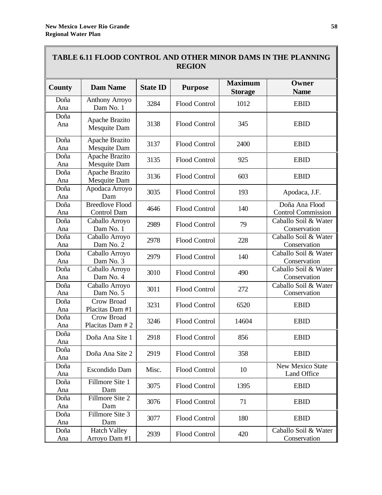I

|             | <b>TABLE 6.11 FLOOD CONTROL AND OTHER MINOR DAMS IN THE PLANNING</b><br><b>REGION</b> |                 |                      |                                  |                                             |
|-------------|---------------------------------------------------------------------------------------|-----------------|----------------------|----------------------------------|---------------------------------------------|
| County      | <b>Dam Name</b>                                                                       | <b>State ID</b> | <b>Purpose</b>       | <b>Maximum</b><br><b>Storage</b> | Owner<br><b>Name</b>                        |
| Doña<br>Ana | <b>Anthony Arroyo</b><br>Dam No. 1                                                    | 3284            | Flood Control        | 1012                             | <b>EBID</b>                                 |
| Doña<br>Ana | Apache Brazito<br>Mesquite Dam                                                        | 3138            | <b>Flood Control</b> | 345                              | <b>EBID</b>                                 |
| Doña<br>Ana | Apache Brazito<br>Mesquite Dam                                                        | 3137            | Flood Control        | 2400                             | <b>EBID</b>                                 |
| Doña<br>Ana | Apache Brazito<br>Mesquite Dam                                                        | 3135            | <b>Flood Control</b> | 925                              | <b>EBID</b>                                 |
| Doña<br>Ana | Apache Brazito<br>Mesquite Dam                                                        | 3136            | Flood Control        | 603                              | <b>EBID</b>                                 |
| Doña<br>Ana | Apodaca Arroyo<br>Dam                                                                 | 3035            | Flood Control        | 193                              | Apodaca, J.F.                               |
| Doña<br>Ana | <b>Breedlove Flood</b><br>Control Dam                                                 | 4646            | Flood Control        | 140                              | Doña Ana Flood<br><b>Control Commission</b> |
| Doña<br>Ana | Caballo Arroyo<br>Dam No. 1                                                           | 2989            | Flood Control        | 79                               | Caballo Soil & Water<br>Conservation        |
| Doña<br>Ana | Caballo Arroyo<br>Dam No. 2                                                           | 2978            | Flood Control        | 228                              | Caballo Soil & Water<br>Conservation        |
| Doña<br>Ana | Caballo Arroyo<br>Dam No. 3                                                           | 2979            | Flood Control        | 140                              | Caballo Soil & Water<br>Conservation        |
| Doña<br>Ana | Caballo Arroyo<br>Dam No. 4                                                           | 3010            | Flood Control        | 490                              | Caballo Soil & Water<br>Conservation        |
| Doña<br>Ana | Caballo Arroyo<br>Dam No. 5                                                           | 3011            | Flood Control        | 272                              | Caballo Soil & Water<br>Conservation        |
| Doña<br>Ana | Crow Broad<br>Placitas Dam #1                                                         | 3231            | Flood Control        | 6520                             | <b>EBID</b>                                 |
| Doña<br>Ana | Crow Broad<br>Placitas Dam #2                                                         | 3246            | <b>Flood Control</b> | 14604                            | <b>EBID</b>                                 |
| Doña<br>Ana | Doña Ana Site 1                                                                       | 2918            | Flood Control        | 856                              | <b>EBID</b>                                 |
| Doña<br>Ana | Doña Ana Site 2                                                                       | 2919            | Flood Control        | 358                              | <b>EBID</b>                                 |
| Doña<br>Ana | Escondido Dam                                                                         | Misc.           | Flood Control        | 10                               | <b>New Mexico State</b><br>Land Office      |
| Doña<br>Ana | Fillmore Site 1<br>Dam                                                                | 3075            | Flood Control        | 1395                             | <b>EBID</b>                                 |
| Doña<br>Ana | Fillmore Site 2<br>Dam                                                                | 3076            | Flood Control        | 71                               | <b>EBID</b>                                 |
| Doña<br>Ana | Fillmore Site 3<br>Dam                                                                | 3077            | Flood Control        | 180                              | <b>EBID</b>                                 |
| Doña<br>Ana | <b>Hatch Valley</b><br>Arroyo Dam #1                                                  | 2939            | Flood Control        | 420                              | Caballo Soil & Water<br>Conservation        |

1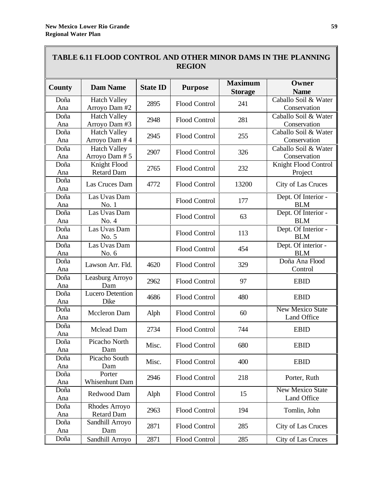I

|             | <b>TABLE 6.11 FLOOD CONTROL AND OTHER MINOR DAMS IN THE PLANNING</b><br><b>REGION</b> |                 |                      |                                  |                                        |
|-------------|---------------------------------------------------------------------------------------|-----------------|----------------------|----------------------------------|----------------------------------------|
| County      | <b>Dam Name</b>                                                                       | <b>State ID</b> | <b>Purpose</b>       | <b>Maximum</b><br><b>Storage</b> | Owner<br><b>Name</b>                   |
| Doña<br>Ana | <b>Hatch Valley</b><br>Arroyo Dam #2                                                  | 2895            | <b>Flood Control</b> | 241                              | Caballo Soil & Water<br>Conservation   |
| Doña<br>Ana | <b>Hatch Valley</b><br>Arroyo Dam #3                                                  | 2948            | Flood Control        | 281                              | Caballo Soil & Water<br>Conservation   |
| Doña<br>Ana | <b>Hatch Valley</b><br>Arroyo Dam #4                                                  | 2945            | Flood Control        | 255                              | Caballo Soil & Water<br>Conservation   |
| Doña<br>Ana | <b>Hatch Valley</b><br>Arroyo Dam #5                                                  | 2907            | <b>Flood Control</b> | 326                              | Caballo Soil & Water<br>Conservation   |
| Doña<br>Ana | Knight Flood<br><b>Retard Dam</b>                                                     | 2765            | Flood Control        | 232                              | Knight Flood Control<br>Project        |
| Doña<br>Ana | Las Cruces Dam                                                                        | 4772            | <b>Flood Control</b> | 13200                            | City of Las Cruces                     |
| Doña<br>Ana | Las Uvas Dam<br>No. 1                                                                 |                 | <b>Flood Control</b> | 177                              | Dept. Of Interior -<br><b>BLM</b>      |
| Doña<br>Ana | Las Uvas Dam<br>No. 4                                                                 |                 | <b>Flood Control</b> | 63                               | Dept. Of Interior -<br><b>BLM</b>      |
| Doña<br>Ana | Las Uvas Dam<br>No. 5                                                                 |                 | <b>Flood Control</b> | 113                              | Dept. Of Interior -<br><b>BLM</b>      |
| Doña<br>Ana | Las Uvas Dam<br>No. 6                                                                 |                 | <b>Flood Control</b> | 454                              | Dept. Of interior -<br><b>BLM</b>      |
| Doña<br>Ana | Lawson Arr. Fld.                                                                      | 4620            | <b>Flood Control</b> | 329                              | Doña Ana Flood<br>Control              |
| Doña<br>Ana | Leasburg Arroyo<br>Dam                                                                | 2962            | Flood Control        | 97                               | <b>EBID</b>                            |
| Doña<br>Ana | <b>Lucero Detention</b><br>Dike                                                       | 4686            | <b>Flood Control</b> | 480                              | <b>EBID</b>                            |
| Doña<br>Ana | Mccleron Dam                                                                          | Alph            | <b>Flood Control</b> | 60                               | <b>New Mexico State</b><br>Land Office |
| Doña<br>Ana | Mclead Dam                                                                            | 2734            | <b>Flood Control</b> | 744                              | <b>EBID</b>                            |
| Doña<br>Ana | Picacho North<br>Dam                                                                  | Misc.           | Flood Control        | 680                              | <b>EBID</b>                            |
| Doña<br>Ana | Picacho South<br>Dam                                                                  | Misc.           | Flood Control        | 400                              | <b>EBID</b>                            |
| Doña<br>Ana | Porter<br>Whisenhunt Dam                                                              | 2946            | Flood Control        | 218                              | Porter, Ruth                           |
| Doña<br>Ana | Redwood Dam                                                                           | Alph            | Flood Control        | 15                               | <b>New Mexico State</b><br>Land Office |
| Doña<br>Ana | Rhodes Arroyo<br><b>Retard Dam</b>                                                    | 2963            | <b>Flood Control</b> | 194                              | Tomlin, John                           |
| Doña<br>Ana | Sandhill Arroyo<br>Dam                                                                | 2871            | Flood Control        | 285                              | City of Las Cruces                     |
| Doña        | Sandhill Arroyo                                                                       | 2871            | Flood Control        | 285                              | City of Las Cruces                     |

1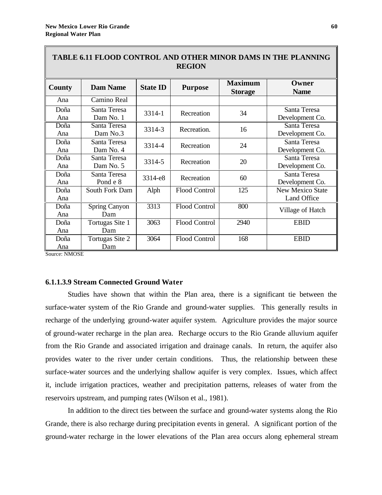| TABLE 6.11 FLOOD CONTROL AND OTHER MINOR DAMS IN THE PLANNING<br><b>REGION</b> |                             |                 |                      |                                  |                                        |
|--------------------------------------------------------------------------------|-----------------------------|-----------------|----------------------|----------------------------------|----------------------------------------|
| County                                                                         | <b>Dam Name</b>             | <b>State ID</b> | <b>Purpose</b>       | <b>Maximum</b><br><b>Storage</b> | Owner<br><b>Name</b>                   |
| Ana                                                                            | Camino Real                 |                 |                      |                                  |                                        |
| Doña<br>Ana                                                                    | Santa Teresa<br>Dam No. 1   | 3314-1          | Recreation           | 34                               | Santa Teresa<br>Development Co.        |
| Doña<br>Ana                                                                    | Santa Teresa<br>Dam No.3    | 3314-3          | Recreation.          | 16                               | Santa Teresa<br>Development Co.        |
| Doña<br>Ana                                                                    | Santa Teresa<br>Dam No. 4   | 3314-4          | Recreation           | 24                               | Santa Teresa<br>Development Co.        |
| Doña<br>Ana                                                                    | Santa Teresa<br>Dam No. 5   | 3314-5          | Recreation           | 20                               | Santa Teresa<br>Development Co.        |
| Doña<br>Ana                                                                    | Santa Teresa<br>Pond e 8    | 3314-e8         | Recreation           | 60                               | Santa Teresa<br>Development Co.        |
| Doña<br>Ana                                                                    | South Fork Dam              | Alph            | <b>Flood Control</b> | 125                              | <b>New Mexico State</b><br>Land Office |
| Doña<br>Ana                                                                    | <b>Spring Canyon</b><br>Dam | 3313            | Flood Control        | 800                              | Village of Hatch                       |
| Doña<br>Ana                                                                    | Tortugas Site 1<br>Dam      | 3063            | <b>Flood Control</b> | 2940                             | <b>EBID</b>                            |
| Doña<br>Ana                                                                    | Tortugas Site 2<br>Dam      | 3064            | <b>Flood Control</b> | 168                              | <b>EBID</b>                            |

Source: NMOSE

## **6.1.1.3.9 Stream Connected Ground Water**

Studies have shown that within the Plan area, there is a significant tie between the surface-water system of the Rio Grande and ground-water supplies. This generally results in recharge of the underlying ground-water aquifer system. Agriculture provides the major source of ground-water recharge in the plan area. Recharge occurs to the Rio Grande alluvium aquifer from the Rio Grande and associated irrigation and drainage canals. In return, the aquifer also provides water to the river under certain conditions. Thus, the relationship between these surface-water sources and the underlying shallow aquifer is very complex. Issues, which affect it, include irrigation practices, weather and precipitation patterns, releases of water from the reservoirs upstream, and pumping rates (Wilson et al., 1981).

In addition to the direct ties between the surface and ground-water systems along the Rio Grande, there is also recharge during precipitation events in general. A significant portion of the ground-water recharge in the lower elevations of the Plan area occurs along ephemeral stream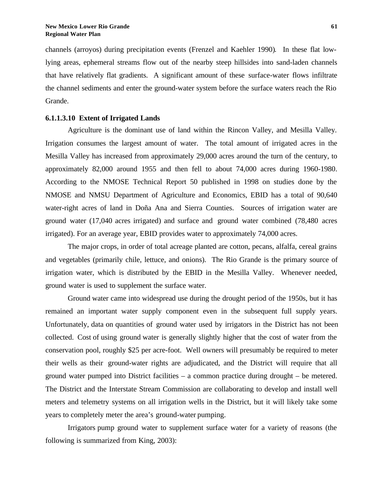channels (arroyos) during precipitation events (Frenzel and Kaehler 1990). In these flat lowlying areas, ephemeral streams flow out of the nearby steep hillsides into sand-laden channels that have relatively flat gradients. A significant amount of these surface-water flows infiltrate the channel sediments and enter the ground-water system before the surface waters reach the Rio Grande.

#### **6.1.1.3.10 Extent of Irrigated Lands**

Agriculture is the dominant use of land within the Rincon Valley, and Mesilla Valley. Irrigation consumes the largest amount of water. The total amount of irrigated acres in the Mesilla Valley has increased from approximately 29,000 acres around the turn of the century, to approximately 82,000 around 1955 and then fell to about 74,000 acres during 1960-1980. According to the NMOSE Technical Report 50 published in 1998 on studies done by the NMOSE and NMSU Department of Agriculture and Economics, EBID has a total of 90,640 water-right acres of land in Doña Ana and Sierra Counties. Sources of irrigation water are ground water (17,040 acres irrigated) and surface and ground water combined (78,480 acres irrigated). For an average year, EBID provides water to approximately 74,000 acres.

The major crops, in order of total acreage planted are cotton, pecans, alfalfa, cereal grains and vegetables (primarily chile, lettuce, and onions). The Rio Grande is the primary source of irrigation water, which is distributed by the EBID in the Mesilla Valley. Whenever needed, ground water is used to supplement the surface water.

Ground water came into widespread use during the drought period of the 1950s, but it has remained an important water supply component even in the subsequent full supply years. Unfortunately, data on quantities of ground water used by irrigators in the District has not been collected. Cost of using ground water is generally slightly higher that the cost of water from the conservation pool, roughly \$25 per acre-foot. Well owners will presumably be required to meter their wells as their ground-water rights are adjudicated, and the District will require that all ground water pumped into District facilities – a common practice during drought – be metered. The District and the Interstate Stream Commission are collaborating to develop and install well meters and telemetry systems on all irrigation wells in the District, but it will likely take some years to completely meter the area's ground-water pumping.

Irrigators pump ground water to supplement surface water for a variety of reasons (the following is summarized from King, 2003):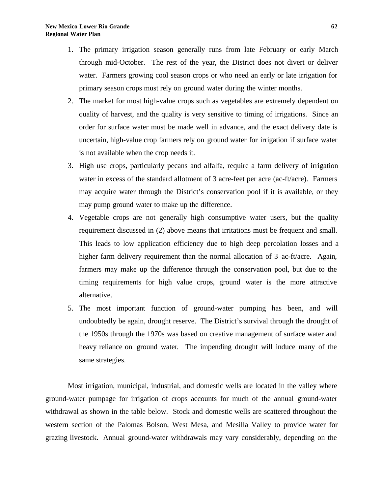- 1. The primary irrigation season generally runs from late February or early March through mid-October. The rest of the year, the District does not divert or deliver water. Farmers growing cool season crops or who need an early or late irrigation for primary season crops must rely on ground water during the winter months.
- 2. The market for most high-value crops such as vegetables are extremely dependent on quality of harvest, and the quality is very sensitive to timing of irrigations. Since an order for surface water must be made well in advance, and the exact delivery date is uncertain, high-value crop farmers rely on ground water for irrigation if surface water is not available when the crop needs it.
- 3. High use crops, particularly pecans and alfalfa, require a farm delivery of irrigation water in excess of the standard allotment of 3 acre-feet per acre (ac-ft/acre). Farmers may acquire water through the District's conservation pool if it is available, or they may pump ground water to make up the difference.
- 4. Vegetable crops are not generally high consumptive water users, but the quality requirement discussed in (2) above means that irritations must be frequent and small. This leads to low application efficiency due to high deep percolation losses and a higher farm delivery requirement than the normal allocation of 3 ac-ft/acre. Again, farmers may make up the difference through the conservation pool, but due to the timing requirements for high value crops, ground water is the more attractive alternative.
- 5. The most important function of ground-water pumping has been, and will undoubtedly be again, drought reserve. The District's survival through the drought of the 1950s through the 1970s was based on creative management of surface water and heavy reliance on ground water. The impending drought will induce many of the same strategies.

Most irrigation, municipal, industrial, and domestic wells are located in the valley where ground-water pumpage for irrigation of crops accounts for much of the annual ground-water withdrawal as shown in the table below. Stock and domestic wells are scattered throughout the western section of the Palomas Bolson, West Mesa, and Mesilla Valley to provide water for grazing livestock. Annual ground-water withdrawals may vary considerably, depending on the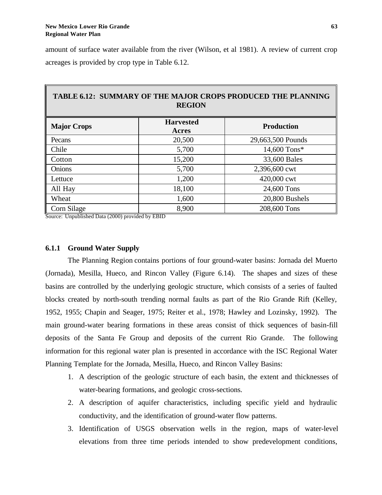amount of surface water available from the river (Wilson, et al 1981). A review of current crop acreages is provided by crop type in Table 6.12.

| <b>TABLE 6.12: SUMMARY OF THE MAJOR CROPS PRODUCED THE PLANNING</b><br><b>REGION</b> |                           |                   |  |
|--------------------------------------------------------------------------------------|---------------------------|-------------------|--|
| <b>Major Crops</b>                                                                   | <b>Harvested</b><br>Acres | <b>Production</b> |  |
| Pecans                                                                               | 20,500                    | 29,663,500 Pounds |  |
| Chile                                                                                | 5,700                     | 14,600 Tons*      |  |
| Cotton                                                                               | 15,200                    | 33,600 Bales      |  |
| Onions                                                                               | 5,700                     | 2,396,600 cwt     |  |
| Lettuce                                                                              | 1,200                     | 420,000 cwt       |  |
| All Hay                                                                              | 18,100                    | 24,600 Tons       |  |
| Wheat                                                                                | 1,600                     | 20,800 Bushels    |  |
| Corn Silage                                                                          | 8,900                     | 208,600 Tons      |  |

Source: Unpublished Data (2000) provided by EBID

#### **6.1.1 Ground Water Supply**

The Planning Region contains portions of four ground-water basins: Jornada del Muerto (Jornada), Mesilla, Hueco, and Rincon Valley (Figure 6.14). The shapes and sizes of these basins are controlled by the underlying geologic structure, which consists of a series of faulted blocks created by north-south trending normal faults as part of the Rio Grande Rift (Kelley, 1952, 1955; Chapin and Seager, 1975; Reiter et al., 1978; Hawley and Lozinsky, 1992). The main ground-water bearing formations in these areas consist of thick sequences of basin-fill deposits of the Santa Fe Group and deposits of the current Rio Grande. The following information for this regional water plan is presented in accordance with the ISC Regional Water Planning Template for the Jornada, Mesilla, Hueco, and Rincon Valley Basins:

- 1. A description of the geologic structure of each basin, the extent and thicknesses of water-bearing formations, and geologic cross-sections.
- 2. A description of aquifer characteristics, including specific yield and hydraulic conductivity, and the identification of ground-water flow patterns.
- 3. Identification of USGS observation wells in the region, maps of water-level elevations from three time periods intended to show predevelopment conditions,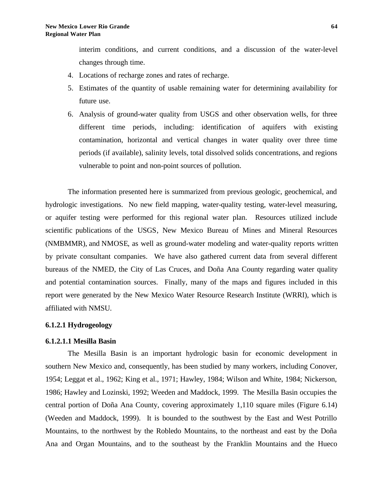interim conditions, and current conditions, and a discussion of the water-level changes through time.

- 4. Locations of recharge zones and rates of recharge.
- 5. Estimates of the quantity of usable remaining water for determining availability for future use.
- 6. Analysis of ground-water quality from USGS and other observation wells, for three different time periods, including: identification of aquifers with existing contamination, horizontal and vertical changes in water quality over three time periods (if available), salinity levels, total dissolved solids concentrations, and regions vulnerable to point and non-point sources of pollution.

The information presented here is summarized from previous geologic, geochemical, and hydrologic investigations. No new field mapping, water-quality testing, water-level measuring, or aquifer testing were performed for this regional water plan. Resources utilized include scientific publications of the USGS, New Mexico Bureau of Mines and Mineral Resources (NMBMMR), and NMOSE, as well as ground-water modeling and water-quality reports written by private consultant companies. We have also gathered current data from several different bureaus of the NMED, the City of Las Cruces, and Doña Ana County regarding water quality and potential contamination sources. Finally, many of the maps and figures included in this report were generated by the New Mexico Water Resource Research Institute (WRRI), which is affiliated with NMSU.

#### **6.1.2.1 Hydrogeology**

#### **6.1.2.1.1 Mesilla Basin**

The Mesilla Basin is an important hydrologic basin for economic development in southern New Mexico and, consequently, has been studied by many workers, including Conover, 1954; Leggat et al., 1962; King et al., 1971; Hawley, 1984; Wilson and White, 1984; Nickerson, 1986; Hawley and Lozinski, 1992; Weeden and Maddock, 1999. The Mesilla Basin occupies the central portion of Doña Ana County, covering approximately 1,110 square miles (Figure 6.14) (Weeden and Maddock, 1999). It is bounded to the southwest by the East and West Potrillo Mountains, to the northwest by the Robledo Mountains, to the northeast and east by the Doña Ana and Organ Mountains, and to the southeast by the Franklin Mountains and the Hueco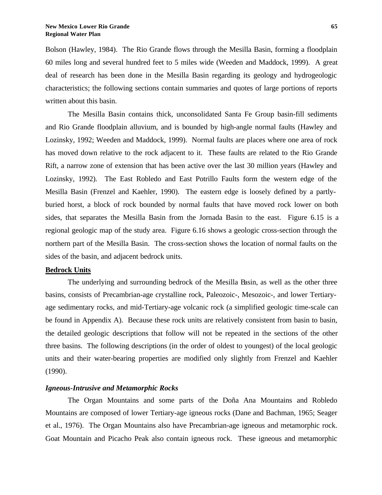Bolson (Hawley, 1984). The Rio Grande flows through the Mesilla Basin, forming a floodplain 60 miles long and several hundred feet to 5 miles wide (Weeden and Maddock, 1999). A great deal of research has been done in the Mesilla Basin regarding its geology and hydrogeologic characteristics; the following sections contain summaries and quotes of large portions of reports written about this basin.

The Mesilla Basin contains thick, unconsolidated Santa Fe Group basin-fill sediments and Rio Grande floodplain alluvium, and is bounded by high-angle normal faults (Hawley and Lozinsky, 1992; Weeden and Maddock, 1999). Normal faults are places where one area of rock has moved down relative to the rock adjacent to it. These faults are related to the Rio Grande Rift, a narrow zone of extension that has been active over the last 30 million years (Hawley and Lozinsky, 1992). The East Robledo and East Potrillo Faults form the western edge of the Mesilla Basin (Frenzel and Kaehler, 1990). The eastern edge is loosely defined by a partlyburied horst, a block of rock bounded by normal faults that have moved rock lower on both sides, that separates the Mesilla Basin from the Jornada Basin to the east. Figure 6.15 is a regional geologic map of the study area. Figure 6.16 shows a geologic cross-section through the northern part of the Mesilla Basin. The cross-section shows the location of normal faults on the sides of the basin, and adjacent bedrock units.

## **Bedrock Units**

The underlying and surrounding bedrock of the Mesilla Basin, as well as the other three basins, consists of Precambrian-age crystalline rock, Paleozoic-, Mesozoic-, and lower Tertiaryage sedimentary rocks, and mid-Tertiary-age volcanic rock (a simplified geologic time-scale can be found in Appendix A). Because these rock units are relatively consistent from basin to basin, the detailed geologic descriptions that follow will not be repeated in the sections of the other three basins. The following descriptions (in the order of oldest to youngest) of the local geologic units and their water-bearing properties are modified only slightly from Frenzel and Kaehler (1990).

#### *Igneous-Intrusive and Metamorphic Rocks*

The Organ Mountains and some parts of the Doña Ana Mountains and Robledo Mountains are composed of lower Tertiary-age igneous rocks (Dane and Bachman, 1965; Seager et al., 1976). The Organ Mountains also have Precambrian-age igneous and metamorphic rock. Goat Mountain and Picacho Peak also contain igneous rock. These igneous and metamorphic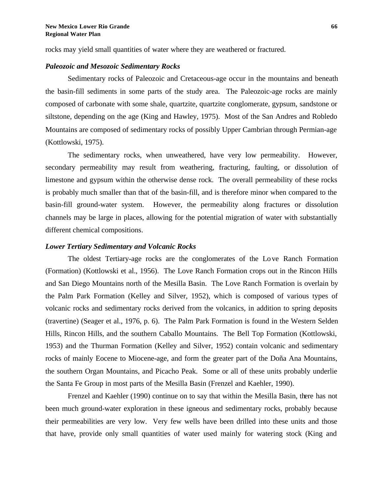rocks may yield small quantities of water where they are weathered or fractured.

#### *Paleozoic and Mesozoic Sedimentary Rocks*

Sedimentary rocks of Paleozoic and Cretaceous-age occur in the mountains and beneath the basin-fill sediments in some parts of the study area. The Paleozoic-age rocks are mainly composed of carbonate with some shale, quartzite, quartzite conglomerate, gypsum, sandstone or siltstone, depending on the age (King and Hawley, 1975). Most of the San Andres and Robledo Mountains are composed of sedimentary rocks of possibly Upper Cambrian through Permian-age (Kottlowski, 1975).

The sedimentary rocks, when unweathered, have very low permeability. However, secondary permeability may result from weathering, fracturing, faulting, or dissolution of limestone and gypsum within the otherwise dense rock. The overall permeability of these rocks is probably much smaller than that of the basin-fill, and is therefore minor when compared to the basin-fill ground-water system. However, the permeability along fractures or dissolution channels may be large in places, allowing for the potential migration of water with substantially different chemical compositions.

#### *Lower Tertiary Sedimentary and Volcanic Rocks*

The oldest Tertiary-age rocks are the conglomerates of the Love Ranch Formation (Formation) (Kottlowski et al., 1956). The Love Ranch Formation crops out in the Rincon Hills and San Diego Mountains north of the Mesilla Basin. The Love Ranch Formation is overlain by the Palm Park Formation (Kelley and Silver, 1952), which is composed of various types of volcanic rocks and sedimentary rocks derived from the volcanics, in addition to spring deposits (travertine) (Seager et al., 1976, p. 6). The Palm Park Formation is found in the Western Selden Hills, Rincon Hills, and the southern Caballo Mountains. The Bell Top Formation (Kottlowski, 1953) and the Thurman Formation (Kelley and Silver, 1952) contain volcanic and sedimentary rocks of mainly Eocene to Miocene-age, and form the greater part of the Doña Ana Mountains, the southern Organ Mountains, and Picacho Peak. Some or all of these units probably underlie the Santa Fe Group in most parts of the Mesilla Basin (Frenzel and Kaehler, 1990).

Frenzel and Kaehler (1990) continue on to say that within the Mesilla Basin, there has not been much ground-water exploration in these igneous and sedimentary rocks, probably because their permeabilities are very low. Very few wells have been drilled into these units and those that have, provide only small quantities of water used mainly for watering stock (King and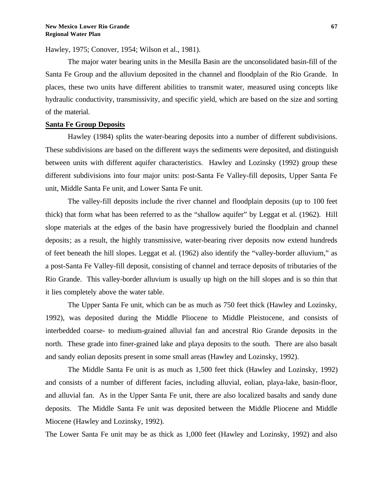Hawley, 1975; Conover, 1954; Wilson et al., 1981).

The major water bearing units in the Mesilla Basin are the unconsolidated basin-fill of the Santa Fe Group and the alluvium deposited in the channel and floodplain of the Rio Grande. In places, these two units have different abilities to transmit water, measured using concepts like hydraulic conductivity, transmissivity, and specific yield, which are based on the size and sorting of the material.

### **Santa Fe Group Deposits**

Hawley (1984) splits the water-bearing deposits into a number of different subdivisions. These subdivisions are based on the different ways the sediments were deposited, and distinguish between units with different aquifer characteristics. Hawley and Lozinsky (1992) group these different subdivisions into four major units: post-Santa Fe Valley-fill deposits, Upper Santa Fe unit, Middle Santa Fe unit, and Lower Santa Fe unit.

The valley-fill deposits include the river channel and floodplain deposits (up to 100 feet thick) that form what has been referred to as the "shallow aquifer" by Leggat et al. (1962). Hill slope materials at the edges of the basin have progressively buried the floodplain and channel deposits; as a result, the highly transmissive, water-bearing river deposits now extend hundreds of feet beneath the hill slopes. Leggat et al. (1962) also identify the "valley-border alluvium," as a post-Santa Fe Valley-fill deposit, consisting of channel and terrace deposits of tributaries of the Rio Grande. This valley-border alluvium is usually up high on the hill slopes and is so thin that it lies completely above the water table.

The Upper Santa Fe unit, which can be as much as 750 feet thick (Hawley and Lozinsky, 1992), was deposited during the Middle Pliocene to Middle Pleistocene, and consists of interbedded coarse- to medium-grained alluvial fan and ancestral Rio Grande deposits in the north. These grade into finer-grained lake and playa deposits to the south. There are also basalt and sandy eolian deposits present in some small areas (Hawley and Lozinsky, 1992).

The Middle Santa Fe unit is as much as 1,500 feet thick (Hawley and Lozinsky, 1992) and consists of a number of different facies, including alluvial, eolian, playa-lake, basin-floor, and alluvial fan. As in the Upper Santa Fe unit, there are also localized basalts and sandy dune deposits. The Middle Santa Fe unit was deposited between the Middle Pliocene and Middle Miocene (Hawley and Lozinsky, 1992).

The Lower Santa Fe unit may be as thick as 1,000 feet (Hawley and Lozinsky, 1992) and also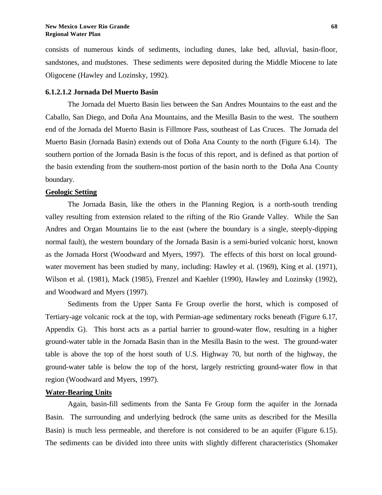consists of numerous kinds of sediments, including dunes, lake bed, alluvial, basin-floor, sandstones, and mudstones. These sediments were deposited during the Middle Miocene to late Oligocene (Hawley and Lozinsky, 1992).

#### **6.1.2.1.2 Jornada Del Muerto Basin**

The Jornada del Muerto Basin lies between the San Andres Mountains to the east and the Caballo, San Diego, and Doña Ana Mountains, and the Mesilla Basin to the west. The southern end of the Jornada del Muerto Basin is Fillmore Pass, southeast of Las Cruces. The Jornada del Muerto Basin (Jornada Basin) extends out of Doña Ana County to the north (Figure 6.14). The southern portion of the Jornada Basin is the focus of this report, and is defined as that portion of the basin extending from the southern-most portion of the basin north to the Doña Ana County boundary.

#### **Geologic Setting**

The Jornada Basin, like the others in the Planning Region, is a north-south trending valley resulting from extension related to the rifting of the Rio Grande Valley. While the San Andres and Organ Mountains lie to the east (where the boundary is a single, steeply-dipping normal fault), the western boundary of the Jornada Basin is a semi-buried volcanic horst, known as the Jornada Horst (Woodward and Myers, 1997). The effects of this horst on local groundwater movement has been studied by many, including: Hawley et al. (1969), King et al. (1971), Wilson et al. (1981), Mack (1985), Frenzel and Kaehler (1990), Hawley and Lozinsky (1992), and Woodward and Myers (1997).

Sediments from the Upper Santa Fe Group overlie the horst, which is composed of Tertiary-age volcanic rock at the top, with Permian-age sedimentary rocks beneath (Figure 6.17, Appendix G). This horst acts as a partial barrier to ground-water flow, resulting in a higher ground-water table in the Jornada Basin than in the Mesilla Basin to the west. The ground-water table is above the top of the horst south of U.S. Highway 70, but north of the highway, the ground-water table is below the top of the horst, largely restricting ground-water flow in that region (Woodward and Myers, 1997).

### **Water-Bearing Units**

Again, basin-fill sediments from the Santa Fe Group form the aquifer in the Jornada Basin. The surrounding and underlying bedrock (the same units as described for the Mesilla Basin) is much less permeable, and therefore is not considered to be an aquifer (Figure 6.15). The sediments can be divided into three units with slightly different characteristics (Shomaker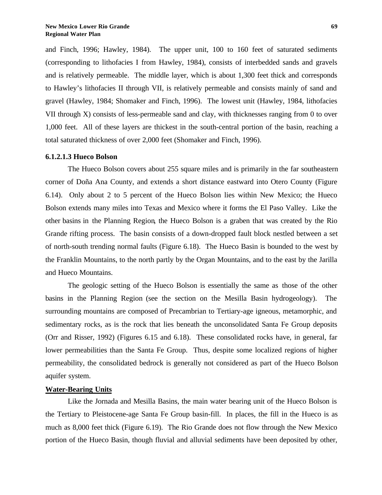and Finch, 1996; Hawley, 1984). The upper unit, 100 to 160 feet of saturated sediments (corresponding to lithofacies I from Hawley, 1984), consists of interbedded sands and gravels and is relatively permeable. The middle layer, which is about 1,300 feet thick and corresponds to Hawley's lithofacies II through VII, is relatively permeable and consists mainly of sand and gravel (Hawley, 1984; Shomaker and Finch, 1996). The lowest unit (Hawley, 1984, lithofacies VII through X) consists of less-permeable sand and clay, with thicknesses ranging from 0 to over 1,000 feet. All of these layers are thickest in the south-central portion of the basin, reaching a total saturated thickness of over 2,000 feet (Shomaker and Finch, 1996).

#### **6.1.2.1.3 Hueco Bolson**

The Hueco Bolson covers about 255 square miles and is primarily in the far southeastern corner of Doña Ana County, and extends a short distance eastward into Otero County (Figure 6.14). Only about 2 to 5 percent of the Hueco Bolson lies within New Mexico; the Hueco Bolson extends many miles into Texas and Mexico where it forms the El Paso Valley. Like the other basins in the Planning Region, the Hueco Bolson is a graben that was created by the Rio Grande rifting process. The basin consists of a down-dropped fault block nestled between a set of north-south trending normal faults (Figure 6.18). The Hueco Basin is bounded to the west by the Franklin Mountains, to the north partly by the Organ Mountains, and to the east by the Jarilla and Hueco Mountains.

The geologic setting of the Hueco Bolson is essentially the same as those of the other basins in the Planning Region (see the section on the Mesilla Basin hydrogeology). The surrounding mountains are composed of Precambrian to Tertiary-age igneous, metamorphic, and sedimentary rocks, as is the rock that lies beneath the unconsolidated Santa Fe Group deposits (Orr and Risser, 1992) (Figures 6.15 and 6.18). These consolidated rocks have, in general, far lower permeabilities than the Santa Fe Group. Thus, despite some localized regions of higher permeability, the consolidated bedrock is generally not considered as part of the Hueco Bolson aquifer system.

#### **Water-Bearing Units**

Like the Jornada and Mesilla Basins, the main water bearing unit of the Hueco Bolson is the Tertiary to Pleistocene-age Santa Fe Group basin-fill. In places, the fill in the Hueco is as much as 8,000 feet thick (Figure 6.19). The Rio Grande does not flow through the New Mexico portion of the Hueco Basin, though fluvial and alluvial sediments have been deposited by other,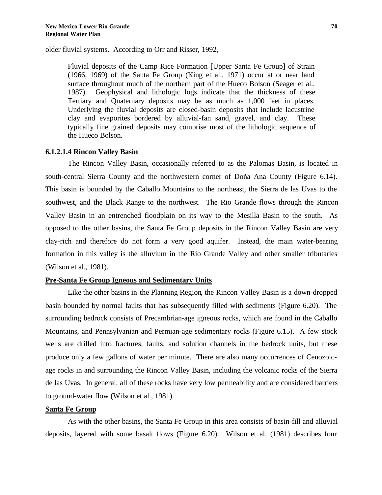older fluvial systems. According to Orr and Risser, 1992,

Fluvial deposits of the Camp Rice Formation [Upper Santa Fe Group] of Strain (1966, 1969) of the Santa Fe Group (King et al., 1971) occur at or near land surface throughout much of the northern part of the Hueco Bolson (Seager et al., 1987). Geophysical and lithologic logs indicate that the thickness of these Tertiary and Quaternary deposits may be as much as 1,000 feet in places. Underlying the fluvial deposits are closed-basin deposits that include lacustrine clay and evaporites bordered by alluvial-fan sand, gravel, and clay. These typically fine grained deposits may comprise most of the lithologic sequence of the Hueco Bolson.

#### **6.1.2.1.4 Rincon Valley Basin**

The Rincon Valley Basin, occasionally referred to as the Palomas Basin, is located in south-central Sierra County and the northwestern corner of Doña Ana County (Figure 6.14). This basin is bounded by the Caballo Mountains to the northeast, the Sierra de las Uvas to the southwest, and the Black Range to the northwest. The Rio Grande flows through the Rincon Valley Basin in an entrenched floodplain on its way to the Mesilla Basin to the south. As opposed to the other basins, the Santa Fe Group deposits in the Rincon Valley Basin are very clay-rich and therefore do not form a very good aquifer. Instead, the main water-bearing formation in this valley is the alluvium in the Rio Grande Valley and other smaller tributaries (Wilson et al., 1981).

#### **Pre-Santa Fe Group Igneous and Sedimentary Units**

Like the other basins in the Planning Region, the Rincon Valley Basin is a down-dropped basin bounded by normal faults that has subsequently filled with sediments (Figure 6.20). The surrounding bedrock consists of Precambrian-age igneous rocks, which are found in the Caballo Mountains, and Pennsylvanian and Permian-age sedimentary rocks (Figure 6.15). A few stock wells are drilled into fractures, faults, and solution channels in the bedrock units, but these produce only a few gallons of water per minute. There are also many occurrences of Cenozoicage rocks in and surrounding the Rincon Valley Basin, including the volcanic rocks of the Sierra de las Uvas. In general, all of these rocks have very low permeability and are considered barriers to ground-water flow (Wilson et al., 1981).

#### **Santa Fe Group**

As with the other basins, the Santa Fe Group in this area consists of basin-fill and alluvial deposits, layered with some basalt flows (Figure 6.20). Wilson et al. (1981) describes four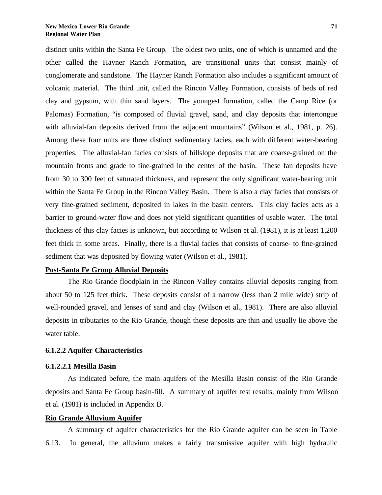distinct units within the Santa Fe Group. The oldest two units, one of which is unnamed and the other called the Hayner Ranch Formation, are transitional units that consist mainly of conglomerate and sandstone. The Hayner Ranch Formation also includes a significant amount of volcanic material. The third unit, called the Rincon Valley Formation, consists of beds of red clay and gypsum, with thin sand layers. The youngest formation, called the Camp Rice (or Palomas) Formation, "is composed of fluvial gravel, sand, and clay deposits that intertongue with alluvial-fan deposits derived from the adjacent mountains" (Wilson et al., 1981, p. 26). Among these four units are three distinct sedimentary facies, each with different water-bearing properties. The alluvial-fan facies consists of hillslope deposits that are coarse-grained on the mountain fronts and grade to fine-grained in the center of the basin. These fan deposits have from 30 to 300 feet of saturated thickness, and represent the only significant water-bearing unit within the Santa Fe Group in the Rincon Valley Basin. There is also a clay facies that consists of very fine-grained sediment, deposited in lakes in the basin centers. This clay facies acts as a barrier to ground-water flow and does not yield significant quantities of usable water. The total thickness of this clay facies is unknown, but according to Wilson et al. (1981), it is at least 1,200 feet thick in some areas. Finally, there is a fluvial facies that consists of coarse- to fine-grained sediment that was deposited by flowing water (Wilson et al., 1981).

## **Post-Santa Fe Group Alluvial Deposits**

The Rio Grande floodplain in the Rincon Valley contains alluvial deposits ranging from about 50 to 125 feet thick. These deposits consist of a narrow (less than 2 mile wide) strip of well-rounded gravel, and lenses of sand and clay (Wilson et al., 1981). There are also alluvial deposits in tributaries to the Rio Grande, though these deposits are thin and usually lie above the water table.

#### **6.1.2.2 Aquifer Characteristics**

#### **6.1.2.2.1 Mesilla Basin**

As indicated before, the main aquifers of the Mesilla Basin consist of the Rio Grande deposits and Santa Fe Group basin-fill. A summary of aquifer test results, mainly from Wilson et al. (1981) is included in Appendix B.

#### **Rio Grande Alluvium Aquifer**

A summary of aquifer characteristics for the Rio Grande aquifer can be seen in Table 6.13. In general, the alluvium makes a fairly transmissive aquifer with high hydraulic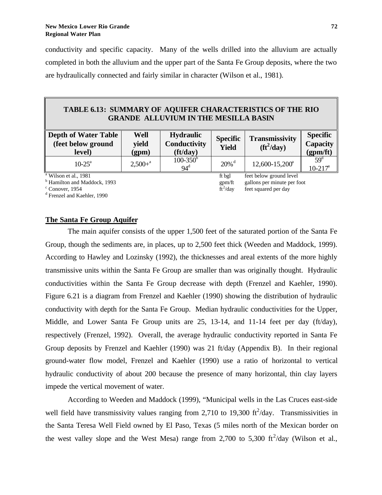conductivity and specific capacity. Many of the wells drilled into the alluvium are actually completed in both the alluvium and the upper part of the Santa Fe Group deposits, where the two are hydraulically connected and fairly similar in character (Wilson et al., 1981).

## **TABLE 6.13: SUMMARY OF AQUIFER CHARACTERISTICS OF THE RIO GRANDE ALLUVIUM IN THE MESILLA BASIN**

| <b>Depth of Water Table</b><br>(feet below ground<br>level) | Well<br>vield<br>(gpm) | <b>Hydraulic</b><br>Conductivity<br>$({\rm ft/day})$ | <b>Specific</b><br>Yield | <b>Transmissivity</b><br>$({\rm ft}^2/{\rm day})$ | <b>Specific</b><br><b>Capacity</b><br>(gpm/ft) |
|-------------------------------------------------------------|------------------------|------------------------------------------------------|--------------------------|---------------------------------------------------|------------------------------------------------|
| $10-25^{\circ}$                                             | $2,500+$ <sup>a</sup>  | $100-350^{\circ}$<br>94 <sup>d</sup>                 | $20\%$ <sup>d</sup>      | $12,600 - 15,200^{\circ}$                         | $59^{\rm d}$<br>$10 - 217$ <sup>a</sup>        |

<sup>a</sup> Wilson et al., 1981

 $\epsilon$  Conover, 1954 ft<sup>2</sup>

d Frenzel and Kaehler, 1990

ft bgl feet below ground level<br>gpm/ft gallons per minute per fo <sup>b</sup> Hamilton and Maddock, 1993 gpm/ft gallons per minute per foot  $\int \frac{f}{f}^2$ /day feet squared per day

## **The Santa Fe Group Aquifer**

The main aquifer consists of the upper 1,500 feet of the saturated portion of the Santa Fe Group, though the sediments are, in places, up to 2,500 feet thick (Weeden and Maddock, 1999). According to Hawley and Lozinsky (1992), the thicknesses and areal extents of the more highly transmissive units within the Santa Fe Group are smaller than was originally thought. Hydraulic conductivities within the Santa Fe Group decrease with depth (Frenzel and Kaehler, 1990). Figure 6.21 is a diagram from Frenzel and Kaehler (1990) showing the distribution of hydraulic conductivity with depth for the Santa Fe Group. Median hydraulic conductivities for the Upper, Middle, and Lower Santa Fe Group units are 25, 13-14, and 11-14 feet per day (ft/day), respectively (Frenzel, 1992). Overall, the average hydraulic conductivity reported in Santa Fe Group deposits by Frenzel and Kaehler (1990) was 21 ft/day (Appendix B). In their regional ground-water flow model, Frenzel and Kaehler (1990) use a ratio of horizontal to vertical hydraulic conductivity of about 200 because the presence of many horizontal, thin clay layers impede the vertical movement of water.

According to Weeden and Maddock (1999), "Municipal wells in the Las Cruces east-side well field have transmissivity values ranging from 2,710 to 19,300  $\text{ft}^2/\text{day}$ . Transmissivities in the Santa Teresa Well Field owned by El Paso, Texas (5 miles north of the Mexican border on the west valley slope and the West Mesa) range from 2,700 to 5,300  $\text{ft}^2/\text{day}$  (Wilson et al.,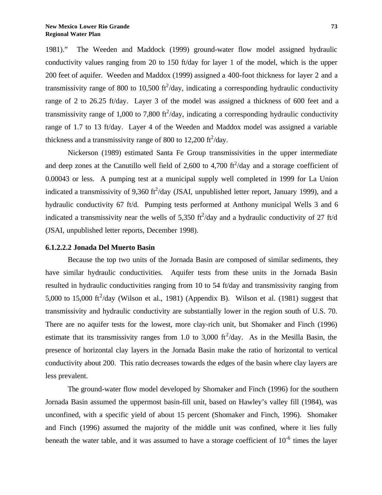1981)." The Weeden and Maddock (1999) ground-water flow model assigned hydraulic conductivity values ranging from 20 to 150 ft/day for layer 1 of the model, which is the upper 200 feet of aquifer. Weeden and Maddox (1999) assigned a 400-foot thickness for layer 2 and a transmissivity range of 800 to 10,500  $\text{ft}^2/\text{day}$ , indicating a corresponding hydraulic conductivity range of 2 to 26.25 ft/day. Layer 3 of the model was assigned a thickness of 600 feet and a transmissivity range of 1,000 to 7,800  $\text{ft}^2/\text{day}$ , indicating a corresponding hydraulic conductivity range of 1.7 to 13 ft/day. Layer 4 of the Weeden and Maddox model was assigned a variable thickness and a transmissivity range of 800 to  $12,200$  ft<sup>2</sup>/day.

Nickerson (1989) estimated Santa Fe Group transmissivities in the upper intermediate and deep zones at the Canutillo well field of 2,600 to 4,700  $\text{ft}^2/\text{day}$  and a storage coefficient of 0.00043 or less. A pumping test at a municipal supply well completed in 1999 for La Union indicated a transmissivity of 9,360 ft<sup>2</sup>/day (JSAI, unpublished letter report, January 1999), and a hydraulic conductivity 67 ft/d. Pumping tests performed at Anthony municipal Wells 3 and 6 indicated a transmissivity near the wells of 5,350 ft<sup>2</sup>/day and a hydraulic conductivity of 27 ft/d (JSAI, unpublished letter reports, December 1998).

## **6.1.2.2.2 Jonada Del Muerto Basin**

Because the top two units of the Jornada Basin are composed of similar sediments, they have similar hydraulic conductivities. Aquifer tests from these units in the Jornada Basin resulted in hydraulic conductivities ranging from 10 to 54 ft/day and transmissivity ranging from 5,000 to 15,000 ft<sup>2</sup>/day (Wilson et al., 1981) (Appendix B). Wilson et al. (1981) suggest that transmissivity and hydraulic conductivity are substantially lower in the region south of U.S. 70. There are no aquifer tests for the lowest, more clay-rich unit, but Shomaker and Finch (1996) estimate that its transmissivity ranges from 1.0 to 3,000  $\text{ft}^2/\text{day}$ . As in the Mesilla Basin, the presence of horizontal clay layers in the Jornada Basin make the ratio of horizontal to vertical conductivity about 200. This ratio decreases towards the edges of the basin where clay layers are less prevalent.

The ground-water flow model developed by Shomaker and Finch (1996) for the southern Jornada Basin assumed the uppermost basin-fill unit, based on Hawley's valley fill (1984), was unconfined, with a specific yield of about 15 percent (Shomaker and Finch, 1996). Shomaker and Finch (1996) assumed the majority of the middle unit was confined, where it lies fully beneath the water table, and it was assumed to have a storage coefficient of  $10^{-6}$  times the layer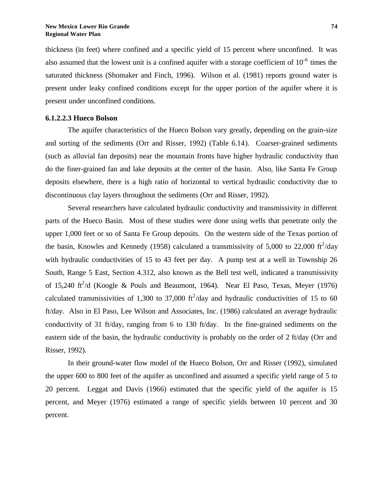thickness (in feet) where confined and a specific yield of 15 percent where unconfined. It was also assumed that the lowest unit is a confined aquifer with a storage coefficient of  $10^{-6}$  times the saturated thickness (Shomaker and Finch, 1996). Wilson et al. (1981) reports ground water is present under leaky confined conditions except for the upper portion of the aquifer where it is present under unconfined conditions.

## **6.1.2.2.3 Hueco Bolson**

The aquifer characteristics of the Hueco Bolson vary greatly, depending on the grain-size and sorting of the sediments (Orr and Risser, 1992) (Table 6.14). Coarser-grained sediments (such as alluvial fan deposits) near the mountain fronts have higher hydraulic conductivity than do the finer-grained fan and lake deposits at the center of the basin. Also, like Santa Fe Group deposits elsewhere, there is a high ratio of horizontal to vertical hydraulic conductivity due to discontinuous clay layers throughout the sediments (Orr and Risser, 1992).

Several researchers have calculated hydraulic conductivity and transmissivity in different parts of the Hueco Basin. Most of these studies were done using wells that penetrate only the upper 1,000 feet or so of Santa Fe Group deposits. On the western side of the Texas portion of the basin, Knowles and Kennedy (1958) calculated a transmissivity of 5,000 to 22,000  $\text{ft}^2/\text{day}$ with hydraulic conductivities of 15 to 43 feet per day. A pump test at a well in Township 26 South, Range 5 East, Section 4.312, also known as the Bell test well, indicated a transmissivity of 15,240 ft<sup>2</sup>/d (Koogle & Pouls and Beaumont, 1964). Near El Paso, Texas, Meyer (1976) calculated transmissivities of 1,300 to 37,000  $\text{ft}^2/\text{day}$  and hydraulic conductivities of 15 to 60 ft/day. Also in El Paso, Lee Wilson and Associates, Inc. (1986) calculated an average hydraulic conductivity of 31 ft/day, ranging from 6 to 130 ft/day. In the fine-grained sediments on the eastern side of the basin, the hydraulic conductivity is probably on the order of 2 ft/day (Orr and Risser, 1992).

In their ground-water flow model of the Hueco Bolson, Orr and Risser (1992), simulated the upper 600 to 800 feet of the aquifer as unconfined and assumed a specific yield range of 5 to 20 percent. Leggat and Davis (1966) estimated that the specific yield of the aquifer is 15 percent, and Meyer (1976) estimated a range of specific yields between 10 percent and 30 percent.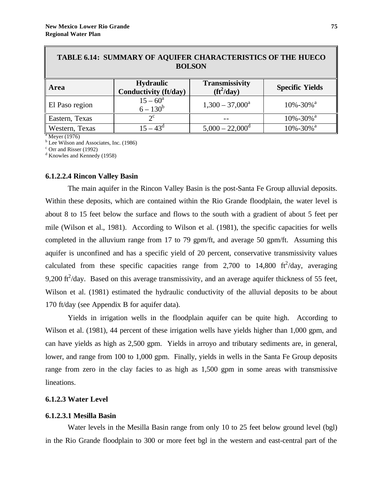| TABLE 6.14: SUMMARY OF AQUIFER CHARACTERISTICS OF THE HUECO<br><b>BOLSON</b> |                                           |                                                   |                            |  |  |
|------------------------------------------------------------------------------|-------------------------------------------|---------------------------------------------------|----------------------------|--|--|
| Area                                                                         | <b>Hydraulic</b><br>Conductivity (ft/day) | <b>Transmissivity</b><br>$({\rm ft}^2/{\rm day})$ | <b>Specific Yields</b>     |  |  |
| El Paso region                                                               | $15 - 60^a$<br>6 - 130 <sup>b</sup>       | $1,300 - 37,000^a$                                | $10\% - 30\%$ <sup>a</sup> |  |  |
| Eastern, Texas                                                               | $2^{\circ}$                               |                                                   | $10\% - 30\%$ <sup>a</sup> |  |  |
| Western, Texas                                                               | $15 - 43^d$                               | $5,000 - 22,000^{\mathrm{d}}$                     | $10\% - 30\%$ <sup>a</sup> |  |  |

<sup>a</sup> Meyer (1976)

<sup>b</sup> Lee Wilson and Associates, Inc. (1986)

<sup>c</sup> Orr and Risser (1992)

<sup>d</sup> Knowles and Kennedy (1958)

#### **6.1.2.2.4 Rincon Valley Basin**

The main aquifer in the Rincon Valley Basin is the post-Santa Fe Group alluvial deposits. Within these deposits, which are contained within the Rio Grande floodplain, the water level is about 8 to 15 feet below the surface and flows to the south with a gradient of about 5 feet per mile (Wilson et al., 1981). According to Wilson et al. (1981), the specific capacities for wells completed in the alluvium range from 17 to 79 gpm/ft, and average 50 gpm/ft. Assuming this aquifer is unconfined and has a specific yield of 20 percent, conservative transmissivity values calculated from these specific capacities range from 2,700 to 14,800  $\text{ft}^2/\text{day}$ , averaging 9,200 ft<sup>2</sup>/day. Based on this average transmissivity, and an average aquifer thickness of 55 feet, Wilson et al. (1981) estimated the hydraulic conductivity of the alluvial deposits to be about 170 ft/day (see Appendix B for aquifer data).

Yields in irrigation wells in the floodplain aquifer can be quite high. According to Wilson et al. (1981), 44 percent of these irrigation wells have yields higher than 1,000 gpm, and can have yields as high as 2,500 gpm. Yields in arroyo and tributary sediments are, in general, lower, and range from 100 to 1,000 gpm. Finally, yields in wells in the Santa Fe Group deposits range from zero in the clay facies to as high as 1,500 gpm in some areas with transmissive lineations.

### **6.1.2.3 Water Level**

#### **6.1.2.3.1 Mesilla Basin**

Water levels in the Mesilla Basin range from only 10 to 25 feet below ground level (bgl) in the Rio Grande floodplain to 300 or more feet bgl in the western and east-central part of the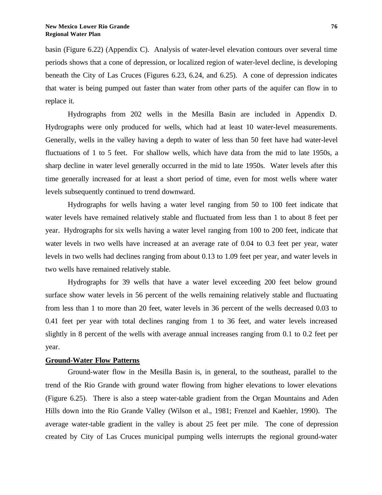basin (Figure 6.22) (Appendix C). Analysis of water-level elevation contours over several time periods shows that a cone of depression, or localized region of water-level decline, is developing beneath the City of Las Cruces (Figures 6.23, 6.24, and 6.25). A cone of depression indicates that water is being pumped out faster than water from other parts of the aquifer can flow in to replace it.

Hydrographs from 202 wells in the Mesilla Basin are included in Appendix D. Hydrographs were only produced for wells, which had at least 10 water-level measurements. Generally, wells in the valley having a depth to water of less than 50 feet have had water-level fluctuations of 1 to 5 feet. For shallow wells, which have data from the mid to late 1950s, a sharp decline in water level generally occurred in the mid to late 1950s. Water levels after this time generally increased for at least a short period of time, even for most wells where water levels subsequently continued to trend downward.

Hydrographs for wells having a water level ranging from 50 to 100 feet indicate that water levels have remained relatively stable and fluctuated from less than 1 to about 8 feet per year. Hydrographs for six wells having a water level ranging from 100 to 200 feet, indicate that water levels in two wells have increased at an average rate of 0.04 to 0.3 feet per year, water levels in two wells had declines ranging from about 0.13 to 1.09 feet per year, and water levels in two wells have remained relatively stable.

Hydrographs for 39 wells that have a water level exceeding 200 feet below ground surface show water levels in 56 percent of the wells remaining relatively stable and fluctuating from less than 1 to more than 20 feet, water levels in 36 percent of the wells decreased 0.03 to 0.41 feet per year with total declines ranging from 1 to 36 feet, and water levels increased slightly in 8 percent of the wells with average annual increases ranging from 0.1 to 0.2 feet per year.

#### **Ground-Water Flow Patterns**

Ground-water flow in the Mesilla Basin is, in general, to the southeast, parallel to the trend of the Rio Grande with ground water flowing from higher elevations to lower elevations (Figure 6.25). There is also a steep water-table gradient from the Organ Mountains and Aden Hills down into the Rio Grande Valley (Wilson et al., 1981; Frenzel and Kaehler, 1990). The average water-table gradient in the valley is about 25 feet per mile. The cone of depression created by City of Las Cruces municipal pumping wells interrupts the regional ground-water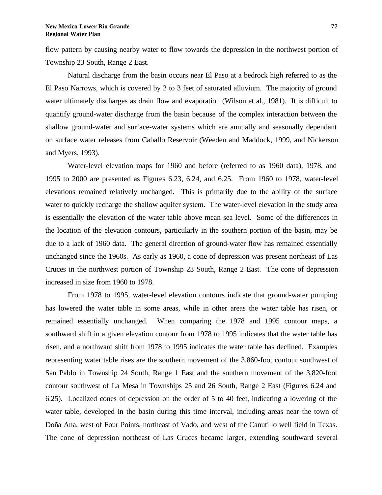flow pattern by causing nearby water to flow towards the depression in the northwest portion of Township 23 South, Range 2 East.

Natural discharge from the basin occurs near El Paso at a bedrock high referred to as the El Paso Narrows, which is covered by 2 to 3 feet of saturated alluvium. The majority of ground water ultimately discharges as drain flow and evaporation (Wilson et al., 1981). It is difficult to quantify ground-water discharge from the basin because of the complex interaction between the shallow ground-water and surface-water systems which are annually and seasonally dependant on surface water releases from Caballo Reservoir (Weeden and Maddock, 1999, and Nickerson and Myers, 1993).

Water-level elevation maps for 1960 and before (referred to as 1960 data), 1978, and 1995 to 2000 are presented as Figures 6.23, 6.24, and 6.25. From 1960 to 1978, water-level elevations remained relatively unchanged. This is primarily due to the ability of the surface water to quickly recharge the shallow aquifer system. The water-level elevation in the study area is essentially the elevation of the water table above mean sea level. Some of the differences in the location of the elevation contours, particularly in the southern portion of the basin, may be due to a lack of 1960 data. The general direction of ground-water flow has remained essentially unchanged since the 1960s. As early as 1960, a cone of depression was present northeast of Las Cruces in the northwest portion of Township 23 South, Range 2 East. The cone of depression increased in size from 1960 to 1978.

From 1978 to 1995, water-level elevation contours indicate that ground-water pumping has lowered the water table in some areas, while in other areas the water table has risen, or remained essentially unchanged. When comparing the 1978 and 1995 contour maps, a southward shift in a given elevation contour from 1978 to 1995 indicates that the water table has risen, and a northward shift from 1978 to 1995 indicates the water table has declined. Examples representing water table rises are the southern movement of the 3,860-foot contour southwest of San Pablo in Township 24 South, Range 1 East and the southern movement of the 3,820-foot contour southwest of La Mesa in Townships 25 and 26 South, Range 2 East (Figures 6.24 and 6.25). Localized cones of depression on the order of 5 to 40 feet, indicating a lowering of the water table, developed in the basin during this time interval, including areas near the town of Doña Ana, west of Four Points, northeast of Vado, and west of the Canutillo well field in Texas. The cone of depression northeast of Las Cruces became larger, extending southward several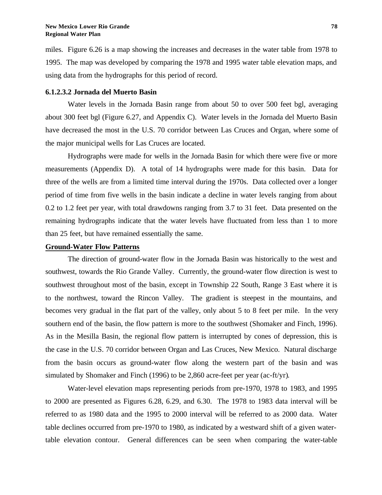miles. Figure 6.26 is a map showing the increases and decreases in the water table from 1978 to 1995. The map was developed by comparing the 1978 and 1995 water table elevation maps, and using data from the hydrographs for this period of record.

#### **6.1.2.3.2 Jornada del Muerto Basin**

Water levels in the Jornada Basin range from about 50 to over 500 feet bgl, averaging about 300 feet bgl (Figure 6.27, and Appendix C). Water levels in the Jornada del Muerto Basin have decreased the most in the U.S. 70 corridor between Las Cruces and Organ, where some of the major municipal wells for Las Cruces are located.

Hydrographs were made for wells in the Jornada Basin for which there were five or more measurements (Appendix D). A total of 14 hydrographs were made for this basin. Data for three of the wells are from a limited time interval during the 1970s. Data collected over a longer period of time from five wells in the basin indicate a decline in water levels ranging from about 0.2 to 1.2 feet per year, with total drawdowns ranging from 3.7 to 31 feet. Data presented on the remaining hydrographs indicate that the water levels have fluctuated from less than 1 to more than 25 feet, but have remained essentially the same.

## **Ground-Water Flow Patterns**

The direction of ground-water flow in the Jornada Basin was historically to the west and southwest, towards the Rio Grande Valley. Currently, the ground-water flow direction is west to southwest throughout most of the basin, except in Township 22 South, Range 3 East where it is to the northwest, toward the Rincon Valley. The gradient is steepest in the mountains, and becomes very gradual in the flat part of the valley, only about 5 to 8 feet per mile. In the very southern end of the basin, the flow pattern is more to the southwest (Shomaker and Finch, 1996). As in the Mesilla Basin, the regional flow pattern is interrupted by cones of depression, this is the case in the U.S. 70 corridor between Organ and Las Cruces, New Mexico. Natural discharge from the basin occurs as ground-water flow along the western part of the basin and was simulated by Shomaker and Finch (1996) to be 2,860 acre-feet per year (ac-ft/yr).

Water-level elevation maps representing periods from pre-1970, 1978 to 1983, and 1995 to 2000 are presented as Figures 6.28, 6.29, and 6.30. The 1978 to 1983 data interval will be referred to as 1980 data and the 1995 to 2000 interval will be referred to as 2000 data. Water table declines occurred from pre-1970 to 1980, as indicated by a westward shift of a given watertable elevation contour. General differences can be seen when comparing the water-table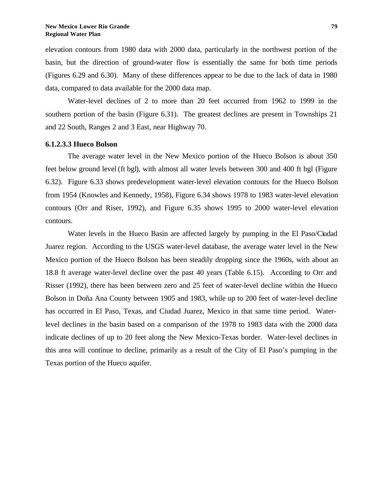elevation contours from 1980 data with 2000 data, particularly in the northwest portion of the basin, but the direction of ground-water flow is essentially the same for both time periods (Figures 6.29 and 6.30). Many of these differences appear to be due to the lack of data in 1980 data, compared to data available for the 2000 data map.

Water-level declines of 2 to more than 20 feet occurred from 1962 to 1999 in the southern portion of the basin (Figure 6.31). The greatest declines are present in Townships 21 and 22 South, Ranges 2 and 3 East, near Highway 70.

## **6.1.2.3.3 Hueco Bolson**

The average water level in the New Mexico portion of the Hueco Bolson is about 350 feet below ground level (ft bgl), with almost all water levels between 300 and 400 ft bgl (Figure 6.32). Figure 6.33 shows predevelopment water-level elevation contours for the Hueco Bolson from 1954 (Knowles and Kennedy, 1958), Figure 6.34 shows 1978 to 1983 water-level elevation contours (Orr and Riser, 1992), and Figure 6.35 shows 1995 to 2000 water-level elevation contours.

Water levels in the Hueco Basin are affected largely by pumping in the El Paso/Ciudad Juarez region. According to the USGS water-level database, the average water level in the New Mexico portion of the Hueco Bolson has been steadily dropping since the 1960s, with about an 18.8 ft average water-level decline over the past 40 years (Table 6.15). According to Orr and Risser (1992), there has been between zero and 25 feet of water-level decline within the Hueco Bolson in Doña Ana County between 1905 and 1983, while up to 200 feet of water-level decline has occurred in El Paso, Texas, and Ciudad Juarez, Mexico in that same time period. Waterlevel declines in the basin based on a comparison of the 1978 to 1983 data with the 2000 data indicate declines of up to 20 feet along the New Mexico-Texas border. Water-level declines in this area will continue to decline, primarily as a result of the City of El Paso's pumping in the Texas portion of the Hueco aquifer.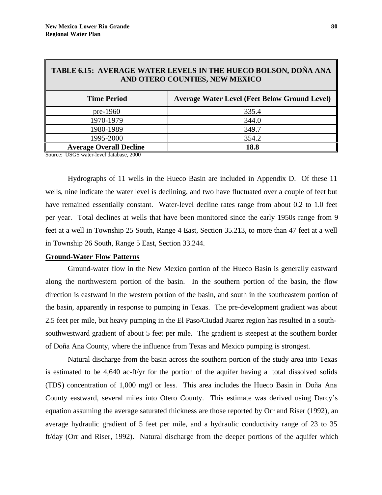| TABLE 6.15: AVERAGE WATER LEVELS IN THE HUECO BOLSON, DONA ANA<br>AND OTERO COUNTIES, NEW MEXICO |                                                      |  |  |  |
|--------------------------------------------------------------------------------------------------|------------------------------------------------------|--|--|--|
| <b>Time Period</b>                                                                               | <b>Average Water Level (Feet Below Ground Level)</b> |  |  |  |
| $pre-1960$                                                                                       | 335.4                                                |  |  |  |
| 1970-1979                                                                                        | 344.0                                                |  |  |  |
| 1980-1989                                                                                        | 349.7                                                |  |  |  |
| 1995-2000                                                                                        | 354.2                                                |  |  |  |
| <b>Average Overall Decline</b>                                                                   | 18.8                                                 |  |  |  |

## **TABLE 6.15: AVERAGE WATER LEVELS IN THE HUECO BOLSON, DOÑA ANA**

Source: USGS water-level database, 2000

Hydrographs of 11 wells in the Hueco Basin are included in Appendix D. Of these 11 wells, nine indicate the water level is declining, and two have fluctuated over a couple of feet but have remained essentially constant. Water-level decline rates range from about 0.2 to 1.0 feet per year. Total declines at wells that have been monitored since the early 1950s range from 9 feet at a well in Township 25 South, Range 4 East, Section 35.213, to more than 47 feet at a well in Township 26 South, Range 5 East, Section 33.244.

#### **Ground-Water Flow Patterns**

Ground-water flow in the New Mexico portion of the Hueco Basin is generally eastward along the northwestern portion of the basin. In the southern portion of the basin, the flow direction is eastward in the western portion of the basin, and south in the southeastern portion of the basin, apparently in response to pumping in Texas. The pre-development gradient was about 2.5 feet per mile, but heavy pumping in the El Paso/Ciudad Juarez region has resulted in a southsouthwestward gradient of about 5 feet per mile. The gradient is steepest at the southern border of Doña Ana County, where the influence from Texas and Mexico pumping is strongest.

Natural discharge from the basin across the southern portion of the study area into Texas is estimated to be 4,640 ac-ft/yr for the portion of the aquifer having a total dissolved solids (TDS) concentration of 1,000 mg/l or less. This area includes the Hueco Basin in Doña Ana County eastward, several miles into Otero County. This estimate was derived using Darcy's equation assuming the average saturated thickness are those reported by Orr and Riser (1992), an average hydraulic gradient of 5 feet per mile, and a hydraulic conductivity range of 23 to 35 ft/day (Orr and Riser, 1992). Natural discharge from the deeper portions of the aquifer which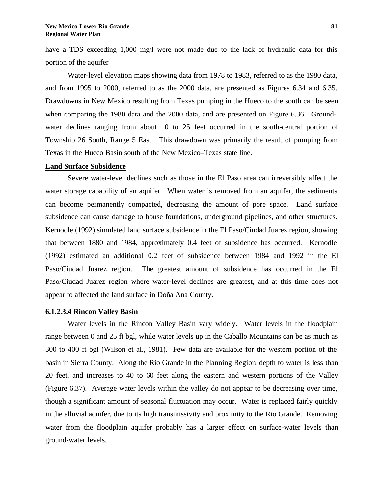have a TDS exceeding 1,000 mg/l were not made due to the lack of hydraulic data for this portion of the aquifer

Water-level elevation maps showing data from 1978 to 1983, referred to as the 1980 data, and from 1995 to 2000, referred to as the 2000 data, are presented as Figures 6.34 and 6.35. Drawdowns in New Mexico resulting from Texas pumping in the Hueco to the south can be seen when comparing the 1980 data and the 2000 data, and are presented on Figure 6.36. Groundwater declines ranging from about 10 to 25 feet occurred in the south-central portion of Township 26 South, Range 5 East. This drawdown was primarily the result of pumping from Texas in the Hueco Basin south of the New Mexico–Texas state line.

#### **Land Surface Subsidence**

Severe water-level declines such as those in the El Paso area can irreversibly affect the water storage capability of an aquifer. When water is removed from an aquifer, the sediments can become permanently compacted, decreasing the amount of pore space. Land surface subsidence can cause damage to house foundations, underground pipelines, and other structures. Kernodle (1992) simulated land surface subsidence in the El Paso/Ciudad Juarez region, showing that between 1880 and 1984, approximately 0.4 feet of subsidence has occurred. Kernodle (1992) estimated an additional 0.2 feet of subsidence between 1984 and 1992 in the El Paso/Ciudad Juarez region. The greatest amount of subsidence has occurred in the El Paso/Ciudad Juarez region where water-level declines are greatest, and at this time does not appear to affected the land surface in Doña Ana County.

#### **6.1.2.3.4 Rincon Valley Basin**

Water levels in the Rincon Valley Basin vary widely. Water levels in the floodplain range between 0 and 25 ft bgl, while water levels up in the Caballo Mountains can be as much as 300 to 400 ft bgl (Wilson et al., 1981). Few data are available for the western portion of the basin in Sierra County. Along the Rio Grande in the Planning Region, depth to water is less than 20 feet, and increases to 40 to 60 feet along the eastern and western portions of the Valley (Figure 6.37). Average water levels within the valley do not appear to be decreasing over time, though a significant amount of seasonal fluctuation may occur. Water is replaced fairly quickly in the alluvial aquifer, due to its high transmissivity and proximity to the Rio Grande. Removing water from the floodplain aquifer probably has a larger effect on surface-water levels than ground-water levels.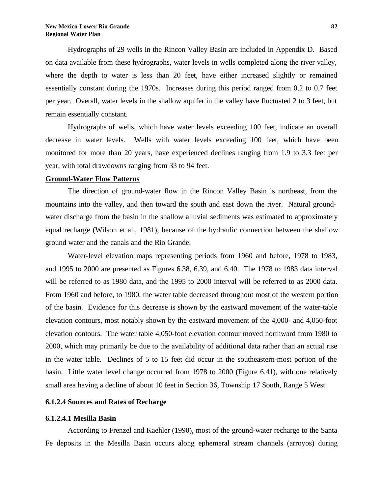Hydrographs of 29 wells in the Rincon Valley Basin are included in Appendix D. Based on data available from these hydrographs, water levels in wells completed along the river valley, where the depth to water is less than 20 feet, have either increased slightly or remained essentially constant during the 1970s. Increases during this period ranged from 0.2 to 0.7 feet per year. Overall, water levels in the shallow aquifer in the valley have fluctuated 2 to 3 feet, but remain essentially constant.

Hydrographs of wells, which have water levels exceeding 100 feet, indicate an overall decrease in water levels. Wells with water levels exceeding 100 feet, which have been monitored for more than 20 years, have experienced declines ranging from 1.9 to 3.3 feet per year, with total drawdowns ranging from 33 to 94 feet.

## **Ground-Water Flow Patterns**

The direction of ground-water flow in the Rincon Valley Basin is northeast, from the mountains into the valley, and then toward the south and east down the river. Natural groundwater discharge from the basin in the shallow alluvial sediments was estimated to approximately equal recharge (Wilson et al., 1981), because of the hydraulic connection between the shallow ground water and the canals and the Rio Grande.

Water-level elevation maps representing periods from 1960 and before, 1978 to 1983, and 1995 to 2000 are presented as Figures 6.38, 6.39, and 6.40. The 1978 to 1983 data interval will be referred to as 1980 data, and the 1995 to 2000 interval will be referred to as 2000 data. From 1960 and before, to 1980, the water table decreased throughout most of the western portion of the basin. Evidence for this decrease is shown by the eastward movement of the water-table elevation contours, most notably shown by the eastward movement of the 4,000- and 4,050-foot elevation contours. The water table 4,050-foot elevation contour moved northward from 1980 to 2000, which may primarily be due to the availability of additional data rather than an actual rise in the water table. Declines of 5 to 15 feet did occur in the southeastern-most portion of the basin. Little water level change occurred from 1978 to 2000 (Figure 6.41), with one relatively small area having a decline of about 10 feet in Section 36, Township 17 South, Range 5 West.

## **6.1.2.4 Sources and Rates of Recharge**

#### **6.1.2.4.1 Mesilla Basin**

According to Frenzel and Kaehler (1990), most of the ground-water recharge to the Santa Fe deposits in the Mesilla Basin occurs along ephemeral stream channels (arroyos) during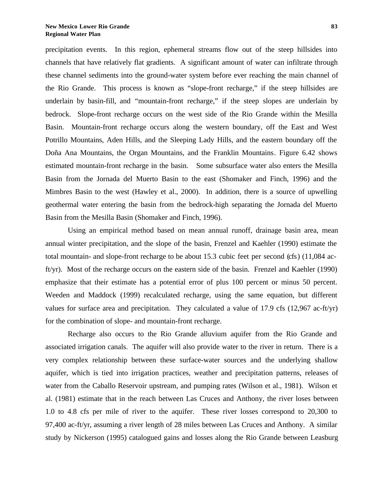precipitation events. In this region, ephemeral streams flow out of the steep hillsides into channels that have relatively flat gradients. A significant amount of water can infiltrate through these channel sediments into the ground-water system before ever reaching the main channel of the Rio Grande. This process is known as "slope-front recharge," if the steep hillsides are underlain by basin-fill, and "mountain-front recharge," if the steep slopes are underlain by bedrock. Slope-front recharge occurs on the west side of the Rio Grande within the Mesilla Basin. Mountain-front recharge occurs along the western boundary, off the East and West Potrillo Mountains, Aden Hills, and the Sleeping Lady Hills, and the eastern boundary off the Doña Ana Mountains, the Organ Mountains, and the Franklin Mountains. Figure 6.42 shows estimated mountain-front recharge in the basin. Some subsurface water also enters the Mesilla Basin from the Jornada del Muerto Basin to the east (Shomaker and Finch, 1996) and the Mimbres Basin to the west (Hawley et al., 2000). In addition, there is a source of upwelling geothermal water entering the basin from the bedrock-high separating the Jornada del Muerto Basin from the Mesilla Basin (Shomaker and Finch, 1996).

Using an empirical method based on mean annual runoff, drainage basin area, mean annual winter precipitation, and the slope of the basin, Frenzel and Kaehler (1990) estimate the total mountain- and slope-front recharge to be about 15.3 cubic feet per second (cfs) (11,084 acft/yr). Most of the recharge occurs on the eastern side of the basin. Frenzel and Kaehler (1990) emphasize that their estimate has a potential error of plus 100 percent or minus 50 percent. Weeden and Maddock (1999) recalculated recharge, using the same equation, but different values for surface area and precipitation. They calculated a value of 17.9 cfs (12,967 ac-ft/yr) for the combination of slope- and mountain-front recharge.

Recharge also occurs to the Rio Grande alluvium aquifer from the Rio Grande and associated irrigation canals. The aquifer will also provide water to the river in return. There is a very complex relationship between these surface-water sources and the underlying shallow aquifer, which is tied into irrigation practices, weather and precipitation patterns, releases of water from the Caballo Reservoir upstream, and pumping rates (Wilson et al., 1981). Wilson et al. (1981) estimate that in the reach between Las Cruces and Anthony, the river loses between 1.0 to 4.8 cfs per mile of river to the aquifer. These river losses correspond to 20,300 to 97,400 ac-ft/yr, assuming a river length of 28 miles between Las Cruces and Anthony. A similar study by Nickerson (1995) catalogued gains and losses along the Rio Grande between Leasburg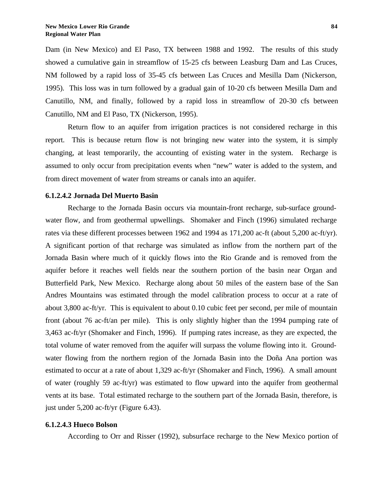Dam (in New Mexico) and El Paso, TX between 1988 and 1992. The results of this study showed a cumulative gain in streamflow of 15-25 cfs between Leasburg Dam and Las Cruces, NM followed by a rapid loss of 35-45 cfs between Las Cruces and Mesilla Dam (Nickerson, 1995). This loss was in turn followed by a gradual gain of 10-20 cfs between Mesilla Dam and Canutillo, NM, and finally, followed by a rapid loss in streamflow of 20-30 cfs between Canutillo, NM and El Paso, TX (Nickerson, 1995).

Return flow to an aquifer from irrigation practices is not considered recharge in this report. This is because return flow is not bringing new water into the system, it is simply changing, at least temporarily, the accounting of existing water in the system. Recharge is assumed to only occur from precipitation events when "new" water is added to the system, and from direct movement of water from streams or canals into an aquifer.

## **6.1.2.4.2 Jornada Del Muerto Basin**

Recharge to the Jornada Basin occurs via mountain-front recharge, sub-surface groundwater flow, and from geothermal upwellings. Shomaker and Finch (1996) simulated recharge rates via these different processes between 1962 and 1994 as 171,200 ac-ft (about 5,200 ac-ft/yr). A significant portion of that recharge was simulated as inflow from the northern part of the Jornada Basin where much of it quickly flows into the Rio Grande and is removed from the aquifer before it reaches well fields near the southern portion of the basin near Organ and Butterfield Park, New Mexico. Recharge along about 50 miles of the eastern base of the San Andres Mountains was estimated through the model calibration process to occur at a rate of about 3,800 ac-ft/yr. This is equivalent to about 0.10 cubic feet per second, per mile of mountain front (about 76 ac-ft/an per mile). This is only slightly higher than the 1994 pumping rate of 3,463 ac-ft/yr (Shomaker and Finch, 1996). If pumping rates increase, as they are expected, the total volume of water removed from the aquifer will surpass the volume flowing into it. Groundwater flowing from the northern region of the Jornada Basin into the Doña Ana portion was estimated to occur at a rate of about 1,329 ac-ft/yr (Shomaker and Finch, 1996). A small amount of water (roughly 59 ac-ft/yr) was estimated to flow upward into the aquifer from geothermal vents at its base. Total estimated recharge to the southern part of the Jornada Basin, therefore, is just under 5,200 ac-ft/yr (Figure 6.43).

#### **6.1.2.4.3 Hueco Bolson**

According to Orr and Risser (1992), subsurface recharge to the New Mexico portion of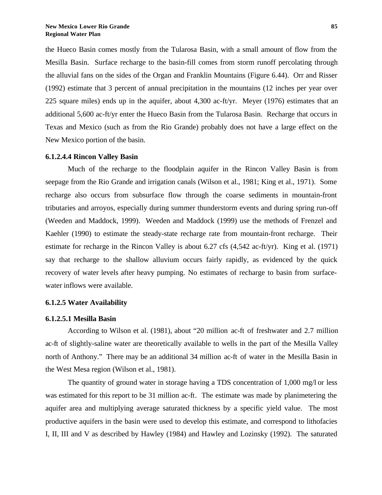the Hueco Basin comes mostly from the Tularosa Basin, with a small amount of flow from the Mesilla Basin. Surface recharge to the basin-fill comes from storm runoff percolating through the alluvial fans on the sides of the Organ and Franklin Mountains (Figure 6.44). Orr and Risser (1992) estimate that 3 percent of annual precipitation in the mountains (12 inches per year over 225 square miles) ends up in the aquifer, about 4,300 ac-ft/yr. Meyer (1976) estimates that an additional 5,600 ac-ft/yr enter the Hueco Basin from the Tularosa Basin. Recharge that occurs in Texas and Mexico (such as from the Rio Grande) probably does not have a large effect on the New Mexico portion of the basin.

#### **6.1.2.4.4 Rincon Valley Basin**

Much of the recharge to the floodplain aquifer in the Rincon Valley Basin is from seepage from the Rio Grande and irrigation canals (Wilson et al., 1981; King et al., 1971). Some recharge also occurs from subsurface flow through the coarse sediments in mountain-front tributaries and arroyos, especially during summer thunderstorm events and during spring run-off (Weeden and Maddock, 1999). Weeden and Maddock (1999) use the methods of Frenzel and Kaehler (1990) to estimate the steady-state recharge rate from mountain-front recharge. Their estimate for recharge in the Rincon Valley is about 6.27 cfs (4,542 ac-ft/yr). King et al. (1971) say that recharge to the shallow alluvium occurs fairly rapidly, as evidenced by the quick recovery of water levels after heavy pumping. No estimates of recharge to basin from surfacewater inflows were available.

#### **6.1.2.5 Water Availability**

#### **6.1.2.5.1 Mesilla Basin**

According to Wilson et al. (1981), about "20 million ac-ft of freshwater and 2.7 million ac-ft of slightly-saline water are theoretically available to wells in the part of the Mesilla Valley north of Anthony." There may be an additional 34 million ac-ft of water in the Mesilla Basin in the West Mesa region (Wilson et al., 1981).

The quantity of ground water in storage having a TDS concentration of 1,000 mg/l or less was estimated for this report to be 31 million ac-ft. The estimate was made by planimetering the aquifer area and multiplying average saturated thickness by a specific yield value. The most productive aquifers in the basin were used to develop this estimate, and correspond to lithofacies I, II, III and V as described by Hawley (1984) and Hawley and Lozinsky (1992). The saturated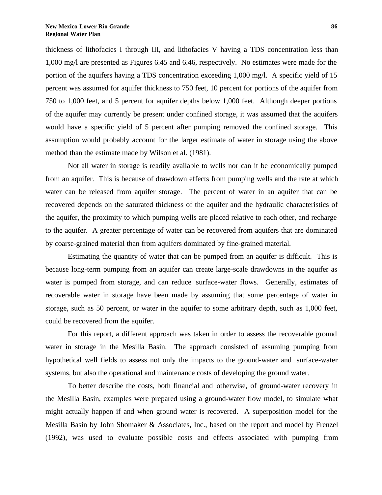thickness of lithofacies I through III, and lithofacies V having a TDS concentration less than 1,000 mg/l are presented as Figures 6.45 and 6.46, respectively. No estimates were made for the portion of the aquifers having a TDS concentration exceeding 1,000 mg/l. A specific yield of 15 percent was assumed for aquifer thickness to 750 feet, 10 percent for portions of the aquifer from 750 to 1,000 feet, and 5 percent for aquifer depths below 1,000 feet. Although deeper portions of the aquifer may currently be present under confined storage, it was assumed that the aquifers would have a specific yield of 5 percent after pumping removed the confined storage. This assumption would probably account for the larger estimate of water in storage using the above method than the estimate made by Wilson et al. (1981).

Not all water in storage is readily available to wells nor can it be economically pumped from an aquifer. This is because of drawdown effects from pumping wells and the rate at which water can be released from aquifer storage. The percent of water in an aquifer that can be recovered depends on the saturated thickness of the aquifer and the hydraulic characteristics of the aquifer, the proximity to which pumping wells are placed relative to each other, and recharge to the aquifer. A greater percentage of water can be recovered from aquifers that are dominated by coarse-grained material than from aquifers dominated by fine-grained material.

Estimating the quantity of water that can be pumped from an aquifer is difficult. This is because long-term pumping from an aquifer can create large-scale drawdowns in the aquifer as water is pumped from storage, and can reduce surface-water flows. Generally, estimates of recoverable water in storage have been made by assuming that some percentage of water in storage, such as 50 percent, or water in the aquifer to some arbitrary depth, such as 1,000 feet, could be recovered from the aquifer.

For this report, a different approach was taken in order to assess the recoverable ground water in storage in the Mesilla Basin. The approach consisted of assuming pumping from hypothetical well fields to assess not only the impacts to the ground-water and surface-water systems, but also the operational and maintenance costs of developing the ground water.

To better describe the costs, both financial and otherwise, of ground-water recovery in the Mesilla Basin, examples were prepared using a ground-water flow model, to simulate what might actually happen if and when ground water is recovered. A superposition model for the Mesilla Basin by John Shomaker & Associates, Inc., based on the report and model by Frenzel (1992), was used to evaluate possible costs and effects associated with pumping from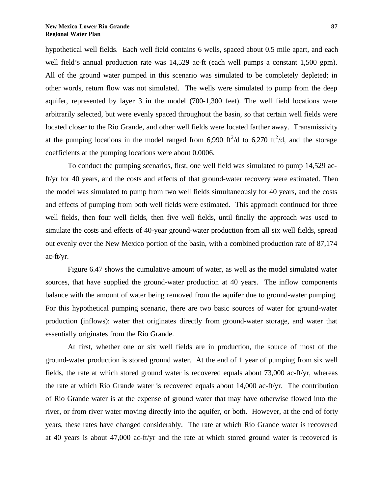hypothetical well fields. Each well field contains 6 wells, spaced about 0.5 mile apart, and each well field's annual production rate was 14,529 ac-ft (each well pumps a constant 1,500 gpm). All of the ground water pumped in this scenario was simulated to be completely depleted; in other words, return flow was not simulated. The wells were simulated to pump from the deep aquifer, represented by layer 3 in the model (700-1,300 feet). The well field locations were arbitrarily selected, but were evenly spaced throughout the basin, so that certain well fields were located closer to the Rio Grande, and other well fields were located farther away. Transmissivity at the pumping locations in the model ranged from 6,990  $\text{ft}^2/\text{d}$  to 6,270  $\text{ft}^2/\text{d}$ , and the storage coefficients at the pumping locations were about 0.0006.

To conduct the pumping scenarios, first, one well field was simulated to pump 14,529 acft/yr for 40 years, and the costs and effects of that ground-water recovery were estimated. Then the model was simulated to pump from two well fields simultaneously for 40 years, and the costs and effects of pumping from both well fields were estimated. This approach continued for three well fields, then four well fields, then five well fields, until finally the approach was used to simulate the costs and effects of 40-year ground-water production from all six well fields, spread out evenly over the New Mexico portion of the basin, with a combined production rate of 87,174 ac-ft/yr.

Figure 6.47 shows the cumulative amount of water, as well as the model simulated water sources, that have supplied the ground-water production at 40 years. The inflow components balance with the amount of water being removed from the aquifer due to ground-water pumping. For this hypothetical pumping scenario, there are two basic sources of water for ground-water production (inflows): water that originates directly from ground-water storage, and water that essentially originates from the Rio Grande.

At first, whether one or six well fields are in production, the source of most of the ground-water production is stored ground water. At the end of 1 year of pumping from six well fields, the rate at which stored ground water is recovered equals about 73,000 ac-ft/yr, whereas the rate at which Rio Grande water is recovered equals about 14,000 ac-ft/yr. The contribution of Rio Grande water is at the expense of ground water that may have otherwise flowed into the river, or from river water moving directly into the aquifer, or both. However, at the end of forty years, these rates have changed considerably. The rate at which Rio Grande water is recovered at 40 years is about 47,000 ac-ft/yr and the rate at which stored ground water is recovered is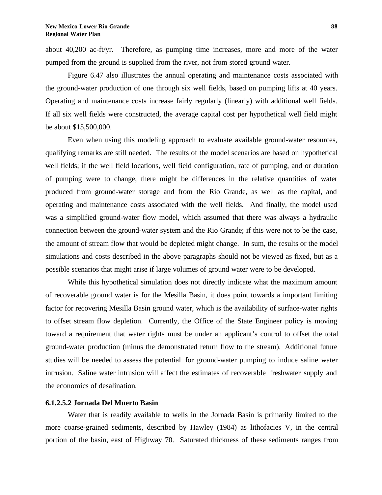about 40,200 ac-ft/yr. Therefore, as pumping time increases, more and more of the water pumped from the ground is supplied from the river, not from stored ground water.

Figure 6.47 also illustrates the annual operating and maintenance costs associated with the ground-water production of one through six well fields, based on pumping lifts at 40 years. Operating and maintenance costs increase fairly regularly (linearly) with additional well fields. If all six well fields were constructed, the average capital cost per hypothetical well field might be about \$15,500,000.

Even when using this modeling approach to evaluate available ground-water resources, qualifying remarks are still needed. The results of the model scenarios are based on hypothetical well fields; if the well field locations, well field configuration, rate of pumping, and or duration of pumping were to change, there might be differences in the relative quantities of water produced from ground-water storage and from the Rio Grande, as well as the capital, and operating and maintenance costs associated with the well fields. And finally, the model used was a simplified ground-water flow model, which assumed that there was always a hydraulic connection between the ground-water system and the Rio Grande; if this were not to be the case, the amount of stream flow that would be depleted might change. In sum, the results or the model simulations and costs described in the above paragraphs should not be viewed as fixed, but as a possible scenarios that might arise if large volumes of ground water were to be developed.

While this hypothetical simulation does not directly indicate what the maximum amount of recoverable ground water is for the Mesilla Basin, it does point towards a important limiting factor for recovering Mesilla Basin ground water, which is the availability of surface-water rights to offset stream flow depletion. Currently, the Office of the State Engineer policy is moving toward a requirement that water rights must be under an applicant's control to offset the total ground-water production (minus the demonstrated return flow to the stream). Additional future studies will be needed to assess the potential for ground-water pumping to induce saline water intrusion. Saline water intrusion will affect the estimates of recoverable freshwater supply and the economics of desalination.

#### **6.1.2.5.2 Jornada Del Muerto Basin**

Water that is readily available to wells in the Jornada Basin is primarily limited to the more coarse-grained sediments, described by Hawley (1984) as lithofacies V, in the central portion of the basin, east of Highway 70. Saturated thickness of these sediments ranges from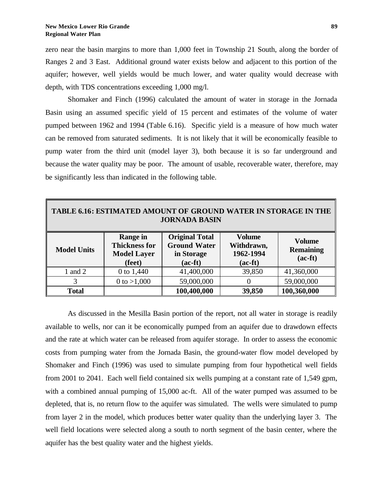zero near the basin margins to more than 1,000 feet in Township 21 South, along the border of Ranges 2 and 3 East. Additional ground water exists below and adjacent to this portion of the aquifer; however, well yields would be much lower, and water quality would decrease with depth, with TDS concentrations exceeding 1,000 mg/l.

Shomaker and Finch (1996) calculated the amount of water in storage in the Jornada Basin using an assumed specific yield of 15 percent and estimates of the volume of water pumped between 1962 and 1994 (Table 6.16). Specific yield is a measure of how much water can be removed from saturated sediments. It is not likely that it will be economically feasible to pump water from the third unit (model layer 3), both because it is so far underground and because the water quality may be poor. The amount of usable, recoverable water, therefore, may be significantly less than indicated in the following table.

| <b>TABLE 6.16: ESTIMATED AMOUNT OF GROUND WATER IN STORAGE IN THE</b><br><b>JORNADA BASIN</b> |                                                                                                                                                                                                                                                                  |             |        |             |  |  |
|-----------------------------------------------------------------------------------------------|------------------------------------------------------------------------------------------------------------------------------------------------------------------------------------------------------------------------------------------------------------------|-------------|--------|-------------|--|--|
| <b>Model Units</b>                                                                            | <b>Original Total</b><br><b>Volume</b><br><b>Range in</b><br><b>Volume</b><br><b>Thickness for</b><br><b>Ground Water</b><br>Withdrawn,<br><b>Remaining</b><br>1962-1994<br><b>Model Layer</b><br>in Storage<br>$(ac-fit)$<br>(feet)<br>$(ac-fit)$<br>$(ac-fit)$ |             |        |             |  |  |
| 1 and 2                                                                                       | 0 to 1,440                                                                                                                                                                                                                                                       | 41,400,000  | 39,850 | 41,360,000  |  |  |
| 3                                                                                             | 0 to $>1,000$                                                                                                                                                                                                                                                    | 59,000,000  | 0      | 59,000,000  |  |  |
| <b>Total</b>                                                                                  |                                                                                                                                                                                                                                                                  | 100,400,000 | 39,850 | 100,360,000 |  |  |

As discussed in the Mesilla Basin portion of the report, not all water in storage is readily available to wells, nor can it be economically pumped from an aquifer due to drawdown effects and the rate at which water can be released from aquifer storage. In order to assess the economic costs from pumping water from the Jornada Basin, the ground-water flow model developed by Shomaker and Finch (1996) was used to simulate pumping from four hypothetical well fields from 2001 to 2041. Each well field contained six wells pumping at a constant rate of 1,549 gpm, with a combined annual pumping of 15,000 ac-ft. All of the water pumped was assumed to be depleted, that is, no return flow to the aquifer was simulated. The wells were simulated to pump from layer 2 in the model, which produces better water quality than the underlying layer 3. The well field locations were selected along a south to north segment of the basin center, where the aquifer has the best quality water and the highest yields.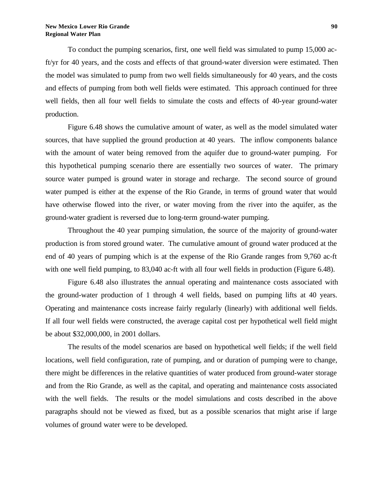To conduct the pumping scenarios, first, one well field was simulated to pump 15,000 acft/yr for 40 years, and the costs and effects of that ground-water diversion were estimated. Then the model was simulated to pump from two well fields simultaneously for 40 years, and the costs and effects of pumping from both well fields were estimated. This approach continued for three well fields, then all four well fields to simulate the costs and effects of 40-year ground-water production.

Figure 6.48 shows the cumulative amount of water, as well as the model simulated water sources, that have supplied the ground production at 40 years. The inflow components balance with the amount of water being removed from the aquifer due to ground-water pumping. For this hypothetical pumping scenario there are essentially two sources of water. The primary source water pumped is ground water in storage and recharge. The second source of ground water pumped is either at the expense of the Rio Grande, in terms of ground water that would have otherwise flowed into the river, or water moving from the river into the aquifer, as the ground-water gradient is reversed due to long-term ground-water pumping.

Throughout the 40 year pumping simulation, the source of the majority of ground-water production is from stored ground water. The cumulative amount of ground water produced at the end of 40 years of pumping which is at the expense of the Rio Grande ranges from 9,760 ac-ft with one well field pumping, to 83,040 ac-ft with all four well fields in production (Figure 6.48).

Figure 6.48 also illustrates the annual operating and maintenance costs associated with the ground-water production of 1 through 4 well fields, based on pumping lifts at 40 years. Operating and maintenance costs increase fairly regularly (linearly) with additional well fields. If all four well fields were constructed, the average capital cost per hypothetical well field might be about \$32,000,000, in 2001 dollars.

The results of the model scenarios are based on hypothetical well fields; if the well field locations, well field configuration, rate of pumping, and or duration of pumping were to change, there might be differences in the relative quantities of water produced from ground-water storage and from the Rio Grande, as well as the capital, and operating and maintenance costs associated with the well fields. The results or the model simulations and costs described in the above paragraphs should not be viewed as fixed, but as a possible scenarios that might arise if large volumes of ground water were to be developed.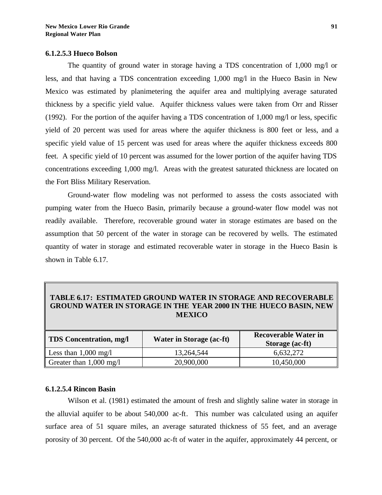#### **6.1.2.5.3 Hueco Bolson**

The quantity of ground water in storage having a TDS concentration of 1,000 mg/l or less, and that having a TDS concentration exceeding 1,000 mg/l in the Hueco Basin in New Mexico was estimated by planimetering the aquifer area and multiplying average saturated thickness by a specific yield value. Aquifer thickness values were taken from Orr and Risser (1992). For the portion of the aquifer having a TDS concentration of 1,000 mg/l or less, specific yield of 20 percent was used for areas where the aquifer thickness is 800 feet or less, and a specific yield value of 15 percent was used for areas where the aquifer thickness exceeds 800 feet. A specific yield of 10 percent was assumed for the lower portion of the aquifer having TDS concentrations exceeding 1,000 mg/l. Areas with the greatest saturated thickness are located on the Fort Bliss Military Reservation.

Ground-water flow modeling was not performed to assess the costs associated with pumping water from the Hueco Basin, primarily because a ground-water flow model was not readily available. Therefore, recoverable ground water in storage estimates are based on the assumption that 50 percent of the water in storage can be recovered by wells. The estimated quantity of water in storage and estimated recoverable water in storage in the Hueco Basin is shown in Table 6.17.

## **TABLE 6.17: ESTIMATED GROUND WATER IN STORAGE AND RECOVERABLE GROUND WATER IN STORAGE IN THE YEAR 2000 IN THE HUECO BASIN, NEW MEXICO**

| <b>TDS</b> Concentration, mg/l    | <b>Water in Storage (ac-ft)</b> | <b>Recoverable Water in</b><br>Storage (ac-ft) |
|-----------------------------------|---------------------------------|------------------------------------------------|
| Less than $1,000 \text{ mg/l}$    | 13,264,544                      | 6,632,272                                      |
| Greater than $1,000 \text{ mg/l}$ | 20,900,000                      | 10,450,000                                     |

#### **6.1.2.5.4 Rincon Basin**

Wilson et al. (1981) estimated the amount of fresh and slightly saline water in storage in the alluvial aquifer to be about 540,000 ac-ft. This number was calculated using an aquifer surface area of 51 square miles, an average saturated thickness of 55 feet, and an average porosity of 30 percent. Of the 540,000 ac-ft of water in the aquifer, approximately 44 percent, or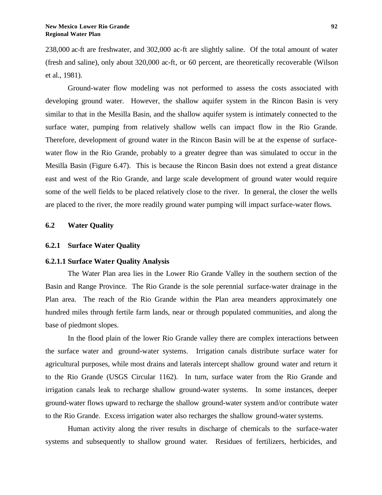238,000 ac-ft are freshwater, and 302,000 ac-ft are slightly saline. Of the total amount of water (fresh and saline), only about 320,000 ac-ft, or 60 percent, are theoretically recoverable (Wilson et al., 1981).

Ground-water flow modeling was not performed to assess the costs associated with developing ground water. However, the shallow aquifer system in the Rincon Basin is very similar to that in the Mesilla Basin, and the shallow aquifer system is intimately connected to the surface water, pumping from relatively shallow wells can impact flow in the Rio Grande. Therefore, development of ground water in the Rincon Basin will be at the expense of surfacewater flow in the Rio Grande, probably to a greater degree than was simulated to occur in the Mesilla Basin (Figure 6.47). This is because the Rincon Basin does not extend a great distance east and west of the Rio Grande, and large scale development of ground water would require some of the well fields to be placed relatively close to the river. In general, the closer the wells are placed to the river, the more readily ground water pumping will impact surface-water flows.

#### **6.2 Water Quality**

#### **6.2.1 Surface Water Quality**

#### **6.2.1.1 Surface Water Quality Analysis**

The Water Plan area lies in the Lower Rio Grande Valley in the southern section of the Basin and Range Province. The Rio Grande is the sole perennial surface-water drainage in the Plan area. The reach of the Rio Grande within the Plan area meanders approximately one hundred miles through fertile farm lands, near or through populated communities, and along the base of piedmont slopes.

In the flood plain of the lower Rio Grande valley there are complex interactions between the surface water and ground-water systems. Irrigation canals distribute surface water for agricultural purposes, while most drains and laterals intercept shallow ground water and return it to the Rio Grande (USGS Circular 1162). In turn, surface water from the Rio Grande and irrigation canals leak to recharge shallow ground-water systems. In some instances, deeper ground-water flows upward to recharge the shallow ground-water system and/or contribute water to the Rio Grande. Excess irrigation water also recharges the shallow ground-water systems.

Human activity along the river results in discharge of chemicals to the surface-water systems and subsequently to shallow ground water. Residues of fertilizers, herbicides, and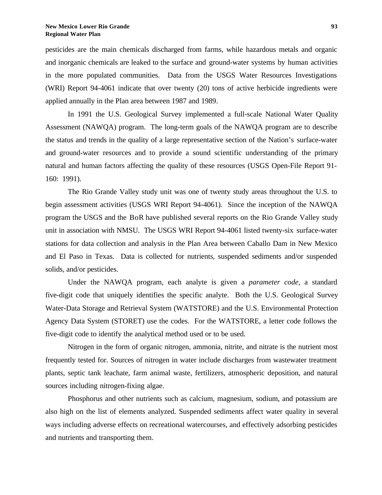pesticides are the main chemicals discharged from farms, while hazardous metals and organic and inorganic chemicals are leaked to the surface and ground-water systems by human activities in the more populated communities. Data from the USGS Water Resources Investigations (WRI) Report 94-4061 indicate that over twenty (20) tons of active herbicide ingredients were applied annually in the Plan area between 1987 and 1989.

In 1991 the U.S. Geological Survey implemented a full-scale National Water Quality Assessment (NAWQA) program. The long-term goals of the NAWQA program are to describe the status and trends in the quality of a large representative section of the Nation's surface-water and ground-water resources and to provide a sound scientific understanding of the primary natural and human factors affecting the quality of these resources (USGS Open-File Report 91- 160: 1991).

The Rio Grande Valley study unit was one of twenty study areas throughout the U.S. to begin assessment activities (USGS WRI Report 94-4061). Since the inception of the NAWQA program the USGS and the BoR have published several reports on the Rio Grande Valley study unit in association with NMSU. The USGS WRI Report 94-4061 listed twenty-six surface-water stations for data collection and analysis in the Plan Area between Caballo Dam in New Mexico and El Paso in Texas. Data is collected for nutrients, suspended sediments and/or suspended solids, and/or pesticides.

Under the NAWQA program, each analyte is given a *parameter code*, a standard five-digit code that uniquely identifies the specific analyte. Both the U.S. Geological Survey Water-Data Storage and Retrieval System (WATSTORE) and the U.S. Environmental Protection Agency Data System (STORET) use the codes. For the WATSTORE, a letter code follows the five-digit code to identify the analytical method used or to be used.

Nitrogen in the form of organic nitrogen, ammonia, nitrite, and nitrate is the nutrient most frequently tested for. Sources of nitrogen in water include discharges from wastewater treatment plants, septic tank leachate, farm animal waste, fertilizers, atmospheric deposition, and natural sources including nitrogen-fixing algae.

Phosphorus and other nutrients such as calcium, magnesium, sodium, and potassium are also high on the list of elements analyzed. Suspended sediments affect water quality in several ways including adverse effects on recreational watercourses, and effectively adsorbing pesticides and nutrients and transporting them.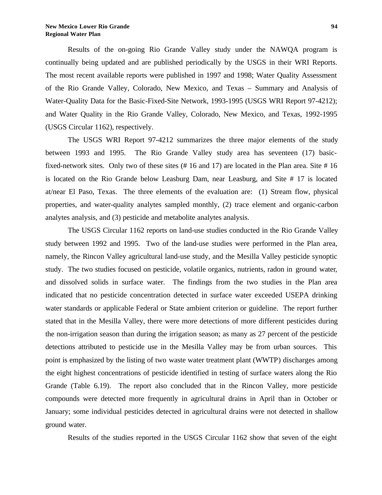Results of the on-going Rio Grande Valley study under the NAWQA program is continually being updated and are published periodically by the USGS in their WRI Reports. The most recent available reports were published in 1997 and 1998; Water Quality Assessment of the Rio Grande Valley, Colorado, New Mexico, and Texas – Summary and Analysis of Water-Quality Data for the Basic-Fixed-Site Network, 1993-1995 (USGS WRI Report 97-4212); and Water Quality in the Rio Grande Valley, Colorado, New Mexico, and Texas, 1992-1995 (USGS Circular 1162), respectively.

The USGS WRI Report 97-4212 summarizes the three major elements of the study between 1993 and 1995. The Rio Grande Valley study area has seventeen (17) basicfixed-network sites. Only two of these sites (# 16 and 17) are located in the Plan area. Site # 16 is located on the Rio Grande below Leasburg Dam, near Leasburg, and Site # 17 is located at/near El Paso, Texas. The three elements of the evaluation are: (1) Stream flow, physical properties, and water-quality analytes sampled monthly, (2) trace element and organic-carbon analytes analysis, and (3) pesticide and metabolite analytes analysis.

The USGS Circular 1162 reports on land-use studies conducted in the Rio Grande Valley study between 1992 and 1995. Two of the land-use studies were performed in the Plan area, namely, the Rincon Valley agricultural land-use study, and the Mesilla Valley pesticide synoptic study. The two studies focused on pesticide, volatile organics, nutrients, radon in ground water, and dissolved solids in surface water. The findings from the two studies in the Plan area indicated that no pesticide concentration detected in surface water exceeded USEPA drinking water standards or applicable Federal or State ambient criterion or guideline. The report further stated that in the Mesilla Valley, there were more detections of more different pesticides during the non-irrigation season than during the irrigation season; as many as 27 percent of the pesticide detections attributed to pesticide use in the Mesilla Valley may be from urban sources. This point is emphasized by the listing of two waste water treatment plant (WWTP) discharges among the eight highest concentrations of pesticide identified in testing of surface waters along the Rio Grande (Table 6.19). The report also concluded that in the Rincon Valley, more pesticide compounds were detected more frequently in agricultural drains in April than in October or January; some individual pesticides detected in agricultural drains were not detected in shallow ground water.

Results of the studies reported in the USGS Circular 1162 show that seven of the eight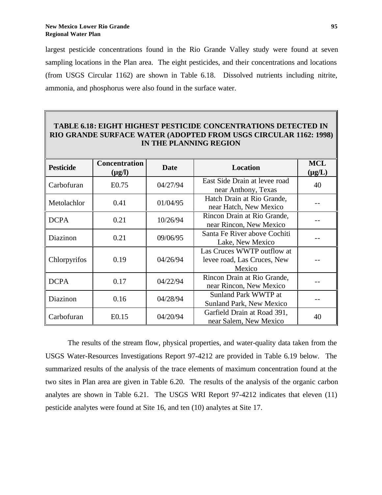largest pesticide concentrations found in the Rio Grande Valley study were found at seven sampling locations in the Plan area. The eight pesticides, and their concentrations and locations (from USGS Circular 1162) are shown in Table 6.18. Dissolved nutrients including nitrite, ammonia, and phosphorus were also found in the surface water.

## **TABLE 6.18: EIGHT HIGHEST PESTICIDE CONCENTRATIONS DETECTED IN RIO GRANDE SURFACE WATER (ADOPTED FROM USGS CIRCULAR 1162: 1998) IN THE PLANNING REGION**

| <b>Pesticide</b> | Concentration<br>$(\mu g/l)$ | <b>Date</b> | <b>Location</b>                                                     | <b>MCL</b><br>$(\mu g/L)$ |  |  |
|------------------|------------------------------|-------------|---------------------------------------------------------------------|---------------------------|--|--|
| Carbofuran       | E <sub>0.75</sub>            | 04/27/94    | East Side Drain at levee road<br>near Anthony, Texas                | 40                        |  |  |
| Metolachlor      | 0.41                         | 01/04/95    | Hatch Drain at Rio Grande,<br>near Hatch, New Mexico                |                           |  |  |
| <b>DCPA</b>      | 0.21                         | 10/26/94    | Rincon Drain at Rio Grande,<br>near Rincon, New Mexico              |                           |  |  |
| Diazinon         | 0.21                         | 09/06/95    | Santa Fe River above Cochiti<br>Lake, New Mexico                    |                           |  |  |
| Chlorpyrifos     | 0.19                         | 04/26/94    | Las Cruces WWTP outflow at<br>levee road, Las Cruces, New<br>Mexico |                           |  |  |
| <b>DCPA</b>      | 0.17                         | 04/22/94    | Rincon Drain at Rio Grande,<br>near Rincon, New Mexico              |                           |  |  |
| Diazinon         | 0.16                         | 04/28/94    | Sunland Park WWTP at<br><b>Sunland Park, New Mexico</b>             |                           |  |  |
| Carbofuran       | E <sub>0.15</sub>            | 04/20/94    | Garfield Drain at Road 391,<br>near Salem, New Mexico               | 40                        |  |  |

The results of the stream flow, physical properties, and water-quality data taken from the USGS Water-Resources Investigations Report 97-4212 are provided in Table 6.19 below. The summarized results of the analysis of the trace elements of maximum concentration found at the two sites in Plan area are given in Table 6.20. The results of the analysis of the organic carbon analytes are shown in Table 6.21. The USGS WRI Report 97-4212 indicates that eleven (11) pesticide analytes were found at Site 16, and ten (10) analytes at Site 17.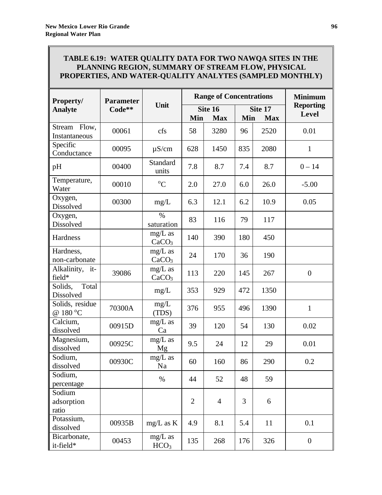## **TABLE 6.19: WATER QUALITY DATA FOR TWO NAWQA SITES IN THE PLANNING REGION, SUMMARY OF STREAM FLOW, PHYSICAL PROPERTIES, AND WATER-QUALITY ANALYTES (SAMPLED MONTHLY)**

| <b>Property/</b>                     | <b>Parameter</b> |                                | <b>Range of Concentrations</b> |                    |     |            |                  |  |
|--------------------------------------|------------------|--------------------------------|--------------------------------|--------------------|-----|------------|------------------|--|
| <b>Analyte</b>                       | Code**           | Unit                           |                                | Site 16<br>Site 17 |     |            | <b>Reporting</b> |  |
|                                      |                  |                                | Min                            | <b>Max</b>         | Min | <b>Max</b> | Level            |  |
| Flow,<br>Stream<br>Instantaneous     | 00061            | cfs                            | 58                             | 3280               | 96  | 2520       | 0.01             |  |
| Specific<br>Conductance              | 00095            | $\mu$ S/cm                     | 628                            | 1450               | 835 | 2080       | 1                |  |
| pH                                   | 00400            | Standard<br>units              | 7.8                            | 8.7                | 7.4 | 8.7        | $0 - 14$         |  |
| Temperature,<br>Water                | 00010            | ${}^{0}C$                      | 2.0                            | 27.0               | 6.0 | 26.0       | $-5.00$          |  |
| Oxygen,<br><b>Dissolved</b>          | 00300            | mg/L                           | 6.3                            | 12.1               | 6.2 | 10.9       | 0.05             |  |
| Oxygen,<br><b>Dissolved</b>          |                  | $\%$<br>saturation             | 83                             | 116                | 79  | 117        |                  |  |
| Hardness                             |                  | mg/L as<br>CaCO <sub>3</sub>   | 140                            | 390                | 180 | 450        |                  |  |
| Hardness,<br>non-carbonate           |                  | $mg/L$ as<br>CaCO <sub>3</sub> | 24                             | 170                | 36  | 190        |                  |  |
| Alkalinity,<br>$it-$<br>field*       | 39086            | $mg/L$ as<br>CaCO <sub>3</sub> | 113                            | 220                | 145 | 267        | $\overline{0}$   |  |
| Total<br>Solids,<br><b>Dissolved</b> |                  | mg/L                           | 353                            | 929                | 472 | 1350       |                  |  |
| Solids, residue<br>@ 180 °C          | 70300A           | mg/L<br>(TDS)                  | 376                            | 955                | 496 | 1390       | $\mathbf{1}$     |  |
| Calcium,<br>dissolved                | 00915D           | $mg/L$ as<br>Ca                | 39                             | 120                | 54  | 130        | 0.02             |  |
| Magnesium,<br>dissolved              | 00925C           | mg/L as<br>Mg                  | 9.5                            | 24                 | 12  | 29         | 0.01             |  |
| Sodium,<br>dissolved                 | 00930C           | $mg/L$ as<br>Na                | 60                             | 160                | 86  | 290        | 0.2              |  |
| Sodium,<br>percentage                |                  | $\%$                           | 44                             | 52                 | 48  | 59         |                  |  |
| Sodium<br>adsorption<br>ratio        |                  |                                | $\overline{2}$                 | $\overline{4}$     | 3   | 6          |                  |  |
| Potassium,<br>dissolved              | 00935B           | $mg/L$ as K                    | 4.9                            | 8.1                | 5.4 | 11         | 0.1              |  |
| Bicarbonate,<br>it-field*            | 00453            | $mg/L$ as<br>HCO <sub>3</sub>  | 135                            | 268                | 176 | 326        | $\boldsymbol{0}$ |  |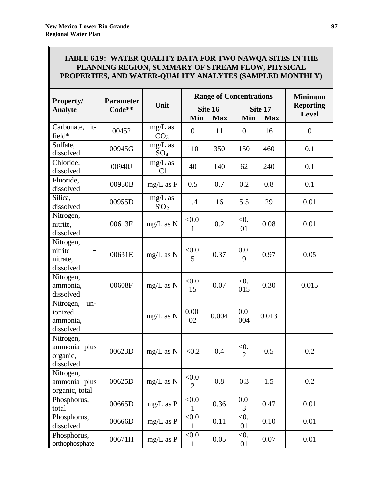## **TABLE 6.19: WATER QUALITY DATA FOR TWO NAWQA SITES IN THE PLANNING REGION, SUMMARY OF STREAM FLOW, PHYSICAL PROPERTIES, AND WATER-QUALITY ANALYTES (SAMPLED MONTHLY)**

| <b>Property/</b>                                     | <b>Parameter</b> |                               |                          | <b>Range of Concentrations</b> | <b>Minimum</b>            |            |                  |
|------------------------------------------------------|------------------|-------------------------------|--------------------------|--------------------------------|---------------------------|------------|------------------|
| <b>Analyte</b>                                       | Code**           | Unit                          | Site 16                  |                                |                           | Site 17    | <b>Reporting</b> |
|                                                      |                  |                               | Min                      | <b>Max</b>                     | Min                       | <b>Max</b> | Level            |
| Carbonate, it-<br>field*                             | 00452            | mg/L as<br>CO <sub>3</sub>    | $\overline{0}$           | 11                             | $\overline{0}$            | 16         | $\overline{0}$   |
| Sulfate,<br>dissolved                                | 00945G           | $mg/L$ as<br>$SO_4$           | 110                      | 350                            | 150                       | 460        | 0.1              |
| Chloride,<br>dissolved                               | 00940J           | $mg/L$ as<br>Cl               | 40                       | 140                            | 62                        | 240        | 0.1              |
| Fluoride,<br>dissolved                               | 00950B           | $mg/L$ as $F$                 | 0.5                      | 0.7                            | 0.2                       | 0.8        | 0.1              |
| Silica,<br>dissolved                                 | 00955D           | $mg/L$ as<br>SiO <sub>2</sub> | 1.4                      | 16                             | 5.5                       | 29         | 0.01             |
| Nitrogen,<br>nitrite,<br>dissolved                   | 00613F           | $mg/L$ as N                   | < 0.0<br>1               | 0.2                            | $< 0$ .<br>01             | 0.08       | 0.01             |
| Nitrogen,<br>nitrite<br>nitrate,<br>dissolved        | 00631E           | $mg/L$ as N                   | < 0.0<br>5               | 0.37                           | 0.0<br>9                  | 0.97       | 0.05             |
| Nitrogen,<br>ammonia,<br>dissolved                   | 00608F           | $mg/L$ as N                   | < 0.0<br>15              | 0.07                           | $< 0$ .<br>015            | 0.30       | 0.015            |
| Nitrogen,<br>un-<br>ionized<br>ammonia,<br>dissolved |                  | $mg/L$ as N                   | 0.00<br>02               | 0.004                          | 0.0<br>004                | 0.013      |                  |
| Nitrogen,<br>ammonia plus<br>organic,<br>dissolved   | 00623D           | $mg/L$ as N                   | < 0.2                    | 0.4                            | $< 0$ .<br>$\overline{2}$ | 0.5        | 0.2              |
| Nitrogen,<br>ammonia plus<br>organic, total          | 00625D           | $mg/L$ as N                   | $<0.0$<br>$\overline{2}$ | 0.8                            | 0.3                       | 1.5        | 0.2              |
| Phosphorus,<br>total                                 | 00665D           | $mg/L$ as $P$                 | $<0.0$<br>1              | 0.36                           | 0.0<br>3                  | 0.47       | 0.01             |
| Phosphorus,<br>dissolved                             | 00666D           | $mg/L$ as $P$                 | < 0.0<br>1               | 0.11                           | $<$ 0.<br>01              | 0.10       | 0.01             |
| Phosphorus,<br>orthophosphate                        | 00671H           | $mg/L$ as $P$                 | < 0.0<br>$\mathbf{1}$    | 0.05                           | $<$ 0.<br>01              | 0.07       | 0.01             |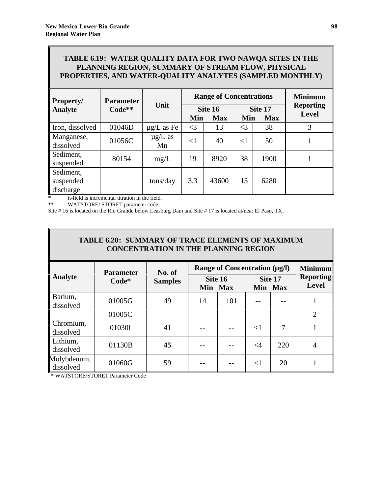## **TABLE 6.19: WATER QUALITY DATA FOR TWO NAWQA SITES IN THE PLANNING REGION, SUMMARY OF STREAM FLOW, PHYSICAL PROPERTIES, AND WATER-QUALITY ANALYTES (SAMPLED MONTHLY)**

| <b>Property/</b>                    | <b>Parameter</b> |                    |          | <b>Range of Concentrations</b> | <b>Minimum</b> |                       |                           |
|-------------------------------------|------------------|--------------------|----------|--------------------------------|----------------|-----------------------|---------------------------|
| <b>Analyte</b>                      | Code**           | Unit               | Min      | Site 16<br><b>Max</b>          | Min            | Site 17<br><b>Max</b> | <b>Reporting</b><br>Level |
| Iron, dissolved                     | 01046D           | $\mu$ g/L as Fe    | $\leq$ 3 | 13                             | $\leq$ 3       | 38                    | 3                         |
| Manganese,<br>dissolved             | 01056C           | $\mu$ g/L as<br>Mn | $<$ 1    | 40                             | $<$ 1          | 50                    |                           |
| Sediment,<br>suspended              | 80154            | mg/L               | 19       | 8920                           | 38             | 1900                  |                           |
| Sediment,<br>suspended<br>discharge |                  | tons/day           | 3.3      | 43600                          | 13             | 6280                  |                           |

it-field is incremental titration in the field.

\*\* WATSTORE/ STORET parameter code

Site # 16 is located on the Rio Grande below Leasburg Dam and Site # 17 is located at/near El Paso, TX.

## **TABLE 6.20: SUMMARY OF TRACE ELEMENTS OF MAXIMUM CONCENTRATION IN THE PLANNING REGION**

| <b>Parameter</b>         |        | No. of         | Range of Concentration (µg/l) | <b>Minimum</b> |          |         |                           |
|--------------------------|--------|----------------|-------------------------------|----------------|----------|---------|---------------------------|
| <b>Analyte</b>           | Code*  | <b>Samples</b> | Site 16<br>Min Max            |                | Site 17  | Min Max | <b>Reporting</b><br>Level |
| Barium,<br>dissolved     | 01005G | 49             | 14                            | 101            |          |         |                           |
|                          | 01005C |                |                               |                |          |         | 2                         |
| Chromium,<br>dissolved   | 01030I | 41             |                               |                | $\leq$ 1 | 7       |                           |
| Lithium,<br>dissolved    | 01130B | 45             |                               |                | $\leq$ 4 | 220     | 4                         |
| Molybdenum,<br>dissolved | 01060G | 59             |                               |                | $\leq$ 1 | 20      |                           |

\* WATSTORE/STORET Parameter Code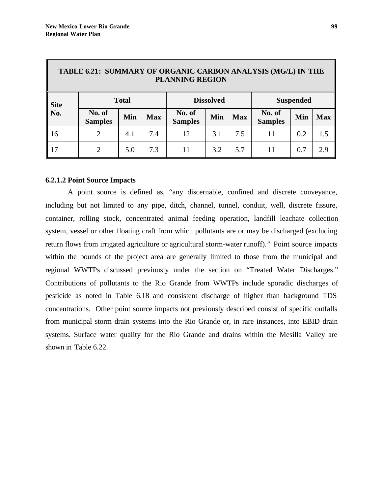| TABLE 6.21: SUMMARY OF ORGANIC CARBON ANALYSIS (MG/L) IN THE<br><b>PLANNING REGION</b> |                          |     |            |                          |     |            |                          |     |            |
|----------------------------------------------------------------------------------------|--------------------------|-----|------------|--------------------------|-----|------------|--------------------------|-----|------------|
| <b>Site</b>                                                                            | <b>Total</b>             |     |            | <b>Dissolved</b>         |     |            | <b>Suspended</b>         |     |            |
| No.                                                                                    | No. of<br><b>Samples</b> | Min | <b>Max</b> | No. of<br><b>Samples</b> | Min | <b>Max</b> | No. of<br><b>Samples</b> | Min | <b>Max</b> |
| 16                                                                                     | $\overline{2}$           | 4.1 | 7.4        | 12                       | 3.1 | 7.5        | 11                       | 0.2 | 1.5        |
| 17                                                                                     | $\overline{2}$           | 5.0 | 7.3        | 11                       | 3.2 | 5.7        | 11                       | 0.7 | 2.9        |

# **TABLE 6.21: SUMMARY OF ORGANIC CARBON ANALYSIS (MG/L) IN THE**

#### **6.2.1.2 Point Source Impacts**

A point source is defined as, "any discernable, confined and discrete conveyance, including but not limited to any pipe, ditch, channel, tunnel, conduit, well, discrete fissure, container, rolling stock, concentrated animal feeding operation, landfill leachate collection system, vessel or other floating craft from which pollutants are or may be discharged (excluding return flows from irrigated agriculture or agricultural storm-water runoff)." Point source impacts within the bounds of the project area are generally limited to those from the municipal and regional WWTPs discussed previously under the section on "Treated Water Discharges." Contributions of pollutants to the Rio Grande from WWTPs include sporadic discharges of pesticide as noted in Table 6.18 and consistent discharge of higher than background TDS concentrations. Other point source impacts not previously described consist of specific outfalls from municipal storm drain systems into the Rio Grande or, in rare instances, into EBID drain systems. Surface water quality for the Rio Grande and drains within the Mesilla Valley are shown in Table 6.22.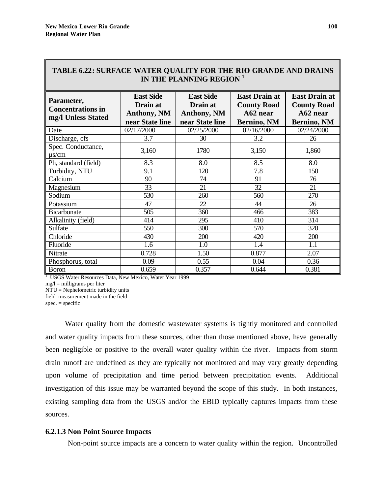| TABLE 6.22: SURFACE WATER QUALITY FOR THE RIO GRANDE AND DRAINS<br>IN THE PLANNING REGION <sup>1</sup> |                                                                       |                                                                       |                                                                              |                                                                              |  |  |  |  |  |
|--------------------------------------------------------------------------------------------------------|-----------------------------------------------------------------------|-----------------------------------------------------------------------|------------------------------------------------------------------------------|------------------------------------------------------------------------------|--|--|--|--|--|
| Parameter,<br><b>Concentrations in</b><br>mg/l Unless Stated                                           | <b>East Side</b><br>Drain at<br><b>Anthony, NM</b><br>near State line | <b>East Side</b><br>Drain at<br><b>Anthony, NM</b><br>near State line | <b>East Drain at</b><br><b>County Road</b><br>A62 near<br><b>Bernino, NM</b> | <b>East Drain at</b><br><b>County Road</b><br>A62 near<br><b>Bernino, NM</b> |  |  |  |  |  |
| Date                                                                                                   | 02/17/2000                                                            | 02/25/2000                                                            | 02/16/2000                                                                   | 02/24/2000                                                                   |  |  |  |  |  |
| Discharge, cfs                                                                                         | 3.7                                                                   | 30                                                                    | 3.2                                                                          | 26                                                                           |  |  |  |  |  |
| Spec. Conductance,<br>$\mu$ s/cm                                                                       | 3,160                                                                 | 1780                                                                  | 3,150                                                                        | 1,860                                                                        |  |  |  |  |  |
| Ph, standard (field)                                                                                   | 8.3                                                                   | 8.0                                                                   | 8.5                                                                          | 8.0                                                                          |  |  |  |  |  |
| Turbidity, NTU                                                                                         | 9.1                                                                   | 120                                                                   | 7.8                                                                          | 150                                                                          |  |  |  |  |  |
| Calcium                                                                                                | 90                                                                    | 74                                                                    | 91                                                                           | 76                                                                           |  |  |  |  |  |
| Magnesium                                                                                              | 33                                                                    | 21                                                                    | 32                                                                           | 21                                                                           |  |  |  |  |  |
| Sodium                                                                                                 | 530                                                                   | 260                                                                   | 560                                                                          | 270                                                                          |  |  |  |  |  |
| Potassium                                                                                              | 47                                                                    | 22                                                                    | 44                                                                           | 26                                                                           |  |  |  |  |  |
| Bicarbonate                                                                                            | 505                                                                   | 360                                                                   | 466                                                                          | 383                                                                          |  |  |  |  |  |
| Alkalinity (field)                                                                                     | 414                                                                   | 295                                                                   | 410                                                                          | 314                                                                          |  |  |  |  |  |
| Sulfate                                                                                                | 550                                                                   | 300                                                                   | 570                                                                          | 320                                                                          |  |  |  |  |  |
| Chloride                                                                                               | 430                                                                   | 200                                                                   | 420                                                                          | 200                                                                          |  |  |  |  |  |
| Fluoride                                                                                               | 1.6                                                                   | $\overline{1.0}$                                                      | $\overline{1.4}$                                                             | $\overline{1.1}$                                                             |  |  |  |  |  |
| Nitrate                                                                                                | 0.728                                                                 | 1.50                                                                  | 0.877                                                                        | 2.07                                                                         |  |  |  |  |  |
| Phosphorus, total                                                                                      | 0.09                                                                  | 0.55                                                                  | 0.04                                                                         | 0.36                                                                         |  |  |  |  |  |
| <b>Boron</b>                                                                                           | 0.659                                                                 | 0.357                                                                 | 0.644                                                                        | 0.381                                                                        |  |  |  |  |  |

<sup>1</sup> USGS Water Resources Data, New Mexico, Water Year 1999

 $mg/l =$  milligrams per liter

NTU = Nephelometric turbidity units

field measurement made in the field

 $spec = specific$ 

Water quality from the domestic wastewater systems is tightly monitored and controlled and water quality impacts from these sources, other than those mentioned above, have generally been negligible or positive to the overall water quality within the river. Impacts from storm drain runoff are undefined as they are typically not monitored and may vary greatly depending upon volume of precipitation and time period between precipitation events. Additional investigation of this issue may be warranted beyond the scope of this study. In both instances, existing sampling data from the USGS and/or the EBID typically captures impacts from these sources.

#### **6.2.1.3 Non Point Source Impacts**

Non-point source impacts are a concern to water quality within the region. Uncontrolled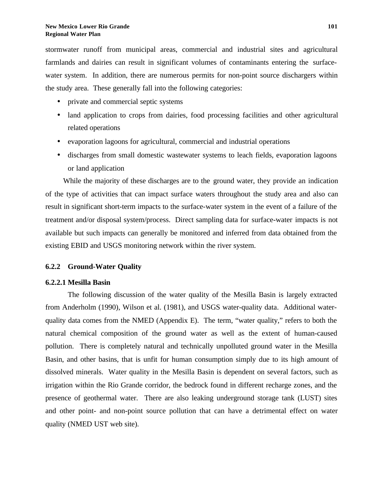stormwater runoff from municipal areas, commercial and industrial sites and agricultural farmlands and dairies can result in significant volumes of contaminants entering the surfacewater system. In addition, there are numerous permits for non-point source dischargers within the study area. These generally fall into the following categories:

- private and commercial septic systems
- land application to crops from dairies, food processing facilities and other agricultural related operations
- evaporation lagoons for agricultural, commercial and industrial operations
- discharges from small domestic wastewater systems to leach fields, evaporation lagoons or land application

While the majority of these discharges are to the ground water, they provide an indication of the type of activities that can impact surface waters throughout the study area and also can result in significant short-term impacts to the surface-water system in the event of a failure of the treatment and/or disposal system/process. Direct sampling data for surface-water impacts is not available but such impacts can generally be monitored and inferred from data obtained from the existing EBID and USGS monitoring network within the river system.

## **6.2.2 Ground-Water Quality**

#### **6.2.2.1 Mesilla Basin**

The following discussion of the water quality of the Mesilla Basin is largely extracted from Anderholm (1990), Wilson et al. (1981), and USGS water-quality data. Additional waterquality data comes from the NMED (Appendix E). The term, "water quality," refers to both the natural chemical composition of the ground water as well as the extent of human-caused pollution. There is completely natural and technically unpolluted ground water in the Mesilla Basin, and other basins, that is unfit for human consumption simply due to its high amount of dissolved minerals. Water quality in the Mesilla Basin is dependent on several factors, such as irrigation within the Rio Grande corridor, the bedrock found in different recharge zones, and the presence of geothermal water. There are also leaking underground storage tank (LUST) sites and other point- and non-point source pollution that can have a detrimental effect on water quality (NMED UST web site).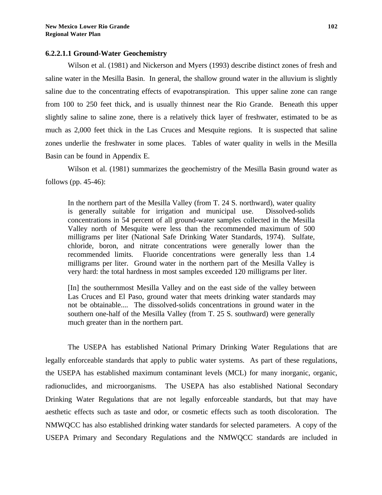#### **6.2.2.1.1 Ground-Water Geochemistry**

Wilson et al. (1981) and Nickerson and Myers (1993) describe distinct zones of fresh and saline water in the Mesilla Basin. In general, the shallow ground water in the alluvium is slightly saline due to the concentrating effects of evapotranspiration. This upper saline zone can range from 100 to 250 feet thick, and is usually thinnest near the Rio Grande. Beneath this upper slightly saline to saline zone, there is a relatively thick layer of freshwater, estimated to be as much as 2,000 feet thick in the Las Cruces and Mesquite regions. It is suspected that saline zones underlie the freshwater in some places. Tables of water quality in wells in the Mesilla Basin can be found in Appendix E.

Wilson et al. (1981) summarizes the geochemistry of the Mesilla Basin ground water as follows (pp. 45-46):

In the northern part of the Mesilla Valley (from T. 24 S. northward), water quality is generally suitable for irrigation and municipal use. Dissolved-solids concentrations in 54 percent of all ground-water samples collected in the Mesilla Valley north of Mesquite were less than the recommended maximum of 500 milligrams per liter (National Safe Drinking Water Standards, 1974). Sulfate, chloride, boron, and nitrate concentrations were generally lower than the recommended limits. Fluoride concentrations were generally less than 1.4 milligrams per liter. Ground water in the northern part of the Mesilla Valley is very hard: the total hardness in most samples exceeded 120 milligrams per liter.

[In] the southernmost Mesilla Valley and on the east side of the valley between Las Cruces and El Paso, ground water that meets drinking water standards may not be obtainable.... The dissolved-solids concentrations in ground water in the southern one-half of the Mesilla Valley (from T. 25 S. southward) were generally much greater than in the northern part.

The USEPA has established National Primary Drinking Water Regulations that are legally enforceable standards that apply to public water systems. As part of these regulations, the USEPA has established maximum contaminant levels (MCL) for many inorganic, organic, radionuclides, and microorganisms. The USEPA has also established National Secondary Drinking Water Regulations that are not legally enforceable standards, but that may have aesthetic effects such as taste and odor, or cosmetic effects such as tooth discoloration. The NMWQCC has also established drinking water standards for selected parameters. A copy of the USEPA Primary and Secondary Regulations and the NMWQCC standards are included in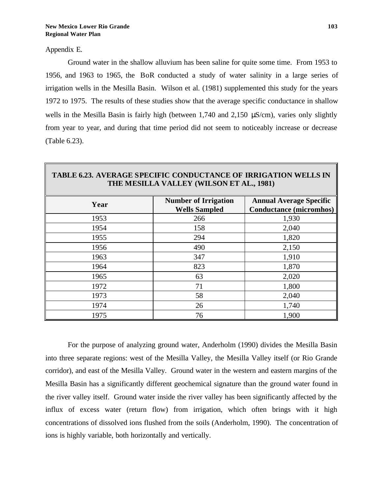Appendix E.

Ground water in the shallow alluvium has been saline for quite some time. From 1953 to 1956, and 1963 to 1965, the BoR conducted a study of water salinity in a large series of irrigation wells in the Mesilla Basin. Wilson et al. (1981) supplemented this study for the years 1972 to 1975. The results of these studies show that the average specific conductance in shallow wells in the Mesilla Basin is fairly high (between 1,740 and 2,150 μS/cm), varies only slightly from year to year, and during that time period did not seem to noticeably increase or decrease (Table 6.23).

| Year | <b>Number of Irrigation</b> | <b>Annual Average Specific</b> |
|------|-----------------------------|--------------------------------|
|      | <b>Wells Sampled</b>        | <b>Conductance (micromhos)</b> |
| 1953 | 266                         | 1,930                          |
| 1954 | 158                         | 2,040                          |
| 1955 | 294                         | 1,820                          |
| 1956 | 490                         | 2,150                          |
| 1963 | 347                         | 1,910                          |
| 1964 | 823                         | 1,870                          |
| 1965 | 63                          | 2,020                          |
| 1972 | 71                          | 1,800                          |
| 1973 | 58                          | 2,040                          |
| 1974 | 26                          | 1,740                          |
| 1975 | 76                          | 1,900                          |

## **TABLE 6.23. AVERAGE SPECIFIC CONDUCTANCE OF IRRIGATION WELLS IN THE MESILLA VALLEY (WILSON ET AL., 1981)**

For the purpose of analyzing ground water, Anderholm (1990) divides the Mesilla Basin into three separate regions: west of the Mesilla Valley, the Mesilla Valley itself (or Rio Grande corridor), and east of the Mesilla Valley. Ground water in the western and eastern margins of the Mesilla Basin has a significantly different geochemical signature than the ground water found in the river valley itself. Ground water inside the river valley has been significantly affected by the influx of excess water (return flow) from irrigation, which often brings with it high concentrations of dissolved ions flushed from the soils (Anderholm, 1990). The concentration of ions is highly variable, both horizontally and vertically.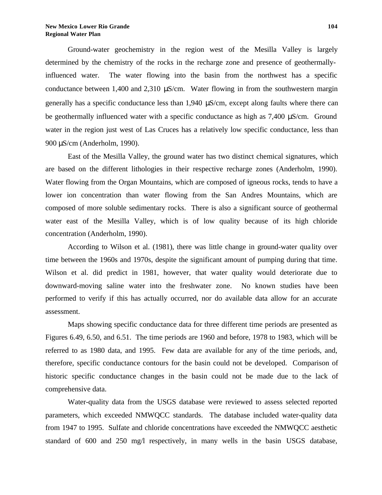Ground-water geochemistry in the region west of the Mesilla Valley is largely determined by the chemistry of the rocks in the recharge zone and presence of geothermallyinfluenced water. The water flowing into the basin from the northwest has a specific conductance between 1,400 and 2,310 μS/cm. Water flowing in from the southwestern margin generally has a specific conductance less than 1,940 μS/cm, except along faults where there can be geothermally influenced water with a specific conductance as high as 7,400 μS/cm. Ground water in the region just west of Las Cruces has a relatively low specific conductance, less than 900 μS/cm (Anderholm, 1990).

East of the Mesilla Valley, the ground water has two distinct chemical signatures, which are based on the different lithologies in their respective recharge zones (Anderholm, 1990). Water flowing from the Organ Mountains, which are composed of igneous rocks, tends to have a lower ion concentration than water flowing from the San Andres Mountains, which are composed of more soluble sedimentary rocks. There is also a significant source of geothermal water east of the Mesilla Valley, which is of low quality because of its high chloride concentration (Anderholm, 1990).

According to Wilson et al. (1981), there was little change in ground-water qua lity over time between the 1960s and 1970s, despite the significant amount of pumping during that time. Wilson et al. did predict in 1981, however, that water quality would deteriorate due to downward-moving saline water into the freshwater zone. No known studies have been performed to verify if this has actually occurred, nor do available data allow for an accurate assessment.

Maps showing specific conductance data for three different time periods are presented as Figures 6.49, 6.50, and 6.51. The time periods are 1960 and before, 1978 to 1983, which will be referred to as 1980 data, and 1995. Few data are available for any of the time periods, and, therefore, specific conductance contours for the basin could not be developed. Comparison of historic specific conductance changes in the basin could not be made due to the lack of comprehensive data.

Water-quality data from the USGS database were reviewed to assess selected reported parameters, which exceeded NMWQCC standards. The database included water-quality data from 1947 to 1995. Sulfate and chloride concentrations have exceeded the NMWQCC aesthetic standard of 600 and 250 mg/l respectively, in many wells in the basin USGS database,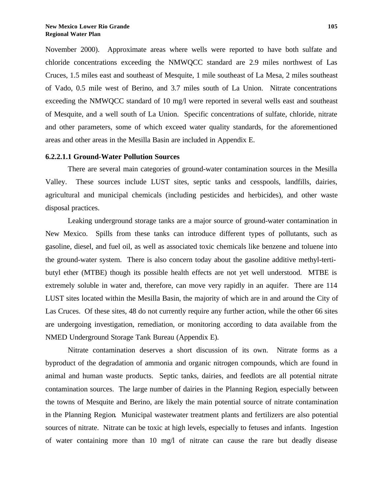November 2000). Approximate areas where wells were reported to have both sulfate and chloride concentrations exceeding the NMWQCC standard are 2.9 miles northwest of Las Cruces, 1.5 miles east and southeast of Mesquite, 1 mile southeast of La Mesa, 2 miles southeast of Vado, 0.5 mile west of Berino, and 3.7 miles south of La Union. Nitrate concentrations exceeding the NMWQCC standard of 10 mg/l were reported in several wells east and southeast of Mesquite, and a well south of La Union. Specific concentrations of sulfate, chloride, nitrate and other parameters, some of which exceed water quality standards, for the aforementioned areas and other areas in the Mesilla Basin are included in Appendix E.

#### **6.2.2.1.1 Ground-Water Pollution Sources**

There are several main categories of ground-water contamination sources in the Mesilla Valley. These sources include LUST sites, septic tanks and cesspools, landfills, dairies, agricultural and municipal chemicals (including pesticides and herbicides), and other waste disposal practices.

Leaking underground storage tanks are a major source of ground-water contamination in New Mexico. Spills from these tanks can introduce different types of pollutants, such as gasoline, diesel, and fuel oil, as well as associated toxic chemicals like benzene and toluene into the ground-water system. There is also concern today about the gasoline additive methyl-tertibutyl ether (MTBE) though its possible health effects are not yet well understood. MTBE is extremely soluble in water and, therefore, can move very rapidly in an aquifer. There are 114 LUST sites located within the Mesilla Basin, the majority of which are in and around the City of Las Cruces. Of these sites, 48 do not currently require any further action, while the other 66 sites are undergoing investigation, remediation, or monitoring according to data available from the NMED Underground Storage Tank Bureau (Appendix E).

Nitrate contamination deserves a short discussion of its own. Nitrate forms as a byproduct of the degradation of ammonia and organic nitrogen compounds, which are found in animal and human waste products. Septic tanks, dairies, and feedlots are all potential nitrate contamination sources. The large number of dairies in the Planning Region, especially between the towns of Mesquite and Berino, are likely the main potential source of nitrate contamination in the Planning Region. Municipal wastewater treatment plants and fertilizers are also potential sources of nitrate. Nitrate can be toxic at high levels, especially to fetuses and infants. Ingestion of water containing more than 10 mg/l of nitrate can cause the rare but deadly disease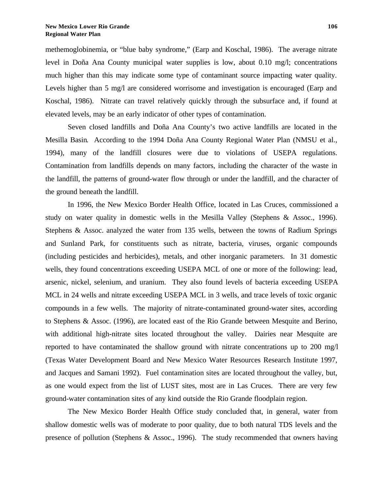methemoglobinemia, or "blue baby syndrome," (Earp and Koschal, 1986). The average nitrate level in Doña Ana County municipal water supplies is low, about 0.10 mg/l; concentrations much higher than this may indicate some type of contaminant source impacting water quality. Levels higher than 5 mg/l are considered worrisome and investigation is encouraged (Earp and Koschal, 1986). Nitrate can travel relatively quickly through the subsurface and, if found at elevated levels, may be an early indicator of other types of contamination.

Seven closed landfills and Doña Ana County's two active landfills are located in the Mesilla Basin. According to the 1994 Doña Ana County Regional Water Plan (NMSU et al., 1994), many of the landfill closures were due to violations of USEPA regulations. Contamination from landfills depends on many factors, including the character of the waste in the landfill, the patterns of ground-water flow through or under the landfill, and the character of the ground beneath the landfill.

In 1996, the New Mexico Border Health Office, located in Las Cruces, commissioned a study on water quality in domestic wells in the Mesilla Valley (Stephens & Assoc., 1996). Stephens & Assoc. analyzed the water from 135 wells, between the towns of Radium Springs and Sunland Park, for constituents such as nitrate, bacteria, viruses, organic compounds (including pesticides and herbicides), metals, and other inorganic parameters. In 31 domestic wells, they found concentrations exceeding USEPA MCL of one or more of the following: lead, arsenic, nickel, selenium, and uranium. They also found levels of bacteria exceeding USEPA MCL in 24 wells and nitrate exceeding USEPA MCL in 3 wells, and trace levels of toxic organic compounds in a few wells. The majority of nitrate-contaminated ground-water sites, according to Stephens & Assoc. (1996), are located east of the Rio Grande between Mesquite and Berino, with additional high-nitrate sites located throughout the valley. Dairies near Mesquite are reported to have contaminated the shallow ground with nitrate concentrations up to 200 mg/l (Texas Water Development Board and New Mexico Water Resources Research Institute 1997, and Jacques and Samani 1992). Fuel contamination sites are located throughout the valley, but, as one would expect from the list of LUST sites, most are in Las Cruces. There are very few ground-water contamination sites of any kind outside the Rio Grande floodplain region.

The New Mexico Border Health Office study concluded that, in general, water from shallow domestic wells was of moderate to poor quality, due to both natural TDS levels and the presence of pollution (Stephens & Assoc., 1996). The study recommended that owners having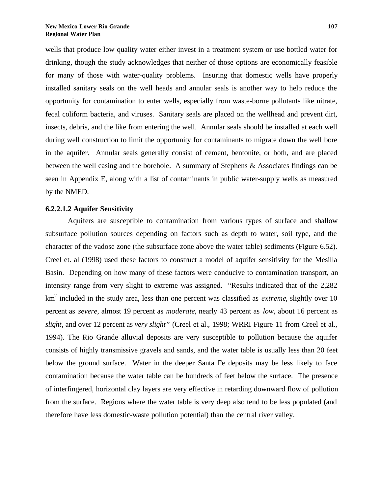wells that produce low quality water either invest in a treatment system or use bottled water for drinking, though the study acknowledges that neither of those options are economically feasible for many of those with water-quality problems. Insuring that domestic wells have properly installed sanitary seals on the well heads and annular seals is another way to help reduce the opportunity for contamination to enter wells, especially from waste-borne pollutants like nitrate, fecal coliform bacteria, and viruses. Sanitary seals are placed on the wellhead and prevent dirt, insects, debris, and the like from entering the well. Annular seals should be installed at each well during well construction to limit the opportunity for contaminants to migrate down the well bore in the aquifer. Annular seals generally consist of cement, bentonite, or both, and are placed between the well casing and the borehole. A summary of Stephens & Associates findings can be seen in Appendix E, along with a list of contaminants in public water-supply wells as measured by the NMED.

#### **6.2.2.1.2 Aquifer Sensitivity**

Aquifers are susceptible to contamination from various types of surface and shallow subsurface pollution sources depending on factors such as depth to water, soil type, and the character of the vadose zone (the subsurface zone above the water table) sediments (Figure 6.52). Creel et. al (1998) used these factors to construct a model of aquifer sensitivity for the Mesilla Basin. Depending on how many of these factors were conducive to contamination transport, an intensity range from very slight to extreme was assigned. "Results indicated that of the 2,282 km<sup>2</sup> included in the study area, less than one percent was classified as *extreme*, slightly over 10 percent as *severe*, almost 19 percent as *moderate*, nearly 43 percent as *low*, about 16 percent as *slight*, and over 12 percent as *very slight* " (Creel et al., 1998; WRRI Figure 11 from Creel et al., 1994). The Rio Grande alluvial deposits are very susceptible to pollution because the aquifer consists of highly transmissive gravels and sands, and the water table is usually less than 20 feet below the ground surface. Water in the deeper Santa Fe deposits may be less likely to face contamination because the water table can be hundreds of feet below the surface. The presence of interfingered, horizontal clay layers are very effective in retarding downward flow of pollution from the surface. Regions where the water table is very deep also tend to be less populated (and therefore have less domestic-waste pollution potential) than the central river valley.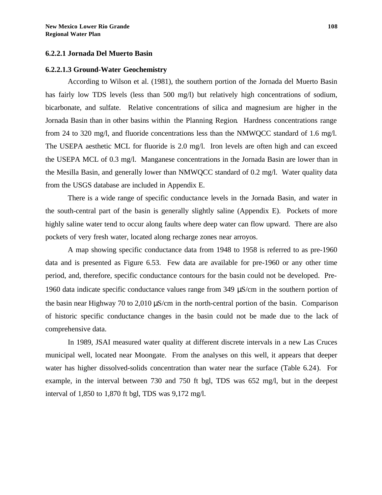#### **6.2.2.1 Jornada Del Muerto Basin**

#### **6.2.2.1.3 Ground-Water Geochemistry**

According to Wilson et al. (1981), the southern portion of the Jornada del Muerto Basin has fairly low TDS levels (less than 500 mg/l) but relatively high concentrations of sodium, bicarbonate, and sulfate. Relative concentrations of silica and magnesium are higher in the Jornada Basin than in other basins within the Planning Region. Hardness concentrations range from 24 to 320 mg/l, and fluoride concentrations less than the NMWQCC standard of 1.6 mg/l. The USEPA aesthetic MCL for fluoride is 2.0 mg/l. Iron levels are often high and can exceed the USEPA MCL of 0.3 mg/l. Manganese concentrations in the Jornada Basin are lower than in the Mesilla Basin, and generally lower than NMWQCC standard of 0.2 mg/l. Water quality data from the USGS database are included in Appendix E.

There is a wide range of specific conductance levels in the Jornada Basin, and water in the south-central part of the basin is generally slightly saline (Appendix E). Pockets of more highly saline water tend to occur along faults where deep water can flow upward. There are also pockets of very fresh water, located along recharge zones near arroyos.

A map showing specific conductance data from 1948 to 1958 is referred to as pre-1960 data and is presented as Figure 6.53. Few data are available for pre-1960 or any other time period, and, therefore, specific conductance contours for the basin could not be developed. Pre-1960 data indicate specific conductance values range from 349 μS/cm in the southern portion of the basin near Highway 70 to 2,010  $\mu$ S/cm in the north-central portion of the basin. Comparison of historic specific conductance changes in the basin could not be made due to the lack of comprehensive data.

In 1989, JSAI measured water quality at different discrete intervals in a new Las Cruces municipal well, located near Moongate. From the analyses on this well, it appears that deeper water has higher dissolved-solids concentration than water near the surface (Table 6.24). For example, in the interval between 730 and 750 ft bgl, TDS was 652 mg/l, but in the deepest interval of 1,850 to 1,870 ft bgl, TDS was 9,172 mg/l.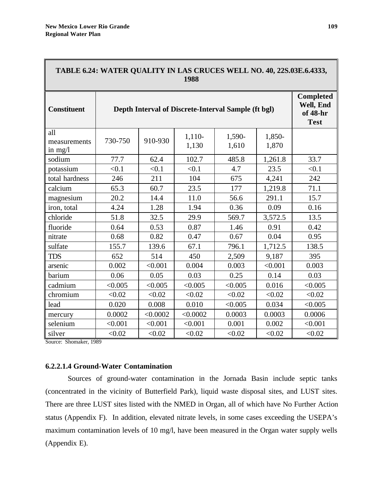| TABLE 6.24: WATER QUALITY IN LAS CRUCES WELL NO. 40, 22S.03E.6.4333,<br>1988 |                                                     |                                                          |                   |                 |                 |         |  |  |
|------------------------------------------------------------------------------|-----------------------------------------------------|----------------------------------------------------------|-------------------|-----------------|-----------------|---------|--|--|
| <b>Constituent</b>                                                           | Depth Interval of Discrete-Interval Sample (ft bgl) | <b>Completed</b><br>Well, End<br>of 48-hr<br><b>Test</b> |                   |                 |                 |         |  |  |
| all<br>measurements<br>in mg/l                                               | 730-750                                             | 910-930                                                  | $1,110-$<br>1,130 | 1,590-<br>1,610 | 1,850-<br>1,870 |         |  |  |
| sodium                                                                       | 77.7                                                | 62.4                                                     | 102.7             | 485.8           | 1,261.8         | 33.7    |  |  |
| potassium                                                                    | < 0.1                                               | < 0.1                                                    | < 0.1             | 4.7             | 23.5            | < 0.1   |  |  |
| total hardness                                                               | 246                                                 | 211                                                      | 104               | 675             | 4,241           | 242     |  |  |
| calcium                                                                      | 65.3                                                | 60.7                                                     | 23.5              | 177             | 1,219.8         | 71.1    |  |  |
| magnesium                                                                    | 20.2                                                | 14.4                                                     | 11.0              | 56.6            | 291.1           | 15.7    |  |  |
| iron, total                                                                  | 4.24                                                | 1.28                                                     | 1.94              | 0.36            | 0.09            | 0.16    |  |  |
| chloride                                                                     | 51.8                                                | 32.5                                                     | 29.9              | 569.7           | 3,572.5         | 13.5    |  |  |
| fluoride                                                                     | 0.64                                                | 0.53                                                     | 0.87              | 1.46            | 0.91            | 0.42    |  |  |
| nitrate                                                                      | 0.68                                                | 0.82                                                     | 0.47              | 0.67            | 0.04            | 0.95    |  |  |
| sulfate                                                                      | 155.7                                               | 139.6                                                    | 67.1              | 796.1           | 1,712.5         | 138.5   |  |  |
| <b>TDS</b>                                                                   | 652                                                 | 514                                                      | 450               | 2,509           | 9,187           | 395     |  |  |
| arsenic                                                                      | 0.002                                               | < 0.001                                                  | 0.004             | 0.003           | < 0.001         | 0.003   |  |  |
| barium                                                                       | 0.06                                                | 0.05                                                     | 0.03              | 0.25            | 0.14            | 0.03    |  |  |
| cadmium                                                                      | < 0.005                                             | < 0.005                                                  | < 0.005           | < 0.005         | 0.016           | < 0.005 |  |  |
| chromium                                                                     | < 0.02                                              | < 0.02                                                   | < 0.02            | < 0.02          | < 0.02          | < 0.02  |  |  |
| lead                                                                         | 0.020                                               | 0.008                                                    | 0.010             | < 0.005         | 0.034           | < 0.005 |  |  |
| mercury                                                                      | 0.0002                                              | < 0.0002                                                 | < 0.0002          | 0.0003          | 0.0003          | 0.0006  |  |  |
| selenium                                                                     | < 0.001                                             | < 0.001                                                  | < 0.001           | 0.001           | 0.002           | < 0.001 |  |  |
| silver                                                                       | < 0.02                                              | < 0.02                                                   | < 0.02            | < 0.02          | < 0.02          | < 0.02  |  |  |

Source: Shomaker, 1989

#### **6.2.2.1.4 Ground-Water Contamination**

Sources of ground-water contamination in the Jornada Basin include septic tanks (concentrated in the vicinity of Butterfield Park), liquid waste disposal sites, and LUST sites. There are three LUST sites listed with the NMED in Organ, all of which have No Further Action status (Appendix F). In addition, elevated nitrate levels, in some cases exceeding the USEPA's maximum contamination levels of 10 mg/l, have been measured in the Organ water supply wells (Appendix E).

╗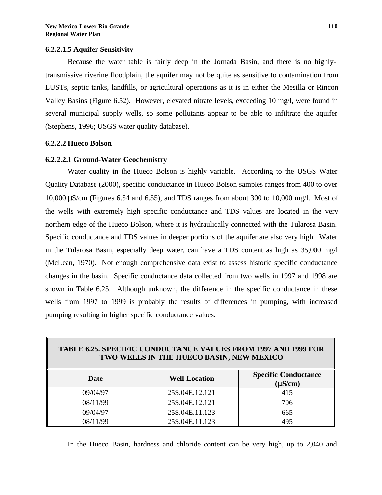#### **6.2.2.1.5 Aquifer Sensitivity**

Because the water table is fairly deep in the Jornada Basin, and there is no highlytransmissive riverine floodplain, the aquifer may not be quite as sensitive to contamination from LUSTs, septic tanks, landfills, or agricultural operations as it is in either the Mesilla or Rincon Valley Basins (Figure 6.52). However, elevated nitrate levels, exceeding 10 mg/l, were found in several municipal supply wells, so some pollutants appear to be able to infiltrate the aquifer (Stephens, 1996; USGS water quality database).

#### **6.2.2.2 Hueco Bolson**

#### **6.2.2.2.1 Ground-Water Geochemistry**

Water quality in the Hueco Bolson is highly variable. According to the USGS Water Quality Database (2000), specific conductance in Hueco Bolson samples ranges from 400 to over 10,000 μS/cm (Figures 6.54 and 6.55), and TDS ranges from about 300 to 10,000 mg/l. Most of the wells with extremely high specific conductance and TDS values are located in the very northern edge of the Hueco Bolson, where it is hydraulically connected with the Tularosa Basin. Specific conductance and TDS values in deeper portions of the aquifer are also very high. Water in the Tularosa Basin, especially deep water, can have a TDS content as high as 35,000 mg/l (McLean, 1970). Not enough comprehensive data exist to assess historic specific conductance changes in the basin. Specific conductance data collected from two wells in 1997 and 1998 are shown in Table 6.25. Although unknown, the difference in the specific conductance in these wells from 1997 to 1999 is probably the results of differences in pumping, with increased pumping resulting in higher specific conductance values.

| <b>TABLE 6.25. SPECIFIC CONDUCTANCE VALUES FROM 1997 AND 1999 FOR</b><br>TWO WELLS IN THE HUECO BASIN, NEW MEXICO |                      |                                               |  |  |  |  |  |
|-------------------------------------------------------------------------------------------------------------------|----------------------|-----------------------------------------------|--|--|--|--|--|
| Date                                                                                                              | <b>Well Location</b> | <b>Specific Conductance</b><br>$(m\delta/cm)$ |  |  |  |  |  |
| 09/04/97                                                                                                          | 25S.04E.12.121       | 415                                           |  |  |  |  |  |
| 08/11/99                                                                                                          | 25S.04E.12.121       | 706                                           |  |  |  |  |  |
| 09/04/97                                                                                                          | 25S.04E.11.123       | 665                                           |  |  |  |  |  |
| 08/11/99                                                                                                          | 25S.04E.11.123       | 495                                           |  |  |  |  |  |

In the Hueco Basin, hardness and chloride content can be very high, up to 2,040 and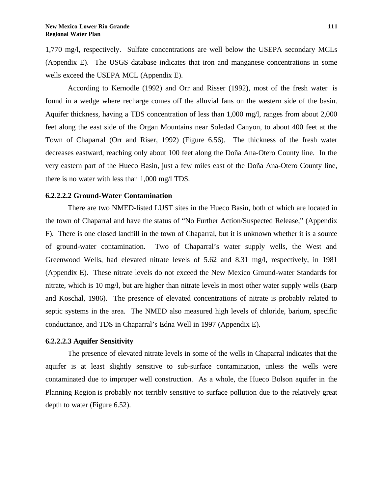1,770 mg/l, respectively. Sulfate concentrations are well below the USEPA secondary MCLs (Appendix E). The USGS database indicates that iron and manganese concentrations in some wells exceed the USEPA MCL (Appendix E).

According to Kernodle (1992) and Orr and Risser (1992), most of the fresh water is found in a wedge where recharge comes off the alluvial fans on the western side of the basin. Aquifer thickness, having a TDS concentration of less than 1,000 mg/l, ranges from about 2,000 feet along the east side of the Organ Mountains near Soledad Canyon, to about 400 feet at the Town of Chaparral (Orr and Riser, 1992) (Figure 6.56). The thickness of the fresh water decreases eastward, reaching only about 100 feet along the Doña Ana-Otero County line. In the very eastern part of the Hueco Basin, just a few miles east of the Doña Ana-Otero County line, there is no water with less than 1,000 mg/l TDS.

## **6.2.2.2.2 Ground-Water Contamination**

There are two NMED-listed LUST sites in the Hueco Basin, both of which are located in the town of Chaparral and have the status of "No Further Action/Suspected Release," (Appendix F). There is one closed landfill in the town of Chaparral, but it is unknown whether it is a source of ground-water contamination. Two of Chaparral's water supply wells, the West and Greenwood Wells, had elevated nitrate levels of 5.62 and 8.31 mg/l, respectively, in 1981 (Appendix E). These nitrate levels do not exceed the New Mexico Ground-water Standards for nitrate, which is 10 mg/l, but are higher than nitrate levels in most other water supply wells (Earp and Koschal, 1986). The presence of elevated concentrations of nitrate is probably related to septic systems in the area. The NMED also measured high levels of chloride, barium, specific conductance, and TDS in Chaparral's Edna Well in 1997 (Appendix E).

#### **6.2.2.2.3 Aquifer Sensitivity**

The presence of elevated nitrate levels in some of the wells in Chaparral indicates that the aquifer is at least slightly sensitive to sub-surface contamination, unless the wells were contaminated due to improper well construction. As a whole, the Hueco Bolson aquifer in the Planning Region is probably not terribly sensitive to surface pollution due to the relatively great depth to water (Figure 6.52).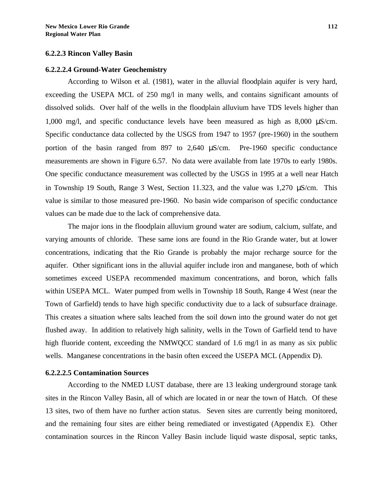#### **6.2.2.3 Rincon Valley Basin**

#### **6.2.2.2.4 Ground-Water Geochemistry**

According to Wilson et al. (1981), water in the alluvial floodplain aquifer is very hard, exceeding the USEPA MCL of 250 mg/l in many wells, and contains significant amounts of dissolved solids. Over half of the wells in the floodplain alluvium have TDS levels higher than 1,000 mg/l, and specific conductance levels have been measured as high as 8,000 μS/cm. Specific conductance data collected by the USGS from 1947 to 1957 (pre-1960) in the southern portion of the basin ranged from 897 to 2,640 μS/cm. Pre-1960 specific conductance measurements are shown in Figure 6.57. No data were available from late 1970s to early 1980s. One specific conductance measurement was collected by the USGS in 1995 at a well near Hatch in Township 19 South, Range 3 West, Section 11.323, and the value was  $1,270 \mu S/cm$ . This value is similar to those measured pre-1960. No basin wide comparison of specific conductance values can be made due to the lack of comprehensive data.

The major ions in the floodplain alluvium ground water are sodium, calcium, sulfate, and varying amounts of chloride. These same ions are found in the Rio Grande water, but at lower concentrations, indicating that the Rio Grande is probably the major recharge source for the aquifer. Other significant ions in the alluvial aquifer include iron and manganese, both of which sometimes exceed USEPA recommended maximum concentrations, and boron, which falls within USEPA MCL. Water pumped from wells in Township 18 South, Range 4 West (near the Town of Garfield) tends to have high specific conductivity due to a lack of subsurface drainage. This creates a situation where salts leached from the soil down into the ground water do not get flushed away. In addition to relatively high salinity, wells in the Town of Garfield tend to have high fluoride content, exceeding the NMWQCC standard of 1.6 mg/l in as many as six public wells. Manganese concentrations in the basin often exceed the USEPA MCL (Appendix D).

## **6.2.2.2.5 Contamination Sources**

According to the NMED LUST database, there are 13 leaking underground storage tank sites in the Rincon Valley Basin, all of which are located in or near the town of Hatch. Of these 13 sites, two of them have no further action status. Seven sites are currently being monitored, and the remaining four sites are either being remediated or investigated (Appendix E). Other contamination sources in the Rincon Valley Basin include liquid waste disposal, septic tanks,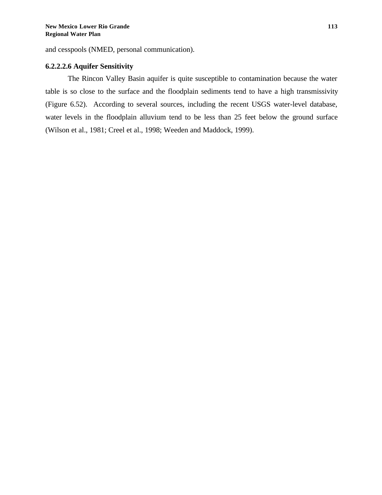and cesspools (NMED, personal communication).

#### **6.2.2.2.6 Aquifer Sensitivity**

The Rincon Valley Basin aquifer is quite susceptible to contamination because the water table is so close to the surface and the floodplain sediments tend to have a high transmissivity (Figure 6.52). According to several sources, including the recent USGS water-level database, water levels in the floodplain alluvium tend to be less than 25 feet below the ground surface (Wilson et al., 1981; Creel et al., 1998; Weeden and Maddock, 1999).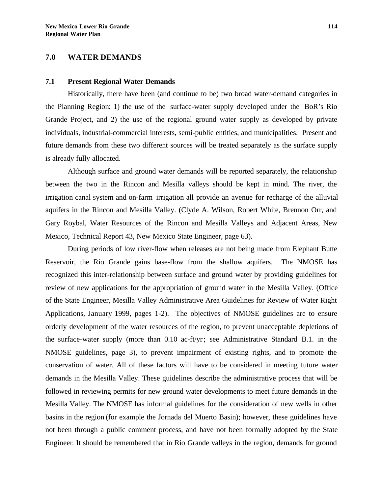#### **7.0 WATER DEMANDS**

#### **7.1 Present Regional Water Demands**

Historically, there have been (and continue to be) two broad water-demand categories in the Planning Region: 1) the use of the surface-water supply developed under the BoR's Rio Grande Project, and 2) the use of the regional ground water supply as developed by private individuals, industrial-commercial interests, semi-public entities, and municipalities. Present and future demands from these two different sources will be treated separately as the surface supply is already fully allocated.

Although surface and ground water demands will be reported separately, the relationship between the two in the Rincon and Mesilla valleys should be kept in mind. The river, the irrigation canal system and on-farm irrigation all provide an avenue for recharge of the alluvial aquifers in the Rincon and Mesilla Valley. (Clyde A. Wilson, Robert White, Brennon Orr, and Gary Roybal, Water Resources of the Rincon and Mesilla Valleys and Adjacent Areas, New Mexico, Technical Report 43, New Mexico State Engineer, page 63).

During periods of low river-flow when releases are not being made from Elephant Butte Reservoir, the Rio Grande gains base-flow from the shallow aquifers. The NMOSE has recognized this inter-relationship between surface and ground water by providing guidelines for review of new applications for the appropriation of ground water in the Mesilla Valley. (Office of the State Engineer, Mesilla Valley Administrative Area Guidelines for Review of Water Right Applications, January 1999, pages 1-2). The objectives of NMOSE guidelines are to ensure orderly development of the water resources of the region, to prevent unacceptable depletions of the surface-water supply (more than 0.10 ac-ft/yr; see Administrative Standard B.1. in the NMOSE guidelines, page 3), to prevent impairment of existing rights, and to promote the conservation of water. All of these factors will have to be considered in meeting future water demands in the Mesilla Valley. These guidelines describe the administrative process that will be followed in reviewing permits for new ground water developments to meet future demands in the Mesilla Valley. The NMOSE has informal guidelines for the consideration of new wells in other basins in the region (for example the Jornada del Muerto Basin); however, these guidelines have not been through a public comment process, and have not been formally adopted by the State Engineer. It should be remembered that in Rio Grande valleys in the region, demands for ground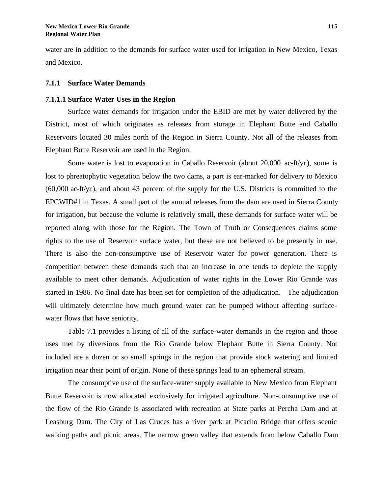water are in addition to the demands for surface water used for irrigation in New Mexico, Texas and Mexico.

#### **7.1.1 Surface Water Demands**

#### **7.1.1.1 Surface Water Uses in the Region**

Surface water demands for irrigation under the EBID are met by water delivered by the District, most of which originates as releases from storage in Elephant Butte and Caballo Reservoirs located 30 miles north of the Region in Sierra County. Not all of the releases from Elephant Butte Reservoir are used in the Region.

Some water is lost to evaporation in Caballo Reservoir (about 20,000 ac-ft/yr), some is lost to phreatophytic vegetation below the two dams, a part is ear-marked for delivery to Mexico (60,000 ac-ft/yr), and about 43 percent of the supply for the U.S. Districts is committed to the EPCWID#1 in Texas. A small part of the annual releases from the dam are used in Sierra County for irrigation, but because the volume is relatively small, these demands for surface water will be reported along with those for the Region. The Town of Truth or Consequences claims some rights to the use of Reservoir surface water, but these are not believed to be presently in use. There is also the non-consumptive use of Reservoir water for power generation. There is competition between these demands such that an increase in one tends to deplete the supply available to meet other demands. Adjudication of water rights in the Lower Rio Grande was started in 1986. No final date has been set for completion of the adjudication. The adjudication will ultimately determine how much ground water can be pumped without affecting surfacewater flows that have seniority.

Table 7.1 provides a listing of all of the surface-water demands in the region and those uses met by diversions from the Rio Grande below Elephant Butte in Sierra County. Not included are a dozen or so small springs in the region that provide stock watering and limited irrigation near their point of origin. None of these springs lead to an ephemeral stream.

The consumptive use of the surface-water supply available to New Mexico from Elephant Butte Reservoir is now allocated exclusively for irrigated agriculture. Non-consumptive use of the flow of the Rio Grande is associated with recreation at State parks at Percha Dam and at Leasburg Dam. The City of Las Cruces has a river park at Picacho Bridge that offers scenic walking paths and picnic areas. The narrow green valley that extends from below Caballo Dam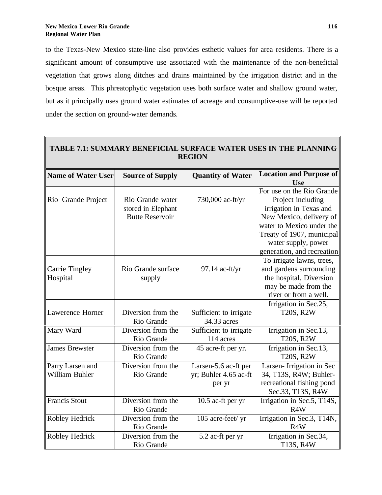to the Texas-New Mexico state-line also provides esthetic values for area residents. There is a significant amount of consumptive use associated with the maintenance of the non-beneficial vegetation that grows along ditches and drains maintained by the irrigation district and in the bosque areas. This phreatophytic vegetation uses both surface water and shallow ground water, but as it principally uses ground water estimates of acreage and consumptive-use will be reported under the section on ground-water demands.

| TABLE 7.1: SUMMARY BENEFICIAL SURFACE WATER USES IN THE PLANNING<br><b>REGION</b> |                                                                  |                                                         |                                                                                                                                                                                                                     |  |  |
|-----------------------------------------------------------------------------------|------------------------------------------------------------------|---------------------------------------------------------|---------------------------------------------------------------------------------------------------------------------------------------------------------------------------------------------------------------------|--|--|
| <b>Name of Water User</b>                                                         | <b>Source of Supply</b>                                          | <b>Quantity of Water</b>                                | <b>Location and Purpose of</b><br><b>Use</b>                                                                                                                                                                        |  |  |
| Rio Grande Project                                                                | Rio Grande water<br>stored in Elephant<br><b>Butte Reservoir</b> | 730,000 ac-ft/yr                                        | For use on the Rio Grande<br>Project including<br>irrigation in Texas and<br>New Mexico, delivery of<br>water to Mexico under the<br>Treaty of 1907, municipal<br>water supply, power<br>generation, and recreation |  |  |
| <b>Carrie Tingley</b><br>Hospital                                                 | Rio Grande surface<br>supply                                     | 97.14 ac-ft/yr                                          | To irrigate lawns, trees,<br>and gardens surrounding<br>the hospital. Diversion<br>may be made from the<br>river or from a well.                                                                                    |  |  |
| Lawerence Horner                                                                  | Diversion from the<br>Rio Grande                                 | Sufficient to irrigate<br>34.33 acres                   | Irrigation in Sec.25,<br><b>T20S, R2W</b>                                                                                                                                                                           |  |  |
| Mary Ward                                                                         | Diversion from the<br>Rio Grande                                 | Sufficient to irrigate<br>114 acres                     | Irrigation in Sec.13,<br><b>T20S, R2W</b>                                                                                                                                                                           |  |  |
| <b>James Brewster</b>                                                             | Diversion from the<br>Rio Grande                                 | 45 acre-ft per yr.                                      | Irrigation in Sec.13,<br><b>T20S, R2W</b>                                                                                                                                                                           |  |  |
| Parry Larsen and<br>William Buhler                                                | Diversion from the<br>Rio Grande                                 | Larsen-5.6 ac-ft per<br>yr; Buhler 4.65 ac-ft<br>per yr | Larsen-Irrigation in Sec<br>34, T13S, R4W; Buhler-<br>recreational fishing pond<br>Sec.33, T13S, R4W                                                                                                                |  |  |
| <b>Francis Stout</b>                                                              | Diversion from the<br>Rio Grande                                 | 10.5 ac-ft per yr                                       | Irrigation in Sec.5, T14S,<br>R <sub>4</sub> W                                                                                                                                                                      |  |  |
| Robley Hedrick                                                                    | Diversion from the<br>Rio Grande                                 | 105 acre-feet/ yr                                       | Irrigation in Sec.3, T14N,<br>R <sub>4</sub> W                                                                                                                                                                      |  |  |
| Robley Hedrick                                                                    | Diversion from the<br>Rio Grande                                 | 5.2 ac-ft per yr                                        | Irrigation in Sec.34,<br><b>T13S, R4W</b>                                                                                                                                                                           |  |  |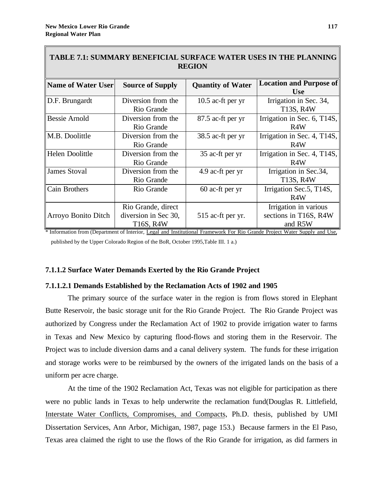| TADLE 7.1; SUNINART DENEFICIAL SURFACE WATER USES IN THE FLANNING<br><b>REGION</b> |                                                                |                          |                                                           |  |  |
|------------------------------------------------------------------------------------|----------------------------------------------------------------|--------------------------|-----------------------------------------------------------|--|--|
| Name of Water User                                                                 | <b>Source of Supply</b>                                        | <b>Quantity of Water</b> | <b>Location and Purpose of</b><br><b>Use</b>              |  |  |
| D.F. Brungardt                                                                     | Diversion from the<br>Rio Grande                               | $10.5$ ac-ft per yr      | Irrigation in Sec. 34,<br><b>T13S, R4W</b>                |  |  |
| <b>Bessie Arnold</b>                                                               | Diversion from the<br>Rio Grande                               | 87.5 ac-ft per yr        | Irrigation in Sec. 6, T14S,<br>R <sub>4</sub> W           |  |  |
| M.B. Doolittle                                                                     | Diversion from the<br>Rio Grande                               | 38.5 ac-ft per yr        | Irrigation in Sec. 4, T14S,<br>R <sub>4</sub> W           |  |  |
| Helen Doolittle                                                                    | Diversion from the<br>Rio Grande                               | 35 ac-ft per yr          | Irrigation in Sec. 4, T14S,<br>R <sub>4</sub> W           |  |  |
| <b>James Stoval</b>                                                                | Diversion from the<br>Rio Grande                               | 4.9 ac-ft per yr         | Irrigation in Sec.34,<br><b>T13S, R4W</b>                 |  |  |
| Cain Brothers                                                                      | Rio Grande                                                     | 60 ac-ft per yr          | Irrigation Sec.5, T14S,<br>R <sub>4</sub> W               |  |  |
| Arroyo Bonito Ditch                                                                | Rio Grande, direct<br>diversion in Sec 30,<br><b>T16S, R4W</b> | 515 ac-ft per yr.        | Irrigation in various<br>sections in T16S, R4W<br>and R5W |  |  |

**TABLE 7.1: SUMMARY BENEFICIAL SURFACE WATER USES IN THE PLANNING**

\* Information from (Department of Interior, Legal and Institutional Framework For Rio Grande Project Water Supply and Use, published by the Upper Colorado Region of the BoR, October 1995,Table III. 1 a.)

#### **7.1.1.2 Surface Water Demands Exerted by the Rio Grande Project**

#### **7.1.1.2.1 Demands Established by the Reclamation Acts of 1902 and 1905**

The primary source of the surface water in the region is from flows stored in Elephant Butte Reservoir, the basic storage unit for the Rio Grande Project. The Rio Grande Project was authorized by Congress under the Reclamation Act of 1902 to provide irrigation water to farms in Texas and New Mexico by capturing flood-flows and storing them in the Reservoir. The Project was to include diversion dams and a canal delivery system. The funds for these irrigation and storage works were to be reimbursed by the owners of the irrigated lands on the basis of a uniform per acre charge.

At the time of the 1902 Reclamation Act, Texas was not eligible for participation as there were no public lands in Texas to help underwrite the reclamation fund(Douglas R. Littlefield, Interstate Water Conflicts, Compromises, and Compacts, Ph.D. thesis, published by UMI Dissertation Services, Ann Arbor, Michigan, 1987, page 153.) Because farmers in the El Paso, Texas area claimed the right to use the flows of the Rio Grande for irrigation, as did farmers in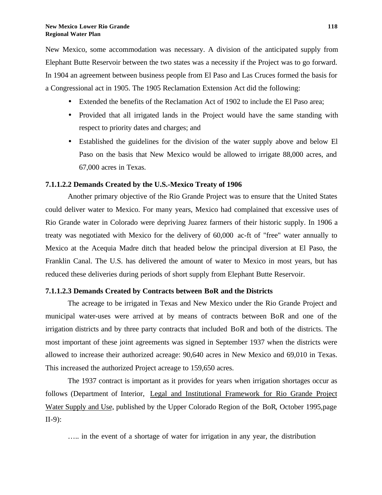New Mexico, some accommodation was necessary. A division of the anticipated supply from Elephant Butte Reservoir between the two states was a necessity if the Project was to go forward. In 1904 an agreement between business people from El Paso and Las Cruces formed the basis for a Congressional act in 1905. The 1905 Reclamation Extension Act did the following:

- Extended the benefits of the Reclamation Act of 1902 to include the El Paso area;
- Provided that all irrigated lands in the Project would have the same standing with respect to priority dates and charges; and
- Established the guidelines for the division of the water supply above and below El Paso on the basis that New Mexico would be allowed to irrigate 88,000 acres, and 67,000 acres in Texas.

#### **7.1.1.2.2 Demands Created by the U.S.-Mexico Treaty of 1906**

Another primary objective of the Rio Grande Project was to ensure that the United States could deliver water to Mexico. For many years, Mexico had complained that excessive uses of Rio Grande water in Colorado were depriving Juarez farmers of their historic supply. In 1906 a treaty was negotiated with Mexico for the delivery of 60,000 ac-ft of "free" water annually to Mexico at the Acequia Madre ditch that headed below the principal diversion at El Paso, the Franklin Canal. The U.S. has delivered the amount of water to Mexico in most years, but has reduced these deliveries during periods of short supply from Elephant Butte Reservoir.

#### **7.1.1.2.3 Demands Created by Contracts between BoR and the Districts**

The acreage to be irrigated in Texas and New Mexico under the Rio Grande Project and municipal water-uses were arrived at by means of contracts between BoR and one of the irrigation districts and by three party contracts that included BoR and both of the districts. The most important of these joint agreements was signed in September 1937 when the districts were allowed to increase their authorized acreage: 90,640 acres in New Mexico and 69,010 in Texas. This increased the authorized Project acreage to 159,650 acres.

The 1937 contract is important as it provides for years when irrigation shortages occur as follows (Department of Interior, Legal and Institutional Framework for Rio Grande Project Water Supply and Use, published by the Upper Colorado Region of the BoR, October 1995,page II-9):

….. in the event of a shortage of water for irrigation in any year, the distribution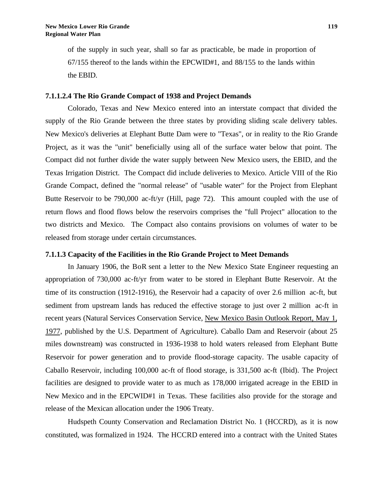of the supply in such year, shall so far as practicable, be made in proportion of 67/155 thereof to the lands within the EPCWID#1, and 88/155 to the lands within the EBID.

#### **7.1.1.2.4 The Rio Grande Compact of 1938 and Project Demands**

Colorado, Texas and New Mexico entered into an interstate compact that divided the supply of the Rio Grande between the three states by providing sliding scale delivery tables. New Mexico's deliveries at Elephant Butte Dam were to "Texas", or in reality to the Rio Grande Project, as it was the "unit" beneficially using all of the surface water below that point. The Compact did not further divide the water supply between New Mexico users, the EBID, and the Texas Irrigation District. The Compact did include deliveries to Mexico. Article VIII of the Rio Grande Compact, defined the "normal release" of "usable water" for the Project from Elephant Butte Reservoir to be 790,000 ac-ft/yr (Hill, page 72). This amount coupled with the use of return flows and flood flows below the reservoirs comprises the "full Project" allocation to the two districts and Mexico. The Compact also contains provisions on volumes of water to be released from storage under certain circumstances.

## **7.1.1.3 Capacity of the Facilities in the Rio Grande Project to Meet Demands**

In January 1906, the BoR sent a letter to the New Mexico State Engineer requesting an appropriation of 730,000 ac-ft/yr from water to be stored in Elephant Butte Reservoir. At the time of its construction (1912-1916), the Reservoir had a capacity of over 2.6 million ac-ft, but sediment from upstream lands has reduced the effective storage to just over 2 million ac-ft in recent years (Natural Services Conservation Service, New Mexico Basin Outlook Report, May 1, 1977, published by the U.S. Department of Agriculture). Caballo Dam and Reservoir (about 25 miles downstream) was constructed in 1936-1938 to hold waters released from Elephant Butte Reservoir for power generation and to provide flood-storage capacity. The usable capacity of Caballo Reservoir, including 100,000 ac-ft of flood storage, is 331,500 ac-ft (Ibid). The Project facilities are designed to provide water to as much as 178,000 irrigated acreage in the EBID in New Mexico and in the EPCWID#1 in Texas. These facilities also provide for the storage and release of the Mexican allocation under the 1906 Treaty.

Hudspeth County Conservation and Reclamation District No. 1 (HCCRD), as it is now constituted, was formalized in 1924. The HCCRD entered into a contract with the United States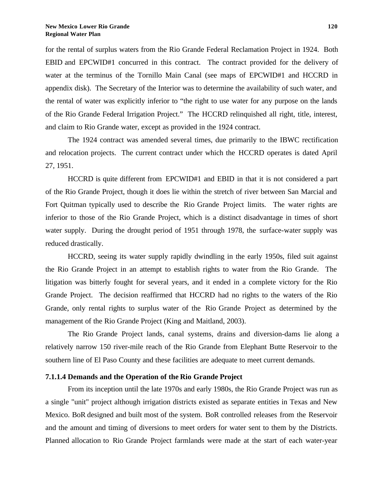for the rental of surplus waters from the Rio Grande Federal Reclamation Project in 1924. Both EBID and EPCWID#1 concurred in this contract. The contract provided for the delivery of water at the terminus of the Tornillo Main Canal (see maps of EPCWID#1 and HCCRD in appendix disk). The Secretary of the Interior was to determine the availability of such water, and the rental of water was explicitly inferior to "the right to use water for any purpose on the lands of the Rio Grande Federal Irrigation Project." The HCCRD relinquished all right, title, interest, and claim to Rio Grande water, except as provided in the 1924 contract.

The 1924 contract was amended several times, due primarily to the IBWC rectification and relocation projects. The current contract under which the HCCRD operates is dated April 27, 1951.

HCCRD is quite different from EPCWID#1 and EBID in that it is not considered a part of the Rio Grande Project, though it does lie within the stretch of river between San Marcial and Fort Quitman typically used to describe the Rio Grande Project limits. The water rights are inferior to those of the Rio Grande Project, which is a distinct disadvantage in times of short water supply. During the drought period of 1951 through 1978, the surface-water supply was reduced drastically.

HCCRD, seeing its water supply rapidly dwindling in the early 1950s, filed suit against the Rio Grande Project in an attempt to establish rights to water from the Rio Grande. The litigation was bitterly fought for several years, and it ended in a complete victory for the Rio Grande Project. The decision reaffirmed that HCCRD had no rights to the waters of the Rio Grande, only rental rights to surplus water of the Rio Grande Project as determined by the management of the Rio Grande Project (King and Maitland, 2003).

The Rio Grande Project lands, canal systems, drains and diversion-dams lie along a relatively narrow 150 river-mile reach of the Rio Grande from Elephant Butte Reservoir to the southern line of El Paso County and these facilities are adequate to meet current demands.

#### **7.1.1.4 Demands and the Operation of the Rio Grande Project**

From its inception until the late 1970s and early 1980s, the Rio Grande Project was run as a single "unit" project although irrigation districts existed as separate entities in Texas and New Mexico. BoR designed and built most of the system. BoR controlled releases from the Reservoir and the amount and timing of diversions to meet orders for water sent to them by the Districts. Planned allocation to Rio Grande Project farmlands were made at the start of each water-year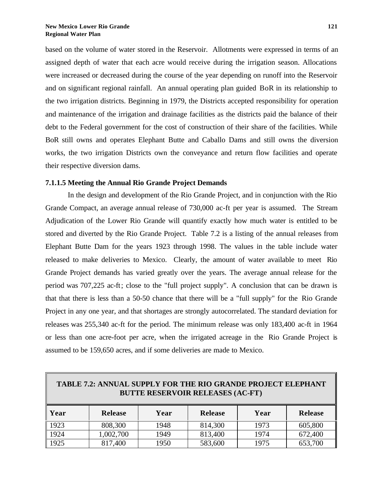based on the volume of water stored in the Reservoir. Allotments were expressed in terms of an assigned depth of water that each acre would receive during the irrigation season. Allocations were increased or decreased during the course of the year depending on runoff into the Reservoir and on significant regional rainfall. An annual operating plan guided BoR in its relationship to the two irrigation districts. Beginning in 1979, the Districts accepted responsibility for operation and maintenance of the irrigation and drainage facilities as the districts paid the balance of their debt to the Federal government for the cost of construction of their share of the facilities. While BoR still owns and operates Elephant Butte and Caballo Dams and still owns the diversion works, the two irrigation Districts own the conveyance and return flow facilities and operate their respective diversion dams.

## **7.1.1.5 Meeting the Annual Rio Grande Project Demands**

In the design and development of the Rio Grande Project, and in conjunction with the Rio Grande Compact, an average annual release of 730,000 ac-ft per year is assumed. The Stream Adjudication of the Lower Rio Grande will quantify exactly how much water is entitled to be stored and diverted by the Rio Grande Project. Table 7.2 is a listing of the annual releases from Elephant Butte Dam for the years 1923 through 1998. The values in the table include water released to make deliveries to Mexico. Clearly, the amount of water available to meet Rio Grande Project demands has varied greatly over the years. The average annual release for the period was 707,225 ac-ft; close to the "full project supply". A conclusion that can be drawn is that that there is less than a 50-50 chance that there will be a "full supply" for the Rio Grande Project in any one year, and that shortages are strongly autocorrelated. The standard deviation for releases was 255,340 ac-ft for the period. The minimum release was only 183,400 ac-ft in 1964 or less than one acre-foot per acre, when the irrigated acreage in the Rio Grande Project is assumed to be 159,650 acres, and if some deliveries are made to Mexico.

| <b>TABLE 7.2: ANNUAL SUPPLY FOR THE RIO GRANDE PROJECT ELEPHANT</b><br><b>BUTTE RESERVOIR RELEASES (AC-FT)</b> |                |      |                |      |                |
|----------------------------------------------------------------------------------------------------------------|----------------|------|----------------|------|----------------|
| Year                                                                                                           | <b>Release</b> | Year | <b>Release</b> | Year | <b>Release</b> |
| 1923                                                                                                           | 808,300        | 1948 | 814,300        | 1973 | 605,800        |
| 1924                                                                                                           | 1,002,700      | 1949 | 813,400        | 1974 | 672,400        |
| 1925                                                                                                           | 817,400        | 1950 | 583,600        | 1975 | 653,700        |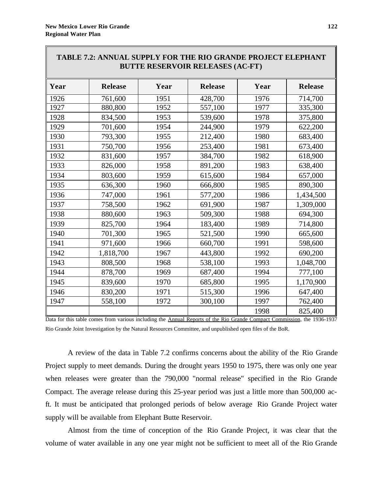| TADLE 7.2; ANNUAL SUPPLY FOR THE KIO GRANDE PROJECT ELEPHANT<br><b>BUTTE RESERVOIR RELEASES (AC-FT)</b> |                |      |                |      |                |
|---------------------------------------------------------------------------------------------------------|----------------|------|----------------|------|----------------|
| Year                                                                                                    | <b>Release</b> | Year | <b>Release</b> | Year | <b>Release</b> |
| 1926                                                                                                    | 761,600        | 1951 | 428,700        | 1976 | 714,700        |
| 1927                                                                                                    | 880,800        | 1952 | 557,100        | 1977 | 335,300        |
| 1928                                                                                                    | 834,500        | 1953 | 539,600        | 1978 | 375,800        |
| 1929                                                                                                    | 701,600        | 1954 | 244,900        | 1979 | 622,200        |
| 1930                                                                                                    | 793,300        | 1955 | 212,400        | 1980 | 683,400        |
| 1931                                                                                                    | 750,700        | 1956 | 253,400        | 1981 | 673,400        |
| 1932                                                                                                    | 831,600        | 1957 | 384,700        | 1982 | 618,900        |
| 1933                                                                                                    | 826,000        | 1958 | 891,200        | 1983 | 638,400        |
| 1934                                                                                                    | 803,600        | 1959 | 615,600        | 1984 | 657,000        |
| 1935                                                                                                    | 636,300        | 1960 | 666,800        | 1985 | 890,300        |
| 1936                                                                                                    | 747,000        | 1961 | 577,200        | 1986 | 1,434,500      |
| 1937                                                                                                    | 758,500        | 1962 | 691,900        | 1987 | 1,309,000      |
| 1938                                                                                                    | 880,600        | 1963 | 509,300        | 1988 | 694,300        |
| 1939                                                                                                    | 825,700        | 1964 | 183,400        | 1989 | 714,800        |
| 1940                                                                                                    | 701,300        | 1965 | 521,500        | 1990 | 665,600        |
| 1941                                                                                                    | 971,600        | 1966 | 660,700        | 1991 | 598,600        |
| 1942                                                                                                    | 1,818,700      | 1967 | 443,800        | 1992 | 690,200        |
| 1943                                                                                                    | 808,500        | 1968 | 538,100        | 1993 | 1,048,700      |
| 1944                                                                                                    | 878,700        | 1969 | 687,400        | 1994 | 777,100        |
| 1945                                                                                                    | 839,600        | 1970 | 685,800        | 1995 | 1,170,900      |
| 1946                                                                                                    | 830,200        | 1971 | 515,300        | 1996 | 647,400        |
| 1947                                                                                                    | 558,100        | 1972 | 300,100        | 1997 | 762,400        |
|                                                                                                         |                |      |                | 1998 | 825,400        |

## **TABLE 7.2: ANNUAL SUPPLY FOR THE RIO GRANDE PROJECT ELEPHANT**

Data for this table comes from various including the Annual Reports of the Rio Grande Compact Commission, the 1936-1937 Rio Grande Joint Investigation by the Natural Resources Committee, and unpublished open files of the BoR.

A review of the data in Table 7.2 confirms concerns about the ability of the Rio Grande Project supply to meet demands. During the drought years 1950 to 1975, there was only one year when releases were greater than the 790,000 "normal release" specified in the Rio Grande Compact. The average release during this 25-year period was just a little more than 500,000 acft. It must be anticipated that prolonged periods of below average Rio Grande Project water supply will be available from Elephant Butte Reservoir.

Almost from the time of conception of the Rio Grande Project, it was clear that the volume of water available in any one year might not be sufficient to meet all of the Rio Grande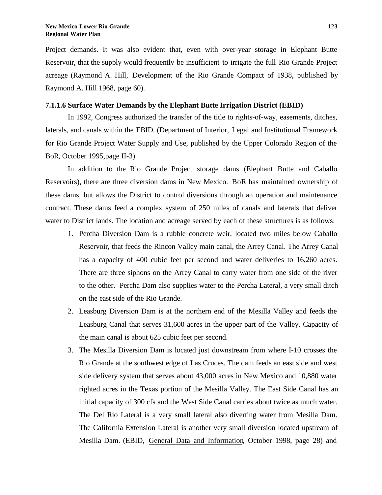Project demands. It was also evident that, even with over-year storage in Elephant Butte Reservoir, that the supply would frequently be insufficient to irrigate the full Rio Grande Project acreage (Raymond A. Hill, Development of the Rio Grande Compact of 1938, published by Raymond A. Hill 1968, page 60).

## **7.1.1.6 Surface Water Demands by the Elephant Butte Irrigation District (EBID)**

In 1992, Congress authorized the transfer of the title to rights-of-way, easements, ditches, laterals, and canals within the EBID. (Department of Interior, Legal and Institutional Framework for Rio Grande Project Water Supply and Use, published by the Upper Colorado Region of the BoR, October 1995,page II-3).

In addition to the Rio Grande Project storage dams (Elephant Butte and Caballo Reservoirs), there are three diversion dams in New Mexico. BoR has maintained ownership of these dams, but allows the District to control diversions through an operation and maintenance contract. These dams feed a complex system of 250 miles of canals and laterals that deliver water to District lands. The location and acreage served by each of these structures is as follows:

- 1. Percha Diversion Dam is a rubble concrete weir, located two miles below Caballo Reservoir, that feeds the Rincon Valley main canal, the Arrey Canal. The Arrey Canal has a capacity of 400 cubic feet per second and water deliveries to 16,260 acres. There are three siphons on the Arrey Canal to carry water from one side of the river to the other. Percha Dam also supplies water to the Percha Lateral, a very small ditch on the east side of the Rio Grande.
- 2. Leasburg Diversion Dam is at the northern end of the Mesilla Valley and feeds the Leasburg Canal that serves 31,600 acres in the upper part of the Valley. Capacity of the main canal is about 625 cubic feet per second.
- 3. The Mesilla Diversion Dam is located just downstream from where I-10 crosses the Rio Grande at the southwest edge of Las Cruces. The dam feeds an east side and west side delivery system that serves about 43,000 acres in New Mexico and 10,880 water righted acres in the Texas portion of the Mesilla Valley. The East Side Canal has an initial capacity of 300 cfs and the West Side Canal carries about twice as much water. The Del Rio Lateral is a very small lateral also diverting water from Mesilla Dam. The California Extension Lateral is another very small diversion located upstream of Mesilla Dam. (EBID, General Data and Information, October 1998, page 28) and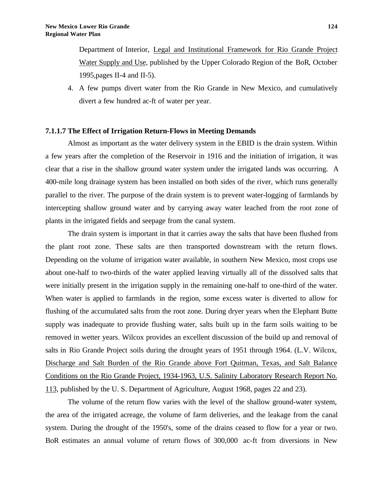Department of Interior, Legal and Institutional Framework for Rio Grande Project Water Supply and Use, published by the Upper Colorado Region of the BoR, October 1995,pages II-4 and II-5).

4. A few pumps divert water from the Rio Grande in New Mexico, and cumulatively divert a few hundred ac-ft of water per year.

# **7.1.1.7 The Effect of Irrigation Return-Flows in Meeting Demands**

Almost as important as the water delivery system in the EBID is the drain system. Within a few years after the completion of the Reservoir in 1916 and the initiation of irrigation, it was clear that a rise in the shallow ground water system under the irrigated lands was occurring. A 400-mile long drainage system has been installed on both sides of the river, which runs generally parallel to the river. The purpose of the drain system is to prevent water-logging of farmlands by intercepting shallow ground water and by carrying away water leached from the root zone of plants in the irrigated fields and seepage from the canal system.

The drain system is important in that it carries away the salts that have been flushed from the plant root zone. These salts are then transported downstream with the return flows. Depending on the volume of irrigation water available, in southern New Mexico, most crops use about one-half to two-thirds of the water applied leaving virtually all of the dissolved salts that were initially present in the irrigation supply in the remaining one-half to one-third of the water. When water is applied to farmlands in the region, some excess water is diverted to allow for flushing of the accumulated salts from the root zone. During dryer years when the Elephant Butte supply was inadequate to provide flushing water, salts built up in the farm soils waiting to be removed in wetter years. Wilcox provides an excellent discussion of the build up and removal of salts in Rio Grande Project soils during the drought years of 1951 through 1964. (L.V. Wilcox, Discharge and Salt Burden of the Rio Grande above Fort Quitman, Texas, and Salt Balance Conditions on the Rio Grande Project, 1934-1963, U.S. Salinity Laboratory Research Report No. 113, published by the U. S. Department of Agriculture, August 1968, pages 22 and 23).

The volume of the return flow varies with the level of the shallow ground-water system, the area of the irrigated acreage, the volume of farm deliveries, and the leakage from the canal system. During the drought of the 1950's, some of the drains ceased to flow for a year or two. BoR estimates an annual volume of return flows of 300,000 ac-ft from diversions in New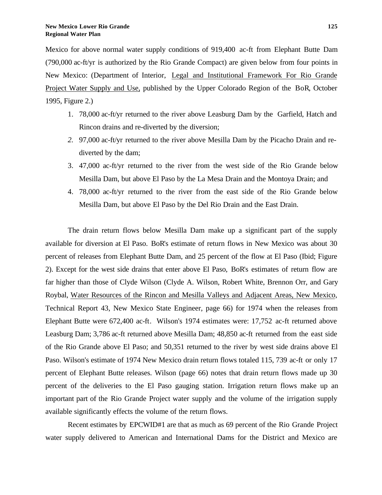Mexico for above normal water supply conditions of 919,400 ac-ft from Elephant Butte Dam (790,000 ac-ft/yr is authorized by the Rio Grande Compact) are given below from four points in New Mexico: (Department of Interior, Legal and Institutional Framework For Rio Grande Project Water Supply and Use, published by the Upper Colorado Region of the BoR, October 1995, Figure 2.)

- 1. 78,000 ac-ft/yr returned to the river above Leasburg Dam by the Garfield, Hatch and Rincon drains and re-diverted by the diversion;
- *2.* 97,000 ac-ft/yr returned to the river above Mesilla Dam by the Picacho Drain and rediverted by the dam;
- 3. 47,000 ac-ft/yr returned to the river from the west side of the Rio Grande below Mesilla Dam, but above El Paso by the La Mesa Drain and the Montoya Drain; and
- 4. 78,000 ac-ft/yr returned to the river from the east side of the Rio Grande below Mesilla Dam, but above El Paso by the Del Rio Drain and the East Drain.

The drain return flows below Mesilla Dam make up a significant part of the supply available for diversion at El Paso. BoR's estimate of return flows in New Mexico was about 30 percent of releases from Elephant Butte Dam, and 25 percent of the flow at El Paso (Ibid; Figure 2). Except for the west side drains that enter above El Paso, BoR's estimates of return flow are far higher than those of Clyde Wilson (Clyde A. Wilson, Robert White, Brennon Orr, and Gary Roybal, Water Resources of the Rincon and Mesilla Valleys and Adjacent Areas, New Mexico, Technical Report 43, New Mexico State Engineer, page 66) for 1974 when the releases from Elephant Butte were 672,400 ac-ft. Wilson's 1974 estimates were: 17,752 ac-ft returned above Leasburg Dam; 3,786 ac-ft returned above Mesilla Dam; 48,850 ac-ft returned from the east side of the Rio Grande above El Paso; and 50,351 returned to the river by west side drains above El Paso. Wilson's estimate of 1974 New Mexico drain return flows totaled 115, 739 ac-ft or only 17 percent of Elephant Butte releases. Wilson (page 66) notes that drain return flows made up 30 percent of the deliveries to the El Paso gauging station. Irrigation return flows make up an important part of the Rio Grande Project water supply and the volume of the irrigation supply available significantly effects the volume of the return flows.

Recent estimates by EPCWID#1 are that as much as 69 percent of the Rio Grande Project water supply delivered to American and International Dams for the District and Mexico are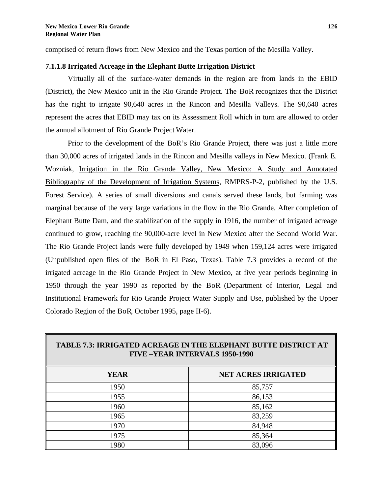comprised of return flows from New Mexico and the Texas portion of the Mesilla Valley.

# **7.1.1.8 Irrigated Acreage in the Elephant Butte Irrigation District**

Virtually all of the surface-water demands in the region are from lands in the EBID (District), the New Mexico unit in the Rio Grande Project. The BoR recognizes that the District has the right to irrigate 90,640 acres in the Rincon and Mesilla Valleys. The 90,640 acres represent the acres that EBID may tax on its Assessment Roll which in turn are allowed to order the annual allotment of Rio Grande Project Water.

Prior to the development of the BoR's Rio Grande Project, there was just a little more than 30,000 acres of irrigated lands in the Rincon and Mesilla valleys in New Mexico. (Frank E. Wozniak, Irrigation in the Rio Grande Valley, New Mexico: A Study and Annotated Bibliography of the Development of Irrigation Systems, RMPRS-P-2, published by the U.S. Forest Service). A series of small diversions and canals served these lands, but farming was marginal because of the very large variations in the flow in the Rio Grande. After completion of Elephant Butte Dam, and the stabilization of the supply in 1916, the number of irrigated acreage continued to grow, reaching the 90,000-acre level in New Mexico after the Second World War. The Rio Grande Project lands were fully developed by 1949 when 159,124 acres were irrigated (Unpublished open files of the BoR in El Paso, Texas). Table 7.3 provides a record of the irrigated acreage in the Rio Grande Project in New Mexico, at five year periods beginning in 1950 through the year 1990 as reported by the BoR (Department of Interior, Legal and Institutional Framework for Rio Grande Project Water Supply and Use, published by the Upper Colorado Region of the BoR, October 1995, page II-6).

| <b>TABLE 7.3: IRRIGATED ACREAGE IN THE ELEPHANT BUTTE DISTRICT AT</b><br><b>FIVE-YEAR INTERVALS 1950-1990</b> |        |  |  |  |  |  |
|---------------------------------------------------------------------------------------------------------------|--------|--|--|--|--|--|
| <b>NET ACRES IRRIGATED</b><br><b>YEAR</b>                                                                     |        |  |  |  |  |  |
| 1950                                                                                                          | 85,757 |  |  |  |  |  |
| 1955                                                                                                          | 86,153 |  |  |  |  |  |
| 1960                                                                                                          | 85,162 |  |  |  |  |  |
| 1965                                                                                                          | 83,259 |  |  |  |  |  |
| 1970                                                                                                          | 84,948 |  |  |  |  |  |
| 1975                                                                                                          | 85,364 |  |  |  |  |  |
| 1980                                                                                                          | 83,096 |  |  |  |  |  |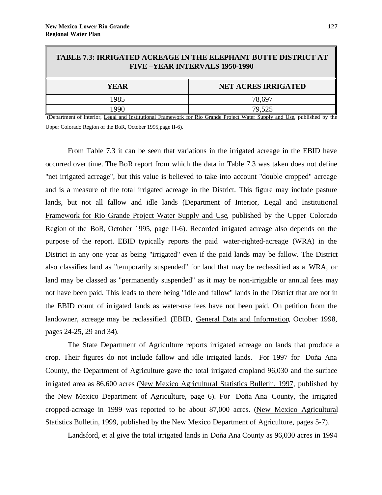| <b>TABLE 7.3: IRRIGATED ACREAGE IN THE ELEPHANT BUTTE DISTRICT AT</b><br><b>FIVE -YEAR INTERVALS 1950-1990</b> |        |  |  |  |  |
|----------------------------------------------------------------------------------------------------------------|--------|--|--|--|--|
| <b>NET ACRES IRRIGATED</b><br><b>YEAR</b>                                                                      |        |  |  |  |  |
| 1985                                                                                                           | 78,697 |  |  |  |  |
| ∣99∩                                                                                                           | 79,525 |  |  |  |  |

 (Department of Interior, Legal and Institutional Framework for Rio Grande Project Water Supply and Use, published by the Upper Colorado Region of the BoR, October 1995,page II-6).

From Table 7.3 it can be seen that variations in the irrigated acreage in the EBID have occurred over time. The BoR report from which the data in Table 7.3 was taken does not define "net irrigated acreage", but this value is believed to take into account "double cropped" acreage and is a measure of the total irrigated acreage in the District. This figure may include pasture lands, but not all fallow and idle lands (Department of Interior, Legal and Institutional Framework for Rio Grande Project Water Supply and Use, published by the Upper Colorado Region of the BoR, October 1995, page II-6). Recorded irrigated acreage also depends on the purpose of the report. EBID typically reports the paid water-righted-acreage (WRA) in the District in any one year as being "irrigated" even if the paid lands may be fallow. The District also classifies land as "temporarily suspended" for land that may be reclassified as a WRA, or land may be classed as "permanently suspended" as it may be non-irrigable or annual fees may not have been paid. This leads to there being "idle and fallow" lands in the District that are not in the EBID count of irrigated lands as water-use fees have not been paid. On petition from the landowner, acreage may be reclassified. (EBID, General Data and Information, October 1998, pages 24-25, 29 and 34).

The State Department of Agriculture reports irrigated acreage on lands that produce a crop. Their figures do not include fallow and idle irrigated lands. For 1997 for Doña Ana County, the Department of Agriculture gave the total irrigated cropland 96,030 and the surface irrigated area as 86,600 acres (New Mexico Agricultural Statistics Bulletin, 1997, published by the New Mexico Department of Agriculture, page 6). For Doña Ana County, the irrigated cropped-acreage in 1999 was reported to be about 87,000 acres. (New Mexico Agricultural Statistics Bulletin, 1999, published by the New Mexico Department of Agriculture, pages 5-7).

Landsford, et al give the total irrigated lands in Doña Ana County as 96,030 acres in 1994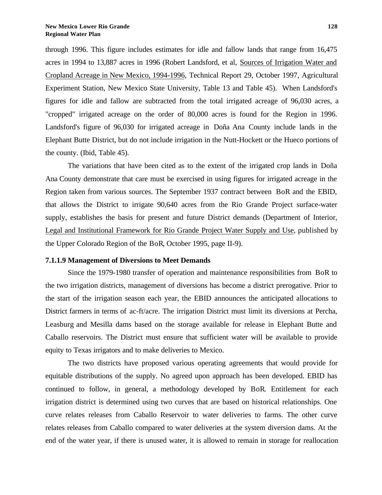through 1996. This figure includes estimates for idle and fallow lands that range from 16,475 acres in 1994 to 13,887 acres in 1996 (Robert Landsford, et al, Sources of Irrigation Water and Cropland Acreage in New Mexico, 1994-1996, Technical Report 29, October 1997, Agricultural Experiment Station, New Mexico State University, Table 13 and Table 45). When Landsford's figures for idle and fallow are subtracted from the total irrigated acreage of 96,030 acres, a "cropped" irrigated acreage on the order of 80,000 acres is found for the Region in 1996. Landsford's figure of 96,030 for irrigated acreage in Doña Ana County include lands in the Elephant Butte District, but do not include irrigation in the Nutt-Hockett or the Hueco portions of the county. (Ibid, Table 45).

The variations that have been cited as to the extent of the irrigated crop lands in Doña Ana County demonstrate that care must be exercised in using figures for irrigated acreage in the Region taken from various sources. The September 1937 contract between BoR and the EBID, that allows the District to irrigate 90,640 acres from the Rio Grande Project surface-water supply, establishes the basis for present and future District demands (Department of Interior, Legal and Institutional Framework for Rio Grande Project Water Supply and Use, published by the Upper Colorado Region of the BoR, October 1995, page II-9).

#### **7.1.1.9 Management of Diversions to Meet Demands**

Since the 1979-1980 transfer of operation and maintenance responsibilities from BoR to the two irrigation districts, management of diversions has become a district prerogative. Prior to the start of the irrigation season each year, the EBID announces the anticipated allocations to District farmers in terms of ac-ft/acre. The irrigation District must limit its diversions at Percha, Leasburg and Mesilla dams based on the storage available for release in Elephant Butte and Caballo reservoirs. The District must ensure that sufficient water will be available to provide equity to Texas irrigators and to make deliveries to Mexico.

The two districts have proposed various operating agreements that would provide for equitable distributions of the supply. No agreed upon approach has been developed. EBID has continued to follow, in general, a methodology developed by BoR. Entitlement for each irrigation district is determined using two curves that are based on historical relationships. One curve relates releases from Caballo Reservoir to water deliveries to farms. The other curve relates releases from Caballo compared to water deliveries at the system diversion dams. At the end of the water year, if there is unused water, it is allowed to remain in storage for reallocation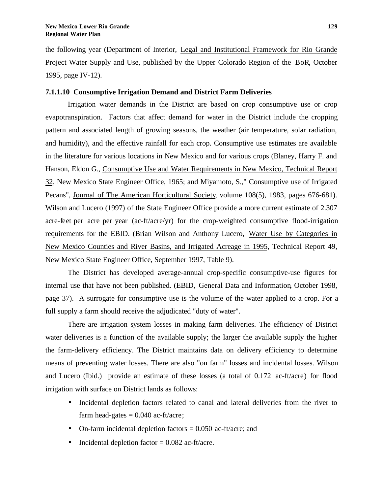the following year (Department of Interior, Legal and Institutional Framework for Rio Grande Project Water Supply and Use, published by the Upper Colorado Region of the BoR, October 1995, page IV-12).

### **7.1.1.10 Consumptive Irrigation Demand and District Farm Deliveries**

Irrigation water demands in the District are based on crop consumptive use or crop evapotranspiration. Factors that affect demand for water in the District include the cropping pattern and associated length of growing seasons, the weather (air temperature, solar radiation, and humidity), and the effective rainfall for each crop. Consumptive use estimates are available in the literature for various locations in New Mexico and for various crops (Blaney, Harry F. and Hanson, Eldon G., Consumptive Use and Water Requirements in New Mexico, Technical Report 32, New Mexico State Engineer Office, 1965; and Miyamoto, S.," Consumptive use of Irrigated Pecans", Journal of The American Horticultural Society, volume 108(5), 1983, pages 676-681). Wilson and Lucero (1997) of the State Engineer Office provide a more current estimate of 2.307 acre-feet per acre per year (ac-ft/acre/yr) for the crop-weighted consumptive flood-irrigation requirements for the EBID. (Brian Wilson and Anthony Lucero, Water Use by Categories in New Mexico Counties and River Basins, and Irrigated Acreage in 1995, Technical Report 49, New Mexico State Engineer Office, September 1997, Table 9).

The District has developed average-annual crop-specific consumptive-use figures for internal use that have not been published. (EBID, General Data and Information, October 1998, page 37). A surrogate for consumptive use is the volume of the water applied to a crop. For a full supply a farm should receive the adjudicated "duty of water".

There are irrigation system losses in making farm deliveries. The efficiency of District water deliveries is a function of the available supply; the larger the available supply the higher the farm-delivery efficiency. The District maintains data on delivery efficiency to determine means of preventing water losses. There are also "on farm" losses and incidental losses. Wilson and Lucero (Ibid.) provide an estimate of these losses (a total of 0.172 ac-ft/acre) for flood irrigation with surface on District lands as follows:

- Incidental depletion factors related to canal and lateral deliveries from the river to farm head-gates  $= 0.040$  ac-ft/acre;
- On-farm incidental depletion factors  $= 0.050$  ac-ft/acre; and
- Incidental depletion factor  $= 0.082$  ac-ft/acre.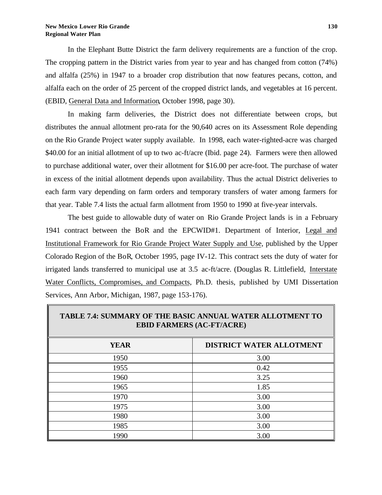In the Elephant Butte District the farm delivery requirements are a function of the crop. The cropping pattern in the District varies from year to year and has changed from cotton (74%) and alfalfa (25%) in 1947 to a broader crop distribution that now features pecans, cotton, and alfalfa each on the order of 25 percent of the cropped district lands, and vegetables at 16 percent. (EBID, General Data and Information, October 1998, page 30).

In making farm deliveries, the District does not differentiate between crops, but distributes the annual allotment pro-rata for the 90,640 acres on its Assessment Role depending on the Rio Grande Project water supply available. In 1998, each water-righted-acre was charged \$40.00 for an initial allotment of up to two ac-ft/acre (Ibid. page 24). Farmers were then allowed to purchase additional water, over their allotment for \$16.00 per acre-foot. The purchase of water in excess of the initial allotment depends upon availability. Thus the actual District deliveries to each farm vary depending on farm orders and temporary transfers of water among farmers for that year. Table 7.4 lists the actual farm allotment from 1950 to 1990 at five-year intervals.

The best guide to allowable duty of water on Rio Grande Project lands is in a February 1941 contract between the BoR and the EPCWID#1. Department of Interior, Legal and Institutional Framework for Rio Grande Project Water Supply and Use, published by the Upper Colorado Region of the BoR, October 1995, page IV-12. This contract sets the duty of water for irrigated lands transferred to municipal use at 3.5 ac-ft/acre. (Douglas R. Littlefield, Interstate Water Conflicts, Compromises, and Compacts, Ph.D. thesis, published by UMI Dissertation Services, Ann Arbor, Michigan, 1987, page 153-176).

| TABLE 7.4: SUMMARY OF THE BASIC ANNUAL WATER ALLOTMENT TO<br><b>EBID FARMERS (AC-FT/ACRE)</b> |                          |  |  |  |
|-----------------------------------------------------------------------------------------------|--------------------------|--|--|--|
| <b>YEAR</b>                                                                                   | DISTRICT WATER ALLOTMENT |  |  |  |
| 1950                                                                                          | 3.00                     |  |  |  |
| 1955                                                                                          | 0.42                     |  |  |  |
| 1960                                                                                          | 3.25                     |  |  |  |
| 1965                                                                                          | 1.85                     |  |  |  |
| 1970                                                                                          | 3.00                     |  |  |  |
| 1975                                                                                          | 3.00                     |  |  |  |
| 1980                                                                                          | 3.00                     |  |  |  |
| 1985                                                                                          | 3.00                     |  |  |  |
| 1990                                                                                          | 3.00                     |  |  |  |

# **TABLE 7.4: SUMMARY OF THE BASIC ANNUAL WATER ALLOTMENT TO**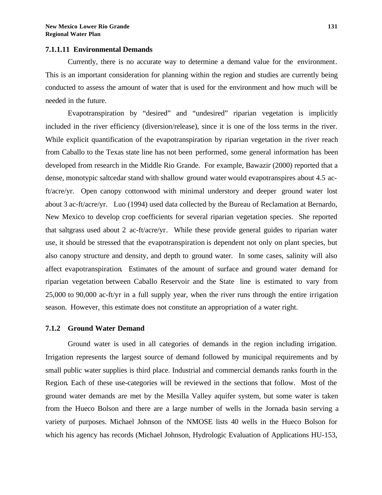#### **7.1.1.11 Environmental Demands**

Currently, there is no accurate way to determine a demand value for the environment. This is an important consideration for planning within the region and studies are currently being conducted to assess the amount of water that is used for the environment and how much will be needed in the future.

Evapotranspiration by "desired" and "undesired" riparian vegetation is implicitly included in the river efficiency (diversion/release), since it is one of the loss terms in the river. While explicit quantification of the evapotranspiration by riparian vegetation in the river reach from Caballo to the Texas state line has not been performed, some general information has been developed from research in the Middle Rio Grande. For example, Bawazir (2000) reported that a dense, monotypic saltcedar stand with shallow ground water would evapotranspires about 4.5 acft/acre/yr. Open canopy cottonwood with minimal understory and deeper ground water lost about 3 ac-ft/acre/yr. Luo (1994) used data collected by the Bureau of Reclamation at Bernardo, New Mexico to develop crop coefficients for several riparian vegetation species. She reported that saltgrass used about 2 ac-ft/acre/yr. While these provide general guides to riparian water use, it should be stressed that the evapotranspiration is dependent not only on plant species, but also canopy structure and density, and depth to ground water. In some cases, salinity will also affect evapotranspiration. Estimates of the amount of surface and ground water demand for riparian vegetation between Caballo Reservoir and the State line is estimated to vary from 25,000 to 90,000 ac-ft/yr in a full supply year, when the river runs through the entire irrigation season. However, this estimate does not constitute an appropriation of a water right.

#### **7.1.2 Ground Water Demand**

Ground water is used in all categories of demands in the region including irrigation. Irrigation represents the largest source of demand followed by municipal requirements and by small public water supplies is third place. Industrial and commercial demands ranks fourth in the Region. Each of these use-categories will be reviewed in the sections that follow. Most of the ground water demands are met by the Mesilla Valley aquifer system, but some water is taken from the Hueco Bolson and there are a large number of wells in the Jornada basin serving a variety of purposes. Michael Johnson of the NMOSE lists 40 wells in the Hueco Bolson for which his agency has records (Michael Johnson, Hydrologic Evaluation of Applications HU-153,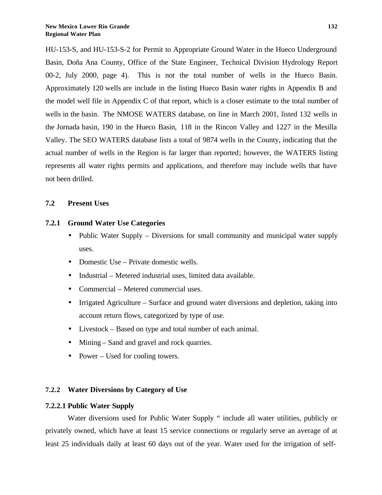HU-153-S, and HU-153-S-2 for Permit to Appropriate Ground Water in the Hueco Underground Basin, Doña Ana County, Office of the State Engineer, Technical Division Hydrology Report 00-2, July 2000, page 4). This is not the total number of wells in the Hueco Basin. Approximately 120 wells are include in the listing Hueco Basin water rights in Appendix B and the model well file in Appendix C of that report, which is a closer estimate to the total number of wells in the basin. The NMOSE WATERS database, on line in March 2001, listed 132 wells in the Jornada basin, 190 in the Hueco Basin, 118 in the Rincon Valley and 1227 in the Mesilla Valley. The SEO WATERS database lists a total of 9874 wells in the County, indicating that the actual number of wells in the Region is far larger than reported; however, the WATERS listing represents all water rights permits and applications, and therefore may include wells that have not been drilled.

## **7.2 Present Uses**

### **7.2.1 Ground Water Use Categories**

- Public Water Supply Diversions for small community and municipal water supply uses.
- Domestic Use Private domestic wells.
- Industrial Metered industrial uses, limited data available.
- Commercial Metered commercial uses.
- Irrigated Agriculture Surface and ground water diversions and depletion, taking into account return flows, categorized by type of use.
- Livestock Based on type and total number of each animal.
- Mining Sand and gravel and rock quarries.
- Power Used for cooling towers.

# **7.2.2 Water Diversions by Category of Use**

### **7.2.2.1 Public Water Supply**

Water diversions used for Public Water Supply " include all water utilities, publicly or privately owned, which have at least 15 service connections or regularly serve an average of at least 25 individuals daily at least 60 days out of the year. Water used for the irrigation of self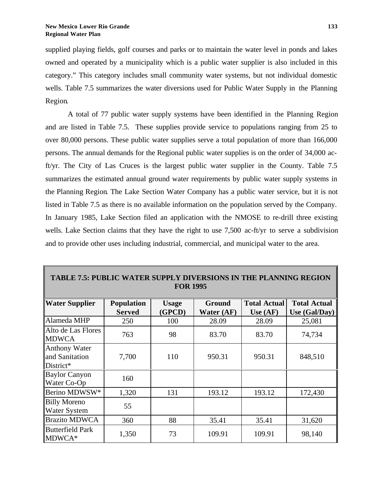supplied playing fields, golf courses and parks or to maintain the water level in ponds and lakes owned and operated by a municipality which is a public water supplier is also included in this category." This category includes small community water systems, but not individual domestic wells. Table 7.5 summarizes the water diversions used for Public Water Supply in the Planning Region.

A total of 77 public water supply systems have been identified in the Planning Region and are listed in Table 7.5. These supplies provide service to populations ranging from 25 to over 80,000 persons. These public water supplies serve a total population of more than 166,000 persons. The annual demands for the Regional public water supplies is on the order of 34,000 acft/yr. The City of Las Cruces is the largest public water supplier in the County. Table 7.5 summarizes the estimated annual ground water requirements by public water supply systems in the Planning Region. The Lake Section Water Company has a public water service, but it is not listed in Table 7.5 as there is no available information on the population served by the Company. In January 1985, Lake Section filed an application with the NMOSE to re-drill three existing wells. Lake Section claims that they have the right to use 7,500 ac-ft/yr to serve a subdivision and to provide other uses including industrial, commercial, and municipal water to the area.

| FUN 1773                                            |                                    |                        |                             |                                   |                                      |
|-----------------------------------------------------|------------------------------------|------------------------|-----------------------------|-----------------------------------|--------------------------------------|
| <b>Water Supplier</b>                               | <b>Population</b><br><b>Served</b> | <b>Usage</b><br>(GPCD) | <b>Ground</b><br>Water (AF) | <b>Total Actual</b><br>Use $(AF)$ | <b>Total Actual</b><br>Use (Gal/Day) |
| Alameda MHP                                         | 250                                | 100                    | 28.09                       | 28.09                             | 25,081                               |
| Alto de Las Flores<br><b>MDWCA</b>                  | 763                                | 98                     | 83.70                       | 83.70                             | 74,734                               |
| <b>Anthony Water</b><br>and Sanitation<br>District* | 7,700                              | 110                    | 950.31                      | 950.31                            | 848,510                              |
| <b>Baylor Canyon</b><br>Water Co-Op                 | 160                                |                        |                             |                                   |                                      |
| Berino MDWSW*                                       | 1,320                              | 131                    | 193.12                      | 193.12                            | 172,430                              |
| <b>Billy Moreno</b><br><b>Water System</b>          | 55                                 |                        |                             |                                   |                                      |
| <b>Brazito MDWCA</b>                                | 360                                | 88                     | 35.41                       | 35.41                             | 31,620                               |
| <b>Butterfield Park</b><br>MDWCA*                   | 1,350                              | 73                     | 109.91                      | 109.91                            | 98,140                               |

# **TABLE 7.5: PUBLIC WATER SUPPLY DIVERSIONS IN THE PLANNING REGION**  $F \cap D$  1005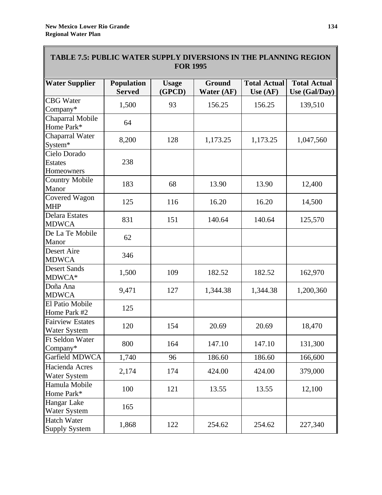| <b>TABLE 7.5: PUBLIC WATER SUPPLY DIVERSIONS IN THE PLANNING REGION</b><br><b>FOR 1995</b> |                             |                        |                             |                                   |                                      |
|--------------------------------------------------------------------------------------------|-----------------------------|------------------------|-----------------------------|-----------------------------------|--------------------------------------|
| <b>Water Supplier</b>                                                                      | Population<br><b>Served</b> | <b>Usage</b><br>(GPCD) | <b>Ground</b><br>Water (AF) | <b>Total Actual</b><br>Use $(AF)$ | <b>Total Actual</b><br>Use (Gal/Day) |
| <b>CBG</b> Water<br>Company*                                                               | 1,500                       | 93                     | 156.25                      | 156.25                            | 139,510                              |
| Chaparral Mobile<br>Home Park*                                                             | 64                          |                        |                             |                                   |                                      |
| Chaparral Water<br>System*                                                                 | 8,200                       | 128                    | 1,173.25                    | 1,173.25                          | 1,047,560                            |
| Cielo Dorado<br><b>Estates</b><br>Homeowners                                               | 238                         |                        |                             |                                   |                                      |
| <b>Country Mobile</b><br>Manor                                                             | 183                         | 68                     | 13.90                       | 13.90                             | 12,400                               |
| Covered Wagon<br><b>MHP</b>                                                                | 125                         | 116                    | 16.20                       | 16.20                             | 14,500                               |
| <b>Delara Estates</b><br><b>MDWCA</b>                                                      | 831                         | 151                    | 140.64                      | 140.64                            | 125,570                              |
| De La Te Mobile<br>Manor                                                                   | 62                          |                        |                             |                                   |                                      |
| Desert Aire<br><b>MDWCA</b>                                                                | 346                         |                        |                             |                                   |                                      |
| <b>Desert Sands</b><br>MDWCA*                                                              | 1,500                       | 109                    | 182.52                      | 182.52                            | 162,970                              |
| Doña Ana<br><b>MDWCA</b>                                                                   | 9,471                       | 127                    | 1,344.38                    | 1,344.38                          | 1,200,360                            |
| El Patio Mobile<br>Home Park #2                                                            | 125                         |                        |                             |                                   |                                      |
| <b>Fairview Estates</b><br><b>Water System</b>                                             | 120                         | 154                    | 20.69                       | 20.69                             | 18,470                               |
| Ft Seldon Water<br>Company*                                                                | 800                         | 164                    | 147.10                      | 147.10                            | 131,300                              |
| Garfield MDWCA                                                                             | 1,740                       | 96                     | 186.60                      | 186.60                            | 166,600                              |
| Hacienda Acres<br><b>Water System</b>                                                      | 2,174                       | 174                    | 424.00                      | 424.00                            | 379,000                              |
| Hamula Mobile<br>Home Park*                                                                | 100                         | 121                    | 13.55                       | 13.55                             | 12,100                               |
| Hangar Lake<br>Water System                                                                | 165                         |                        |                             |                                   |                                      |
| <b>Hatch Water</b><br>Supply System                                                        | 1,868                       | 122                    | 254.62                      | 254.62                            | 227,340                              |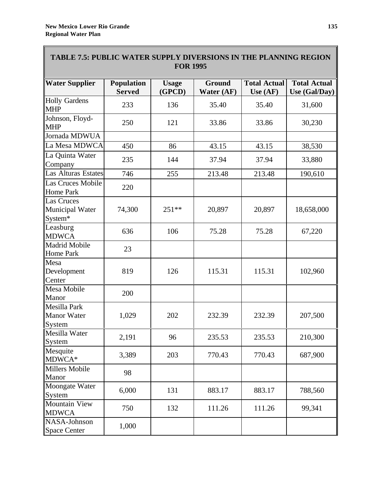| <b>TABLE 7.5: PUBLIC WATER SUPPLY DIVERSIONS IN THE PLANNING REGION</b><br><b>FOR 1995</b> |                                    |                        |                             |                                   |                                      |
|--------------------------------------------------------------------------------------------|------------------------------------|------------------------|-----------------------------|-----------------------------------|--------------------------------------|
| <b>Water Supplier</b>                                                                      | <b>Population</b><br><b>Served</b> | <b>Usage</b><br>(GPCD) | <b>Ground</b><br>Water (AF) | <b>Total Actual</b><br>Use $(AF)$ | <b>Total Actual</b><br>Use (Gal/Day) |
| <b>Holly Gardens</b><br><b>MHP</b>                                                         | 233                                | 136                    | 35.40                       | 35.40                             | 31,600                               |
| Johnson, Floyd-<br><b>MHP</b>                                                              | 250                                | 121                    | 33.86                       | 33.86                             | 30,230                               |
| Jornada MDWUA                                                                              |                                    |                        |                             |                                   |                                      |
| La Mesa MDWCA                                                                              | 450                                | 86                     | 43.15                       | 43.15                             | 38,530                               |
| La Quinta Water<br>Company                                                                 | 235                                | 144                    | 37.94                       | 37.94                             | 33,880                               |
| Las Alturas Estates                                                                        | 746                                | 255                    | 213.48                      | 213.48                            | 190,610                              |
| Las Cruces Mobile<br>Home Park                                                             | 220                                |                        |                             |                                   |                                      |
| Las Cruces<br>Municipal Water<br>System*                                                   | 74,300                             | 251 **                 | 20,897                      | 20,897                            | 18,658,000                           |
| Leasburg<br><b>MDWCA</b>                                                                   | 636                                | 106                    | 75.28                       | 75.28                             | 67,220                               |
| Madrid Mobile<br>Home Park                                                                 | 23                                 |                        |                             |                                   |                                      |
| Mesa<br>Development<br>Center                                                              | 819                                | 126                    | 115.31                      | 115.31                            | 102,960                              |
| Mesa Mobile<br>Manor                                                                       | 200                                |                        |                             |                                   |                                      |
| Mesilla Park<br><b>Manor Water</b><br>System                                               | 1,029                              | 202                    | 232.39                      | 232.39                            | 207,500                              |
| Mesilla Water<br>System                                                                    | 2,191                              | 96                     | 235.53                      | 235.53                            | 210,300                              |
| Mesquite<br>MDWCA*                                                                         | 3,389                              | 203                    | 770.43                      | 770.43                            | 687,900                              |
| Millers Mobile<br>Manor                                                                    | 98                                 |                        |                             |                                   |                                      |
| Moongate Water<br>System                                                                   | 6,000                              | 131                    | 883.17                      | 883.17                            | 788,560                              |
| Mountain View<br><b>MDWCA</b>                                                              | 750                                | 132                    | 111.26                      | 111.26                            | 99,341                               |
| NASA-Johnson<br>Space Center                                                               | 1,000                              |                        |                             |                                   |                                      |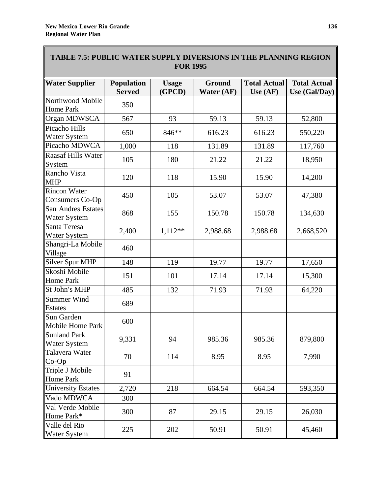| TABLE 7.5: PUBLIC WATER SUPPLY DIVERSIONS IN THE PLANNING REGION<br><b>FOR 1995</b> |                                    |                        |                             |                                   |                                      |
|-------------------------------------------------------------------------------------|------------------------------------|------------------------|-----------------------------|-----------------------------------|--------------------------------------|
| <b>Water Supplier</b>                                                               | <b>Population</b><br><b>Served</b> | <b>Usage</b><br>(GPCD) | <b>Ground</b><br>Water (AF) | <b>Total Actual</b><br>Use $(AF)$ | <b>Total Actual</b><br>Use (Gal/Day) |
| Northwood Mobile<br>Home Park                                                       | 350                                |                        |                             |                                   |                                      |
| Organ MDWSCA                                                                        | 567                                | 93                     | 59.13                       | 59.13                             | 52,800                               |
| Picacho Hills<br><b>Water System</b>                                                | 650                                | 846**                  | 616.23                      | 616.23                            | 550,220                              |
| Picacho MDWCA                                                                       | 1,000                              | 118                    | 131.89                      | 131.89                            | 117,760                              |
| Raasaf Hills Water<br>System                                                        | 105                                | 180                    | 21.22                       | 21.22                             | 18,950                               |
| Rancho Vista<br><b>MHP</b>                                                          | 120                                | 118                    | 15.90                       | 15.90                             | 14,200                               |
| <b>Rincon Water</b><br>Consumers Co-Op                                              | 450                                | 105                    | 53.07                       | 53.07                             | 47,380                               |
| <b>San Andres Estates</b><br>Water System                                           | 868                                | 155                    | 150.78                      | 150.78                            | 134,630                              |
| Santa Teresa<br>Water System                                                        | 2,400                              | $1,112**$              | 2,988.68                    | 2,988.68                          | 2,668,520                            |
| Shangri-La Mobile<br>Village                                                        | 460                                |                        |                             |                                   |                                      |
| Silver Spur MHP                                                                     | 148                                | 119                    | 19.77                       | 19.77                             | 17,650                               |
| Skoshi Mobile<br>Home Park                                                          | 151                                | 101                    | 17.14                       | 17.14                             | 15,300                               |
| St John's MHP                                                                       | 485                                | 132                    | 71.93                       | 71.93                             | 64,220                               |
| <b>Summer Wind</b><br><b>Estates</b>                                                | 689                                |                        |                             |                                   |                                      |
| Sun Garden<br>Mobile Home Park                                                      | 600                                |                        |                             |                                   |                                      |
| <b>Sunland Park</b><br><b>Water System</b>                                          | 9,331                              | 94                     | 985.36                      | 985.36                            | 879,800                              |
| Talavera Water<br>$Co-Op$                                                           | 70                                 | 114                    | 8.95                        | 8.95                              | 7,990                                |
| Triple J Mobile<br>Home Park                                                        | 91                                 |                        |                             |                                   |                                      |
| University Estates                                                                  | 2,720                              | 218                    | 664.54                      | 664.54                            | 593,350                              |
| Vado MDWCA                                                                          | 300                                |                        |                             |                                   |                                      |
| Val Verde Mobile<br>Home Park*                                                      | 300                                | 87                     | 29.15                       | 29.15                             | 26,030                               |
| Valle del Rio<br>Water System                                                       | 225                                | 202                    | 50.91                       | 50.91                             | 45,460                               |

# **TABLE 7.5: PUBLIC WATER SUPPLY DIVERSIONS IN THE PLANNING REGION**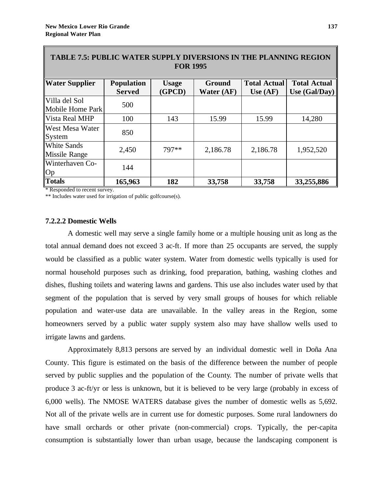| <b>TABLE 7.5: PUBLIC WATER SUPPLY DIVERSIONS IN THE PLANNING REGION</b><br><b>FOR 1995</b> |                                    |                        |                             |                                   |                                        |
|--------------------------------------------------------------------------------------------|------------------------------------|------------------------|-----------------------------|-----------------------------------|----------------------------------------|
| <b>Water Supplier</b>                                                                      | <b>Population</b><br><b>Served</b> | <b>Usage</b><br>(GPCD) | <b>Ground</b><br>Water (AF) | <b>Total Actual</b><br>Use $(AF)$ | <b>Total Actual</b><br>Use $(Gal/Day)$ |
| Villa del Sol<br>Mobile Home Park                                                          | 500                                |                        |                             |                                   |                                        |
| Vista Real MHP                                                                             | 100                                | 143                    | 15.99                       | 15.99                             | 14,280                                 |
| <b>West Mesa Water</b><br>System                                                           | 850                                |                        |                             |                                   |                                        |
| <b>White Sands</b><br><b>Missile Range</b>                                                 | 2,450                              | $797**$                | 2,186.78                    | 2,186.78                          | 1,952,520                              |
| Winterhaven Co-<br>Op                                                                      | 144                                |                        |                             |                                   |                                        |
| <b>Totals</b>                                                                              | 165,963                            | 182                    | 33,758                      | 33,758                            | 33,255,886                             |

\* Responded to recent survey.

\*\* Includes water used for irrigation of public golfcourse(s).

#### **7.2.2.2 Domestic Wells**

A domestic well may serve a single family home or a multiple housing unit as long as the total annual demand does not exceed 3 ac-ft. If more than 25 occupants are served, the supply would be classified as a public water system. Water from domestic wells typically is used for normal household purposes such as drinking, food preparation, bathing, washing clothes and dishes, flushing toilets and watering lawns and gardens. This use also includes water used by that segment of the population that is served by very small groups of houses for which reliable population and water-use data are unavailable. In the valley areas in the Region, some homeowners served by a public water supply system also may have shallow wells used to irrigate lawns and gardens.

Approximately 8,813 persons are served by an individual domestic well in Doña Ana County. This figure is estimated on the basis of the difference between the number of people served by public supplies and the population of the County. The number of private wells that produce 3 ac-ft/yr or less is unknown, but it is believed to be very large (probably in excess of 6,000 wells). The NMOSE WATERS database gives the number of domestic wells as 5,692. Not all of the private wells are in current use for domestic purposes. Some rural landowners do have small orchards or other private (non-commercial) crops. Typically, the per-capita consumption is substantially lower than urban usage, because the landscaping component is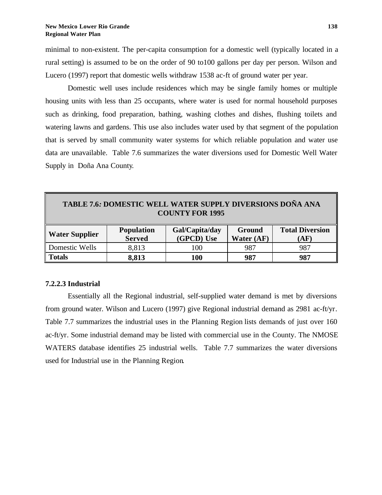minimal to non-existent. The per-capita consumption for a domestic well (typically located in a rural setting) is assumed to be on the order of 90 to100 gallons per day per person. Wilson and Lucero (1997) report that domestic wells withdraw 1538 ac-ft of ground water per year.

Domestic well uses include residences which may be single family homes or multiple housing units with less than 25 occupants, where water is used for normal household purposes such as drinking, food preparation, bathing, washing clothes and dishes, flushing toilets and watering lawns and gardens. This use also includes water used by that segment of the population that is served by small community water systems for which reliable population and water use data are unavailable. Table 7.6 summarizes the water diversions used for Domestic Well Water Supply in Doña Ana County.

| TABLE 7.6: DOMESTIC WELL WATER SUPPLY DIVERSIONS DOÑA ANA<br><b>COUNTY FOR 1995</b> |                                    |                              |                      |                                |  |
|-------------------------------------------------------------------------------------|------------------------------------|------------------------------|----------------------|--------------------------------|--|
| <b>Water Supplier</b>                                                               | <b>Population</b><br><b>Served</b> | Gal/Capita/day<br>(GPCD) Use | Ground<br>Water (AF) | <b>Total Diversion</b><br>(AF) |  |
| Domestic Wells                                                                      | 8,813                              | 100                          | 987                  | 987                            |  |
| <b>Totals</b>                                                                       | 8,813                              | 100                          | 987                  | 987                            |  |

### **7.2.2.3 Industrial**

Essentially all the Regional industrial, self-supplied water demand is met by diversions from ground water. Wilson and Lucero (1997) give Regional industrial demand as 2981 ac-ft/yr. Table 7.7 summarizes the industrial uses in the Planning Region lists demands of just over 160 ac-ft/yr. Some industrial demand may be listed with commercial use in the County. The NMOSE WATERS database identifies 25 industrial wells. Table 7.7 summarizes the water diversions used for Industrial use in the Planning Region.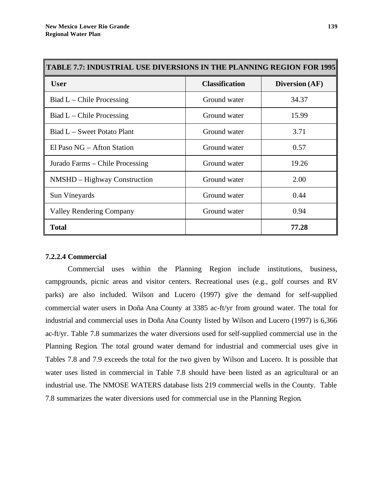| <b>TABLE 7.7: INDUSTRIAL USE DIVERSIONS IN THE PLANNING REGION FOR 1995</b> |                       |                |  |  |  |
|-----------------------------------------------------------------------------|-----------------------|----------------|--|--|--|
| <b>User</b>                                                                 | <b>Classification</b> | Diversion (AF) |  |  |  |
| Biad $L$ – Chile Processing                                                 | Ground water          | 34.37          |  |  |  |
| Biad $L$ – Chile Processing                                                 | Ground water          | 15.99          |  |  |  |
| $Biad L - Sweet Potato Plant$                                               | Ground water          | 3.71           |  |  |  |
| El Paso $NG - A$ fton Station                                               | Ground water          | 0.57           |  |  |  |
| Jurado Farms – Chile Processing                                             | Ground water          | 19.26          |  |  |  |
| NMSHD – Highway Construction                                                | Ground water          | 2.00           |  |  |  |
| Sun Vineyards                                                               | Ground water          | 0.44           |  |  |  |
| <b>Valley Rendering Company</b>                                             | Ground water          | 0.94           |  |  |  |
| <b>Total</b>                                                                |                       | 77.28          |  |  |  |

### **7.2.2.4 Commercial**

Commercial uses within the Planning Region include institutions, business, campgrounds, picnic areas and visitor centers. Recreational uses (e.g., golf courses and RV parks) are also included. Wilson and Lucero (1997) give the demand for self-supplied commercial water users in Doña Ana County at 3385 ac-ft/yr from ground water. The total for industrial and commercial uses in Doña Ana County listed by Wilson and Lucero (1997) is 6,366 ac-ft/yr. Table 7.8 summarizes the water diversions used for self-supplied commercial use in the Planning Region. The total ground water demand for industrial and commercial uses give in Tables 7.8 and 7.9 exceeds the total for the two given by Wilson and Lucero. It is possible that water uses listed in commercial in Table 7.8 should have been listed as an agricultural or an industrial use. The NMOSE WATERS database lists 219 commercial wells in the County. Table 7.8 summarizes the water diversions used for commercial use in the Planning Region.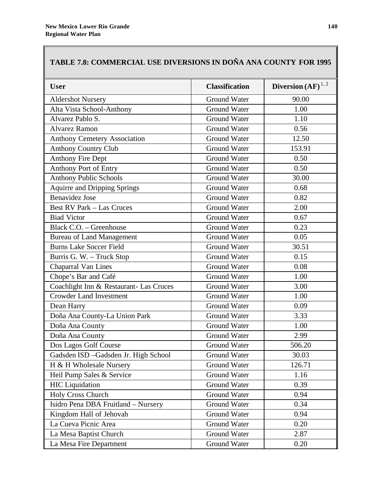# **TABLE 7.8: COMMERCIAL USE DIVERSIONS IN DOÑA ANA COUNTY FOR 1995**

| <b>User</b>                             | <b>Classification</b> | Diversion $(AF)^{1, 2}$ |
|-----------------------------------------|-----------------------|-------------------------|
| <b>Aldershot Nursery</b>                | <b>Ground Water</b>   | 90.00                   |
| Alta Vista School-Anthony               | Ground Water          | 1.00                    |
| Alvarez Pablo S.                        | <b>Ground Water</b>   | 1.10                    |
| <b>Alvarez Ramon</b>                    | Ground Water          | 0.56                    |
| <b>Anthony Cemetery Association</b>     | <b>Ground Water</b>   | 12.50                   |
| <b>Anthony Country Club</b>             | <b>Ground Water</b>   | 153.91                  |
| <b>Anthony Fire Dept</b>                | <b>Ground Water</b>   | 0.50                    |
| Anthony Port of Entry                   | Ground Water          | 0.50                    |
| <b>Anthony Public Schools</b>           | <b>Ground Water</b>   | 30.00                   |
| <b>Aquirre and Dripping Springs</b>     | <b>Ground Water</b>   | 0.68                    |
| <b>Benavidez Jose</b>                   | <b>Ground Water</b>   | 0.82                    |
| <b>Best RV Park - Las Cruces</b>        | Ground Water          | 2.00                    |
| <b>Biad Victor</b>                      | <b>Ground Water</b>   | 0.67                    |
| Black C.O. - Greenhouse                 | <b>Ground Water</b>   | 0.23                    |
| <b>Bureau of Land Management</b>        | Ground Water          | 0.05                    |
| <b>Burns Lake Soccer Field</b>          | <b>Ground Water</b>   | 30.51                   |
| Burris G. W. - Truck Stop               | <b>Ground Water</b>   | 0.15                    |
| Chaparral Van Lines                     | Ground Water          | 0.08                    |
| Chope's Bar and Café                    | <b>Ground Water</b>   | 1.00                    |
| Coachlight Inn & Restaurant- Las Cruces | <b>Ground Water</b>   | 3.00                    |
| <b>Crowder Land Investment</b>          | <b>Ground Water</b>   | 1.00                    |
| Dean Harry                              | <b>Ground Water</b>   | 0.09                    |
| Doña Ana County-La Union Park           | Ground Water          | 3.33                    |
| Doña Ana County                         | <b>Ground Water</b>   | 1.00                    |
| Doña Ana County                         | <b>Ground Water</b>   | 2.99                    |
| Dos Lagos Golf Course                   | <b>Ground Water</b>   | 506.20                  |
| Gadsden ISD -Gadsden Jr. High School    | Ground Water          | 30.03                   |
| H & H Wholesale Nursery                 | Ground Water          | 126.71                  |
| Heil Pump Sales & Service               | Ground Water          | 1.16                    |
| <b>HIC</b> Liquidation                  | Ground Water          | 0.39                    |
| Holy Cross Church                       | <b>Ground Water</b>   | 0.94                    |
| Isidro Pena DBA Fruitland - Nursery     | Ground Water          | 0.34                    |
| Kingdom Hall of Jehovah                 | Ground Water          | 0.94                    |
| La Cueva Picnic Area                    | Ground Water          | 0.20                    |
| La Mesa Baptist Church                  | <b>Ground Water</b>   | 2.87                    |
| La Mesa Fire Department                 | Ground Water          | 0.20                    |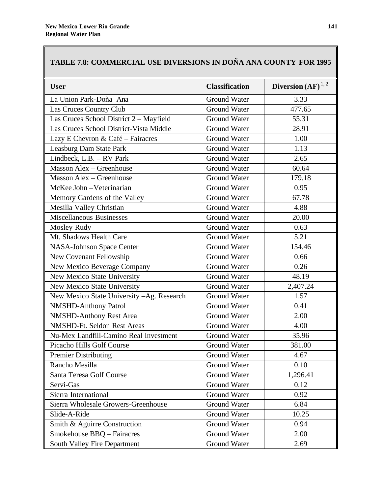# **TABLE 7.8: COMMERCIAL USE DIVERSIONS IN DOÑA ANA COUNTY FOR 1995**

| <b>User</b>                               | <b>Classification</b> | Diversion $(AF)^{1, 2}$ |
|-------------------------------------------|-----------------------|-------------------------|
| La Union Park-Doña Ana                    | Ground Water          | 3.33                    |
| Las Cruces Country Club                   | <b>Ground Water</b>   | 477.65                  |
| Las Cruces School District 2 - Mayfield   | <b>Ground Water</b>   | 55.31                   |
| Las Cruces School District-Vista Middle   | Ground Water          | 28.91                   |
| Lazy E Chevron & Café - Fairacres         | <b>Ground Water</b>   | 1.00                    |
| Leasburg Dam State Park                   | <b>Ground Water</b>   | 1.13                    |
| Lindbeck, L.B. - RV Park                  | <b>Ground Water</b>   | 2.65                    |
| Masson Alex - Greenhouse                  | <b>Ground Water</b>   | 60.64                   |
| Masson Alex - Greenhouse                  | Ground Water          | 179.18                  |
| McKee John - Veterinarian                 | <b>Ground Water</b>   | 0.95                    |
| Memory Gardens of the Valley              | <b>Ground Water</b>   | 67.78                   |
| Mesilla Valley Christian                  | <b>Ground Water</b>   | 4.88                    |
| <b>Miscellaneous Businesses</b>           | <b>Ground Water</b>   | 20.00                   |
| Mosley Rudy                               | <b>Ground Water</b>   | 0.63                    |
| Mt. Shadows Health Care                   | Ground Water          | 5.21                    |
| NASA-Johnson Space Center                 | <b>Ground Water</b>   | 154.46                  |
| New Covenant Fellowship                   | Ground Water          | 0.66                    |
| New Mexico Beverage Company               | <b>Ground Water</b>   | 0.26                    |
| New Mexico State University               | <b>Ground Water</b>   | 48.19                   |
| New Mexico State University               | Ground Water          | 2,407.24                |
| New Mexico State University -Ag. Research | <b>Ground Water</b>   | 1.57                    |
| NMSHD-Anthony Patrol                      | <b>Ground Water</b>   | 0.41                    |
| <b>NMSHD-Anthony Rest Area</b>            | Ground Water          | 2.00                    |
| NMSHD-Ft. Seldon Rest Areas               | <b>Ground Water</b>   | 4.00                    |
| Nu-Mex Landfill-Camino Real Investment    | <b>Ground Water</b>   | 35.96                   |
| Picacho Hills Golf Course                 | Ground Water          | 381.00                  |
| <b>Premier Distributing</b>               | Ground Water          | 4.67                    |
| Rancho Mesilla                            | Ground Water          | 0.10                    |
| Santa Teresa Golf Course                  | <b>Ground Water</b>   | 1,296.41                |
| Servi-Gas                                 | <b>Ground Water</b>   | 0.12                    |
| Sierra International                      | <b>Ground Water</b>   | 0.92                    |
| Sierra Wholesale Growers-Greenhouse       | <b>Ground Water</b>   | 6.84                    |
| Slide-A-Ride                              | Ground Water          | 10.25                   |
| Smith & Aguirre Construction              | Ground Water          | 0.94                    |
| Smokehouse BBQ - Fairacres                | Ground Water          | 2.00                    |
| South Valley Fire Department              | Ground Water          | 2.69                    |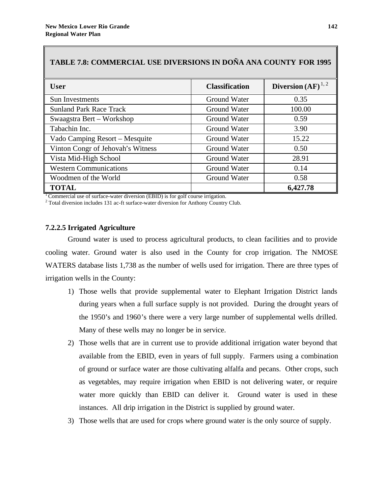| <b>TABLE 7.8: COMMERCIAL USE DIVERSIONS IN DOÑA ANA COUNTY FOR 1995</b> |                       |                         |
|-------------------------------------------------------------------------|-----------------------|-------------------------|
| <b>User</b>                                                             | <b>Classification</b> | Diversion $(AF)^{1, 2}$ |
| Sun Investments                                                         | Ground Water          | 0.35                    |
| <b>Sunland Park Race Track</b>                                          | Ground Water          | 100.00                  |
| Swaagstra Bert – Workshop                                               | Ground Water          | 0.59                    |
| Tabachin Inc.                                                           | Ground Water          | 3.90                    |
| Vado Camping Resort – Mesquite                                          | Ground Water          | 15.22                   |
| Vinton Congr of Jehovah's Witness                                       | Ground Water          | 0.50                    |
| Vista Mid-High School                                                   | Ground Water          | 28.91                   |
| <b>Western Communications</b>                                           | Ground Water          | 0.14                    |
| Woodmen of the World                                                    | Ground Water          | 0.58                    |
| <b>TOTAL</b>                                                            |                       | 6,427.78                |

<sup>1</sup> Commercial use of surface-water diversion (EBID) is for golf course irrigation.

 $2$  Total diversion includes 131 ac-ft surface-water diversion for Anthony Country Club.

### **7.2.2.5 Irrigated Agriculture**

Ground water is used to process agricultural products, to clean facilities and to provide cooling water. Ground water is also used in the County for crop irrigation. The NMOSE WATERS database lists 1,738 as the number of wells used for irrigation. There are three types of irrigation wells in the County:

- 1) Those wells that provide supplemental water to Elephant Irrigation District lands during years when a full surface supply is not provided. During the drought years of the 1950's and 1960's there were a very large number of supplemental wells drilled. Many of these wells may no longer be in service.
- 2) Those wells that are in current use to provide additional irrigation water beyond that available from the EBID, even in years of full supply. Farmers using a combination of ground or surface water are those cultivating alfalfa and pecans. Other crops, such as vegetables, may require irrigation when EBID is not delivering water, or require water more quickly than EBID can deliver it. Ground water is used in these instances. All drip irrigation in the District is supplied by ground water.
- 3) Those wells that are used for crops where ground water is the only source of supply.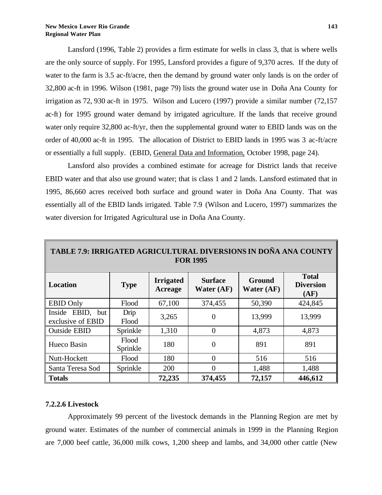Lansford (1996, Table 2) provides a firm estimate for wells in class 3, that is where wells are the only source of supply. For 1995, Lansford provides a figure of 9,370 acres. If the duty of water to the farm is 3.5 ac-ft/acre, then the demand by ground water only lands is on the order of 32,800 ac-ft in 1996. Wilson (1981, page 79) lists the ground water use in Doña Ana County for irrigation as 72, 930 ac-ft in 1975. Wilson and Lucero (1997) provide a similar number (72,157 ac-ft) for 1995 ground water demand by irrigated agriculture. If the lands that receive ground water only require 32,800 ac-ft/yr, then the supplemental ground water to EBID lands was on the order of 40,000 ac-ft in 1995. The allocation of District to EBID lands in 1995 was 3 ac-ft/acre or essentially a full supply. (EBID, General Data and Information, October 1998, page 24).

Lansford also provides a combined estimate for acreage for District lands that receive EBID water and that also use ground water; that is class 1 and 2 lands. Lansford estimated that in 1995, 86,660 acres received both surface and ground water in Doña Ana County. That was essentially all of the EBID lands irrigated. Table 7.9 (Wilson and Lucero, 1997) summarizes the water diversion for Irrigated Agricultural use in Doña Ana County.

| TABLE 7.9: IKKIGA I ED AGRICUL I UKAL DI VERSIONS IN DONA ANA COUNT Y<br><b>FOR 1995</b> |                   |                             |                              |                             |                                          |  |
|------------------------------------------------------------------------------------------|-------------------|-----------------------------|------------------------------|-----------------------------|------------------------------------------|--|
| <b>Location</b>                                                                          | <b>Type</b>       | <b>Irrigated</b><br>Acreage | <b>Surface</b><br>Water (AF) | <b>Ground</b><br>Water (AF) | <b>Total</b><br><b>Diversion</b><br>(AF) |  |
| <b>EBID Only</b>                                                                         | Flood             | 67,100                      | 374,455                      | 50,390                      | 424,845                                  |  |
| Inside EBID, but<br>exclusive of EBID                                                    | Drip<br>Flood     | 3,265                       | 0                            | 13,999                      | 13,999                                   |  |
| <b>Outside EBID</b>                                                                      | Sprinkle          | 1,310                       | 0                            | 4,873                       | 4,873                                    |  |
| Hueco Basin                                                                              | Flood<br>Sprinkle | 180                         | $\overline{0}$               | 891                         | 891                                      |  |
| Nutt-Hockett                                                                             | Flood             | 180                         | 0                            | 516                         | 516                                      |  |
| Santa Teresa Sod                                                                         | Sprinkle          | 200                         | 0                            | 1,488                       | 1,488                                    |  |
| <b>Totals</b>                                                                            |                   | 72,235                      | 374,455                      | 72,157                      | 446,612                                  |  |

# **TABLE 7.9: IRRIGATED AGRICULTURAL DIVERSIONS IN DOÑA ANA COUNTY**

# **7.2.2.6 Livestock**

Approximately 99 percent of the livestock demands in the Planning Region are met by ground water. Estimates of the number of commercial animals in 1999 in the Planning Region are 7,000 beef cattle, 36,000 milk cows, 1,200 sheep and lambs, and 34,000 other cattle (New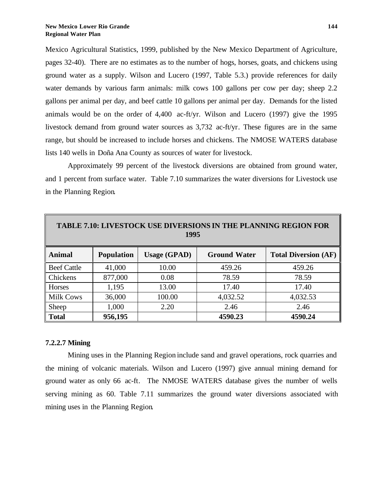Mexico Agricultural Statistics, 1999, published by the New Mexico Department of Agriculture, pages 32-40). There are no estimates as to the number of hogs, horses, goats, and chickens using ground water as a supply. Wilson and Lucero (1997, Table 5.3.) provide references for daily water demands by various farm animals: milk cows 100 gallons per cow per day; sheep 2.2 gallons per animal per day, and beef cattle 10 gallons per animal per day. Demands for the listed animals would be on the order of 4,400 ac-ft/yr. Wilson and Lucero (1997) give the 1995 livestock demand from ground water sources as 3,732 ac-ft/yr. These figures are in the same range, but should be increased to include horses and chickens. The NMOSE WATERS database lists 140 wells in Doña Ana County as sources of water for livestock.

Approximately 99 percent of the livestock diversions are obtained from ground water, and 1 percent from surface water. Table 7.10 summarizes the water diversions for Livestock use in the Planning Region.

| <b>TABLE 7.10: LIVESTOCK USE DIVERSIONS IN THE PLANNING REGION FOR</b><br>1995 |                   |                     |                     |                             |  |
|--------------------------------------------------------------------------------|-------------------|---------------------|---------------------|-----------------------------|--|
| <b>Animal</b>                                                                  | <b>Population</b> | <b>Usage (GPAD)</b> | <b>Ground Water</b> | <b>Total Diversion (AF)</b> |  |
| <b>Beef Cattle</b>                                                             | 41,000            | 10.00               | 459.26              | 459.26                      |  |
| Chickens                                                                       | 877,000           | 0.08                | 78.59               | 78.59                       |  |
| <b>Horses</b>                                                                  | 1,195             | 13.00               | 17.40               | 17.40                       |  |
| <b>Milk Cows</b>                                                               | 36,000            | 100.00              | 4,032.52            | 4,032.53                    |  |
| Sheep                                                                          | 1,000             | 2.20                | 2.46                | 2.46                        |  |
| <b>Total</b>                                                                   | 956,195           |                     | 4590.23             | 4590.24                     |  |

### **7.2.2.7 Mining**

Mining uses in the Planning Region include sand and gravel operations, rock quarries and the mining of volcanic materials. Wilson and Lucero (1997) give annual mining demand for ground water as only 66 ac-ft. The NMOSE WATERS database gives the number of wells serving mining as 60. Table 7.11 summarizes the ground water diversions associated with mining uses in the Planning Region.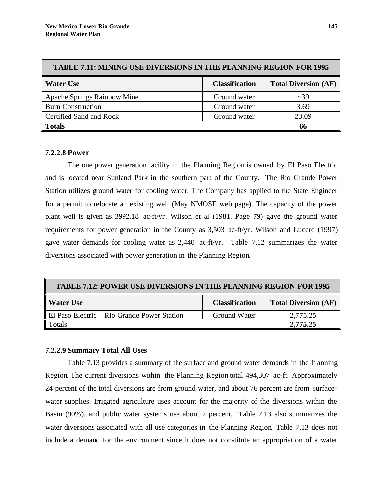| <b>TABLE 7.11: MINING USE DIVERSIONS IN THE PLANNING REGION FOR 1995</b> |                       |                             |  |  |
|--------------------------------------------------------------------------|-----------------------|-----------------------------|--|--|
| <b>Water Use</b>                                                         | <b>Classification</b> | <b>Total Diversion (AF)</b> |  |  |
| Apache Springs Rainbow Mine                                              | Ground water          | $\sim$ 39                   |  |  |
| <b>Burn Construction</b>                                                 | Ground water          | 3.69                        |  |  |
| Certified Sand and Rock                                                  | Ground water          | 23.09                       |  |  |
| <b>Totals</b>                                                            |                       |                             |  |  |

### **7.2.2.8 Power**

The one power generation facility in the Planning Region is owned by El Paso Electric and is located near Sunland Park in the southern part of the County. The Rio Grande Power Station utilizes ground water for cooling water. The Company has applied to the State Engineer for a permit to relocate an existing well (May NMOSE web page). The capacity of the power plant well is given as 3992.18 ac-ft/yr. Wilson et al (1981. Page 79) gave the ground water requirements for power generation in the County as 3,503 ac-ft/yr. Wilson and Lucero (1997) gave water demands for cooling water as 2,440 ac-ft/yr. Table 7.12 summarizes the water diversions associated with power generation in the Planning Region.

| <b>TABLE 7.12: POWER USE DIVERSIONS IN THE PLANNING REGION FOR 1995</b> |                       |                             |  |  |
|-------------------------------------------------------------------------|-----------------------|-----------------------------|--|--|
| <b>Water Use</b>                                                        | <b>Classification</b> | <b>Total Diversion (AF)</b> |  |  |
| El Paso Electric – Rio Grande Power Station                             | Ground Water          | 2,775.25                    |  |  |
| Totals                                                                  |                       | 2,775.25                    |  |  |

# **7.2.2.9 Summary Total All Uses**

Table 7.13 provides a summary of the surface and ground water demands in the Planning Region. The current diversions within the Planning Region total 494,307 ac-ft. Approximately 24 percent of the total diversions are from ground water, and about 76 percent are from surfacewater supplies. Irrigated agriculture uses account for the majority of the diversions within the Basin (90%), and public water systems use about 7 percent. Table 7.13 also summarizes the water diversions associated with all use categories in the Planning Region. Table 7.13 does not include a demand for the environment since it does not constitute an appropriation of a water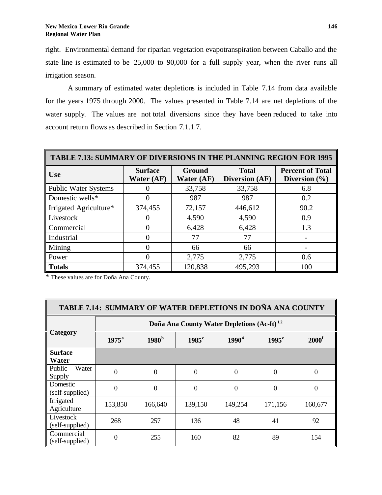right. Environmental demand for riparian vegetation evapotranspiration between Caballo and the state line is estimated to be 25,000 to 90,000 for a full supply year, when the river runs all irrigation season.

A summary of estimated water depletions is included in Table 7.14 from data available for the years 1975 through 2000. The values presented in Table 7.14 are net depletions of the water supply. The values are not total diversions since they have been reduced to take into account return flows as described in Section 7.1.1.7.

| <b>TABLE 7.13: SUMMARY OF DIVERSIONS IN THE PLANNING REGION FOR 1995</b> |                              |                      |                                       |                                              |  |  |  |
|--------------------------------------------------------------------------|------------------------------|----------------------|---------------------------------------|----------------------------------------------|--|--|--|
| <b>Use</b>                                                               | <b>Surface</b><br>Water (AF) | Ground<br>Water (AF) | <b>Total</b><br><b>Diversion</b> (AF) | <b>Percent of Total</b><br>Diversion $(\% )$ |  |  |  |
| <b>Public Water Systems</b>                                              |                              | 33,758               | 33,758                                | 6.8                                          |  |  |  |
| Domestic wells*                                                          |                              | 987                  | 987                                   | 0.2                                          |  |  |  |
| Irrigated Agriculture*                                                   | 374,455                      | 72,157               | 446,612                               | 90.2                                         |  |  |  |
| Livestock                                                                |                              | 4,590                | 4,590                                 | 0.9                                          |  |  |  |
| Commercial                                                               | 0                            | 6,428                | 6,428                                 | 1.3                                          |  |  |  |
| Industrial                                                               | 0                            | 77                   | 77                                    |                                              |  |  |  |
| Mining                                                                   | 0                            | 66                   | 66                                    |                                              |  |  |  |
| Power                                                                    | 0                            | 2,775                | 2,775                                 | 0.6                                          |  |  |  |
| <b>Totals</b>                                                            | 374,455                      | 120,838              | 495,293                               | 100                                          |  |  |  |

\* These values are for Doña Ana County.

|                                  | TABLE 7.14: SUMMARY OF WATER DEPLETIONS IN DOÑA ANA COUNTY                                                    |                                                         |          |          |                |                |  |
|----------------------------------|---------------------------------------------------------------------------------------------------------------|---------------------------------------------------------|----------|----------|----------------|----------------|--|
|                                  |                                                                                                               | Doña Ana County Water Depletions (Ac-ft) <sup>1,2</sup> |          |          |                |                |  |
| Category                         | 1980 <sup>b</sup><br>$1990^4$<br>2000 <sup>f</sup><br>$1975^{\circ}$<br>$1985$ <sup>c</sup><br>$1995^{\circ}$ |                                                         |          |          |                |                |  |
| <b>Surface</b><br>Water          |                                                                                                               |                                                         |          |          |                |                |  |
| <b>Public</b><br>Water<br>Supply | $\theta$                                                                                                      | $\theta$                                                | $\theta$ | $\theta$ | $\theta$       | $\overline{0}$ |  |
| Domestic<br>(self-supplied)      | $\theta$                                                                                                      | $\theta$                                                | $\theta$ | $\theta$ | $\overline{0}$ | $\overline{0}$ |  |
| Irrigated<br>Agriculture         | 153,850                                                                                                       | 166,640                                                 | 139,150  | 149,254  | 171,156        | 160,677        |  |
| Livestock<br>(self-supplied)     | 268                                                                                                           | 257                                                     | 136      | 48       | 41             | 92             |  |
| Commercial<br>(self-supplied)    | 0                                                                                                             | 255                                                     | 160      | 82       | 89             | 154            |  |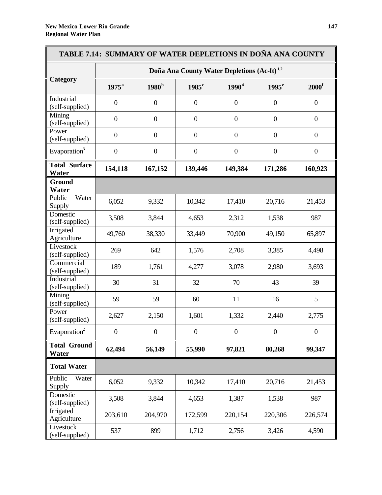| TABLE 7.14: SUMMARY OF WATER DEPLETIONS IN DOÑA ANA COUNTY |                                                         |                   |                     |                   |                  |                     |
|------------------------------------------------------------|---------------------------------------------------------|-------------------|---------------------|-------------------|------------------|---------------------|
|                                                            | Doña Ana County Water Depletions (Ac-ft) <sup>1,2</sup> |                   |                     |                   |                  |                     |
| Category                                                   | $1975^{\rm a}$                                          | 1980 <sup>b</sup> | $1985$ <sup>c</sup> | 1990 <sup>4</sup> | $1995^{\circ}$   | $2000$ <sup>f</sup> |
| Industrial<br>(self-supplied)                              | $\boldsymbol{0}$                                        | $\boldsymbol{0}$  | $\boldsymbol{0}$    | $\boldsymbol{0}$  | $\boldsymbol{0}$ | $\boldsymbol{0}$    |
| Mining<br>(self-supplied)                                  | $\boldsymbol{0}$                                        | $\boldsymbol{0}$  | $\boldsymbol{0}$    | $\boldsymbol{0}$  | $\mathbf{0}$     | $\mathbf{0}$        |
| Power<br>(self-supplied)                                   | $\mathbf{0}$                                            | $\boldsymbol{0}$  | $\mathbf{0}$        | $\boldsymbol{0}$  | $\boldsymbol{0}$ | $\boldsymbol{0}$    |
| Evaporation <sup>3</sup>                                   | $\boldsymbol{0}$                                        | $\boldsymbol{0}$  | $\mathbf{0}$        | $\boldsymbol{0}$  | $\boldsymbol{0}$ | $\boldsymbol{0}$    |
| <b>Total Surface</b><br>Water                              | 154,118                                                 | 167,152           | 139,446             | 149,384           | 171,286          | 160,923             |
| <b>Ground</b><br>Water                                     |                                                         |                   |                     |                   |                  |                     |
| Public<br>Water<br>Supply                                  | 6,052                                                   | 9,332             | 10,342              | 17,410            | 20,716           | 21,453              |
| Domestic<br>(self-supplied)                                | 3,508                                                   | 3,844             | 4,653               | 2,312             | 1,538            | 987                 |
| Irrigated<br>Agriculture                                   | 49,760                                                  | 38,330            | 33,449              | 70,900            | 49,150           | 65,897              |
| Livestock<br>(self-supplied)                               | 269                                                     | 642               | 1,576               | 2,708             | 3,385            | 4,498               |
| Commercial<br>(self-supplied)                              | 189                                                     | 1,761             | 4,277               | 3,078             | 2,980            | 3,693               |
| <b>Industrial</b><br>(self-supplied)                       | 30                                                      | 31                | 32                  | 70                | 43               | 39                  |
| Mining<br>(self-supplied)                                  | 59                                                      | 59                | 60                  | 11                | 16               | 5                   |
| Power<br>(self-supplied)                                   | 2,627                                                   | 2,150             | 1,601               | 1,332             | 2,440            | 2,775               |
| Evaporation <sup>2</sup>                                   | $\overline{0}$                                          | $\boldsymbol{0}$  | $\boldsymbol{0}$    | $\boldsymbol{0}$  | $\mathbf{0}$     | $\boldsymbol{0}$    |
| <b>Total Ground</b><br>Water                               | 62,494                                                  | 56,149            | 55,990              | 97,821            | 80,268           | 99,347              |
| <b>Total Water</b>                                         |                                                         |                   |                     |                   |                  |                     |
| Public<br>Water<br>Supply                                  | 6,052                                                   | 9,332             | 10,342              | 17,410            | 20,716           | 21,453              |
| Domestic<br>(self-supplied)                                | 3,508                                                   | 3,844             | 4,653               | 1,387             | 1,538            | 987                 |
| Irrigated<br>Agriculture                                   | 203,610                                                 | 204,970           | 172,599             | 220,154           | 220,306          | 226,574             |
| Livestock<br>(self-supplied)                               | 537                                                     | 899               | 1,712               | 2,756             | 3,426            | 4,590               |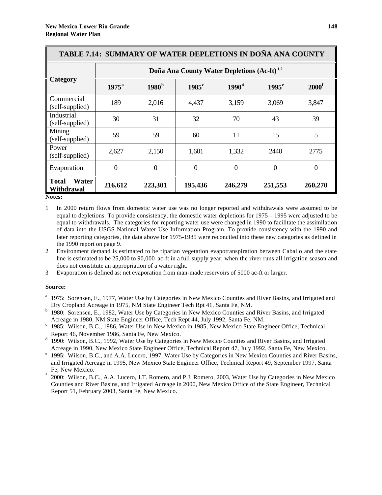| TABLE 7.14: SUMMARY OF WATER DEPLETIONS IN DOÑA ANA COUNTY |                                                                                                                                                                               |              |                |          |          |                  |
|------------------------------------------------------------|-------------------------------------------------------------------------------------------------------------------------------------------------------------------------------|--------------|----------------|----------|----------|------------------|
|                                                            | Doña Ana County Water Depletions (Ac-ft) <sup>1,2</sup><br>1980 <sup>b</sup><br>$1990^4$<br>2000 <sup>f</sup><br>$1975$ <sup>a</sup><br>$1985$ <sup>c</sup><br>$1995^{\circ}$ |              |                |          |          |                  |
| Category                                                   |                                                                                                                                                                               |              |                |          |          |                  |
| Commercial<br>(self-supplied)                              | 189                                                                                                                                                                           | 2,016        | 4,437          | 3,159    | 3,069    | 3,847            |
| Industrial<br>(self-supplied)                              | 30                                                                                                                                                                            | 31           | 32             | 70       | 43       | 39               |
| Mining<br>(self-supplied)                                  | 59                                                                                                                                                                            | 59           | 60             | 11       | 15       | 5                |
| Power<br>(self-supplied)                                   | 2,627                                                                                                                                                                         | 2,150        | 1,601          | 1,332    | 2440     | 2775             |
| Evaporation                                                | $\boldsymbol{0}$                                                                                                                                                              | $\mathbf{0}$ | $\overline{0}$ | $\theta$ | $\theta$ | $\boldsymbol{0}$ |
| Water<br><b>Total</b><br>Withdrawal                        | 216,612                                                                                                                                                                       | 223,301      | 195,436        | 246,279  | 251,553  | 260,270          |

**Notes:**

- 1 In 2000 return flows from domestic water use was no longer reported and withdrawals were assumed to be equal to depletions. To provide consistency, the domestic water depletions for 1975 – 1995 were adjusted to be equal to withdrawals. The categories for reporting water use were changed in 1990 to facilitate the assimilation of data into the USGS National Water Use Information Program. To provide consistency with the 1990 and later reporting categories, the data above for 1975-1985 were reconciled into these new categories as defined in the 1990 report on page 9.
- 2 Environment demand is estimated to be riparian vegetation evapotranspiration between Caballo and the state line is estimated to be 25,000 to 90,000 ac-ft in a full supply year, when the river runs all irrigation season and does not constitute an appropriation of a water right.
- 3 Evaporation is defined as: net evaporation from man-made reservoirs of 5000 ac-ft or larger.

#### **Source:**

- <sup>a</sup> 1975: Sorensen, E., 1977, Water Use by Categories in New Mexico Counties and River Basins, and Irrigated and Dry Cropland Acreage in 1975, NM State Engineer Tech Rpt 41, Santa Fe, NM.
- <sup>b</sup> 1980: Sorensen, E., 1982, Water Use by Categories in New Mexico Counties and River Basins, and Irrigated Acreage in 1980, NM State Engineer Office, Tech Rept 44, July 1992, Santa Fe, NM.
- c 1985: Wilson, B.C., 1986, Water Use in New Mexico in 1985, New Mexico State Engineer Office, Technical Report 46, November 1986, Santa Fe, New Mexico.
- <sup>d</sup> 1990: Wilson, B.C., 1992, Water Use by Categories in New Mexico Counties and River Basins, and Irrigated Acreage in 1990, New Mexico State Engineer Office, Technical Report 47, July 1992, Santa Fe, New Mexico.
- <sup>e</sup> 1995: Wilson, B.C., and A.A. Lucero, 1997, Water Use by Categories in New Mexico Counties and River Basins, and Irrigated Acreage in 1995, New Mexico State Engineer Office, Technical Report 49, September 1997, Santa Fe, New Mexico.
- f 2000: Wilson, B.C., A.A. Lucero, J.T. Romero, and P.J. Romero, 2003, Water Use by Categories in New Mexico Counties and River Basins, and Irrigated Acreage in 2000, New Mexico Office of the State Engineer, Technical Report 51, February 2003, Santa Fe, New Mexico.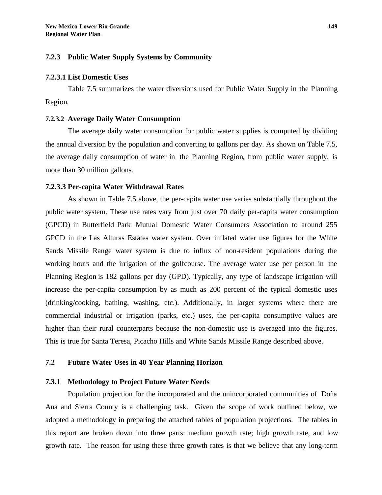# **7.2.3 Public Water Supply Systems by Community**

#### **7.2.3.1 List Domestic Uses**

Table 7.5 summarizes the water diversions used for Public Water Supply in the Planning Region.

### **7.2.3.2 Average Daily Water Consumption**

The average daily water consumption for public water supplies is computed by dividing the annual diversion by the population and converting to gallons per day. As shown on Table 7.5, the average daily consumption of water in the Planning Region, from public water supply, is more than 30 million gallons.

#### **7.2.3.3 Per-capita Water Withdrawal Rates**

As shown in Table 7.5 above, the per-capita water use varies substantially throughout the public water system. These use rates vary from just over 70 daily per-capita water consumption (GPCD) in Butterfield Park Mutual Domestic Water Consumers Association to around 255 GPCD in the Las Alturas Estates water system. Over inflated water use figures for the White Sands Missile Range water system is due to influx of non-resident populations during the working hours and the irrigation of the golfcourse. The average water use per person in the Planning Region is 182 gallons per day (GPD). Typically, any type of landscape irrigation will increase the per-capita consumption by as much as 200 percent of the typical domestic uses (drinking/cooking, bathing, washing, etc.). Additionally, in larger systems where there are commercial industrial or irrigation (parks, etc.) uses, the per-capita consumptive values are higher than their rural counterparts because the non-domestic use is averaged into the figures. This is true for Santa Teresa, Picacho Hills and White Sands Missile Range described above.

# **7.2 Future Water Uses in 40 Year Planning Horizon**

#### **7.3.1 Methodology to Project Future Water Needs**

Population projection for the incorporated and the unincorporated communities of Doña Ana and Sierra County is a challenging task. Given the scope of work outlined below, we adopted a methodology in preparing the attached tables of population projections. The tables in this report are broken down into three parts: medium growth rate; high growth rate, and low growth rate. The reason for using these three growth rates is that we believe that any long-term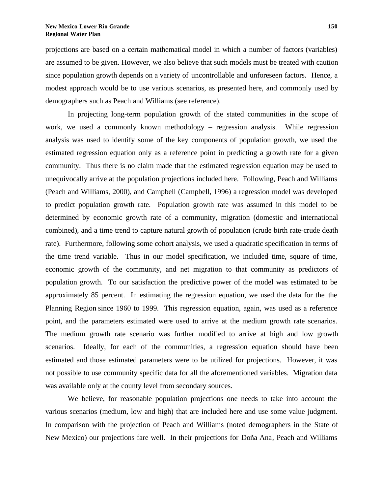projections are based on a certain mathematical model in which a number of factors (variables) are assumed to be given. However, we also believe that such models must be treated with caution since population growth depends on a variety of uncontrollable and unforeseen factors. Hence, a modest approach would be to use various scenarios, as presented here, and commonly used by demographers such as Peach and Williams (see reference).

In projecting long-term population growth of the stated communities in the scope of work, we used a commonly known methodology – regression analysis. While regression analysis was used to identify some of the key components of population growth, we used the estimated regression equation only as a reference point in predicting a growth rate for a given community. Thus there is no claim made that the estimated regression equation may be used to unequivocally arrive at the population projections included here. Following, Peach and Williams (Peach and Williams, 2000), and Campbell (Campbell, 1996) a regression model was developed to predict population growth rate. Population growth rate was assumed in this model to be determined by economic growth rate of a community, migration (domestic and international combined), and a time trend to capture natural growth of population (crude birth rate-crude death rate). Furthermore, following some cohort analysis, we used a quadratic specification in terms of the time trend variable. Thus in our model specification, we included time, square of time, economic growth of the community, and net migration to that community as predictors of population growth. To our satisfaction the predictive power of the model was estimated to be approximately 85 percent. In estimating the regression equation, we used the data for the the Planning Region since 1960 to 1999. This regression equation, again, was used as a reference point, and the parameters estimated were used to arrive at the medium growth rate scenarios. The medium growth rate scenario was further modified to arrive at high and low growth scenarios. Ideally, for each of the communities, a regression equation should have been estimated and those estimated parameters were to be utilized for projections. However, it was not possible to use community specific data for all the aforementioned variables. Migration data was available only at the county level from secondary sources.

We believe, for reasonable population projections one needs to take into account the various scenarios (medium, low and high) that are included here and use some value judgment. In comparison with the projection of Peach and Williams (noted demographers in the State of New Mexico) our projections fare well. In their projections for Doña Ana, Peach and Williams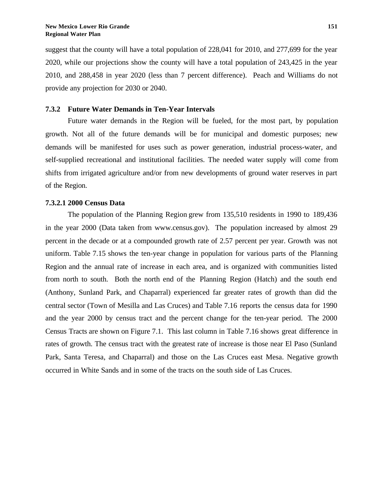suggest that the county will have a total population of 228,041 for 2010, and 277,699 for the year 2020, while our projections show the county will have a total population of 243,425 in the year 2010, and 288,458 in year 2020 (less than 7 percent difference). Peach and Williams do not provide any projection for 2030 or 2040.

#### **7.3.2 Future Water Demands in Ten-Year Intervals**

Future water demands in the Region will be fueled, for the most part, by population growth. Not all of the future demands will be for municipal and domestic purposes; new demands will be manifested for uses such as power generation, industrial process-water, and self-supplied recreational and institutional facilities. The needed water supply will come from shifts from irrigated agriculture and/or from new developments of ground water reserves in part of the Region.

## **7.3.2.1 2000 Census Data**

The population of the Planning Region grew from 135,510 residents in 1990 to 189,436 in the year 2000 (Data taken from www.census.gov). The population increased by almost 29 percent in the decade or at a compounded growth rate of 2.57 percent per year. Growth was not uniform. Table 7.15 shows the ten-year change in population for various parts of the Planning Region and the annual rate of increase in each area, and is organized with communities listed from north to south. Both the north end of the Planning Region (Hatch) and the south end (Anthony, Sunland Park, and Chaparral) experienced far greater rates of growth than did the central sector (Town of Mesilla and Las Cruces) and Table 7.16 reports the census data for 1990 and the year 2000 by census tract and the percent change for the ten-year period. The 2000 Census Tracts are shown on Figure 7.1. This last column in Table 7.16 shows great difference in rates of growth. The census tract with the greatest rate of increase is those near El Paso (Sunland Park, Santa Teresa, and Chaparral) and those on the Las Cruces east Mesa. Negative growth occurred in White Sands and in some of the tracts on the south side of Las Cruces.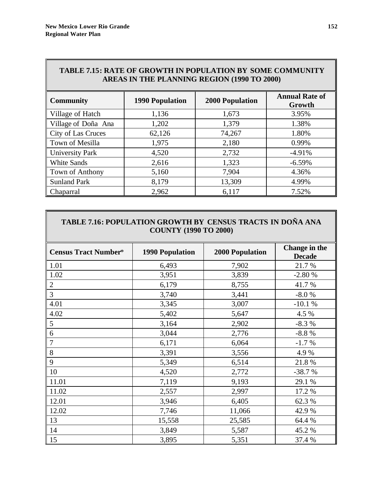| TABLE 7.15: RATE OF GROWTH IN POPULATION BY SOME COMMUNITY<br>AREAS IN THE PLANNING REGION (1990 TO 2000) |                        |                        |                                 |  |  |  |
|-----------------------------------------------------------------------------------------------------------|------------------------|------------------------|---------------------------------|--|--|--|
| <b>Community</b>                                                                                          | <b>1990 Population</b> | <b>2000 Population</b> | <b>Annual Rate of</b><br>Growth |  |  |  |
| Village of Hatch                                                                                          | 1,136                  | 1,673                  | 3.95%                           |  |  |  |
| Village of Doña Ana                                                                                       | 1,202                  | 1,379                  | 1.38%                           |  |  |  |
| City of Las Cruces                                                                                        | 62,126                 | 74,267                 | 1.80%                           |  |  |  |
| Town of Mesilla                                                                                           | 1,975                  | 2,180                  | 0.99%                           |  |  |  |
| <b>University Park</b>                                                                                    | 4,520                  | 2,732                  | $-4.91%$                        |  |  |  |
| White Sands                                                                                               | 2,616                  | 1,323                  | $-6.59%$                        |  |  |  |
| Town of Anthony                                                                                           | 5,160                  | 7,904                  | 4.36%                           |  |  |  |
| <b>Sunland Park</b>                                                                                       | 8,179                  | 13,309                 | 4.99%                           |  |  |  |
| Chaparral                                                                                                 | 2,962                  | 6,117                  | 7.52%                           |  |  |  |

# **TABLE 7.15: RATE OF GROWTH IN POPULATION BY SOME COMMUNITY**

# **TABLE 7.16: POPULATION GROWTH BY CENSUS TRACTS IN DOÑA ANA COUNTY (1990 TO 2000)**

| <b>Census Tract Number*</b> | <b>1990 Population</b> | <b>2000 Population</b> | Change in the<br><b>Decade</b> |
|-----------------------------|------------------------|------------------------|--------------------------------|
| 1.01                        | 6,493                  | 7,902                  | 21.7 %                         |
| 1.02                        | 3,951                  | 3,839                  | $-2.80%$                       |
| $\overline{2}$              | 6,179                  | 8,755                  | 41.7%                          |
| $\overline{3}$              | 3,740                  | 3,441                  | $-8.0%$                        |
| 4.01                        | 3,345                  | 3,007                  | $-10.1%$                       |
| 4.02                        | 5,402                  | 5,647                  | 4.5 %                          |
| 5                           | 3,164                  | 2,902                  | $-8.3%$                        |
| $6\,$                       | 3,044                  | 2,776                  | $-8.8%$                        |
| $\overline{7}$              | 6,171                  | 6,064                  | $-1.7%$                        |
| $8\,$                       | 3,391                  | 3,556                  | 4.9%                           |
| 9                           | 5,349                  | 6,514                  | 21.8%                          |
| 10                          | 4,520                  | 2,772                  | $-38.7%$                       |
| 11.01                       | 7,119                  | 9,193                  | 29.1 %                         |
| 11.02                       | 2,557                  | 2,997                  | 17.2 %                         |
| 12.01                       | 3,946                  | 6,405                  | 62.3 %                         |
| 12.02                       | 7,746                  | 11,066                 | 42.9 %                         |
| 13                          | 15,558                 | 25,585                 | 64.4 %                         |
| 14                          | 3,849                  | 5,587                  | 45.2 %                         |
| $\vert$ 15                  | 3,895                  | 5,351                  | 37.4 %                         |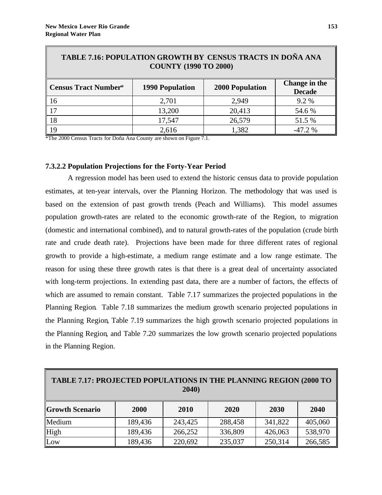| <b>TABLE 7.16: POPULATION GROWTH BY CENSUS TRACTS IN DONA ANA</b><br><b>COUNTY (1990 TO 2000)</b> |                        |                        |                                |  |  |
|---------------------------------------------------------------------------------------------------|------------------------|------------------------|--------------------------------|--|--|
| <b>Census Tract Number*</b>                                                                       | <b>1990 Population</b> | <b>2000 Population</b> | Change in the<br><b>Decade</b> |  |  |
| 16                                                                                                | 2,701                  | 2,949                  | 9.2 %                          |  |  |
| 17                                                                                                | 13,200                 | 20,413                 | 54.6 %                         |  |  |
| 18                                                                                                | 17,547                 | 26,579                 | 51.5 %                         |  |  |
| 19                                                                                                | 2,616                  | 1,382                  | $-47.2%$                       |  |  |

**TABLE 7.16: POPULATION GROWTH BY CENSUS TRACTS IN DOÑA ANA**

\*The 2000 Census Tracts for Doña Ana County are shown on Figure 7.1.

## **7.3.2.2 Population Projections for the Forty-Year Period**

A regression model has been used to extend the historic census data to provide population estimates, at ten-year intervals, over the Planning Horizon. The methodology that was used is based on the extension of past growth trends (Peach and Williams). This model assumes population growth-rates are related to the economic growth-rate of the Region, to migration (domestic and international combined), and to natural growth-rates of the population (crude birth rate and crude death rate). Projections have been made for three different rates of regional growth to provide a high-estimate, a medium range estimate and a low range estimate. The reason for using these three growth rates is that there is a great deal of uncertainty associated with long-term projections. In extending past data, there are a number of factors, the effects of which are assumed to remain constant. Table 7.17 summarizes the projected populations in the Planning Region. Table 7.18 summarizes the medium growth scenario projected populations in the Planning Region, Table 7.19 summarizes the high growth scenario projected populations in the Planning Region, and Table 7.20 summarizes the low growth scenario projected populations in the Planning Region.

| TABLE 7.17: PROJECTED POPULATIONS IN THE PLANNING REGION (2000 TO<br>2040) |         |         |         |         |         |  |
|----------------------------------------------------------------------------|---------|---------|---------|---------|---------|--|
| <b>Growth Scenario</b>                                                     | 2000    | 2010    | 2020    | 2030    | 2040    |  |
| Medium                                                                     | 189,436 | 243,425 | 288,458 | 341,822 | 405,060 |  |
| High                                                                       | 189,436 | 266,252 | 336,809 | 426,063 | 538,970 |  |
| Low                                                                        | 189,436 | 220,692 | 235,037 | 250,314 | 266,585 |  |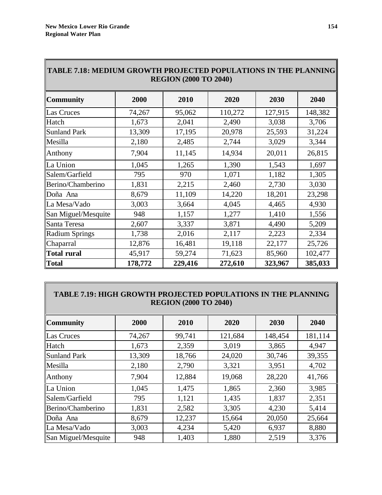| TABLE 7.18: MEDIUM GROWTH PROJECTED POPULATIONS IN THE PLANNING<br><b>REGION (2000 TO 2040)</b> |         |         |         |         |         |  |
|-------------------------------------------------------------------------------------------------|---------|---------|---------|---------|---------|--|
| <b>Community</b>                                                                                | 2000    | 2010    | 2020    | 2030    | 2040    |  |
| Las Cruces                                                                                      | 74,267  | 95,062  | 110,272 | 127,915 | 148,382 |  |
| Hatch                                                                                           | 1,673   | 2,041   | 2,490   | 3,038   | 3,706   |  |
| <b>Sunland Park</b>                                                                             | 13,309  | 17,195  | 20,978  | 25,593  | 31,224  |  |
| Mesilla                                                                                         | 2,180   | 2,485   | 2,744   | 3,029   | 3,344   |  |
| Anthony                                                                                         | 7,904   | 11,145  | 14,934  | 20,011  | 26,815  |  |
| La Union                                                                                        | 1,045   | 1,265   | 1,390   | 1,543   | 1,697   |  |
| Salem/Garfield                                                                                  | 795     | 970     | 1,071   | 1,182   | 1,305   |  |
| Berino/Chamberino                                                                               | 1,831   | 2,215   | 2,460   | 2,730   | 3,030   |  |
| Doña Ana                                                                                        | 8,679   | 11,109  | 14,220  | 18,201  | 23,298  |  |
| La Mesa/Vado                                                                                    | 3,003   | 3,664   | 4,045   | 4,465   | 4,930   |  |
| San Miguel/Mesquite                                                                             | 948     | 1,157   | 1,277   | 1,410   | 1,556   |  |
| Santa Teresa                                                                                    | 2,607   | 3,337   | 3,871   | 4,490   | 5,209   |  |
| <b>Radium Springs</b>                                                                           | 1,738   | 2,016   | 2,117   | 2,223   | 2,334   |  |
| Chaparral                                                                                       | 12,876  | 16,481  | 19,118  | 22,177  | 25,726  |  |
| <b>Total rural</b>                                                                              | 45,917  | 59,274  | 71,623  | 85,960  | 102,477 |  |
| <b>Total</b>                                                                                    | 178,772 | 229,416 | 272,610 | 323,967 | 385,033 |  |

# **TABLE 7.19: HIGH GROWTH PROJECTED POPULATIONS IN THE PLANNING REGION (2000 TO 2040)**

| <b>Community</b>    | 2000   | 2010   | 2020    | 2030    | 2040    |
|---------------------|--------|--------|---------|---------|---------|
| Las Cruces          | 74,267 | 99,741 | 121,684 | 148,454 | 181,114 |
| Hatch               | 1,673  | 2,359  | 3,019   | 3,865   | 4,947   |
| Sunland Park        | 13,309 | 18,766 | 24,020  | 30,746  | 39,355  |
| Mesilla             | 2,180  | 2,790  | 3,321   | 3,951   | 4,702   |
| Anthony             | 7,904  | 12,884 | 19,068  | 28,220  | 41,766  |
| La Union            | 1,045  | 1,475  | 1,865   | 2,360   | 3,985   |
| Salem/Garfield      | 795    | 1,121  | 1,435   | 1,837   | 2,351   |
| Berino/Chamberino   | 1,831  | 2,582  | 3,305   | 4,230   | 5,414   |
| Doña Ana            | 8,679  | 12,237 | 15,664  | 20,050  | 25,664  |
| La Mesa/Vado        | 3,003  | 4,234  | 5,420   | 6,937   | 8,880   |
| San Miguel/Mesquite | 948    | 1,403  | 1,880   | 2,519   | 3,376   |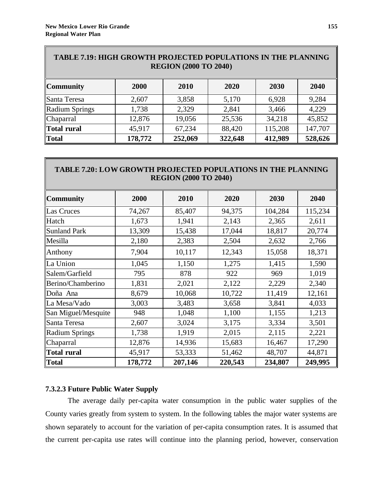| TABLE 7.19: HIGH GROWTH PROJECTED POPULATIONS IN THE PLANNING<br><b>REGION (2000 TO 2040)</b> |         |         |         |         |         |  |
|-----------------------------------------------------------------------------------------------|---------|---------|---------|---------|---------|--|
| <b>Community</b>                                                                              | 2000    | 2010    | 2020    | 2030    | 2040    |  |
| Santa Teresa                                                                                  | 2,607   | 3,858   | 5,170   | 6,928   | 9,284   |  |
| <b>Radium Springs</b>                                                                         | 1,738   | 2,329   | 2,841   | 3,466   | 4,229   |  |
| Chaparral                                                                                     | 12,876  | 19,056  | 25,536  | 34,218  | 45,852  |  |
| Total rural                                                                                   | 45,917  | 67,234  | 88,420  | 115,208 | 147,707 |  |
| Total                                                                                         | 178,772 | 252,069 | 322,648 | 412,989 | 528,626 |  |

| <b>TABLE 7.20: LOW GROWTH PROJECTED POPULATIONS IN THE PLANNING</b> |
|---------------------------------------------------------------------|
| <b>REGION (2000 TO 2040)</b>                                        |

| <b>Community</b>      | 2000    | 2010    | 2020    | 2030    | 2040    |
|-----------------------|---------|---------|---------|---------|---------|
| <b>Las Cruces</b>     | 74,267  | 85,407  | 94,375  | 104,284 | 115,234 |
| Hatch                 | 1,673   | 1,941   | 2,143   | 2,365   | 2,611   |
| <b>Sunland Park</b>   | 13,309  | 15,438  | 17,044  | 18,817  | 20,774  |
| Mesilla               | 2,180   | 2,383   | 2,504   | 2,632   | 2,766   |
| Anthony               | 7,904   | 10,117  | 12,343  | 15,058  | 18,371  |
| La Union              | 1,045   | 1,150   | 1,275   | 1,415   | 1,590   |
| Salem/Garfield        | 795     | 878     | 922     | 969     | 1,019   |
| Berino/Chamberino     | 1,831   | 2,021   | 2,122   | 2,229   | 2,340   |
| Doña Ana              | 8,679   | 10,068  | 10,722  | 11,419  | 12,161  |
| La Mesa/Vado          | 3,003   | 3,483   | 3,658   | 3,841   | 4,033   |
| San Miguel/Mesquite   | 948     | 1,048   | 1,100   | 1,155   | 1,213   |
| Santa Teresa          | 2,607   | 3,024   | 3,175   | 3,334   | 3,501   |
| <b>Radium Springs</b> | 1,738   | 1,919   | 2,015   | 2,115   | 2,221   |
| Chaparral             | 12,876  | 14,936  | 15,683  | 16,467  | 17,290  |
| <b>Total rural</b>    | 45,917  | 53,333  | 51,462  | 48,707  | 44,871  |
| Total                 | 178,772 | 207,146 | 220,543 | 234,807 | 249,995 |

# **7.3.2.3 Future Public Water Supply**

The average daily per-capita water consumption in the public water supplies of the County varies greatly from system to system. In the following tables the major water systems are shown separately to account for the variation of per-capita consumption rates. It is assumed that the current per-capita use rates will continue into the planning period, however, conservation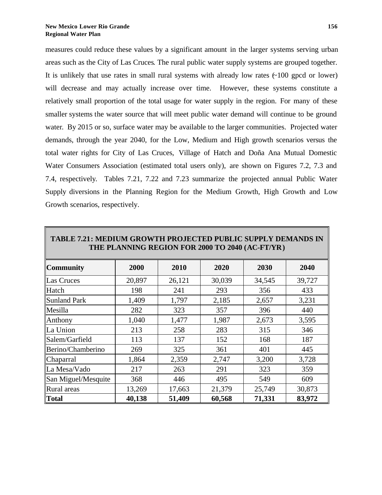measures could reduce these values by a significant amount in the larger systems serving urban areas such as the City of Las Cruces. The rural public water supply systems are grouped together. It is unlikely that use rates in small rural systems with already low rates  $(-100 \text{ good or lower})$ will decrease and may actually increase over time. However, these systems constitute a relatively small proportion of the total usage for water supply in the region. For many of these smaller systems the water source that will meet public water demand will continue to be ground water. By 2015 or so, surface water may be available to the larger communities. Projected water demands, through the year 2040, for the Low, Medium and High growth scenarios versus the total water rights for City of Las Cruces, Village of Hatch and Doña Ana Mutual Domestic Water Consumers Association (estimated total users only), are shown on Figures 7.2, 7.3 and 7.4, respectively. Tables 7.21, 7.22 and 7.23 summarize the projected annual Public Water Supply diversions in the Planning Region for the Medium Growth, High Growth and Low Growth scenarios, respectively.

| THE PLANNING REGION FOR 2000 TO 2040 (AC-FT/YR) |        |        |        |        |        |  |
|-------------------------------------------------|--------|--------|--------|--------|--------|--|
| <b>Community</b>                                | 2000   | 2010   | 2020   | 2030   | 2040   |  |
| Las Cruces                                      | 20,897 | 26,121 | 30,039 | 34,545 | 39,727 |  |
| Hatch                                           | 198    | 241    | 293    | 356    | 433    |  |
| Sunland Park                                    | 1,409  | 1,797  | 2,185  | 2,657  | 3,231  |  |
| Mesilla                                         | 282    | 323    | 357    | 396    | 440    |  |
| Anthony                                         | 1,040  | 1,477  | 1,987  | 2,673  | 3,595  |  |
| La Union                                        | 213    | 258    | 283    | 315    | 346    |  |
| Salem/Garfield                                  | 113    | 137    | 152    | 168    | 187    |  |
| Berino/Chamberino                               | 269    | 325    | 361    | 401    | 445    |  |
| Chaparral                                       | 1,864  | 2,359  | 2,747  | 3,200  | 3,728  |  |
| La Mesa/Vado                                    | 217    | 263    | 291    | 323    | 359    |  |
| San Miguel/Mesquite                             | 368    | 446    | 495    | 549    | 609    |  |
| <b>Rural</b> areas                              | 13,269 | 17,663 | 21,379 | 25,749 | 30,873 |  |
| Total                                           | 40,138 | 51,409 | 60,568 | 71,331 | 83,972 |  |

# **TABLE 7.21: MEDIUM GROWTH PROJECTED PUBLIC SUPPLY DEMANDS IN THE PLANNING REGION FOR 2000 TO 2040 (AC-FT/YR)**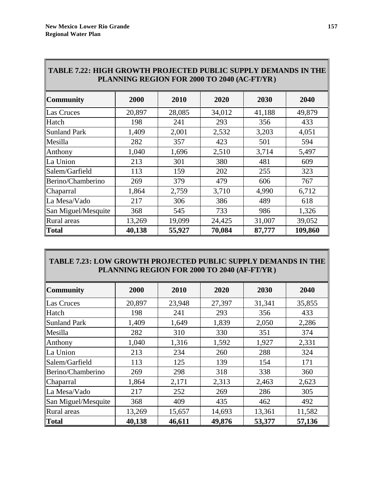| <b>TABLE 7.22: HIGH GROWTH PROJECTED PUBLIC SUPPLY DEMANDS IN THE</b><br>PLANNING REGION FOR 2000 TO 2040 (AC-FT/YR) |        |        |        |        |         |  |
|----------------------------------------------------------------------------------------------------------------------|--------|--------|--------|--------|---------|--|
| <b>Community</b>                                                                                                     | 2000   | 2010   | 2020   | 2030   | 2040    |  |
| Las Cruces                                                                                                           | 20,897 | 28,085 | 34,012 | 41,188 | 49,879  |  |
| Hatch                                                                                                                | 198    | 241    | 293    | 356    | 433     |  |
| <b>Sunland Park</b>                                                                                                  | 1,409  | 2,001  | 2,532  | 3,203  | 4,051   |  |
| Mesilla                                                                                                              | 282    | 357    | 423    | 501    | 594     |  |
| Anthony                                                                                                              | 1,040  | 1,696  | 2,510  | 3,714  | 5,497   |  |
| La Union                                                                                                             | 213    | 301    | 380    | 481    | 609     |  |
| Salem/Garfield                                                                                                       | 113    | 159    | 202    | 255    | 323     |  |
| Berino/Chamberino                                                                                                    | 269    | 379    | 479    | 606    | 767     |  |
| Chaparral                                                                                                            | 1,864  | 2,759  | 3,710  | 4,990  | 6,712   |  |
| La Mesa/Vado                                                                                                         | 217    | 306    | 386    | 489    | 618     |  |
| San Miguel/Mesquite                                                                                                  | 368    | 545    | 733    | 986    | 1,326   |  |
| Rural areas                                                                                                          | 13,269 | 19,099 | 24,425 | 31,007 | 39,052  |  |
| <b>Total</b>                                                                                                         | 40,138 | 55,927 | 70,084 | 87,777 | 109,860 |  |

# **TABLE 7.23: LOW GROWTH PROJECTED PUBLIC SUPPLY DEMANDS IN THE PLANNING REGION FOR 2000 TO 2040 (AF-FT/YR )**

| <b>Community</b>    | 2000   | 2010   | 2020   | 2030   | 2040   |
|---------------------|--------|--------|--------|--------|--------|
| Las Cruces          | 20,897 | 23,948 | 27,397 | 31,341 | 35,855 |
| Hatch               | 198    | 241    | 293    | 356    | 433    |
| <b>Sunland Park</b> | 1,409  | 1,649  | 1,839  | 2,050  | 2,286  |
| Mesilla             | 282    | 310    | 330    | 351    | 374    |
| Anthony             | 1,040  | 1,316  | 1,592  | 1,927  | 2,331  |
| La Union            | 213    | 234    | 260    | 288    | 324    |
| Salem/Garfield      | 113    | 125    | 139    | 154    | 171    |
| Berino/Chamberino   | 269    | 298    | 318    | 338    | 360    |
| Chaparral           | 1,864  | 2,171  | 2,313  | 2,463  | 2,623  |
| La Mesa/Vado        | 217    | 252    | 269    | 286    | 305    |
| San Miguel/Mesquite | 368    | 409    | 435    | 462    | 492    |
| <b>Rural</b> areas  | 13,269 | 15,657 | 14,693 | 13,361 | 11,582 |
| Total               | 40,138 | 46,611 | 49,876 | 53,377 | 57,136 |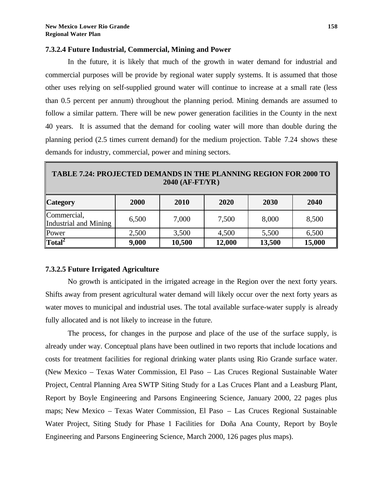#### **7.3.2.4 Future Industrial, Commercial, Mining and Power**

In the future, it is likely that much of the growth in water demand for industrial and commercial purposes will be provide by regional water supply systems. It is assumed that those other uses relying on self-supplied ground water will continue to increase at a small rate (less than 0.5 percent per annum) throughout the planning period. Mining demands are assumed to follow a similar pattern. There will be new power generation facilities in the County in the next 40 years. It is assumed that the demand for cooling water will more than double during the planning period (2.5 times current demand) for the medium projection. Table 7.24 shows these demands for industry, commercial, power and mining sectors.

| 2040 (AF-FT/YR)                      |       |        |        |        |        |  |
|--------------------------------------|-------|--------|--------|--------|--------|--|
| <b>Category</b>                      | 2000  | 2010   | 2020   | 2030   | 2040   |  |
| Commercial,<br>Industrial and Mining | 6,500 | 7,000  | 7,500  | 8,000  | 8,500  |  |
| Power                                | 2,500 | 3,500  | 4,500  | 5,500  | 6,500  |  |
| $\sqrt{\text{Total}^2}$              | 9,000 | 10,500 | 12,000 | 13,500 | 15,000 |  |

# **TABLE 7.24: PROJECTED DEMANDS IN THE PLANNING REGION FOR 2000 TO**

## **7.3.2.5 Future Irrigated Agriculture**

No growth is anticipated in the irrigated acreage in the Region over the next forty years. Shifts away from present agricultural water demand will likely occur over the next forty years as water moves to municipal and industrial uses. The total available surface-water supply is already fully allocated and is not likely to increase in the future.

The process, for changes in the purpose and place of the use of the surface supply, is already under way. Conceptual plans have been outlined in two reports that include locations and costs for treatment facilities for regional drinking water plants using Rio Grande surface water. (New Mexico – Texas Water Commission, El Paso – Las Cruces Regional Sustainable Water Project, Central Planning Area SWTP Siting Study for a Las Cruces Plant and a Leasburg Plant, Report by Boyle Engineering and Parsons Engineering Science, January 2000, 22 pages plus maps; New Mexico – Texas Water Commission, El Paso – Las Cruces Regional Sustainable Water Project, Siting Study for Phase 1 Facilities for Doña Ana County, Report by Boyle Engineering and Parsons Engineering Science, March 2000, 126 pages plus maps).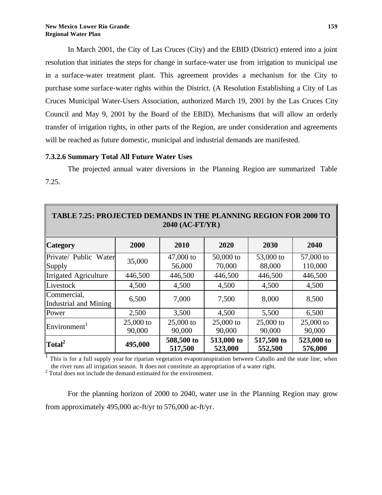In March 2001, the City of Las Cruces (City) and the EBID (District) entered into a joint resolution that initiates the steps for change in surface-water use from irrigation to municipal use in a surface-water treatment plant. This agreement provides a mechanism for the City to purchase some surface-water rights within the District. (A Resolution Establishing a City of Las Cruces Municipal Water-Users Association, authorized March 19, 2001 by the Las Cruces City Council and May 9, 2001 by the Board of the EBID). Mechanisms that will allow an orderly transfer of irrigation rights, in other parts of the Region, are under consideration and agreements will be reached as future domestic, municipal and industrial demands are manifested.

## **7.3.2.6 Summary Total All Future Water Uses**

The projected annual water diversions in the Planning Region are summarized Table 7.25.

| <b>TABLE 7.25: PROJECTED DEMANDS IN THE PLANNING REGION FOR 2000 TO</b><br>2040 (AC-FT/YR) |                       |                       |                       |                       |                       |
|--------------------------------------------------------------------------------------------|-----------------------|-----------------------|-----------------------|-----------------------|-----------------------|
| <b>Category</b>                                                                            | 2000                  | 2010                  | 2020                  | 2030                  | 2040                  |
| Private/ Public Water<br>Supply                                                            | 35,000                | 47,000 to<br>56,000   | $50,000$ to<br>70,000 | 53,000 to<br>88,000   | 57,000 to<br>110,000  |
| <b>Irrigated Agriculture</b>                                                               | 446,500               | 446,500               | 446,500               | 446,500               | 446,500               |
| Livestock                                                                                  | 4,500                 | 4,500                 | 4,500                 | 4,500                 | 4,500                 |
| Commercial,<br><b>Industrial and Mining</b>                                                | 6,500                 | 7,000                 | 7,500                 | 8,000                 | 8,500                 |
| Power                                                                                      | 2,500                 | 3,500                 | 4,500                 | 5,500                 | 6,500                 |
| Environment <sup>1</sup>                                                                   | $25,000$ to<br>90,000 | $25,000$ to<br>90,000 | $25,000$ to<br>90,000 | 25,000 to<br>90,000   | 25,000 to<br>90,000   |
| Total <sup>2</sup>                                                                         | 495,000               | 508,500 to<br>517,500 | 513,000 to<br>523,000 | 517,500 to<br>552,500 | 523,000 to<br>576,000 |

 $<sup>1</sup>$  This is for a full supply year for riparian vegetation evapotranspiration between Caballo and the state line, when</sup> the river runs all irrigation season. It does not constitute an appropriation of a water right.

<sup>2</sup> Total does not include the demand estimated for the environment.

For the planning horizon of 2000 to 2040, water use in the Planning Region may grow from approximately 495,000 ac-ft/yr to 576,000 ac-ft/yr.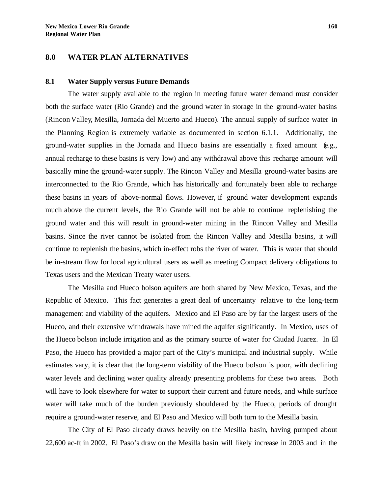# **8.0 WATER PLAN ALTERNATIVES**

#### **8.1 Water Supply versus Future Demands**

The water supply available to the region in meeting future water demand must consider both the surface water (Rio Grande) and the ground water in storage in the ground-water basins (Rincon Valley, Mesilla, Jornada del Muerto and Hueco). The annual supply of surface water in the Planning Region is extremely variable as documented in section 6.1.1. Additionally, the ground-water supplies in the Jornada and Hueco basins are essentially a fixed amount (e.g., annual recharge to these basins is very low) and any withdrawal above this recharge amount will basically mine the ground-water supply. The Rincon Valley and Mesilla ground-water basins are interconnected to the Rio Grande, which has historically and fortunately been able to recharge these basins in years of above-normal flows. However, if ground water development expands much above the current levels, the Rio Grande will not be able to continue replenishing the ground water and this will result in ground-water mining in the Rincon Valley and Mesilla basins. Since the river cannot be isolated from the Rincon Valley and Mesilla basins, it will continue to replenish the basins, which in-effect robs the river of water. This is water that should be in-stream flow for local agricultural users as well as meeting Compact delivery obligations to Texas users and the Mexican Treaty water users.

The Mesilla and Hueco bolson aquifers are both shared by New Mexico, Texas, and the Republic of Mexico. This fact generates a great deal of uncertainty relative to the long-term management and viability of the aquifers. Mexico and El Paso are by far the largest users of the Hueco, and their extensive withdrawals have mined the aquifer significantly. In Mexico, uses of the Hueco bolson include irrigation and as the primary source of water for Ciudad Juarez. In El Paso, the Hueco has provided a major part of the City's municipal and industrial supply. While estimates vary, it is clear that the long-term viability of the Hueco bolson is poor, with declining water levels and declining water quality already presenting problems for these two areas. Both will have to look elsewhere for water to support their current and future needs, and while surface water will take much of the burden previously shouldered by the Hueco, periods of drought require a ground-water reserve, and El Paso and Mexico will both turn to the Mesilla basin.

The City of El Paso already draws heavily on the Mesilla basin, having pumped about 22,600 ac-ft in 2002. El Paso's draw on the Mesilla basin will likely increase in 2003 and in the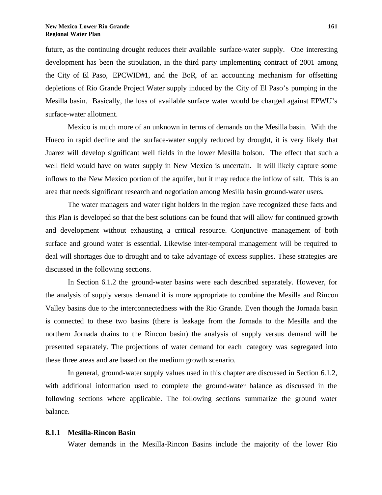future, as the continuing drought reduces their available surface-water supply. One interesting development has been the stipulation, in the third party implementing contract of 2001 among the City of El Paso, EPCWID#1, and the BoR, of an accounting mechanism for offsetting depletions of Rio Grande Project Water supply induced by the City of El Paso's pumping in the Mesilla basin. Basically, the loss of available surface water would be charged against EPWU's surface-water allotment.

Mexico is much more of an unknown in terms of demands on the Mesilla basin. With the Hueco in rapid decline and the surface-water supply reduced by drought, it is very likely that Juarez will develop significant well fields in the lower Mesilla bolson. The effect that such a well field would have on water supply in New Mexico is uncertain. It will likely capture some inflows to the New Mexico portion of the aquifer, but it may reduce the inflow of salt. This is an area that needs significant research and negotiation among Mesilla basin ground-water users.

The water managers and water right holders in the region have recognized these facts and this Plan is developed so that the best solutions can be found that will allow for continued growth and development without exhausting a critical resource. Conjunctive management of both surface and ground water is essential. Likewise inter-temporal management will be required to deal will shortages due to drought and to take advantage of excess supplies. These strategies are discussed in the following sections.

In Section 6.1.2 the ground-water basins were each described separately. However, for the analysis of supply versus demand it is more appropriate to combine the Mesilla and Rincon Valley basins due to the interconnectedness with the Rio Grande. Even though the Jornada basin is connected to these two basins (there is leakage from the Jornada to the Mesilla and the northern Jornada drains to the Rincon basin) the analysis of supply versus demand will be presented separately. The projections of water demand for each category was segregated into these three areas and are based on the medium growth scenario.

In general, ground-water supply values used in this chapter are discussed in Section 6.1.2, with additional information used to complete the ground-water balance as discussed in the following sections where applicable. The following sections summarize the ground water balance.

## **8.1.1 Mesilla-Rincon Basin**

Water demands in the Mesilla-Rincon Basins include the majority of the lower Rio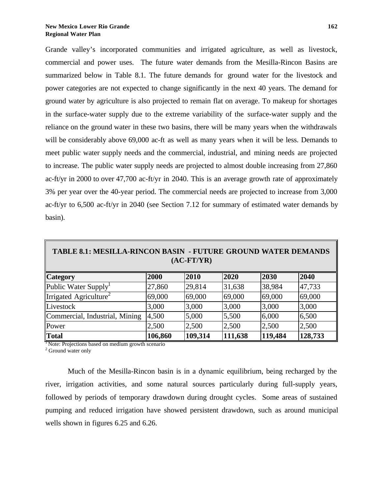Grande valley's incorporated communities and irrigated agriculture, as well as livestock, commercial and power uses. The future water demands from the Mesilla-Rincon Basins are summarized below in Table 8.1. The future demands for ground water for the livestock and power categories are not expected to change significantly in the next 40 years. The demand for ground water by agriculture is also projected to remain flat on average. To makeup for shortages in the surface-water supply due to the extreme variability of the surface-water supply and the reliance on the ground water in these two basins, there will be many years when the withdrawals will be considerably above 69,000 ac-ft as well as many years when it will be less. Demands to meet public water supply needs and the commercial, industrial, and mining needs are projected to increase. The public water supply needs are projected to almost double increasing from 27,860 ac-ft/yr in 2000 to over 47,700 ac-ft/yr in 2040. This is an average growth rate of approximately 3% per year over the 40-year period. The commercial needs are projected to increase from 3,000 ac-ft/yr to 6,500 ac-ft/yr in 2040 (see Section 7.12 for summary of estimated water demands by basin).

| TABLE 8.1: MESILLA-RINCON BASIN - FUTURE GROUND WATER DEMANDS<br>$(AC-FT/YR)$ |         |         |         |         |         |
|-------------------------------------------------------------------------------|---------|---------|---------|---------|---------|
| <i><b>Category</b></i>                                                        | 2000    | 2010    | 2020    | 2030    | 2040    |
| Public Water Supply <sup>1</sup>                                              | 27,860  | 29,814  | 31,638  | 38,984  | 47,733  |
| Irrigated Agriculture <sup>2</sup>                                            | 69,000  | 69,000  | 69,000  | 69,000  | 69,000  |
| Livestock                                                                     | 3,000   | 3,000   | 3,000   | 3,000   | 3,000   |
| Commercial, Industrial, Mining                                                | 4,500   | 5,000   | 5,500   | 6,000   | 6,500   |
| Power                                                                         | 2,500   | 2,500   | 2,500   | 2,500   | 2,500   |
| Total                                                                         | 106,860 | 109,314 | 111,638 | 119,484 | 128,733 |

<sup>1</sup>Note: Projections based on medium growth scenario

<sup>2</sup> Ground water only

Much of the Mesilla-Rincon basin is in a dynamic equilibrium, being recharged by the river, irrigation activities, and some natural sources particularly during full-supply years, followed by periods of temporary drawdown during drought cycles. Some areas of sustained pumping and reduced irrigation have showed persistent drawdown, such as around municipal wells shown in figures 6.25 and 6.26.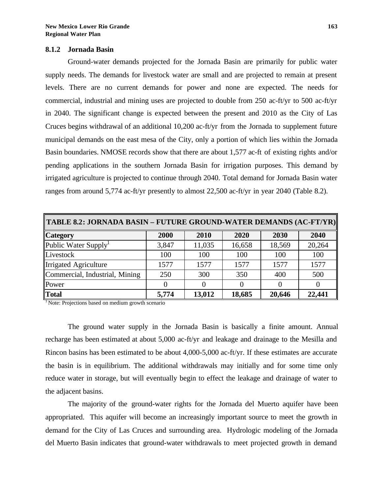## **8.1.2 Jornada Basin**

Ground-water demands projected for the Jornada Basin are primarily for public water supply needs. The demands for livestock water are small and are projected to remain at present levels. There are no current demands for power and none are expected. The needs for commercial, industrial and mining uses are projected to double from 250 ac-ft/yr to 500 ac-ft/yr in 2040. The significant change is expected between the present and 2010 as the City of Las Cruces begins withdrawal of an additional 10,200 ac-ft/yr from the Jornada to supplement future municipal demands on the east mesa of the City, only a portion of which lies within the Jornada Basin boundaries. NMOSE records show that there are about 1,577 ac-ft of existing rights and/or pending applications in the southern Jornada Basin for irrigation purposes. This demand by irrigated agriculture is projected to continue through 2040. Total demand for Jornada Basin water ranges from around 5,774 ac-ft/yr presently to almost 22,500 ac-ft/yr in year 2040 (Table 8.2).

| TABLE 8.2: JORNADA BASIN – FUTURE GROUND-WATER DEMANDS (AC-FT/YR) |       |        |        |        |          |
|-------------------------------------------------------------------|-------|--------|--------|--------|----------|
| <b>Category</b>                                                   | 2000  | 2010   | 2020   | 2030   | 2040     |
| Public Water Supply <sup>1</sup>                                  | 3,847 | 11,035 | 16,658 | 18,569 | 20,264   |
| Livestock                                                         | 100   | 100    | 100    | 100    | 100      |
| Irrigated Agriculture                                             | 1577  | 1577   | 1577   | 1577   | 1577     |
| Commercial, Industrial, Mining                                    | 250   | 300    | 350    | 400    | 500      |
| Power                                                             |       |        |        |        | $\theta$ |
| Total                                                             | 5,774 | 13,012 | 18,685 | 20,646 | 22,441   |

<sup>1</sup> Note: Projections based on medium growth scenario

The ground water supply in the Jornada Basin is basically a finite amount. Annual recharge has been estimated at about 5,000 ac-ft/yr and leakage and drainage to the Mesilla and Rincon basins has been estimated to be about 4,000-5,000 ac-ft/yr. If these estimates are accurate the basin is in equilibrium. The additional withdrawals may initially and for some time only reduce water in storage, but will eventually begin to effect the leakage and drainage of water to the adjacent basins.

The majority of the ground-water rights for the Jornada del Muerto aquifer have been appropriated. This aquifer will become an increasingly important source to meet the growth in demand for the City of Las Cruces and surrounding area. Hydrologic modeling of the Jornada del Muerto Basin indicates that ground-water withdrawals to meet projected growth in demand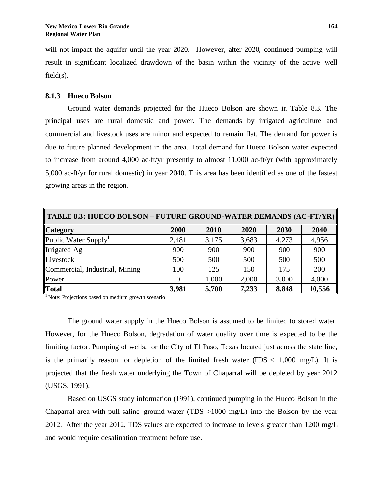will not impact the aquifer until the year 2020. However, after 2020, continued pumping will result in significant localized drawdown of the basin within the vicinity of the active well  $field(s)$ .

## **8.1.3 Hueco Bolson**

Ground water demands projected for the Hueco Bolson are shown in Table 8.3. The principal uses are rural domestic and power. The demands by irrigated agriculture and commercial and livestock uses are minor and expected to remain flat. The demand for power is due to future planned development in the area. Total demand for Hueco Bolson water expected to increase from around 4,000 ac-ft/yr presently to almost 11,000 ac-ft/yr (with approximately 5,000 ac-ft/yr for rural domestic) in year 2040. This area has been identified as one of the fastest growing areas in the region.

| $\parallel$ TABLE 8.3: HUECO BOLSON – FUTURE GROUND-WATER DEMANDS (AC-FT/YR) $\parallel$ |       |       |       |       |        |
|------------------------------------------------------------------------------------------|-------|-------|-------|-------|--------|
| <b>Category</b>                                                                          | 2000  | 2010  | 2020  | 2030  | 2040   |
| Public Water Supply <sup>1</sup>                                                         | 2,481 | 3,175 | 3,683 | 4,273 | 4,956  |
| Irrigated Ag                                                                             | 900   | 900   | 900   | 900   | 900    |
| Livestock                                                                                | 500   | 500   | 500   | 500   | 500    |
| Commercial, Industrial, Mining                                                           | 100   | 125   | 150   | 175   | 200    |
| Power                                                                                    | 0     | 1,000 | 2,000 | 3,000 | 4,000  |
| Total                                                                                    | 3,981 | 5,700 | 7,233 | 8,848 | 10,556 |

<sup>1</sup> Note: Projections based on medium growth scenario

The ground water supply in the Hueco Bolson is assumed to be limited to stored water. However, for the Hueco Bolson, degradation of water quality over time is expected to be the limiting factor. Pumping of wells, for the City of El Paso, Texas located just across the state line, is the primarily reason for depletion of the limited fresh water ( $TDS < 1,000$  mg/L). It is projected that the fresh water underlying the Town of Chaparral will be depleted by year 2012 (USGS, 1991).

Based on USGS study information (1991), continued pumping in the Hueco Bolson in the Chaparral area with pull saline ground water (TDS  $>1000$  mg/L) into the Bolson by the year 2012. After the year 2012, TDS values are expected to increase to levels greater than 1200 mg/L and would require desalination treatment before use.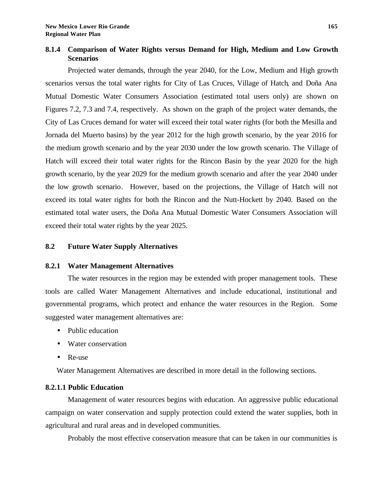# **8.1.4 Comparison of Water Rights versus Demand for High, Medium and Low Growth Scenarios**

Projected water demands, through the year 2040, for the Low, Medium and High growth scenarios versus the total water rights for City of Las Cruces, Village of Hatch, and Doña Ana Mutual Domestic Water Consumers Association (estimated total users only) are shown on Figures 7.2, 7.3 and 7.4, respectively. As shown on the graph of the project water demands, the City of Las Cruces demand for water will exceed their total water rights (for both the Mesilla and Jornada del Muerto basins) by the year 2012 for the high growth scenario, by the year 2016 for the medium growth scenario and by the year 2030 under the low growth scenario. The Village of Hatch will exceed their total water rights for the Rincon Basin by the year 2020 for the high growth scenario, by the year 2029 for the medium growth scenario and after the year 2040 under the low growth scenario. However, based on the projections, the Village of Hatch will not exceed its total water rights for both the Rincon and the Nutt-Hockett by 2040. Based on the estimated total water users, the Doña Ana Mutual Domestic Water Consumers Association will exceed their total water rights by the year 2025.

# **8.2 Future Water Supply Alternatives**

# **8.2.1 Water Management Alternatives**

The water resources in the region may be extended with proper management tools. These tools are called Water Management Alternatives and include educational, institutional and governmental programs, which protect and enhance the water resources in the Region. Some suggested water management alternatives are:

- Public education
- Water conservation
- Re-use

Water Management Alternatives are described in more detail in the following sections.

# **8.2.1.1 Public Education**

Management of water resources begins with education. An aggressive public educational campaign on water conservation and supply protection could extend the water supplies, both in agricultural and rural areas and in developed communities.

Probably the most effective conservation measure that can be taken in our communities is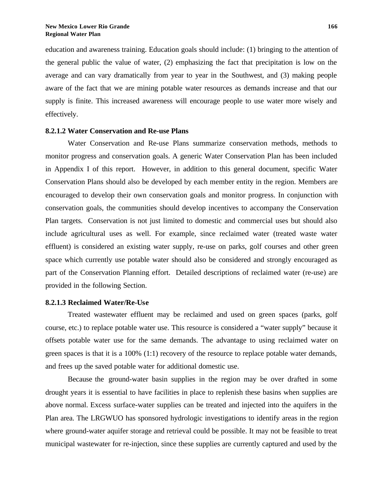education and awareness training. Education goals should include: (1) bringing to the attention of the general public the value of water, (2) emphasizing the fact that precipitation is low on the average and can vary dramatically from year to year in the Southwest, and (3) making people aware of the fact that we are mining potable water resources as demands increase and that our supply is finite. This increased awareness will encourage people to use water more wisely and effectively.

# **8.2.1.2 Water Conservation and Re-use Plans**

Water Conservation and Re-use Plans summarize conservation methods, methods to monitor progress and conservation goals. A generic Water Conservation Plan has been included in Appendix I of this report. However, in addition to this general document, specific Water Conservation Plans should also be developed by each member entity in the region. Members are encouraged to develop their own conservation goals and monitor progress. In conjunction with conservation goals, the communities should develop incentives to accompany the Conservation Plan targets. Conservation is not just limited to domestic and commercial uses but should also include agricultural uses as well. For example, since reclaimed water (treated waste water effluent) is considered an existing water supply, re-use on parks, golf courses and other green space which currently use potable water should also be considered and strongly encouraged as part of the Conservation Planning effort. Detailed descriptions of reclaimed water (re-use) are provided in the following Section.

## **8.2.1.3 Reclaimed Water/Re-Use**

Treated wastewater effluent may be reclaimed and used on green spaces (parks, golf course, etc.) to replace potable water use. This resource is considered a "water supply" because it offsets potable water use for the same demands. The advantage to using reclaimed water on green spaces is that it is a 100% (1:1) recovery of the resource to replace potable water demands, and frees up the saved potable water for additional domestic use.

Because the ground-water basin supplies in the region may be over drafted in some drought years it is essential to have facilities in place to replenish these basins when supplies are above normal. Excess surface-water supplies can be treated and injected into the aquifers in the Plan area. The LRGWUO has sponsored hydrologic investigations to identify areas in the region where ground-water aquifer storage and retrieval could be possible. It may not be feasible to treat municipal wastewater for re-injection, since these supplies are currently captured and used by the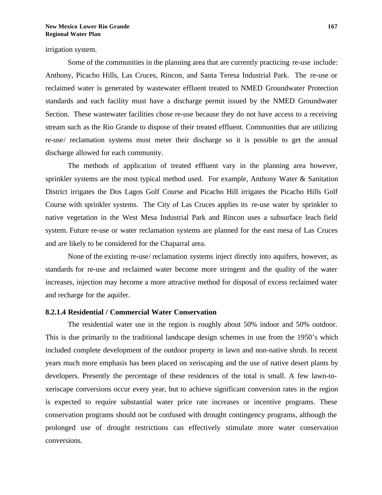irrigation system.

Some of the communities in the planning area that are currently practicing re-use include: Anthony, Picacho Hills, Las Cruces, Rincon, and Santa Teresa Industrial Park. The re-use or reclaimed water is generated by wastewater effluent treated to NMED Groundwater Protection standards and each facility must have a discharge permit issued by the NMED Groundwater Section. These wastewater facilities chose re-use because they do not have access to a receiving stream such as the Rio Grande to dispose of their treated effluent. Communities that are utilizing re-use/ reclamation systems must meter their discharge so it is possible to get the annual discharge allowed for each community.

The methods of application of treated effluent vary in the planning area however, sprinkler systems are the most typical method used. For example, Anthony Water & Sanitation District irrigates the Dos Lagos Golf Course and Picacho Hill irrigates the Picacho Hills Golf Course with sprinkler systems. The City of Las Cruces applies its re-use water by sprinkler to native vegetation in the West Mesa Industrial Park and Rincon uses a subsurface leach field system. Future re-use or water reclamation systems are planned for the east mesa of Las Cruces and are likely to be considered for the Chaparral area.

None of the existing re-use/ reclamation systems inject directly into aquifers, however, as standards for re-use and reclaimed water become more stringent and the quality of the water increases, injection may become a more attractive method for disposal of excess reclaimed water and recharge for the aquifer.

## **8.2.1.4 Residential / Commercial Water Conservation**

The residential water use in the region is roughly about 50% indoor and 50% outdoor. This is due primarily to the traditional landscape design schemes in use from the 1950's which included complete development of the outdoor property in lawn and non-native shrub. In recent years much more emphasis has been placed on xeriscaping and the use of native desert plants by developers. Presently the percentage of these residences of the total is small. A few lawn-toxeriscape conversions occur every year, but to achieve significant conversion rates in the region is expected to require substantial water price rate increases or incentive programs. These conservation programs should not be confused with drought contingency programs, although the prolonged use of drought restrictions can effectively stimulate more water conservation conversions.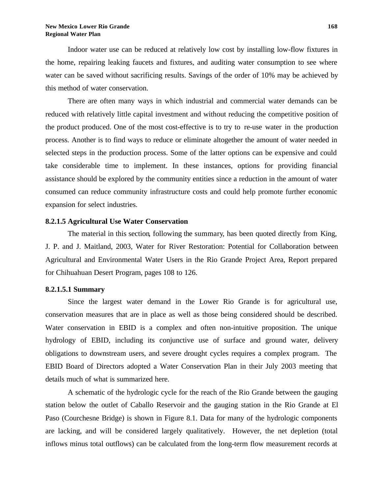Indoor water use can be reduced at relatively low cost by installing low-flow fixtures in the home, repairing leaking faucets and fixtures, and auditing water consumption to see where water can be saved without sacrificing results. Savings of the order of 10% may be achieved by this method of water conservation.

There are often many ways in which industrial and commercial water demands can be reduced with relatively little capital investment and without reducing the competitive position of the product produced. One of the most cost-effective is to try to re-use water in the production process. Another is to find ways to reduce or eliminate altogether the amount of water needed in selected steps in the production process. Some of the latter options can be expensive and could take considerable time to implement. In these instances, options for providing financial assistance should be explored by the community entities since a reduction in the amount of water consumed can reduce community infrastructure costs and could help promote further economic expansion for select industries.

## **8.2.1.5 Agricultural Use Water Conservation**

The material in this section, following the summary, has been quoted directly from King, J. P. and J. Maitland, 2003, Water for River Restoration: Potential for Collaboration between Agricultural and Environmental Water Users in the Rio Grande Project Area, Report prepared for Chihuahuan Desert Program, pages 108 to 126.

# **8.2.1.5.1 Summary**

Since the largest water demand in the Lower Rio Grande is for agricultural use, conservation measures that are in place as well as those being considered should be described. Water conservation in EBID is a complex and often non-intuitive proposition. The unique hydrology of EBID, including its conjunctive use of surface and ground water, delivery obligations to downstream users, and severe drought cycles requires a complex program. The EBID Board of Directors adopted a Water Conservation Plan in their July 2003 meeting that details much of what is summarized here.

A schematic of the hydrologic cycle for the reach of the Rio Grande between the gauging station below the outlet of Caballo Reservoir and the gauging station in the Rio Grande at El Paso (Courchesne Bridge) is shown in Figure 8.1. Data for many of the hydrologic components are lacking, and will be considered largely qualitatively. However, the net depletion (total inflows minus total outflows) can be calculated from the long-term flow measurement records at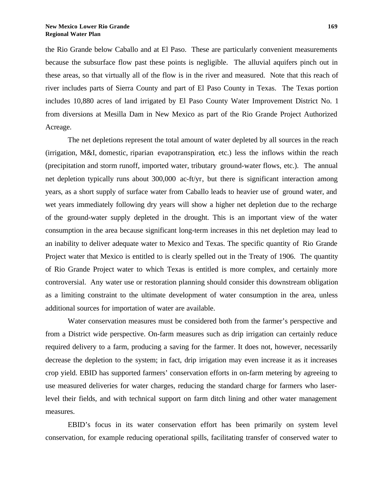the Rio Grande below Caballo and at El Paso. These are particularly convenient measurements because the subsurface flow past these points is negligible. The alluvial aquifers pinch out in these areas, so that virtually all of the flow is in the river and measured. Note that this reach of river includes parts of Sierra County and part of El Paso County in Texas. The Texas portion includes 10,880 acres of land irrigated by El Paso County Water Improvement District No. 1 from diversions at Mesilla Dam in New Mexico as part of the Rio Grande Project Authorized Acreage.

The net depletions represent the total amount of water depleted by all sources in the reach (irrigation, M&I, domestic, riparian evapotranspiration, etc.) less the inflows within the reach (precipitation and storm runoff, imported water, tributary ground-water flows, etc.). The annual net depletion typically runs about 300,000 ac-ft/yr, but there is significant interaction among years, as a short supply of surface water from Caballo leads to heavier use of ground water, and wet years immediately following dry years will show a higher net depletion due to the recharge of the ground-water supply depleted in the drought. This is an important view of the water consumption in the area because significant long-term increases in this net depletion may lead to an inability to deliver adequate water to Mexico and Texas. The specific quantity of Rio Grande Project water that Mexico is entitled to is clearly spelled out in the Treaty of 1906. The quantity of Rio Grande Project water to which Texas is entitled is more complex, and certainly more controversial. Any water use or restoration planning should consider this downstream obligation as a limiting constraint to the ultimate development of water consumption in the area, unless additional sources for importation of water are available.

Water conservation measures must be considered both from the farmer's perspective and from a District wide perspective. On-farm measures such as drip irrigation can certainly reduce required delivery to a farm, producing a saving for the farmer. It does not, however, necessarily decrease the depletion to the system; in fact, drip irrigation may even increase it as it increases crop yield. EBID has supported farmers' conservation efforts in on-farm metering by agreeing to use measured deliveries for water charges, reducing the standard charge for farmers who laserlevel their fields, and with technical support on farm ditch lining and other water management measures.

EBID's focus in its water conservation effort has been primarily on system level conservation, for example reducing operational spills, facilitating transfer of conserved water to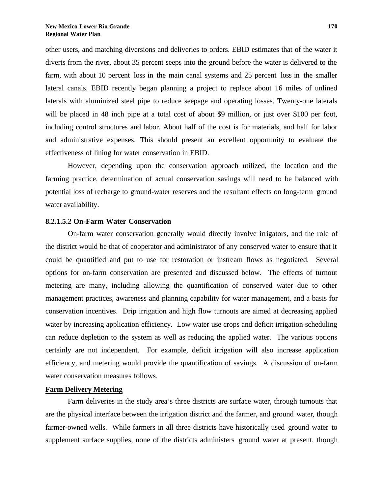other users, and matching diversions and deliveries to orders. EBID estimates that of the water it diverts from the river, about 35 percent seeps into the ground before the water is delivered to the farm, with about 10 percent loss in the main canal systems and 25 percent loss in the smaller lateral canals. EBID recently began planning a project to replace about 16 miles of unlined laterals with aluminized steel pipe to reduce seepage and operating losses. Twenty-one laterals will be placed in 48 inch pipe at a total cost of about \$9 million, or just over \$100 per foot, including control structures and labor. About half of the cost is for materials, and half for labor and administrative expenses. This should present an excellent opportunity to evaluate the effectiveness of lining for water conservation in EBID.

However, depending upon the conservation approach utilized, the location and the farming practice, determination of actual conservation savings will need to be balanced with potential loss of recharge to ground-water reserves and the resultant effects on long-term ground water availability.

## **8.2.1.5.2 On-Farm Water Conservation**

On-farm water conservation generally would directly involve irrigators, and the role of the district would be that of cooperator and administrator of any conserved water to ensure that it could be quantified and put to use for restoration or instream flows as negotiated. Several options for on-farm conservation are presented and discussed below. The effects of turnout metering are many, including allowing the quantification of conserved water due to other management practices, awareness and planning capability for water management, and a basis for conservation incentives. Drip irrigation and high flow turnouts are aimed at decreasing applied water by increasing application efficiency. Low water use crops and deficit irrigation scheduling can reduce depletion to the system as well as reducing the applied water. The various options certainly are not independent. For example, deficit irrigation will also increase application efficiency, and metering would provide the quantification of savings. A discussion of on-farm water conservation measures follows.

## **Farm Delivery Metering**

Farm deliveries in the study area's three districts are surface water, through turnouts that are the physical interface between the irrigation district and the farmer, and ground water, though farmer-owned wells. While farmers in all three districts have historically used ground water to supplement surface supplies, none of the districts administers ground water at present, though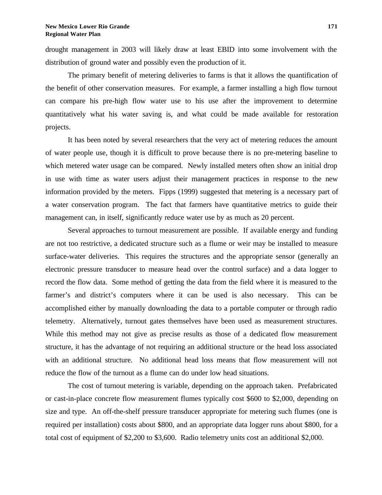drought management in 2003 will likely draw at least EBID into some involvement with the distribution of ground water and possibly even the production of it.

The primary benefit of metering deliveries to farms is that it allows the quantification of the benefit of other conservation measures. For example, a farmer installing a high flow turnout can compare his pre-high flow water use to his use after the improvement to determine quantitatively what his water saving is, and what could be made available for restoration projects.

It has been noted by several researchers that the very act of metering reduces the amount of water people use, though it is difficult to prove because there is no pre-metering baseline to which metered water usage can be compared. Newly installed meters often show an initial drop in use with time as water users adjust their management practices in response to the new information provided by the meters. Fipps (1999) suggested that metering is a necessary part of a water conservation program. The fact that farmers have quantitative metrics to guide their management can, in itself, significantly reduce water use by as much as 20 percent.

Several approaches to turnout measurement are possible. If available energy and funding are not too restrictive, a dedicated structure such as a flume or weir may be installed to measure surface-water deliveries. This requires the structures and the appropriate sensor (generally an electronic pressure transducer to measure head over the control surface) and a data logger to record the flow data. Some method of getting the data from the field where it is measured to the farmer's and district's computers where it can be used is also necessary. This can be accomplished either by manually downloading the data to a portable computer or through radio telemetry. Alternatively, turnout gates themselves have been used as measurement structures. While this method may not give as precise results as those of a dedicated flow measurement structure, it has the advantage of not requiring an additional structure or the head loss associated with an additional structure. No additional head loss means that flow measurement will not reduce the flow of the turnout as a flume can do under low head situations.

The cost of turnout metering is variable, depending on the approach taken. Prefabricated or cast-in-place concrete flow measurement flumes typically cost \$600 to \$2,000, depending on size and type. An off-the-shelf pressure transducer appropriate for metering such flumes (one is required per installation) costs about \$800, and an appropriate data logger runs about \$800, for a total cost of equipment of \$2,200 to \$3,600. Radio telemetry units cost an additional \$2,000.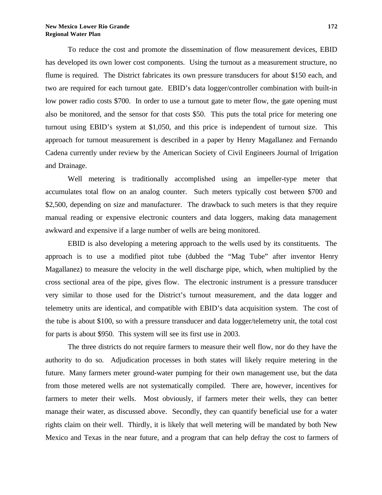To reduce the cost and promote the dissemination of flow measurement devices, EBID has developed its own lower cost components. Using the turnout as a measurement structure, no flume is required. The District fabricates its own pressure transducers for about \$150 each, and two are required for each turnout gate. EBID's data logger/controller combination with built-in low power radio costs \$700. In order to use a turnout gate to meter flow, the gate opening must also be monitored, and the sensor for that costs \$50. This puts the total price for metering one turnout using EBID's system at \$1,050, and this price is independent of turnout size. This approach for turnout measurement is described in a paper by Henry Magallanez and Fernando Cadena currently under review by the American Society of Civil Engineers Journal of Irrigation and Drainage.

Well metering is traditionally accomplished using an impeller-type meter that accumulates total flow on an analog counter. Such meters typically cost between \$700 and \$2,500, depending on size and manufacturer. The drawback to such meters is that they require manual reading or expensive electronic counters and data loggers, making data management awkward and expensive if a large number of wells are being monitored.

EBID is also developing a metering approach to the wells used by its constituents. The approach is to use a modified pitot tube (dubbed the "Mag Tube" after inventor Henry Magallanez) to measure the velocity in the well discharge pipe, which, when multiplied by the cross sectional area of the pipe, gives flow. The electronic instrument is a pressure transducer very similar to those used for the District's turnout measurement, and the data logger and telemetry units are identical, and compatible with EBID's data acquisition system. The cost of the tube is about \$100, so with a pressure transducer and data logger/telemetry unit, the total cost for parts is about \$950. This system will see its first use in 2003.

The three districts do not require farmers to measure their well flow, nor do they have the authority to do so. Adjudication processes in both states will likely require metering in the future. Many farmers meter ground-water pumping for their own management use, but the data from those metered wells are not systematically compiled. There are, however, incentives for farmers to meter their wells. Most obviously, if farmers meter their wells, they can better manage their water, as discussed above. Secondly, they can quantify beneficial use for a water rights claim on their well. Thirdly, it is likely that well metering will be mandated by both New Mexico and Texas in the near future, and a program that can help defray the cost to farmers of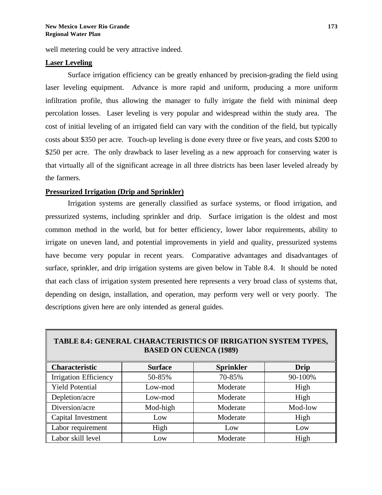well metering could be very attractive indeed.

## **Laser Leveling**

Surface irrigation efficiency can be greatly enhanced by precision-grading the field using laser leveling equipment. Advance is more rapid and uniform, producing a more uniform infiltration profile, thus allowing the manager to fully irrigate the field with minimal deep percolation losses. Laser leveling is very popular and widespread within the study area. The cost of initial leveling of an irrigated field can vary with the condition of the field, but typically costs about \$350 per acre. Touch-up leveling is done every three or five years, and costs \$200 to \$250 per acre. The only drawback to laser leveling as a new approach for conserving water is that virtually all of the significant acreage in all three districts has been laser leveled already by the farmers.

# **Pressurized Irrigation (Drip and Sprinkler)**

Irrigation systems are generally classified as surface systems, or flood irrigation, and pressurized systems, including sprinkler and drip. Surface irrigation is the oldest and most common method in the world, but for better efficiency, lower labor requirements, ability to irrigate on uneven land, and potential improvements in yield and quality, pressurized systems have become very popular in recent years. Comparative advantages and disadvantages of surface, sprinkler, and drip irrigation systems are given below in Table 8.4. It should be noted that each class of irrigation system presented here represents a very broad class of systems that, depending on design, installation, and operation, may perform very well or very poorly. The descriptions given here are only intended as general guides.

| THERE WE CENTRAL CHAINIC LEADERS OF TAALOM DISTRICT LITED,<br><b>BASED ON CUENCA (1989)</b> |                |                  |             |  |
|---------------------------------------------------------------------------------------------|----------------|------------------|-------------|--|
| <b>Characteristic</b>                                                                       | <b>Surface</b> | <b>Sprinkler</b> | <b>Drip</b> |  |
| <b>Irrigation Efficiency</b>                                                                | 50-85%         | 70-85%           | 90-100%     |  |
| <b>Yield Potential</b>                                                                      | Low-mod        | Moderate         | High        |  |
| Depletion/acre                                                                              | Low-mod        | Moderate         | High        |  |
| Diversion/acre                                                                              | Mod-high       | Moderate         | Mod-low     |  |
| Capital Investment                                                                          | Low            | Moderate         | High        |  |
| Labor requirement                                                                           | High           | Low              | Low         |  |
| Labor skill level                                                                           | Low            | Moderate         | High        |  |

# **TABLE 8.4: GENERAL CHARACTERISTICS OF IRRIGATION SYSTEM TYPES,**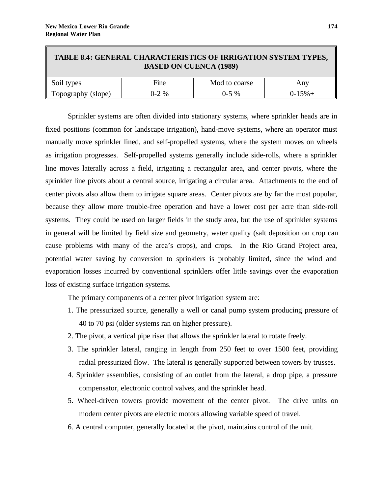| <b>TABLE 8.4: GENERAL CHARACTERISTICS OF IRRIGATION SYSTEM TYPES,</b><br><b>BASED ON CUENCA (1989)</b> |         |               |           |  |
|--------------------------------------------------------------------------------------------------------|---------|---------------|-----------|--|
| Soil types                                                                                             | Fine    | Mod to coarse | Any       |  |
| Topography (slope)                                                                                     | $0-2\%$ | $0-5\%$       | $0-15% +$ |  |

Sprinkler systems are often divided into stationary systems, where sprinkler heads are in fixed positions (common for landscape irrigation), hand-move systems, where an operator must manually move sprinkler lined, and self-propelled systems, where the system moves on wheels as irrigation progresses. Self-propelled systems generally include side-rolls, where a sprinkler line moves laterally across a field, irrigating a rectangular area, and center pivots, where the sprinkler line pivots about a central source, irrigating a circular area. Attachments to the end of center pivots also allow them to irrigate square areas. Center pivots are by far the most popular, because they allow more trouble-free operation and have a lower cost per acre than side-roll systems. They could be used on larger fields in the study area, but the use of sprinkler systems in general will be limited by field size and geometry, water quality (salt deposition on crop can cause problems with many of the area's crops), and crops. In the Rio Grand Project area, potential water saving by conversion to sprinklers is probably limited, since the wind and evaporation losses incurred by conventional sprinklers offer little savings over the evaporation loss of existing surface irrigation systems.

The primary components of a center pivot irrigation system are:

- 1. The pressurized source, generally a well or canal pump system producing pressure of 40 to 70 psi (older systems ran on higher pressure).
- 2. The pivot, a vertical pipe riser that allows the sprinkler lateral to rotate freely.
- 3. The sprinkler lateral, ranging in length from 250 feet to over 1500 feet, providing radial pressurized flow. The lateral is generally supported between towers by trusses.
- 4. Sprinkler assemblies, consisting of an outlet from the lateral, a drop pipe, a pressure compensator, electronic control valves, and the sprinkler head.
- 5. Wheel-driven towers provide movement of the center pivot. The drive units on modern center pivots are electric motors allowing variable speed of travel.
- 6. A central computer, generally located at the pivot, maintains control of the unit.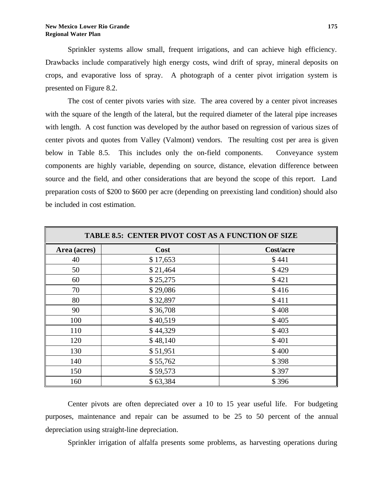Sprinkler systems allow small, frequent irrigations, and can achieve high efficiency. Drawbacks include comparatively high energy costs, wind drift of spray, mineral deposits on crops, and evaporative loss of spray. A photograph of a center pivot irrigation system is presented on Figure 8.2.

The cost of center pivots varies with size. The area covered by a center pivot increases with the square of the length of the lateral, but the required diameter of the lateral pipe increases with length. A cost function was developed by the author based on regression of various sizes of center pivots and quotes from Valley (Valmont) vendors. The resulting cost per area is given below in Table 8.5. This includes only the on-field components. Conveyance system components are highly variable, depending on source, distance, elevation difference between source and the field, and other considerations that are beyond the scope of this report. Land preparation costs of \$200 to \$600 per acre (depending on preexisting land condition) should also be included in cost estimation.

| <b>TABLE 8.5: CENTER PIVOT COST AS A FUNCTION OF SIZE</b> |          |           |  |
|-----------------------------------------------------------|----------|-----------|--|
| Area (acres)                                              | Cost     | Cost/acre |  |
| 40                                                        | \$17,653 | \$441     |  |
| 50                                                        | \$21,464 | \$429     |  |
| 60                                                        | \$25,275 | \$421     |  |
| 70                                                        | \$29,086 | \$416     |  |
| 80                                                        | \$32,897 | \$411     |  |
| 90                                                        | \$36,708 | \$408     |  |
| 100                                                       | \$40,519 | \$405     |  |
| 110                                                       | \$44,329 | \$403     |  |
| 120                                                       | \$48,140 | \$401     |  |
| 130                                                       | \$51,951 | \$400     |  |
| 140                                                       | \$55,762 | \$398     |  |
| 150                                                       | \$59,573 | \$397     |  |
| 160                                                       | \$63,384 | \$396     |  |

Center pivots are often depreciated over a 10 to 15 year useful life. For budgeting purposes, maintenance and repair can be assumed to be 25 to 50 percent of the annual depreciation using straight-line depreciation.

Sprinkler irrigation of alfalfa presents some problems, as harvesting operations during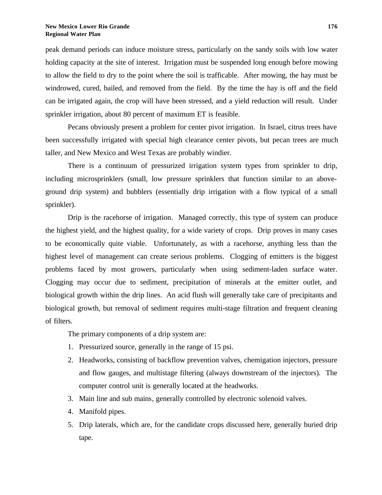peak demand periods can induce moisture stress, particularly on the sandy soils with low water holding capacity at the site of interest. Irrigation must be suspended long enough before mowing to allow the field to dry to the point where the soil is trafficable. After mowing, the hay must be windrowed, cured, bailed, and removed from the field. By the time the hay is off and the field can be irrigated again, the crop will have been stressed, and a yield reduction will result. Under sprinkler irrigation, about 80 percent of maximum ET is feasible.

Pecans obviously present a problem for center pivot irrigation. In Israel, citrus trees have been successfully irrigated with special high clearance center pivots, but pecan trees are much taller, and New Mexico and West Texas are probably windier.

There is a continuum of pressurized irrigation system types from sprinkler to drip, including microsprinklers (small, low pressure sprinklers that function similar to an aboveground drip system) and bubblers (essentially drip irrigation with a flow typical of a small sprinkler).

Drip is the racehorse of irrigation. Managed correctly, this type of system can produce the highest yield, and the highest quality, for a wide variety of crops. Drip proves in many cases to be economically quite viable. Unfortunately, as with a racehorse, anything less than the highest level of management can create serious problems. Clogging of emitters is the biggest problems faced by most growers, particularly when using sediment-laden surface water. Clogging may occur due to sediment, precipitation of minerals at the emitter outlet, and biological growth within the drip lines. An acid flush will generally take care of precipitants and biological growth, but removal of sediment requires multi-stage filtration and frequent cleaning of filters.

The primary components of a drip system are:

- 1. Pressurized source, generally in the range of 15 psi.
- 2. Headworks, consisting of backflow prevention valves, chemigation injectors, pressure and flow gauges, and multistage filtering (always downstream of the injectors). The computer control unit is generally located at the headworks.
- 3. Main line and sub mains, generally controlled by electronic solenoid valves.
- 4. Manifold pipes.
- 5. Drip laterals, which are, for the candidate crops discussed here, generally buried drip tape.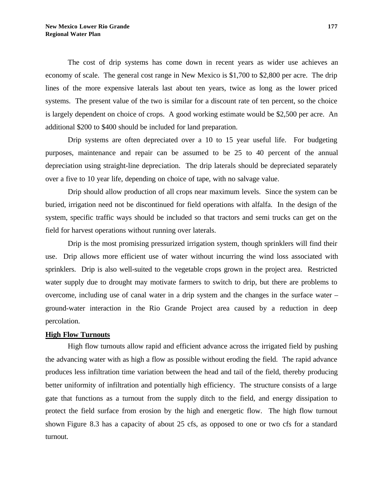The cost of drip systems has come down in recent years as wider use achieves an economy of scale. The general cost range in New Mexico is \$1,700 to \$2,800 per acre. The drip lines of the more expensive laterals last about ten years, twice as long as the lower priced systems. The present value of the two is similar for a discount rate of ten percent, so the choice is largely dependent on choice of crops. A good working estimate would be \$2,500 per acre. An additional \$200 to \$400 should be included for land preparation.

Drip systems are often depreciated over a 10 to 15 year useful life. For budgeting purposes, maintenance and repair can be assumed to be 25 to 40 percent of the annual depreciation using straight-line depreciation. The drip laterals should be depreciated separately over a five to 10 year life, depending on choice of tape, with no salvage value.

Drip should allow production of all crops near maximum levels. Since the system can be buried, irrigation need not be discontinued for field operations with alfalfa. In the design of the system, specific traffic ways should be included so that tractors and semi trucks can get on the field for harvest operations without running over laterals.

Drip is the most promising pressurized irrigation system, though sprinklers will find their use. Drip allows more efficient use of water without incurring the wind loss associated with sprinklers. Drip is also well-suited to the vegetable crops grown in the project area. Restricted water supply due to drought may motivate farmers to switch to drip, but there are problems to overcome, including use of canal water in a drip system and the changes in the surface water – ground-water interaction in the Rio Grande Project area caused by a reduction in deep percolation.

# **High Flow Turnouts**

High flow turnouts allow rapid and efficient advance across the irrigated field by pushing the advancing water with as high a flow as possible without eroding the field. The rapid advance produces less infiltration time variation between the head and tail of the field, thereby producing better uniformity of infiltration and potentially high efficiency. The structure consists of a large gate that functions as a turnout from the supply ditch to the field, and energy dissipation to protect the field surface from erosion by the high and energetic flow. The high flow turnout shown Figure 8.3 has a capacity of about 25 cfs, as opposed to one or two cfs for a standard turnout.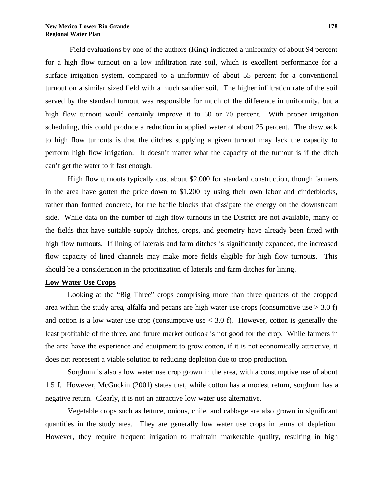Field evaluations by one of the authors (King) indicated a uniformity of about 94 percent for a high flow turnout on a low infiltration rate soil, which is excellent performance for a surface irrigation system, compared to a uniformity of about 55 percent for a conventional turnout on a similar sized field with a much sandier soil. The higher infiltration rate of the soil served by the standard turnout was responsible for much of the difference in uniformity, but a high flow turnout would certainly improve it to 60 or 70 percent. With proper irrigation scheduling, this could produce a reduction in applied water of about 25 percent. The drawback to high flow turnouts is that the ditches supplying a given turnout may lack the capacity to perform high flow irrigation. It doesn't matter what the capacity of the turnout is if the ditch can't get the water to it fast enough.

High flow turnouts typically cost about \$2,000 for standard construction, though farmers in the area have gotten the price down to \$1,200 by using their own labor and cinderblocks, rather than formed concrete, for the baffle blocks that dissipate the energy on the downstream side. While data on the number of high flow turnouts in the District are not available, many of the fields that have suitable supply ditches, crops, and geometry have already been fitted with high flow turnouts. If lining of laterals and farm ditches is significantly expanded, the increased flow capacity of lined channels may make more fields eligible for high flow turnouts. This should be a consideration in the prioritization of laterals and farm ditches for lining.

# **Low Water Use Crops**

Looking at the "Big Three" crops comprising more than three quarters of the cropped area within the study area, alfalfa and pecans are high water use crops (consumptive use  $> 3.0$  f) and cotton is a low water use crop (consumptive use  $<$  3.0 f). However, cotton is generally the least profitable of the three, and future market outlook is not good for the crop. While farmers in the area have the experience and equipment to grow cotton, if it is not economically attractive, it does not represent a viable solution to reducing depletion due to crop production.

Sorghum is also a low water use crop grown in the area, with a consumptive use of about 1.5 f. However, McGuckin (2001) states that, while cotton has a modest return, sorghum has a negative return. Clearly, it is not an attractive low water use alternative.

Vegetable crops such as lettuce, onions, chile, and cabbage are also grown in significant quantities in the study area. They are generally low water use crops in terms of depletion. However, they require frequent irrigation to maintain marketable quality, resulting in high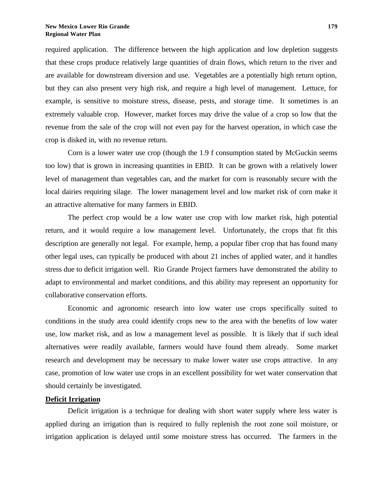required application. The difference between the high application and low depletion suggests that these crops produce relatively large quantities of drain flows, which return to the river and are available for downstream diversion and use. Vegetables are a potentially high return option, but they can also present very high risk, and require a high level of management. Lettuce, for example, is sensitive to moisture stress, disease, pests, and storage time. It sometimes is an extremely valuable crop. However, market forces may drive the value of a crop so low that the revenue from the sale of the crop will not even pay for the harvest operation, in which case the crop is disked in, with no revenue return.

Corn is a lower water use crop (though the 1.9 f consumption stated by McGuckin seems too low) that is grown in increasing quantities in EBID. It can be grown with a relatively lower level of management than vegetables can, and the market for corn is reasonably secure with the local dairies requiring silage. The lower management level and low market risk of corn make it an attractive alternative for many farmers in EBID.

The perfect crop would be a low water use crop with low market risk, high potential return, and it would require a low management level. Unfortunately, the crops that fit this description are generally not legal. For example, hemp, a popular fiber crop that has found many other legal uses, can typically be produced with about 21 inches of applied water, and it handles stress due to deficit irrigation well. Rio Grande Project farmers have demonstrated the ability to adapt to environmental and market conditions, and this ability may represent an opportunity for collaborative conservation efforts.

Economic and agronomic research into low water use crops specifically suited to conditions in the study area could identify crops new to the area with the benefits of low water use, low market risk, and as low a management level as possible. It is likely that if such ideal alternatives were readily available, farmers would have found them already. Some market research and development may be necessary to make lower water use crops attractive. In any case, promotion of low water use crops in an excellent possibility for wet water conservation that should certainly be investigated.

# **Deficit Irrigation**

Deficit irrigation is a technique for dealing with short water supply where less water is applied during an irrigation than is required to fully replenish the root zone soil moisture, or irrigation application is delayed until some moisture stress has occurred. The farmers in the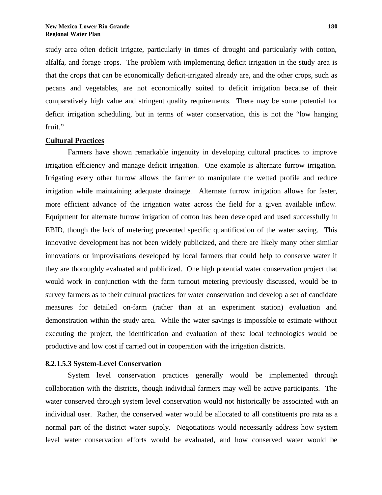study area often deficit irrigate, particularly in times of drought and particularly with cotton, alfalfa, and forage crops. The problem with implementing deficit irrigation in the study area is that the crops that can be economically deficit-irrigated already are, and the other crops, such as pecans and vegetables, are not economically suited to deficit irrigation because of their comparatively high value and stringent quality requirements. There may be some potential for deficit irrigation scheduling, but in terms of water conservation, this is not the "low hanging fruit."

# **Cultural Practices**

Farmers have shown remarkable ingenuity in developing cultural practices to improve irrigation efficiency and manage deficit irrigation. One example is alternate furrow irrigation. Irrigating every other furrow allows the farmer to manipulate the wetted profile and reduce irrigation while maintaining adequate drainage. Alternate furrow irrigation allows for faster, more efficient advance of the irrigation water across the field for a given available inflow. Equipment for alternate furrow irrigation of cotton has been developed and used successfully in EBID, though the lack of metering prevented specific quantification of the water saving. This innovative development has not been widely publicized, and there are likely many other similar innovations or improvisations developed by local farmers that could help to conserve water if they are thoroughly evaluated and publicized. One high potential water conservation project that would work in conjunction with the farm turnout metering previously discussed, would be to survey farmers as to their cultural practices for water conservation and develop a set of candidate measures for detailed on-farm (rather than at an experiment station) evaluation and demonstration within the study area. While the water savings is impossible to estimate without executing the project, the identification and evaluation of these local technologies would be productive and low cost if carried out in cooperation with the irrigation districts.

## **8.2.1.5.3 System-Level Conservation**

System level conservation practices generally would be implemented through collaboration with the districts, though individual farmers may well be active participants. The water conserved through system level conservation would not historically be associated with an individual user. Rather, the conserved water would be allocated to all constituents pro rata as a normal part of the district water supply. Negotiations would necessarily address how system level water conservation efforts would be evaluated, and how conserved water would be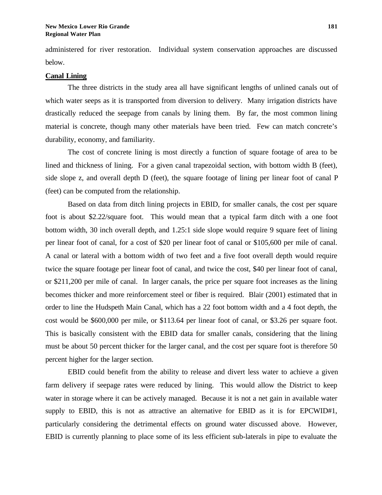administered for river restoration. Individual system conservation approaches are discussed below.

## **Canal Lining**

The three districts in the study area all have significant lengths of unlined canals out of which water seeps as it is transported from diversion to delivery. Many irrigation districts have drastically reduced the seepage from canals by lining them. By far, the most common lining material is concrete, though many other materials have been tried. Few can match concrete's durability, economy, and familiarity.

The cost of concrete lining is most directly a function of square footage of area to be lined and thickness of lining. For a given canal trapezoidal section, with bottom width B (feet), side slope z, and overall depth D (feet), the square footage of lining per linear foot of canal P (feet) can be computed from the relationship.

Based on data from ditch lining projects in EBID, for smaller canals, the cost per square foot is about \$2.22/square foot. This would mean that a typical farm ditch with a one foot bottom width, 30 inch overall depth, and 1.25:1 side slope would require 9 square feet of lining per linear foot of canal, for a cost of \$20 per linear foot of canal or \$105,600 per mile of canal. A canal or lateral with a bottom width of two feet and a five foot overall depth would require twice the square footage per linear foot of canal, and twice the cost, \$40 per linear foot of canal, or \$211,200 per mile of canal. In larger canals, the price per square foot increases as the lining becomes thicker and more reinforcement steel or fiber is required. Blair (2001) estimated that in order to line the Hudspeth Main Canal, which has a 22 foot bottom width and a 4 foot depth, the cost would be \$600,000 per mile, or \$113.64 per linear foot of canal, or \$3.26 per square foot. This is basically consistent with the EBID data for smaller canals, considering that the lining must be about 50 percent thicker for the larger canal, and the cost per square foot is therefore 50 percent higher for the larger section.

EBID could benefit from the ability to release and divert less water to achieve a given farm delivery if seepage rates were reduced by lining. This would allow the District to keep water in storage where it can be actively managed. Because it is not a net gain in available water supply to EBID, this is not as attractive an alternative for EBID as it is for EPCWID#1, particularly considering the detrimental effects on ground water discussed above. However, EBID is currently planning to place some of its less efficient sub-laterals in pipe to evaluate the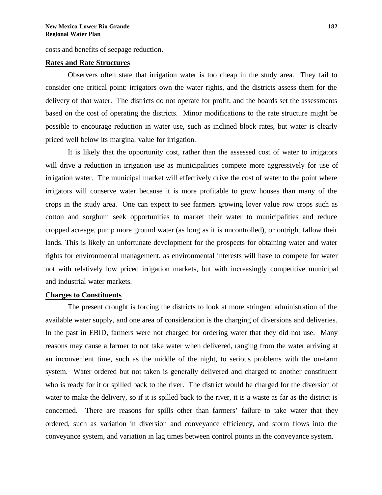costs and benefits of seepage reduction.

## **Rates and Rate Structures**

Observers often state that irrigation water is too cheap in the study area. They fail to consider one critical point: irrigators own the water rights, and the districts assess them for the delivery of that water. The districts do not operate for profit, and the boards set the assessments based on the cost of operating the districts. Minor modifications to the rate structure might be possible to encourage reduction in water use, such as inclined block rates, but water is clearly priced well below its marginal value for irrigation.

It is likely that the opportunity cost, rather than the assessed cost of water to irrigators will drive a reduction in irrigation use as municipalities compete more aggressively for use of irrigation water. The municipal market will effectively drive the cost of water to the point where irrigators will conserve water because it is more profitable to grow houses than many of the crops in the study area. One can expect to see farmers growing lover value row crops such as cotton and sorghum seek opportunities to market their water to municipalities and reduce cropped acreage, pump more ground water (as long as it is uncontrolled), or outright fallow their lands. This is likely an unfortunate development for the prospects for obtaining water and water rights for environmental management, as environmental interests will have to compete for water not with relatively low priced irrigation markets, but with increasingly competitive municipal and industrial water markets.

## **Charges to Constituents**

The present drought is forcing the districts to look at more stringent administration of the available water supply, and one area of consideration is the charging of diversions and deliveries. In the past in EBID, farmers were not charged for ordering water that they did not use. Many reasons may cause a farmer to not take water when delivered, ranging from the water arriving at an inconvenient time, such as the middle of the night, to serious problems with the on-farm system. Water ordered but not taken is generally delivered and charged to another constituent who is ready for it or spilled back to the river. The district would be charged for the diversion of water to make the delivery, so if it is spilled back to the river, it is a waste as far as the district is concerned. There are reasons for spills other than farmers' failure to take water that they ordered, such as variation in diversion and conveyance efficiency, and storm flows into the conveyance system, and variation in lag times between control points in the conveyance system.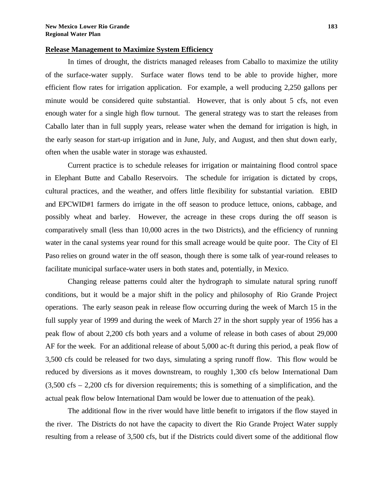## **Release Management to Maximize System Efficiency**

In times of drought, the districts managed releases from Caballo to maximize the utility of the surface-water supply. Surface water flows tend to be able to provide higher, more efficient flow rates for irrigation application. For example, a well producing 2,250 gallons per minute would be considered quite substantial. However, that is only about 5 cfs, not even enough water for a single high flow turnout. The general strategy was to start the releases from Caballo later than in full supply years, release water when the demand for irrigation is high, in the early season for start-up irrigation and in June, July, and August, and then shut down early, often when the usable water in storage was exhausted.

Current practice is to schedule releases for irrigation or maintaining flood control space in Elephant Butte and Caballo Reservoirs. The schedule for irrigation is dictated by crops, cultural practices, and the weather, and offers little flexibility for substantial variation. EBID and EPCWID#1 farmers do irrigate in the off season to produce lettuce, onions, cabbage, and possibly wheat and barley. However, the acreage in these crops during the off season is comparatively small (less than 10,000 acres in the two Districts), and the efficiency of running water in the canal systems year round for this small acreage would be quite poor. The City of El Paso relies on ground water in the off season, though there is some talk of year-round releases to facilitate municipal surface-water users in both states and, potentially, in Mexico.

Changing release patterns could alter the hydrograph to simulate natural spring runoff conditions, but it would be a major shift in the policy and philosophy of Rio Grande Project operations. The early season peak in release flow occurring during the week of March 15 in the full supply year of 1999 and during the week of March 27 in the short supply year of 1956 has a peak flow of about 2,200 cfs both years and a volume of release in both cases of about 29,000 AF for the week. For an additional release of about 5,000 ac-ft during this period, a peak flow of 3,500 cfs could be released for two days, simulating a spring runoff flow. This flow would be reduced by diversions as it moves downstream, to roughly 1,300 cfs below International Dam (3,500 cfs – 2,200 cfs for diversion requirements; this is something of a simplification, and the actual peak flow below International Dam would be lower due to attenuation of the peak).

The additional flow in the river would have little benefit to irrigators if the flow stayed in the river. The Districts do not have the capacity to divert the Rio Grande Project Water supply resulting from a release of 3,500 cfs, but if the Districts could divert some of the additional flow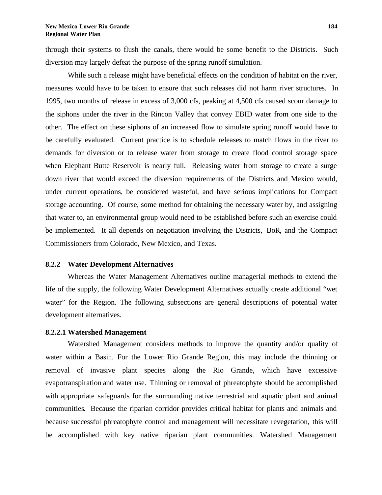through their systems to flush the canals, there would be some benefit to the Districts. Such diversion may largely defeat the purpose of the spring runoff simulation.

While such a release might have beneficial effects on the condition of habitat on the river, measures would have to be taken to ensure that such releases did not harm river structures. In 1995, two months of release in excess of 3,000 cfs, peaking at 4,500 cfs caused scour damage to the siphons under the river in the Rincon Valley that convey EBID water from one side to the other. The effect on these siphons of an increased flow to simulate spring runoff would have to be carefully evaluated. Current practice is to schedule releases to match flows in the river to demands for diversion or to release water from storage to create flood control storage space when Elephant Butte Reservoir is nearly full. Releasing water from storage to create a surge down river that would exceed the diversion requirements of the Districts and Mexico would, under current operations, be considered wasteful, and have serious implications for Compact storage accounting. Of course, some method for obtaining the necessary water by, and assigning that water to, an environmental group would need to be established before such an exercise could be implemented. It all depends on negotiation involving the Districts, BoR, and the Compact Commissioners from Colorado, New Mexico, and Texas.

## **8.2.2 Water Development Alternatives**

Whereas the Water Management Alternatives outline managerial methods to extend the life of the supply, the following Water Development Alternatives actually create additional "wet water" for the Region. The following subsections are general descriptions of potential water development alternatives.

## **8.2.2.1 Watershed Management**

Watershed Management considers methods to improve the quantity and/or quality of water within a Basin. For the Lower Rio Grande Region, this may include the thinning or removal of invasive plant species along the Rio Grande, which have excessive evapotranspiration and water use. Thinning or removal of phreatophyte should be accomplished with appropriate safeguards for the surrounding native terrestrial and aquatic plant and animal communities. Because the riparian corridor provides critical habitat for plants and animals and because successful phreatophyte control and management will necessitate revegetation, this will be accomplished with key native riparian plant communities. Watershed Management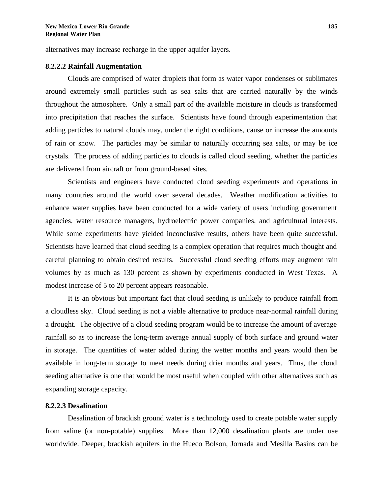alternatives may increase recharge in the upper aquifer layers.

## **8.2.2.2 Rainfall Augmentation**

Clouds are comprised of water droplets that form as water vapor condenses or sublimates around extremely small particles such as sea salts that are carried naturally by the winds throughout the atmosphere. Only a small part of the available moisture in clouds is transformed into precipitation that reaches the surface. Scientists have found through experimentation that adding particles to natural clouds may, under the right conditions, cause or increase the amounts of rain or snow. The particles may be similar to naturally occurring sea salts, or may be ice crystals. The process of adding particles to clouds is called cloud seeding, whether the particles are delivered from aircraft or from ground-based sites.

Scientists and engineers have conducted cloud seeding experiments and operations in many countries around the world over several decades. Weather modification activities to enhance water supplies have been conducted for a wide variety of users including government agencies, water resource managers, hydroelectric power companies, and agricultural interests. While some experiments have yielded inconclusive results, others have been quite successful. Scientists have learned that cloud seeding is a complex operation that requires much thought and careful planning to obtain desired results. Successful cloud seeding efforts may augment rain volumes by as much as 130 percent as shown by experiments conducted in West Texas. A modest increase of 5 to 20 percent appears reasonable.

It is an obvious but important fact that cloud seeding is unlikely to produce rainfall from a cloudless sky. Cloud seeding is not a viable alternative to produce near-normal rainfall during a drought. The objective of a cloud seeding program would be to increase the amount of average rainfall so as to increase the long-term average annual supply of both surface and ground water in storage. The quantities of water added during the wetter months and years would then be available in long-term storage to meet needs during drier months and years. Thus, the cloud seeding alternative is one that would be most useful when coupled with other alternatives such as expanding storage capacity.

#### **8.2.2.3 Desalination**

Desalination of brackish ground water is a technology used to create potable water supply from saline (or non-potable) supplies. More than 12,000 desalination plants are under use worldwide. Deeper, brackish aquifers in the Hueco Bolson, Jornada and Mesilla Basins can be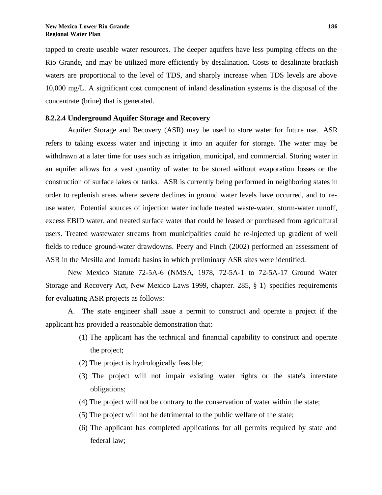tapped to create useable water resources. The deeper aquifers have less pumping effects on the Rio Grande, and may be utilized more efficiently by desalination. Costs to desalinate brackish waters are proportional to the level of TDS, and sharply increase when TDS levels are above 10,000 mg/L. A significant cost component of inland desalination systems is the disposal of the concentrate (brine) that is generated.

# **8.2.2.4 Underground Aquifer Storage and Recovery**

Aquifer Storage and Recovery (ASR) may be used to store water for future use. ASR refers to taking excess water and injecting it into an aquifer for storage. The water may be withdrawn at a later time for uses such as irrigation, municipal, and commercial. Storing water in an aquifer allows for a vast quantity of water to be stored without evaporation losses or the construction of surface lakes or tanks. ASR is currently being performed in neighboring states in order to replenish areas where severe declines in ground water levels have occurred, and to reuse water. Potential sources of injection water include treated waste-water, storm-water runoff, excess EBID water, and treated surface water that could be leased or purchased from agricultural users. Treated wastewater streams from municipalities could be re-injected up gradient of well fields to reduce ground-water drawdowns. Peery and Finch (2002) performed an assessment of ASR in the Mesilla and Jornada basins in which preliminary ASR sites were identified.

New Mexico Statute 72-5A-6 (NMSA, 1978, 72-5A-1 to 72-5A-17 Ground Water Storage and Recovery Act, New Mexico Laws 1999, chapter. 285, § 1) specifies requirements for evaluating ASR projects as follows:

A. The state engineer shall issue a permit to construct and operate a project if the applicant has provided a reasonable demonstration that:

- (1) The applicant has the technical and financial capability to construct and operate the project;
- (2) The project is hydrologically feasible;
- (3) The project will not impair existing water rights or the state's interstate obligations;
- (4) The project will not be contrary to the conservation of water within the state;
- (5) The project will not be detrimental to the public welfare of the state;
- (6) The applicant has completed applications for all permits required by state and federal law;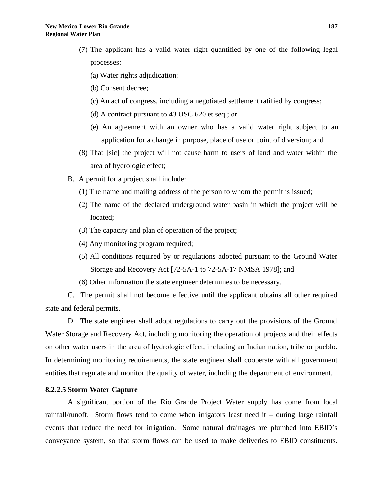- (7) The applicant has a valid water right quantified by one of the following legal processes:
	- (a) Water rights adjudication;
	- (b) Consent decree;
	- (c) An act of congress, including a negotiated settlement ratified by congress;
	- (d) A contract pursuant to 43 USC 620 et seq.; or
	- (e) An agreement with an owner who has a valid water right subject to an application for a change in purpose, place of use or point of diversion; and
- (8) That [sic] the project will not cause harm to users of land and water within the area of hydrologic effect;
- B. A permit for a project shall include:
	- (1) The name and mailing address of the person to whom the permit is issued;
	- (2) The name of the declared underground water basin in which the project will be located;
	- (3) The capacity and plan of operation of the project;
	- (4) Any monitoring program required;
	- (5) All conditions required by or regulations adopted pursuant to the Ground Water Storage and Recovery Act [72-5A-1 to 72-5A-17 NMSA 1978]; and
	- (6) Other information the state engineer determines to be necessary.

C. The permit shall not become effective until the applicant obtains all other required state and federal permits.

D. The state engineer shall adopt regulations to carry out the provisions of the Ground Water Storage and Recovery Act, including monitoring the operation of projects and their effects on other water users in the area of hydrologic effect, including an Indian nation, tribe or pueblo. In determining monitoring requirements, the state engineer shall cooperate with all government entities that regulate and monitor the quality of water, including the department of environment.

# **8.2.2.5 Storm Water Capture**

A significant portion of the Rio Grande Project Water supply has come from local rainfall/runoff. Storm flows tend to come when irrigators least need it – during large rainfall events that reduce the need for irrigation. Some natural drainages are plumbed into EBID's conveyance system, so that storm flows can be used to make deliveries to EBID constituents.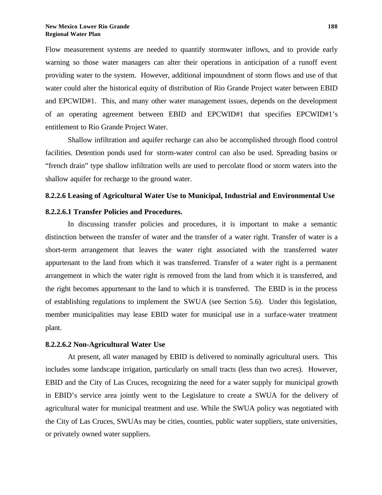Flow measurement systems are needed to quantify stormwater inflows, and to provide early warning so those water managers can alter their operations in anticipation of a runoff event providing water to the system. However, additional impoundment of storm flows and use of that water could alter the historical equity of distribution of Rio Grande Project water between EBID and EPCWID#1. This, and many other water management issues, depends on the development of an operating agreement between EBID and EPCWID#1 that specifies EPCWID#1's entitlement to Rio Grande Project Water.

Shallow infiltration and aquifer recharge can also be accomplished through flood control facilities. Detention ponds used for storm-water control can also be used. Spreading basins or "french drain" type shallow infiltration wells are used to percolate flood or storm waters into the shallow aquifer for recharge to the ground water.

# **8.2.2.6 Leasing of Agricultural Water Use to Municipal, Industrial and Environmental Use**

## **8.2.2.6.1 Transfer Policies and Procedures.**

In discussing transfer policies and procedures, it is important to make a semantic distinction between the transfer of water and the transfer of a water right. Transfer of water is a short-term arrangement that leaves the water right associated with the transferred water appurtenant to the land from which it was transferred. Transfer of a water right is a permanent arrangement in which the water right is removed from the land from which it is transferred, and the right becomes appurtenant to the land to which it is transferred. The EBID is in the process of establishing regulations to implement the SWUA (see Section 5.6). Under this legislation, member municipalities may lease EBID water for municipal use in a surface-water treatment plant.

#### **8.2.2.6.2 Non-Agricultural Water Use**

At present, all water managed by EBID is delivered to nominally agricultural users. This includes some landscape irrigation, particularly on small tracts (less than two acres). However, EBID and the City of Las Cruces, recognizing the need for a water supply for municipal growth in EBID's service area jointly went to the Legislature to create a SWUA for the delivery of agricultural water for municipal treatment and use. While the SWUA policy was negotiated with the City of Las Cruces, SWUAs may be cities, counties, public water suppliers, state universities, or privately owned water suppliers.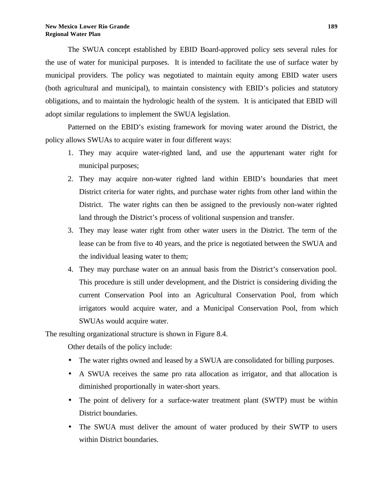The SWUA concept established by EBID Board-approved policy sets several rules for the use of water for municipal purposes. It is intended to facilitate the use of surface water by municipal providers. The policy was negotiated to maintain equity among EBID water users (both agricultural and municipal), to maintain consistency with EBID's policies and statutory obligations, and to maintain the hydrologic health of the system. It is anticipated that EBID will adopt similar regulations to implement the SWUA legislation.

Patterned on the EBID's existing framework for moving water around the District, the policy allows SWUAs to acquire water in four different ways:

- 1. They may acquire water-righted land, and use the appurtenant water right for municipal purposes;
- 2. They may acquire non-water righted land within EBID's boundaries that meet District criteria for water rights, and purchase water rights from other land within the District. The water rights can then be assigned to the previously non-water righted land through the District's process of volitional suspension and transfer.
- 3. They may lease water right from other water users in the District. The term of the lease can be from five to 40 years, and the price is negotiated between the SWUA and the individual leasing water to them;
- 4. They may purchase water on an annual basis from the District's conservation pool. This procedure is still under development, and the District is considering dividing the current Conservation Pool into an Agricultural Conservation Pool, from which irrigators would acquire water, and a Municipal Conservation Pool, from which SWUAs would acquire water.

The resulting organizational structure is shown in Figure 8.4.

Other details of the policy include:

- The water rights owned and leased by a SWUA are consolidated for billing purposes.
- A SWUA receives the same pro rata allocation as irrigator, and that allocation is diminished proportionally in water-short years.
- The point of delivery for a surface-water treatment plant (SWTP) must be within District boundaries.
- The SWUA must deliver the amount of water produced by their SWTP to users within District boundaries.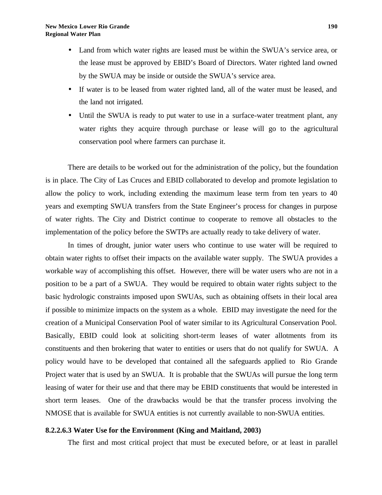- Land from which water rights are leased must be within the SWUA's service area, or the lease must be approved by EBID's Board of Directors. Water righted land owned by the SWUA may be inside or outside the SWUA's service area.
- If water is to be leased from water righted land, all of the water must be leased, and the land not irrigated.
- Until the SWUA is ready to put water to use in a surface-water treatment plant, any water rights they acquire through purchase or lease will go to the agricultural conservation pool where farmers can purchase it.

There are details to be worked out for the administration of the policy, but the foundation is in place. The City of Las Cruces and EBID collaborated to develop and promote legislation to allow the policy to work, including extending the maximum lease term from ten years to 40 years and exempting SWUA transfers from the State Engineer's process for changes in purpose of water rights. The City and District continue to cooperate to remove all obstacles to the implementation of the policy before the SWTPs are actually ready to take delivery of water.

In times of drought, junior water users who continue to use water will be required to obtain water rights to offset their impacts on the available water supply. The SWUA provides a workable way of accomplishing this offset. However, there will be water users who are not in a position to be a part of a SWUA. They would be required to obtain water rights subject to the basic hydrologic constraints imposed upon SWUAs, such as obtaining offsets in their local area if possible to minimize impacts on the system as a whole. EBID may investigate the need for the creation of a Municipal Conservation Pool of water similar to its Agricultural Conservation Pool. Basically, EBID could look at soliciting short-term leases of water allotments from its constituents and then brokering that water to entities or users that do not qualify for SWUA. A policy would have to be developed that contained all the safeguards applied to Rio Grande Project water that is used by an SWUA. It is probable that the SWUAs will pursue the long term leasing of water for their use and that there may be EBID constituents that would be interested in short term leases. One of the drawbacks would be that the transfer process involving the NMOSE that is available for SWUA entities is not currently available to non-SWUA entities.

# **8.2.2.6.3 Water Use for the Environment (King and Maitland, 2003)**

The first and most critical project that must be executed before, or at least in parallel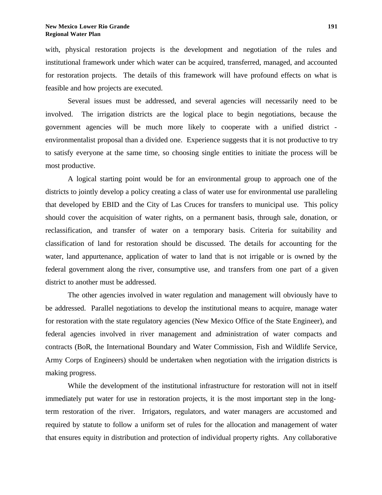with, physical restoration projects is the development and negotiation of the rules and institutional framework under which water can be acquired, transferred, managed, and accounted for restoration projects. The details of this framework will have profound effects on what is feasible and how projects are executed.

Several issues must be addressed, and several agencies will necessarily need to be involved. The irrigation districts are the logical place to begin negotiations, because the government agencies will be much more likely to cooperate with a unified district environmentalist proposal than a divided one. Experience suggests that it is not productive to try to satisfy everyone at the same time, so choosing single entities to initiate the process will be most productive.

A logical starting point would be for an environmental group to approach one of the districts to jointly develop a policy creating a class of water use for environmental use paralleling that developed by EBID and the City of Las Cruces for transfers to municipal use. This policy should cover the acquisition of water rights, on a permanent basis, through sale, donation, or reclassification, and transfer of water on a temporary basis. Criteria for suitability and classification of land for restoration should be discussed. The details for accounting for the water, land appurtenance, application of water to land that is not irrigable or is owned by the federal government along the river, consumptive use, and transfers from one part of a given district to another must be addressed.

The other agencies involved in water regulation and management will obviously have to be addressed. Parallel negotiations to develop the institutional means to acquire, manage water for restoration with the state regulatory agencies (New Mexico Office of the State Engineer), and federal agencies involved in river management and administration of water compacts and contracts (BoR, the International Boundary and Water Commission, Fish and Wildlife Service, Army Corps of Engineers) should be undertaken when negotiation with the irrigation districts is making progress.

While the development of the institutional infrastructure for restoration will not in itself immediately put water for use in restoration projects, it is the most important step in the longterm restoration of the river. Irrigators, regulators, and water managers are accustomed and required by statute to follow a uniform set of rules for the allocation and management of water that ensures equity in distribution and protection of individual property rights. Any collaborative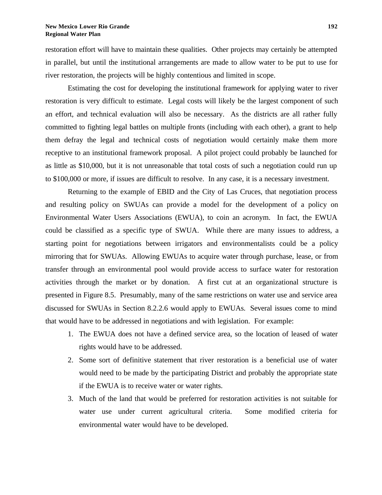restoration effort will have to maintain these qualities. Other projects may certainly be attempted in parallel, but until the institutional arrangements are made to allow water to be put to use for river restoration, the projects will be highly contentious and limited in scope.

Estimating the cost for developing the institutional framework for applying water to river restoration is very difficult to estimate. Legal costs will likely be the largest component of such an effort, and technical evaluation will also be necessary. As the districts are all rather fully committed to fighting legal battles on multiple fronts (including with each other), a grant to help them defray the legal and technical costs of negotiation would certainly make them more receptive to an institutional framework proposal. A pilot project could probably be launched for as little as \$10,000, but it is not unreasonable that total costs of such a negotiation could run up to \$100,000 or more, if issues are difficult to resolve. In any case, it is a necessary investment.

Returning to the example of EBID and the City of Las Cruces, that negotiation process and resulting policy on SWUAs can provide a model for the development of a policy on Environmental Water Users Associations (EWUA), to coin an acronym. In fact, the EWUA could be classified as a specific type of SWUA. While there are many issues to address, a starting point for negotiations between irrigators and environmentalists could be a policy mirroring that for SWUAs. Allowing EWUAs to acquire water through purchase, lease, or from transfer through an environmental pool would provide access to surface water for restoration activities through the market or by donation. A first cut at an organizational structure is presented in Figure 8.5. Presumably, many of the same restrictions on water use and service area discussed for SWUAs in Section 8.2.2.6 would apply to EWUAs. Several issues come to mind that would have to be addressed in negotiations and with legislation. For example:

- 1. The EWUA does not have a defined service area, so the location of leased of water rights would have to be addressed.
- 2. Some sort of definitive statement that river restoration is a beneficial use of water would need to be made by the participating District and probably the appropriate state if the EWUA is to receive water or water rights.
- 3. Much of the land that would be preferred for restoration activities is not suitable for water use under current agricultural criteria. Some modified criteria for environmental water would have to be developed.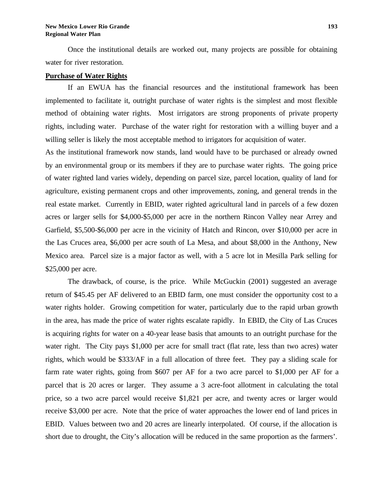Once the institutional details are worked out, many projects are possible for obtaining water for river restoration.

## **Purchase of Water Rights**

If an EWUA has the financial resources and the institutional framework has been implemented to facilitate it, outright purchase of water rights is the simplest and most flexible method of obtaining water rights. Most irrigators are strong proponents of private property rights, including water. Purchase of the water right for restoration with a willing buyer and a willing seller is likely the most acceptable method to irrigators for acquisition of water.

As the institutional framework now stands, land would have to be purchased or already owned by an environmental group or its members if they are to purchase water rights. The going price of water righted land varies widely, depending on parcel size, parcel location, quality of land for agriculture, existing permanent crops and other improvements, zoning, and general trends in the real estate market. Currently in EBID, water righted agricultural land in parcels of a few dozen acres or larger sells for \$4,000-\$5,000 per acre in the northern Rincon Valley near Arrey and Garfield, \$5,500-\$6,000 per acre in the vicinity of Hatch and Rincon, over \$10,000 per acre in the Las Cruces area, \$6,000 per acre south of La Mesa, and about \$8,000 in the Anthony, New Mexico area. Parcel size is a major factor as well, with a 5 acre lot in Mesilla Park selling for \$25,000 per acre.

The drawback, of course, is the price. While McGuckin (2001) suggested an average return of \$45.45 per AF delivered to an EBID farm, one must consider the opportunity cost to a water rights holder. Growing competition for water, particularly due to the rapid urban growth in the area, has made the price of water rights escalate rapidly. In EBID, the City of Las Cruces is acquiring rights for water on a 40-year lease basis that amounts to an outright purchase for the water right. The City pays \$1,000 per acre for small tract (flat rate, less than two acres) water rights, which would be \$333/AF in a full allocation of three feet. They pay a sliding scale for farm rate water rights, going from \$607 per AF for a two acre parcel to \$1,000 per AF for a parcel that is 20 acres or larger. They assume a 3 acre-foot allotment in calculating the total price, so a two acre parcel would receive \$1,821 per acre, and twenty acres or larger would receive \$3,000 per acre. Note that the price of water approaches the lower end of land prices in EBID. Values between two and 20 acres are linearly interpolated. Of course, if the allocation is short due to drought, the City's allocation will be reduced in the same proportion as the farmers'.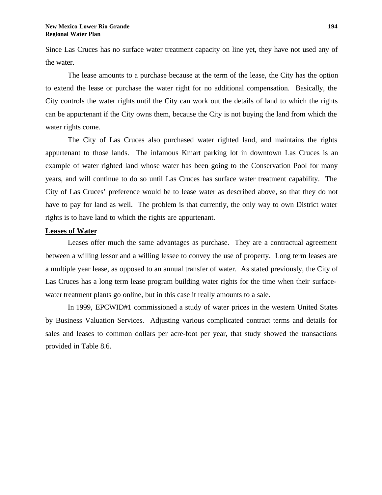Since Las Cruces has no surface water treatment capacity on line yet, they have not used any of the water.

The lease amounts to a purchase because at the term of the lease, the City has the option to extend the lease or purchase the water right for no additional compensation. Basically, the City controls the water rights until the City can work out the details of land to which the rights can be appurtenant if the City owns them, because the City is not buying the land from which the water rights come.

The City of Las Cruces also purchased water righted land, and maintains the rights appurtenant to those lands. The infamous Kmart parking lot in downtown Las Cruces is an example of water righted land whose water has been going to the Conservation Pool for many years, and will continue to do so until Las Cruces has surface water treatment capability. The City of Las Cruces' preference would be to lease water as described above, so that they do not have to pay for land as well. The problem is that currently, the only way to own District water rights is to have land to which the rights are appurtenant.

# **Leases of Water**

Leases offer much the same advantages as purchase. They are a contractual agreement between a willing lessor and a willing lessee to convey the use of property. Long term leases are a multiple year lease, as opposed to an annual transfer of water. As stated previously, the City of Las Cruces has a long term lease program building water rights for the time when their surfacewater treatment plants go online, but in this case it really amounts to a sale.

In 1999, EPCWID#1 commissioned a study of water prices in the western United States by Business Valuation Services. Adjusting various complicated contract terms and details for sales and leases to common dollars per acre-foot per year, that study showed the transactions provided in Table 8.6.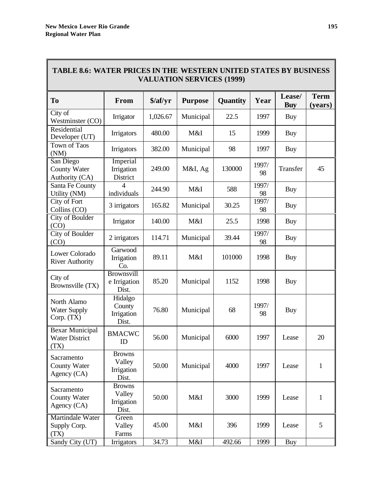| <b>TABLE 8.6: WATER PRICES IN THE WESTERN UNITED STATES BY BUSINESS</b><br><b>VALUATION SERVICES (1999)</b> |                                                |                      |                |          |             |                      |                        |  |
|-------------------------------------------------------------------------------------------------------------|------------------------------------------------|----------------------|----------------|----------|-------------|----------------------|------------------------|--|
| <b>To</b>                                                                                                   | <b>From</b>                                    | $\frac{\sqrt{2}}{2}$ | <b>Purpose</b> | Quantity | Year        | Lease/<br><b>Buy</b> | <b>Term</b><br>(years) |  |
| City of<br>Westminster (CO)                                                                                 | Irrigator                                      | 1,026.67             | Municipal      | 22.5     | 1997        | Buy                  |                        |  |
| Residential<br>Developer (UT)                                                                               | Irrigators                                     | 480.00               | M&I            | 15       | 1999        | Buy                  |                        |  |
| <b>Town of Taos</b><br>(NM)                                                                                 | Irrigators                                     | 382.00               | Municipal      | 98       | 1997        | Buy                  |                        |  |
| San Diego<br>County Water<br>Authority (CA)                                                                 | Imperial<br>Irrigation<br>District             | 249.00               | M&I, Ag        | 130000   | 1997/<br>98 | Transfer             | 45                     |  |
| Santa Fe County<br>Utility (NM)                                                                             | 4<br>individuals                               | 244.90               | M&I            | 588      | 1997/<br>98 | Buy                  |                        |  |
| City of Fort<br>Collins (CO)                                                                                | 3 irrigators                                   | 165.82               | Municipal      | 30.25    | 1997/<br>98 | Buy                  |                        |  |
| <b>City of Boulder</b><br>(CO)                                                                              | Irrigator                                      | 140.00               | M&I            | 25.5     | 1998        | Buy                  |                        |  |
| <b>City of Boulder</b><br>(CO)                                                                              | 2 irrigators                                   | 114.71               | Municipal      | 39.44    | 1997/<br>98 | Buy                  |                        |  |
| Lower Colorado<br><b>River Authority</b>                                                                    | Garwood<br>Irrigation<br>Co.                   | 89.11                | M&I            | 101000   | 1998        | Buy                  |                        |  |
| City of<br>Brownsville (TX)                                                                                 | <b>Brownsvill</b><br>e Irrigation<br>Dist.     | 85.20                | Municipal      | 1152     | 1998        | Buy                  |                        |  |
| North Alamo<br>Water Supply<br>Corp. (TX)                                                                   | Hidalgo<br>County<br>Irrigation<br>Dist.       | 76.80                | Municipal      | 68       | 1997/<br>98 | Buy                  |                        |  |
| <b>Bexar Municipal</b><br><b>Water District</b><br>(TX)                                                     | <b>BMACWC</b><br>ID                            | 56.00                | Municipal      | 6000     | 1997        | Lease                | 20                     |  |
| Sacramento<br>County Water<br>Agency (CA)                                                                   | <b>Browns</b><br>Valley<br>Irrigation<br>Dist. | 50.00                | Municipal      | 4000     | 1997        | Lease                | $\mathbf{1}$           |  |
| Sacramento<br><b>County Water</b><br>Agency (CA)                                                            | <b>Browns</b><br>Valley<br>Irrigation<br>Dist. | 50.00                | M&I            | 3000     | 1999        | Lease                | $\mathbf{1}$           |  |
| <b>Martindale Water</b><br>Supply Corp.<br>(TX)                                                             | Green<br>Valley<br>Farms                       | 45.00                | M&I            | 396      | 1999        | Lease                | 5                      |  |
| Sandy City (UT)                                                                                             | Irrigators                                     | 34.73                | M&I            | 492.66   | 1999        | Buy                  |                        |  |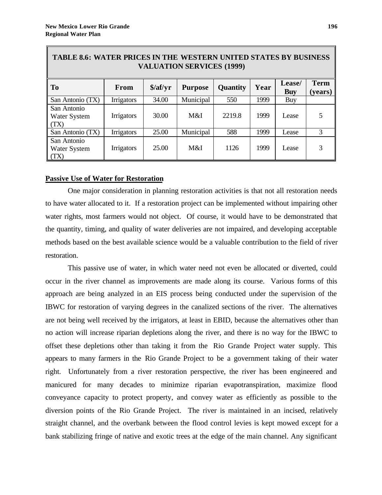| TABLE 8.6: WATER PRICES IN THE WESTERN UNITED STATES BY BUSINESS<br><b>VALUATION SERVICES (1999)</b> |                   |                      |                |          |      |            |             |  |
|------------------------------------------------------------------------------------------------------|-------------------|----------------------|----------------|----------|------|------------|-------------|--|
|                                                                                                      |                   |                      |                |          |      |            |             |  |
| <b>To</b>                                                                                            | <b>From</b>       | $\frac{\sqrt{2}}{2}$ | <b>Purpose</b> | Quantity | Year | Lease/     | <b>Term</b> |  |
|                                                                                                      |                   |                      |                |          |      | <b>Buy</b> | (years)     |  |
| San Antonio (TX)                                                                                     | <b>Irrigators</b> | 34.00                | Municipal      | 550      | 1999 | Buy        |             |  |
| San Antonio                                                                                          |                   |                      |                |          |      |            |             |  |
| Water System                                                                                         | <b>Irrigators</b> | 30.00                | M&I            | 2219.8   | 1999 | Lease      |             |  |
| (TX)                                                                                                 |                   |                      |                |          |      |            |             |  |
| San Antonio (TX)                                                                                     | Irrigators        | 25.00                | Municipal      | 588      | 1999 | Lease      | 3           |  |
| San Antonio                                                                                          |                   |                      |                |          |      |            |             |  |
| Water System                                                                                         | <b>Irrigators</b> | 25.00                | M&I            | 1126     | 1999 | Lease      | 3           |  |
| (TX)                                                                                                 |                   |                      |                |          |      |            |             |  |

# **TABLE 8.6: WATER PRICES IN THE WESTERN UNITED STATES BY BUSINESS**

# **Passive Use of Water for Restoration**

One major consideration in planning restoration activities is that not all restoration needs to have water allocated to it. If a restoration project can be implemented without impairing other water rights, most farmers would not object. Of course, it would have to be demonstrated that the quantity, timing, and quality of water deliveries are not impaired, and developing acceptable methods based on the best available science would be a valuable contribution to the field of river restoration.

This passive use of water, in which water need not even be allocated or diverted, could occur in the river channel as improvements are made along its course. Various forms of this approach are being analyzed in an EIS process being conducted under the supervision of the IBWC for restoration of varying degrees in the canalized sections of the river. The alternatives are not being well received by the irrigators, at least in EBID, because the alternatives other than no action will increase riparian depletions along the river, and there is no way for the IBWC to offset these depletions other than taking it from the Rio Grande Project water supply. This appears to many farmers in the Rio Grande Project to be a government taking of their water right. Unfortunately from a river restoration perspective, the river has been engineered and manicured for many decades to minimize riparian evapotranspiration, maximize flood conveyance capacity to protect property, and convey water as efficiently as possible to the diversion points of the Rio Grande Project. The river is maintained in an incised, relatively straight channel, and the overbank between the flood control levies is kept mowed except for a bank stabilizing fringe of native and exotic trees at the edge of the main channel. Any significant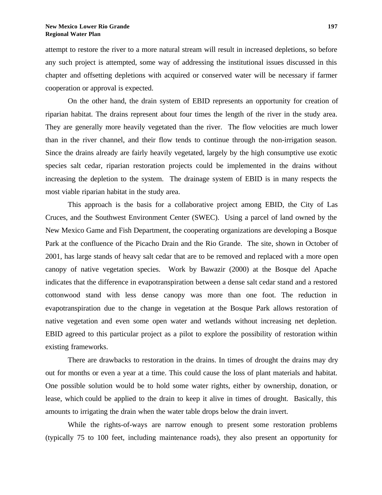attempt to restore the river to a more natural stream will result in increased depletions, so before any such project is attempted, some way of addressing the institutional issues discussed in this chapter and offsetting depletions with acquired or conserved water will be necessary if farmer cooperation or approval is expected.

On the other hand, the drain system of EBID represents an opportunity for creation of riparian habitat. The drains represent about four times the length of the river in the study area. They are generally more heavily vegetated than the river. The flow velocities are much lower than in the river channel, and their flow tends to continue through the non-irrigation season. Since the drains already are fairly heavily vegetated, largely by the high consumptive use exotic species salt cedar, riparian restoration projects could be implemented in the drains without increasing the depletion to the system. The drainage system of EBID is in many respects the most viable riparian habitat in the study area.

This approach is the basis for a collaborative project among EBID, the City of Las Cruces, and the Southwest Environment Center (SWEC). Using a parcel of land owned by the New Mexico Game and Fish Department, the cooperating organizations are developing a Bosque Park at the confluence of the Picacho Drain and the Rio Grande. The site, shown in October of 2001, has large stands of heavy salt cedar that are to be removed and replaced with a more open canopy of native vegetation species. Work by Bawazir (2000) at the Bosque del Apache indicates that the difference in evapotranspiration between a dense salt cedar stand and a restored cottonwood stand with less dense canopy was more than one foot. The reduction in evapotranspiration due to the change in vegetation at the Bosque Park allows restoration of native vegetation and even some open water and wetlands without increasing net depletion. EBID agreed to this particular project as a pilot to explore the possibility of restoration within existing frameworks.

There are drawbacks to restoration in the drains. In times of drought the drains may dry out for months or even a year at a time. This could cause the loss of plant materials and habitat. One possible solution would be to hold some water rights, either by ownership, donation, or lease, which could be applied to the drain to keep it alive in times of drought. Basically, this amounts to irrigating the drain when the water table drops below the drain invert.

While the rights-of-ways are narrow enough to present some restoration problems (typically 75 to 100 feet, including maintenance roads), they also present an opportunity for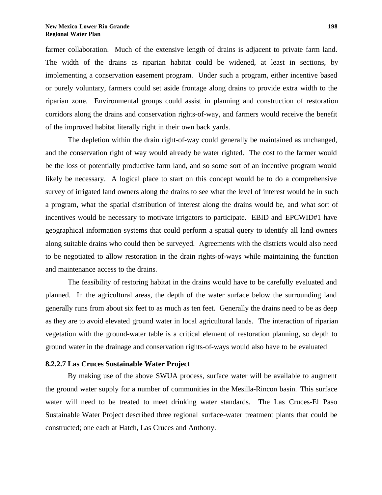farmer collaboration. Much of the extensive length of drains is adjacent to private farm land. The width of the drains as riparian habitat could be widened, at least in sections, by implementing a conservation easement program. Under such a program, either incentive based or purely voluntary, farmers could set aside frontage along drains to provide extra width to the riparian zone. Environmental groups could assist in planning and construction of restoration corridors along the drains and conservation rights-of-way, and farmers would receive the benefit of the improved habitat literally right in their own back yards.

The depletion within the drain right-of-way could generally be maintained as unchanged, and the conservation right of way would already be water righted. The cost to the farmer would be the loss of potentially productive farm land, and so some sort of an incentive program would likely be necessary. A logical place to start on this concept would be to do a comprehensive survey of irrigated land owners along the drains to see what the level of interest would be in such a program, what the spatial distribution of interest along the drains would be, and what sort of incentives would be necessary to motivate irrigators to participate. EBID and EPCWID#1 have geographical information systems that could perform a spatial query to identify all land owners along suitable drains who could then be surveyed. Agreements with the districts would also need to be negotiated to allow restoration in the drain rights-of-ways while maintaining the function and maintenance access to the drains.

The feasibility of restoring habitat in the drains would have to be carefully evaluated and planned. In the agricultural areas, the depth of the water surface below the surrounding land generally runs from about six feet to as much as ten feet. Generally the drains need to be as deep as they are to avoid elevated ground water in local agricultural lands. The interaction of riparian vegetation with the ground-water table is a critical element of restoration planning, so depth to ground water in the drainage and conservation rights-of-ways would also have to be evaluated

## **8.2.2.7 Las Cruces Sustainable Water Project**

By making use of the above SWUA process, surface water will be available to augment the ground water supply for a number of communities in the Mesilla-Rincon basin. This surface water will need to be treated to meet drinking water standards. The Las Cruces-El Paso Sustainable Water Project described three regional surface-water treatment plants that could be constructed; one each at Hatch, Las Cruces and Anthony.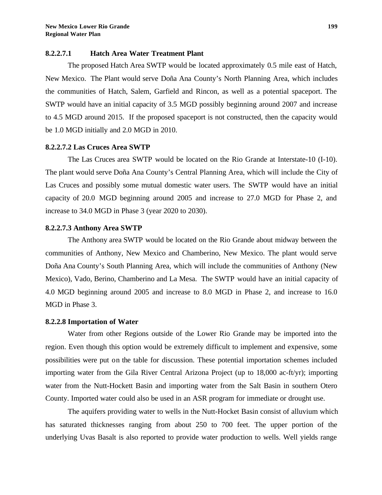## **8.2.2.7.1 Hatch Area Water Treatment Plant**

The proposed Hatch Area SWTP would be located approximately 0.5 mile east of Hatch, New Mexico. The Plant would serve Doña Ana County's North Planning Area, which includes the communities of Hatch, Salem, Garfield and Rincon, as well as a potential spaceport. The SWTP would have an initial capacity of 3.5 MGD possibly beginning around 2007 and increase to 4.5 MGD around 2015. If the proposed spaceport is not constructed, then the capacity would be 1.0 MGD initially and 2.0 MGD in 2010.

## **8.2.2.7.2 Las Cruces Area SWTP**

The Las Cruces area SWTP would be located on the Rio Grande at Interstate-10 (I-10). The plant would serve Doña Ana County's Central Planning Area, which will include the City of Las Cruces and possibly some mutual domestic water users. The SWTP would have an initial capacity of 20.0 MGD beginning around 2005 and increase to 27.0 MGD for Phase 2, and increase to 34.0 MGD in Phase 3 (year 2020 to 2030).

## **8.2.2.7.3 Anthony Area SWTP**

The Anthony area SWTP would be located on the Rio Grande about midway between the communities of Anthony, New Mexico and Chamberino, New Mexico. The plant would serve Doña Ana County's South Planning Area, which will include the communities of Anthony (New Mexico), Vado, Berino, Chamberino and La Mesa. The SWTP would have an initial capacity of 4.0 MGD beginning around 2005 and increase to 8.0 MGD in Phase 2, and increase to 16.0 MGD in Phase 3.

## **8.2.2.8 Importation of Water**

Water from other Regions outside of the Lower Rio Grande may be imported into the region. Even though this option would be extremely difficult to implement and expensive, some possibilities were put on the table for discussion. These potential importation schemes included importing water from the Gila River Central Arizona Project (up to 18,000 ac-ft/yr); importing water from the Nutt-Hockett Basin and importing water from the Salt Basin in southern Otero County. Imported water could also be used in an ASR program for immediate or drought use.

The aquifers providing water to wells in the Nutt-Hocket Basin consist of alluvium which has saturated thicknesses ranging from about 250 to 700 feet. The upper portion of the underlying Uvas Basalt is also reported to provide water production to wells. Well yields range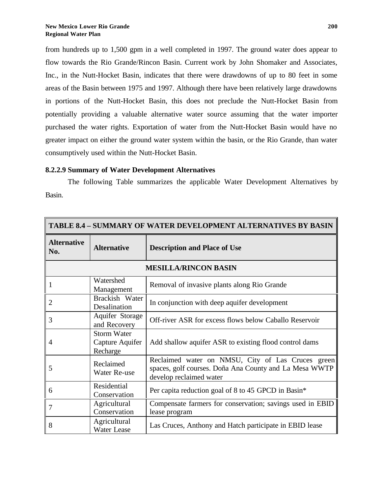from hundreds up to 1,500 gpm in a well completed in 1997. The ground water does appear to flow towards the Rio Grande/Rincon Basin. Current work by John Shomaker and Associates, Inc., in the Nutt-Hocket Basin, indicates that there were drawdowns of up to 80 feet in some areas of the Basin between 1975 and 1997. Although there have been relatively large drawdowns in portions of the Nutt-Hocket Basin, this does not preclude the Nutt-Hocket Basin from potentially providing a valuable alternative water source assuming that the water importer purchased the water rights. Exportation of water from the Nutt-Hocket Basin would have no greater impact on either the ground water system within the basin, or the Rio Grande, than water consumptively used within the Nutt-Hocket Basin.

## **8.2.2.9 Summary of Water Development Alternatives**

The following Table summarizes the applicable Water Development Alternatives by Basin.

| <b>TABLE 8.4 - SUMMARY OF WATER DEVELOPMENT ALTERNATIVES BY BASIN</b> |                                                   |                                                                                                                                        |  |  |  |  |
|-----------------------------------------------------------------------|---------------------------------------------------|----------------------------------------------------------------------------------------------------------------------------------------|--|--|--|--|
| <b>Alternative</b><br>No.                                             | <b>Alternative</b>                                | <b>Description and Place of Use</b>                                                                                                    |  |  |  |  |
| <b>MESILLA/RINCON BASIN</b>                                           |                                                   |                                                                                                                                        |  |  |  |  |
| 1                                                                     | Watershed<br>Management                           | Removal of invasive plants along Rio Grande                                                                                            |  |  |  |  |
| $\overline{2}$                                                        | Brackish Water<br>Desalination                    | In conjunction with deep aquifer development                                                                                           |  |  |  |  |
| 3                                                                     | Aquifer Storage<br>and Recovery                   | Off-river ASR for excess flows below Caballo Reservoir                                                                                 |  |  |  |  |
| $\overline{A}$                                                        | <b>Storm Water</b><br>Capture Aquifer<br>Recharge | Add shallow aquifer ASR to existing flood control dams                                                                                 |  |  |  |  |
| 5                                                                     | Reclaimed<br>Water Re-use                         | Reclaimed water on NMSU, City of Las Cruces green<br>spaces, golf courses. Doña Ana County and La Mesa WWTP<br>develop reclaimed water |  |  |  |  |
| 6                                                                     | Residential<br>Conservation                       | Per capita reduction goal of 8 to 45 GPCD in Basin*                                                                                    |  |  |  |  |
| 7                                                                     | Agricultural<br>Conservation                      | Compensate farmers for conservation; savings used in EBID<br>lease program                                                             |  |  |  |  |
| 8                                                                     | Agricultural<br>Water Lease                       | Las Cruces, Anthony and Hatch participate in EBID lease                                                                                |  |  |  |  |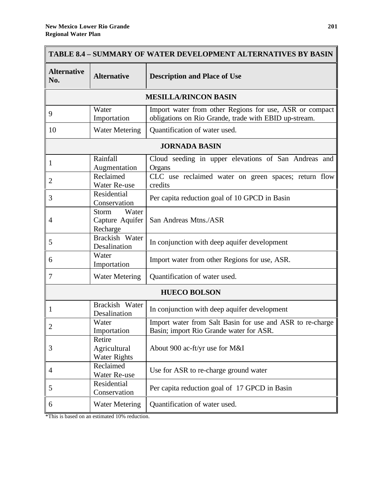$\overline{\phantom{a}}$  and  $\overline{\phantom{a}}$  and  $\overline{\phantom{a}}$  and  $\overline{\phantom{a}}$  and  $\overline{\phantom{a}}$  and  $\overline{\phantom{a}}$  and  $\overline{\phantom{a}}$  and  $\overline{\phantom{a}}$  and  $\overline{\phantom{a}}$  and  $\overline{\phantom{a}}$  and  $\overline{\phantom{a}}$  and  $\overline{\phantom{a}}$  and  $\overline{\phantom{a}}$  and  $\overline{\phantom{a}}$  a

| <b>TABLE 8.4 - SUMMARY OF WATER DEVELOPMENT ALTERNATIVES BY BASIN</b> |                                               |                                                                                                                  |  |  |  |
|-----------------------------------------------------------------------|-----------------------------------------------|------------------------------------------------------------------------------------------------------------------|--|--|--|
| <b>Alternative</b><br>No.                                             | <b>Alternative</b>                            | <b>Description and Place of Use</b>                                                                              |  |  |  |
|                                                                       |                                               | <b>MESILLA/RINCON BASIN</b>                                                                                      |  |  |  |
| 9                                                                     | Water<br>Importation                          | Import water from other Regions for use, ASR or compact<br>obligations on Rio Grande, trade with EBID up-stream. |  |  |  |
| 10                                                                    | <b>Water Metering</b>                         | Quantification of water used.                                                                                    |  |  |  |
|                                                                       |                                               | <b>JORNADA BASIN</b>                                                                                             |  |  |  |
| $\mathbf{1}$                                                          | Rainfall<br>Augmentation                      | Cloud seeding in upper elevations of San Andreas and<br>Organs                                                   |  |  |  |
| $\overline{2}$                                                        | Reclaimed<br>Water Re-use                     | CLC use reclaimed water on green spaces; return flow<br>credits                                                  |  |  |  |
| 3                                                                     | Residential<br>Conservation                   | Per capita reduction goal of 10 GPCD in Basin                                                                    |  |  |  |
| 4                                                                     | Water<br>Storm<br>Capture Aquifer<br>Recharge | San Andreas Mtns./ASR                                                                                            |  |  |  |
| 5                                                                     | Brackish Water<br>Desalination                | In conjunction with deep aquifer development                                                                     |  |  |  |
| 6                                                                     | Water<br>Importation                          | Import water from other Regions for use, ASR.                                                                    |  |  |  |
| 7                                                                     | <b>Water Metering</b>                         | Quantification of water used.                                                                                    |  |  |  |
|                                                                       |                                               | <b>HUECO BOLSON</b>                                                                                              |  |  |  |
| $\mathbf{1}$                                                          | Brackish Water<br>Desalination                | In conjunction with deep aquifer development                                                                     |  |  |  |
| $\overline{2}$                                                        | Water<br>Importation                          | Import water from Salt Basin for use and ASR to re-charge<br>Basin; import Rio Grande water for ASR.             |  |  |  |
| 3                                                                     | Retire<br>Agricultural<br><b>Water Rights</b> | About 900 ac-ft/yr use for M&I                                                                                   |  |  |  |
| $\overline{4}$                                                        | Reclaimed<br>Water Re-use                     | Use for ASR to re-charge ground water                                                                            |  |  |  |
| 5                                                                     | Residential<br>Conservation                   | Per capita reduction goal of 17 GPCD in Basin                                                                    |  |  |  |
| 6                                                                     | <b>Water Metering</b>                         | Quantification of water used.                                                                                    |  |  |  |

\*This is based on an estimated 10% reduction.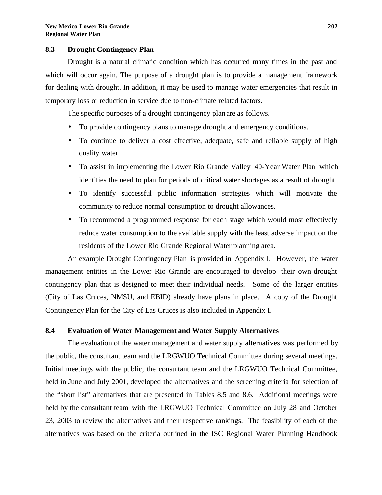## **8.3 Drought Contingency Plan**

Drought is a natural climatic condition which has occurred many times in the past and which will occur again. The purpose of a drought plan is to provide a management framework for dealing with drought. In addition, it may be used to manage water emergencies that result in temporary loss or reduction in service due to non-climate related factors.

The specific purposes of a drought contingency plan are as follows.

- To provide contingency plans to manage drought and emergency conditions.
- To continue to deliver a cost effective, adequate, safe and reliable supply of high quality water.
- To assist in implementing the Lower Rio Grande Valley 40-Year Water Plan which identifies the need to plan for periods of critical water shortages as a result of drought.
- To identify successful public information strategies which will motivate the community to reduce normal consumption to drought allowances.
- To recommend a programmed response for each stage which would most effectively reduce water consumption to the available supply with the least adverse impact on the residents of the Lower Rio Grande Regional Water planning area.

An example Drought Contingency Plan is provided in Appendix I. However, the water management entities in the Lower Rio Grande are encouraged to develop their own drought contingency plan that is designed to meet their individual needs. Some of the larger entities (City of Las Cruces, NMSU, and EBID) already have plans in place. A copy of the Drought Contingency Plan for the City of Las Cruces is also included in Appendix I.

# **8.4 Evaluation of Water Management and Water Supply Alternatives**

The evaluation of the water management and water supply alternatives was performed by the public, the consultant team and the LRGWUO Technical Committee during several meetings. Initial meetings with the public, the consultant team and the LRGWUO Technical Committee, held in June and July 2001, developed the alternatives and the screening criteria for selection of the "short list" alternatives that are presented in Tables 8.5 and 8.6. Additional meetings were held by the consultant team with the LRGWUO Technical Committee on July 28 and October 23, 2003 to review the alternatives and their respective rankings. The feasibility of each of the alternatives was based on the criteria outlined in the ISC Regional Water Planning Handbook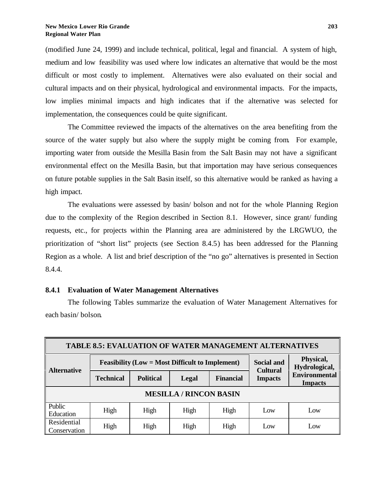(modified June 24, 1999) and include technical, political, legal and financial. A system of high, medium and low feasibility was used where low indicates an alternative that would be the most difficult or most costly to implement. Alternatives were also evaluated on their social and cultural impacts and on their physical, hydrological and environmental impacts. For the impacts, low implies minimal impacts and high indicates that if the alternative was selected for implementation, the consequences could be quite significant.

The Committee reviewed the impacts of the alternatives on the area benefiting from the source of the water supply but also where the supply might be coming from. For example, importing water from outside the Mesilla Basin from the Salt Basin may not have a significant environmental effect on the Mesilla Basin, but that importation may have serious consequences on future potable supplies in the Salt Basin itself, so this alternative would be ranked as having a high impact.

The evaluations were assessed by basin/ bolson and not for the whole Planning Region due to the complexity of the Region described in Section 8.1. However, since grant/ funding requests, etc., for projects within the Planning area are administered by the LRGWUO, the prioritization of "short list" projects (see Section 8.4.5) has been addressed for the Planning Region as a whole. A list and brief description of the "no go" alternatives is presented in Section 8.4.4.

## **8.4.1 Evaluation of Water Management Alternatives**

The following Tables summarize the evaluation of Water Management Alternatives for each basin/ bolson.

| <b>TABLE 8.5: EVALUATION OF WATER MANAGEMENT ALTERNATIVES</b>                           |      |      |      |                                   |                                        |                            |
|-----------------------------------------------------------------------------------------|------|------|------|-----------------------------------|----------------------------------------|----------------------------|
| <b>Feasibility (Low = Most Difficult to Implement)</b><br><b>Social and</b>             |      |      |      |                                   |                                        | Physical,<br>Hydrological, |
| <b>Alternative</b><br><b>Political</b><br><b>Financial</b><br><b>Technical</b><br>Legal |      |      |      | <b>Cultural</b><br><b>Impacts</b> | <b>Environmental</b><br><b>Impacts</b> |                            |
| <b>MESILLA / RINCON BASIN</b>                                                           |      |      |      |                                   |                                        |                            |
| Public<br>Education                                                                     | High | High | High | High                              | Low                                    | Low                        |
| Residential<br>Conservation                                                             | High | High | High | High                              | Low                                    | Low                        |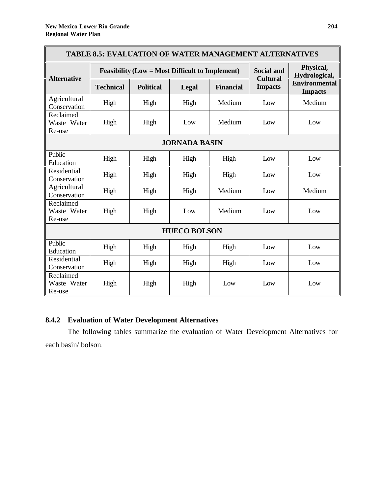| <b>TABLE 8.5: EVALUATION OF WATER MANAGEMENT ALTERNATIVES</b> |                  |                                                        |                                      |                            |                |                                        |  |
|---------------------------------------------------------------|------------------|--------------------------------------------------------|--------------------------------------|----------------------------|----------------|----------------------------------------|--|
| <b>Alternative</b>                                            |                  | <b>Feasibility (Low = Most Difficult to Implement)</b> | <b>Social and</b><br><b>Cultural</b> | Physical,<br>Hydrological, |                |                                        |  |
|                                                               | <b>Technical</b> | <b>Political</b>                                       | Legal                                | <b>Financial</b>           | <b>Impacts</b> | <b>Environmental</b><br><b>Impacts</b> |  |
| Agricultural<br>Conservation                                  | High             | High                                                   | High                                 | Medium                     | Low            | Medium                                 |  |
| Reclaimed<br>Waste Water<br>Re-use                            | High             | High                                                   | Low                                  | Medium                     | Low            | Low                                    |  |
| <b>JORNADA BASIN</b>                                          |                  |                                                        |                                      |                            |                |                                        |  |
| Public<br>Education                                           | High             | High                                                   | High                                 | High                       | Low            | Low                                    |  |
| Residential<br>Conservation                                   | High             | High                                                   | High                                 | High                       | Low            | Low                                    |  |
| Agricultural<br>Conservation                                  | High             | High                                                   | High                                 | Medium                     | Low            | Medium                                 |  |
| Reclaimed<br>Waste Water<br>Re-use                            | High             | High                                                   | Low                                  | Medium                     | Low            | Low                                    |  |
| <b>HUECO BOLSON</b>                                           |                  |                                                        |                                      |                            |                |                                        |  |
| Public<br>Education                                           | High             | High                                                   | High                                 | High                       | Low            | Low                                    |  |
| Residential<br>Conservation                                   | High             | High                                                   | High                                 | High                       | Low            | Low                                    |  |
| Reclaimed<br>Waste Water<br>Re-use                            | High             | High                                                   | High                                 | Low                        | Low            | Low                                    |  |

# **8.4.2 Evaluation of Water Development Alternatives**

The following tables summarize the evaluation of Water Development Alternatives for each basin/ bolson.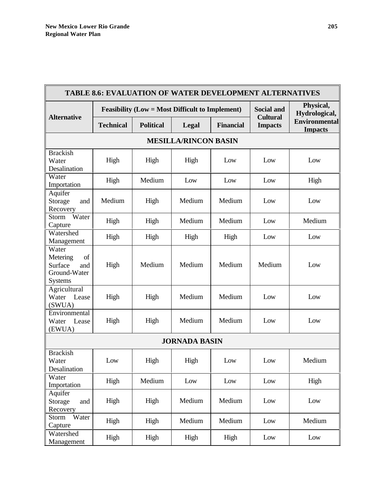| <b>TABLE 8.6: EVALUATION OF WATER DEVELOPMENT ALTERNATIVES</b>              |                  |                                                        |                                      |                            |                |                                        |
|-----------------------------------------------------------------------------|------------------|--------------------------------------------------------|--------------------------------------|----------------------------|----------------|----------------------------------------|
| <b>Alternative</b>                                                          |                  | <b>Feasibility (Low = Most Difficult to Implement)</b> | <b>Social and</b><br><b>Cultural</b> | Physical,<br>Hydrological, |                |                                        |
|                                                                             | <b>Technical</b> | <b>Political</b>                                       | Legal                                | <b>Financial</b>           | <b>Impacts</b> | <b>Environmental</b><br><b>Impacts</b> |
|                                                                             |                  |                                                        | <b>MESILLA/RINCON BASIN</b>          |                            |                |                                        |
| <b>Brackish</b><br>Water<br>Desalination                                    | High             | High                                                   | High                                 | Low                        | Low            | Low                                    |
| Water<br>Importation                                                        | High             | Medium                                                 | Low                                  | Low                        | Low            | High                                   |
| Aquifer<br>Storage<br>and<br>Recovery                                       | Medium           | High                                                   | Medium                               | Medium                     | Low            | Low                                    |
| Water<br>Storm<br>Capture                                                   | High             | High                                                   | Medium                               | Medium                     | Low            | Medium                                 |
| Watershed<br>Management                                                     | High             | High                                                   | High                                 | High                       | Low            | Low                                    |
| Water<br>Metering<br>of<br>Surface<br>and<br>Ground-Water<br><b>Systems</b> | High             | Medium                                                 | Medium                               | Medium                     | Medium         | Low                                    |
| Agricultural<br>Water<br>Lease<br>(SWUA)                                    | High             | High                                                   | Medium                               | Medium                     | Low            | Low                                    |
| Environmental<br>Water<br>Lease<br>(EWUA)                                   | High             | High                                                   | Medium                               | Medium                     | Low            | Low                                    |
|                                                                             |                  |                                                        | <b>JORNADA BASIN</b>                 |                            |                |                                        |
| <b>Brackish</b><br>Water<br>Desalination                                    | Low              | High                                                   | High                                 | Low                        | Low            | Medium                                 |
| Water<br>Importation                                                        | High             | Medium                                                 | Low                                  | Low                        | Low            | High                                   |
| Aquifer<br>Storage<br>and<br>Recovery                                       | High             | High                                                   | Medium                               | Medium                     | Low            | Low                                    |
| Water<br>Storm<br>Capture                                                   | High             | High                                                   | Medium                               | Medium                     | Low            | Medium                                 |
| Watershed<br>Management                                                     | High             | High                                                   | High                                 | High                       | Low            | Low                                    |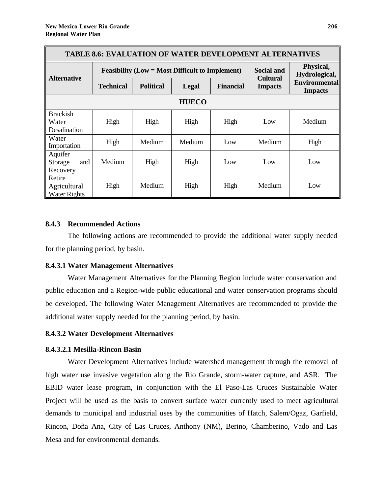| <b>TABLE 8.6: EVALUATION OF WATER DEVELOPMENT ALTERNATIVES</b> |                                                        |                  |        |                  |                                      |                                        |
|----------------------------------------------------------------|--------------------------------------------------------|------------------|--------|------------------|--------------------------------------|----------------------------------------|
| <b>Alternative</b>                                             | <b>Feasibility (Low = Most Difficult to Implement)</b> |                  |        |                  | <b>Social and</b><br><b>Cultural</b> | Physical,<br>Hydrological,             |
|                                                                | <b>Technical</b>                                       | <b>Political</b> | Legal  | <b>Financial</b> | <b>Impacts</b>                       | <b>Environmental</b><br><b>Impacts</b> |
| <b>HUECO</b>                                                   |                                                        |                  |        |                  |                                      |                                        |
| <b>Brackish</b><br>Water<br>Desalination                       | High                                                   | High             | High   | High             | Low                                  | Medium                                 |
| Water<br>Importation                                           | High                                                   | Medium           | Medium | Low              | Medium                               | High                                   |
| Aquifer<br>Storage<br>and<br>Recovery                          | Medium                                                 | High             | High   | Low              | Low                                  | Low                                    |
| Retire<br>Agricultural<br><b>Water Rights</b>                  | High                                                   | Medium           | High   | High             | Medium                               | Low                                    |

## **8.4.3 Recommended Actions**

The following actions are recommended to provide the additional water supply needed for the planning period, by basin.

## **8.4.3.1 Water Management Alternatives**

Water Management Alternatives for the Planning Region include water conservation and public education and a Region-wide public educational and water conservation programs should be developed. The following Water Management Alternatives are recommended to provide the additional water supply needed for the planning period, by basin.

# **8.4.3.2 Water Development Alternatives**

## **8.4.3.2.1 Mesilla-Rincon Basin**

Water Development Alternatives include watershed management through the removal of high water use invasive vegetation along the Rio Grande, storm-water capture, and ASR. The EBID water lease program, in conjunction with the El Paso-Las Cruces Sustainable Water Project will be used as the basis to convert surface water currently used to meet agricultural demands to municipal and industrial uses by the communities of Hatch, Salem/Ogaz, Garfield, Rincon, Doña Ana, City of Las Cruces, Anthony (NM), Berino, Chamberino, Vado and Las Mesa and for environmental demands.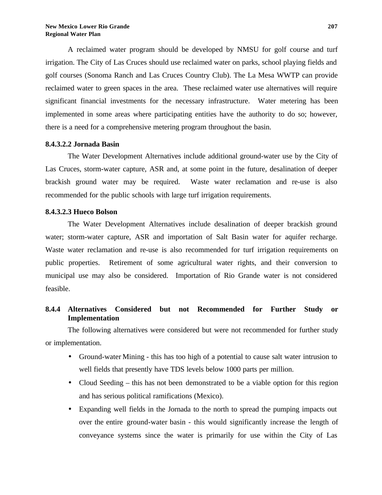A reclaimed water program should be developed by NMSU for golf course and turf irrigation. The City of Las Cruces should use reclaimed water on parks, school playing fields and golf courses (Sonoma Ranch and Las Cruces Country Club). The La Mesa WWTP can provide reclaimed water to green spaces in the area. These reclaimed water use alternatives will require significant financial investments for the necessary infrastructure. Water metering has been implemented in some areas where participating entities have the authority to do so; however, there is a need for a comprehensive metering program throughout the basin.

## **8.4.3.2.2 Jornada Basin**

The Water Development Alternatives include additional ground-water use by the City of Las Cruces, storm-water capture, ASR and, at some point in the future, desalination of deeper brackish ground water may be required. Waste water reclamation and re-use is also recommended for the public schools with large turf irrigation requirements.

## **8.4.3.2.3 Hueco Bolson**

The Water Development Alternatives include desalination of deeper brackish ground water; storm-water capture, ASR and importation of Salt Basin water for aquifer recharge. Waste water reclamation and re-use is also recommended for turf irrigation requirements on public properties. Retirement of some agricultural water rights, and their conversion to municipal use may also be considered. Importation of Rio Grande water is not considered feasible.

# **8.4.4 Alternatives Considered but not Recommended for Further Study or Implementation**

The following alternatives were considered but were not recommended for further study or implementation.

- Ground-water Mining this has too high of a potential to cause salt water intrusion to well fields that presently have TDS levels below 1000 parts per million.
- Cloud Seeding this has not been demonstrated to be a viable option for this region and has serious political ramifications (Mexico).
- Expanding well fields in the Jornada to the north to spread the pumping impacts out over the entire ground-water basin - this would significantly increase the length of conveyance systems since the water is primarily for use within the City of Las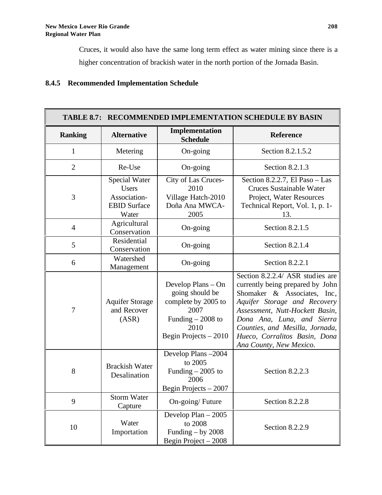Cruces, it would also have the same long term effect as water mining since there is a higher concentration of brackish water in the north portion of the Jornada Basin.

# **8.4.5 Recommended Implementation Schedule**

|                |                                                                               |                                                                                                                             | <b>TABLE 8.7: RECOMMENDED IMPLEMENTATION SCHEDULE BY BASIN</b>                                                                                                                                                                                                                                      |
|----------------|-------------------------------------------------------------------------------|-----------------------------------------------------------------------------------------------------------------------------|-----------------------------------------------------------------------------------------------------------------------------------------------------------------------------------------------------------------------------------------------------------------------------------------------------|
| <b>Ranking</b> | <b>Alternative</b>                                                            | Implementation<br><b>Schedule</b>                                                                                           | <b>Reference</b>                                                                                                                                                                                                                                                                                    |
| $\mathbf{1}$   | Metering                                                                      | On-going                                                                                                                    | Section 8.2.1.5.2                                                                                                                                                                                                                                                                                   |
| $\overline{2}$ | Re-Use                                                                        | On-going                                                                                                                    | Section 8.2.1.3                                                                                                                                                                                                                                                                                     |
| 3              | Special Water<br><b>Users</b><br>Association-<br><b>EBID Surface</b><br>Water | City of Las Cruces-<br>2010<br>Village Hatch-2010<br>Doña Ana MWCA-<br>2005                                                 | Section 8.2.2.7, El Paso - Las<br><b>Cruces Sustainable Water</b><br>Project, Water Resources<br>Technical Report, Vol. 1, p. 1-<br>13.                                                                                                                                                             |
| $\overline{4}$ | Agricultural<br>Conservation                                                  | On-going                                                                                                                    | Section 8.2.1.5                                                                                                                                                                                                                                                                                     |
| 5              | Residential<br>Conservation                                                   | On-going                                                                                                                    | Section 8.2.1.4                                                                                                                                                                                                                                                                                     |
| 6              | Watershed<br>Management                                                       | On-going                                                                                                                    | Section 8.2.2.1                                                                                                                                                                                                                                                                                     |
| 7              | <b>Aquifer Storage</b><br>and Recover<br>(ASR)                                | Develop Plans - On<br>going should be<br>complete by 2005 to<br>2007<br>Funding $-2008$ to<br>2010<br>Begin Projects - 2010 | Section 8.2.2.4/ ASR studies are<br>currently being prepared by John<br>Shomaker & Associates, Inc,<br>Aquifer Storage and Recovery<br>Assessment, Nutt-Hockett Basin,<br>Dona Ana, Luna, and Sierra<br>Counties, and Mesilla, Jornada,<br>Hueco, Corralitos Basin, Dona<br>Ana County, New Mexico. |
| 8              | <b>Brackish Water</b><br>Desalination                                         | Develop Plans -2004<br>to 2005<br>Funding $-2005$ to<br>2006<br>Begin Projects $-2007$                                      | Section 8.2.2.3                                                                                                                                                                                                                                                                                     |
| 9              | <b>Storm Water</b><br>Capture                                                 | On-going/Future                                                                                                             | Section 8.2.2.8                                                                                                                                                                                                                                                                                     |
| 10             | Water<br>Importation                                                          | Develop $Plan - 2005$<br>to 2008<br>Funding $-$ by 2008<br>Begin Project - 2008                                             | Section 8.2.2.9                                                                                                                                                                                                                                                                                     |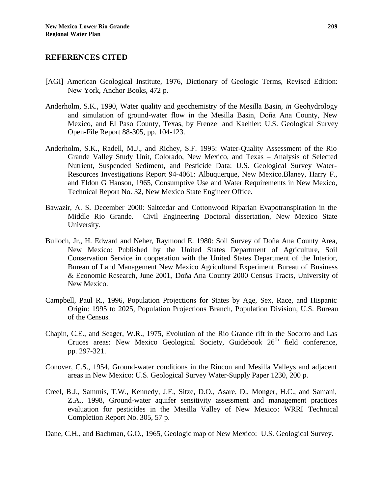# **REFERENCES CITED**

- [AGI] American Geological Institute, 1976, Dictionary of Geologic Terms, Revised Edition: New York, Anchor Books, 472 p.
- Anderholm, S.K., 1990, Water quality and geochemistry of the Mesilla Basin, *in* Geohydrology and simulation of ground-water flow in the Mesilla Basin, Doña Ana County, New Mexico, and El Paso County, Texas, by Frenzel and Kaehler: U.S. Geological Survey Open-File Report 88-305, pp. 104-123.
- Anderholm, S.K., Radell, M.J., and Richey, S.F. 1995: Water-Quality Assessment of the Rio Grande Valley Study Unit, Colorado, New Mexico, and Texas – Analysis of Selected Nutrient, Suspended Sediment, and Pesticide Data: U.S. Geological Survey Water-Resources Investigations Report 94-4061: Albuquerque, New Mexico.Blaney, Harry F., and Eldon G Hanson, 1965, Consumptive Use and Water Requirements in New Mexico, Technical Report No. 32, New Mexico State Engineer Office.
- Bawazir, A. S. December 2000: Saltcedar and Cottonwood Riparian Evapotranspiration in the Middle Rio Grande. Civil Engineering Doctoral dissertation, New Mexico State University.
- Bulloch, Jr., H. Edward and Neher, Raymond E. 1980: Soil Survey of Doña Ana County Area, New Mexico: Published by the United States Department of Agriculture, Soil Conservation Service in cooperation with the United States Department of the Interior, Bureau of Land Management New Mexico Agricultural Experiment Bureau of Business & Economic Research, June 2001, Doña Ana County 2000 Census Tracts, University of New Mexico.
- Campbell, Paul R., 1996, Population Projections for States by Age, Sex, Race, and Hispanic Origin: 1995 to 2025, Population Projections Branch, Population Division, U.S. Bureau of the Census.
- Chapin, C.E., and Seager, W.R., 1975, Evolution of the Rio Grande rift in the Socorro and Las Cruces areas: New Mexico Geological Society, Guidebook  $26<sup>th</sup>$  field conference, pp. 297-321.
- Conover, C.S., 1954, Ground-water conditions in the Rincon and Mesilla Valleys and adjacent areas in New Mexico: U.S. Geological Survey Water-Supply Paper 1230, 200 p.
- Creel, B.J., Sammis, T.W., Kennedy, J.F., Sitze, D.O., Asare, D., Monger, H.C., and Samani, Z.A., 1998, Ground-water aquifer sensitivity assessment and management practices evaluation for pesticides in the Mesilla Valley of New Mexico: WRRI Technical Completion Report No. 305, 57 p.
- Dane, C.H., and Bachman, G.O., 1965, Geologic map of New Mexico: U.S. Geological Survey.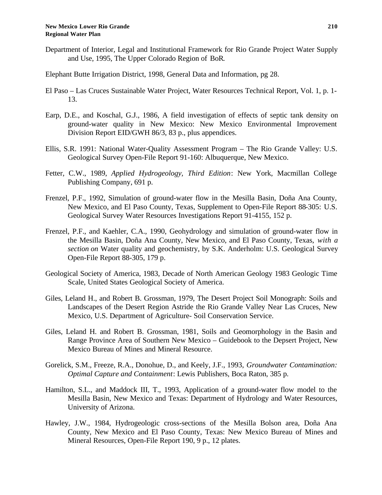- Department of Interior, Legal and Institutional Framework for Rio Grande Project Water Supply and Use, 1995, The Upper Colorado Region of BoR.
- Elephant Butte Irrigation District, 1998, General Data and Information, pg 28.
- El Paso Las Cruces Sustainable Water Project, Water Resources Technical Report, Vol. 1, p. 1- 13.
- Earp, D.E., and Koschal, G.J., 1986, A field investigation of effects of septic tank density on ground-water quality in New Mexico: New Mexico Environmental Improvement Division Report EID/GWH 86/3, 83 p., plus appendices.
- Ellis, S.R. 1991: National Water-Quality Assessment Program The Rio Grande Valley: U.S. Geological Survey Open-File Report 91-160: Albuquerque, New Mexico.
- Fetter, C.W., 1989, *Applied Hydrogeology, Third Edition*: New York, Macmillan College Publishing Company, 691 p.
- Frenzel, P.F., 1992, Simulation of ground-water flow in the Mesilla Basin, Doña Ana County, New Mexico, and El Paso County, Texas, Supplement to Open-File Report 88-305: U.S. Geological Survey Water Resources Investigations Report 91-4155, 152 p.
- Frenzel, P.F., and Kaehler, C.A., 1990, Geohydrology and simulation of ground-water flow in the Mesilla Basin, Doña Ana County, New Mexico, and El Paso County, Texas, *with a section on* Water quality and geochemistry, by S.K. Anderholm: U.S. Geological Survey Open-File Report 88-305, 179 p.
- Geological Society of America, 1983, Decade of North American Geology 1983 Geologic Time Scale, United States Geological Society of America.
- Giles, Leland H., and Robert B. Grossman, 1979, The Desert Project Soil Monograph: Soils and Landscapes of the Desert Region Astride the Rio Grande Valley Near Las Cruces, New Mexico, U.S. Department of Agriculture- Soil Conservation Service.
- Giles, Leland H. and Robert B. Grossman, 1981, Soils and Geomorphology in the Basin and Range Province Area of Southern New Mexico – Guidebook to the Depsert Project, New Mexico Bureau of Mines and Mineral Resource.
- Gorelick, S.M., Freeze, R.A., Donohue, D., and Keely, J.F., 1993, *Groundwater Contamination: Optimal Capture and Containment*: Lewis Publishers, Boca Raton, 385 p.
- Hamilton, S.L., and Maddock III, T., 1993, Application of a ground-water flow model to the Mesilla Basin, New Mexico and Texas: Department of Hydrology and Water Resources, University of Arizona.
- Hawley, J.W., 1984, Hydrogeologic cross-sections of the Mesilla Bolson area, Doña Ana County, New Mexico and El Paso County, Texas: New Mexico Bureau of Mines and Mineral Resources, Open-File Report 190, 9 p., 12 plates.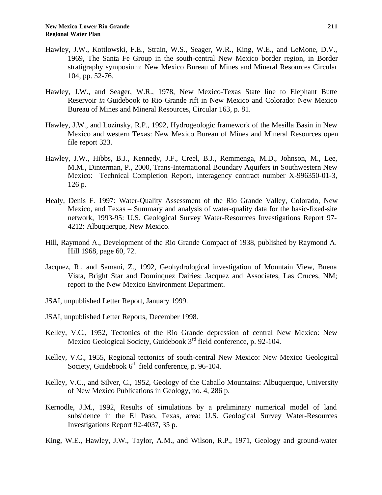- Hawley, J.W., Kottlowski, F.E., Strain, W.S., Seager, W.R., King, W.E., and LeMone, D.V., 1969, The Santa Fe Group in the south-central New Mexico border region, in Border stratigraphy symposium: New Mexico Bureau of Mines and Mineral Resources Circular 104, pp. 52-76.
- Hawley, J.W., and Seager, W.R., 1978, New Mexico-Texas State line to Elephant Butte Reservoir *in* Guidebook to Rio Grande rift in New Mexico and Colorado: New Mexico Bureau of Mines and Mineral Resources, Circular 163, p. 81.
- Hawley, J.W., and Lozinsky, R.P., 1992, Hydrogeologic framework of the Mesilla Basin in New Mexico and western Texas: New Mexico Bureau of Mines and Mineral Resources open file report 323.
- Hawley, J.W., Hibbs, B.J., Kennedy, J.F., Creel, B.J., Remmenga, M.D., Johnson, M., Lee, M.M., Dinterman, P., 2000, Trans-International Boundary Aquifers in Southwestern New Mexico: Technical Completion Report, Interagency contract number X-996350-01-3, 126 p.
- Healy, Denis F. 1997: Water-Quality Assessment of the Rio Grande Valley, Colorado, New Mexico, and Texas – Summary and analysis of water-quality data for the basic-fixed-site network, 1993-95: U.S. Geological Survey Water-Resources Investigations Report 97- 4212: Albuquerque, New Mexico.
- Hill, Raymond A., Development of the Rio Grande Compact of 1938, published by Raymond A. Hill 1968, page 60, 72.
- Jacquez, R., and Samani, Z., 1992, Geohydrological investigation of Mountain View, Buena Vista, Bright Star and Dominquez Dairies: Jacquez and Associates, Las Cruces, NM; report to the New Mexico Environment Department.
- JSAI, unpublished Letter Report, January 1999.
- JSAI, unpublished Letter Reports, December 1998.
- Kelley, V.C., 1952, Tectonics of the Rio Grande depression of central New Mexico: New Mexico Geological Society, Guidebook 3<sup>rd</sup> field conference, p. 92-104.
- Kelley, V.C., 1955, Regional tectonics of south-central New Mexico: New Mexico Geological Society, Guidebook  $6<sup>th</sup>$  field conference, p. 96-104.
- Kelley, V.C., and Silver, C., 1952, Geology of the Caballo Mountains: Albuquerque, University of New Mexico Publications in Geology, no. 4, 286 p.
- Kernodle, J.M., 1992, Results of simulations by a preliminary numerical model of land subsidence in the El Paso, Texas, area: U.S. Geological Survey Water-Resources Investigations Report 92-4037, 35 p.
- King, W.E., Hawley, J.W., Taylor, A.M., and Wilson, R.P., 1971, Geology and ground-water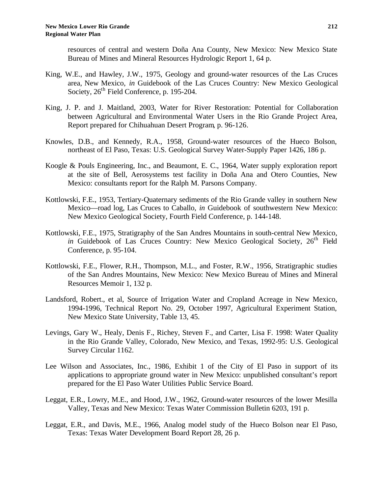resources of central and western Doña Ana County, New Mexico: New Mexico State Bureau of Mines and Mineral Resources Hydrologic Report 1, 64 p.

- King, W.E., and Hawley, J.W., 1975, Geology and ground-water resources of the Las Cruces area, New Mexico, *in* Guidebook of the Las Cruces Country: New Mexico Geological Society,  $26<sup>th</sup>$  Field Conference, p. 195-204.
- King, J. P. and J. Maitland, 2003, Water for River Restoration: Potential for Collaboration between Agricultural and Environmental Water Users in the Rio Grande Project Area, Report prepared for Chihuahuan Desert Program, p. 96-126.
- Knowles, D.B., and Kennedy, R.A., 1958, Ground-water resources of the Hueco Bolson, northeast of El Paso, Texas: U.S. Geological Survey Water-Supply Paper 1426, 186 p.
- Koogle & Pouls Engineering, Inc., and Beaumont, E. C., 1964, Water supply exploration report at the site of Bell, Aerosystems test facility in Doña Ana and Otero Counties, New Mexico: consultants report for the Ralph M. Parsons Company.
- Kottlowski, F.E., 1953, Tertiary-Quaternary sediments of the Rio Grande valley in southern New Mexico—road log, Las Cruces to Caballo, *in* Guidebook of southwestern New Mexico: New Mexico Geological Society, Fourth Field Conference, p. 144-148.
- Kottlowski, F.E., 1975, Stratigraphy of the San Andres Mountains in south-central New Mexico, *in* Guidebook of Las Cruces Country: New Mexico Geological Society, 26<sup>th</sup> Field Conference, p. 95-104.
- Kottlowski, F.E., Flower, R.H., Thompson, M.L., and Foster, R.W., 1956, Stratigraphic studies of the San Andres Mountains, New Mexico: New Mexico Bureau of Mines and Mineral Resources Memoir 1, 132 p.
- Landsford, Robert., et al, Source of Irrigation Water and Cropland Acreage in New Mexico, 1994-1996, Technical Report No. 29, October 1997, Agricultural Experiment Station, New Mexico State University, Table 13, 45.
- Levings, Gary W., Healy, Denis F., Richey, Steven F., and Carter, Lisa F. 1998: Water Quality in the Rio Grande Valley, Colorado, New Mexico, and Texas, 1992-95: U.S. Geological Survey Circular 1162.
- Lee Wilson and Associates, Inc., 1986, Exhibit 1 of the City of El Paso in support of its applications to appropriate ground water in New Mexico: unpublished consultant's report prepared for the El Paso Water Utilities Public Service Board.
- Leggat, E.R., Lowry, M.E., and Hood, J.W., 1962, Ground-water resources of the lower Mesilla Valley, Texas and New Mexico: Texas Water Commission Bulletin 6203, 191 p.
- Leggat, E.R., and Davis, M.E., 1966, Analog model study of the Hueco Bolson near El Paso, Texas: Texas Water Development Board Report 28, 26 p.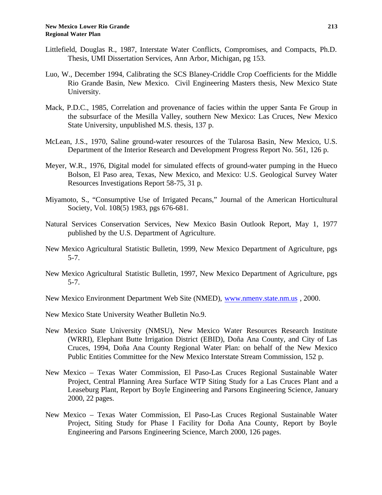- Littlefield, Douglas R., 1987, Interstate Water Conflicts, Compromises, and Compacts, Ph.D. Thesis, UMI Dissertation Services, Ann Arbor, Michigan, pg 153.
- Luo, W., December 1994, Calibrating the SCS Blaney-Criddle Crop Coefficients for the Middle Rio Grande Basin, New Mexico. Civil Engineering Masters thesis, New Mexico State University.
- Mack, P.D.C., 1985, Correlation and provenance of facies within the upper Santa Fe Group in the subsurface of the Mesilla Valley, southern New Mexico: Las Cruces, New Mexico State University, unpublished M.S. thesis, 137 p.
- McLean, J.S., 1970, Saline ground-water resources of the Tularosa Basin, New Mexico, U.S. Department of the Interior Research and Development Progress Report No. 561, 126 p.
- Meyer, W.R., 1976, Digital model for simulated effects of ground-water pumping in the Hueco Bolson, El Paso area, Texas, New Mexico, and Mexico: U.S. Geological Survey Water Resources Investigations Report 58-75, 31 p.
- Miyamoto, S., "Consumptive Use of Irrigated Pecans," Journal of the American Horticultural Society, Vol. 108(5) 1983, pgs 676-681.
- Natural Services Conservation Services, New Mexico Basin Outlook Report, May 1, 1977 published by the U.S. Department of Agriculture.
- New Mexico Agricultural Statistic Bulletin, 1999, New Mexico Department of Agriculture, pgs 5-7.
- New Mexico Agricultural Statistic Bulletin, 1997, New Mexico Department of Agriculture, pgs 5-7.
- New Mexico Environment Department Web Site (NMED), www.nmenv.state.nm.us , 2000.
- New Mexico State University Weather Bulletin No.9.
- New Mexico State University (NMSU), New Mexico Water Resources Research Institute (WRRI), Elephant Butte Irrigation District (EBID), Doña Ana County, and City of Las Cruces, 1994, Doña Ana County Regional Water Plan: on behalf of the New Mexico Public Entities Committee for the New Mexico Interstate Stream Commission, 152 p.
- New Mexico Texas Water Commission, El Paso-Las Cruces Regional Sustainable Water Project, Central Planning Area Surface WTP Siting Study for a Las Cruces Plant and a Leaseburg Plant, Report by Boyle Engineering and Parsons Engineering Science, January 2000, 22 pages.
- New Mexico Texas Water Commission, El Paso-Las Cruces Regional Sustainable Water Project, Siting Study for Phase I Facility for Doña Ana County, Report by Boyle Engineering and Parsons Engineering Science, March 2000, 126 pages.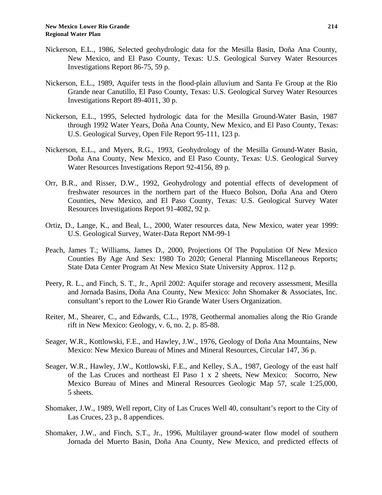- Nickerson, E.L., 1986, Selected geohydrologic data for the Mesilla Basin, Doña Ana County, New Mexico, and El Paso County, Texas: U.S. Geological Survey Water Resources Investigations Report 86-75, 59 p.
- Nickerson, E.L., 1989, Aquifer tests in the flood-plain alluvium and Santa Fe Group at the Rio Grande near Canutillo, El Paso County, Texas: U.S. Geological Survey Water Resources Investigations Report 89-4011, 30 p.
- Nickerson, E.L., 1995, Selected hydrologic data for the Mesilla Ground-Water Basin, 1987 through 1992 Water Years, Doña Ana County, New Mexico, and El Paso County, Texas: U.S. Geological Survey, Open File Report 95-111, 123 p.
- Nickerson, E.L., and Myers, R.G., 1993, Geohydrology of the Mesilla Ground-Water Basin, Doña Ana County, New Mexico, and El Paso County, Texas: U.S. Geological Survey Water Resources Investigations Report 92-4156, 89 p.
- Orr, B.R., and Risser, D.W., 1992, Geohydrology and potential effects of development of freshwater resources in the northern part of the Hueco Bolson, Doña Ana and Otero Counties, New Mexico, and El Paso County, Texas: U.S. Geological Survey Water Resources Investigations Report 91-4082, 92 p.
- Ortiz, D., Lange, K., and Beal, L., 2000, Water resources data, New Mexico, water year 1999: U.S. Geological Survey, Water-Data Report NM-99-1
- Peach, James T.; Williams, James D., 2000, Projections Of The Population Of New Mexico Counties By Age And Sex: 1980 To 2020; General Planning Miscellaneous Reports; State Data Center Program At New Mexico State University Approx. 112 p.
- Peery, R. L., and Finch, S. T., Jr., April 2002: Aquifer storage and recovery assessment, Mesilla and Jornada Basins, Doña Ana County, New Mexico: John Shomaker & Associates, Inc. consultant's report to the Lower Rio Grande Water Users Organization.
- Reiter, M., Shearer, C., and Edwards, C.L., 1978, Geothermal anomalies along the Rio Grande rift in New Mexico: Geology, v. 6, no. 2, p. 85-88.
- Seager, W.R., Kottlowski, F.E., and Hawley, J.W., 1976, Geology of Doña Ana Mountains, New Mexico: New Mexico Bureau of Mines and Mineral Resources, Circular 147, 36 p.
- Seager, W.R., Hawley, J.W., Kottlowski, F.E., and Kelley, S.A., 1987, Geology of the east half of the Las Cruces and northeast El Paso 1 x 2 sheets, New Mexico: Socorro, New Mexico Bureau of Mines and Mineral Resources Geologic Map 57, scale 1:25,000, 5 sheets.
- Shomaker, J.W., 1989, Well report, City of Las Cruces Well 40, consultant's report to the City of Las Cruces, 23 p., 8 appendices.
- Shomaker, J.W., and Finch, S.T., Jr., 1996, Multilayer ground-water flow model of southern Jornada del Muerto Basin, Doña Ana County, New Mexico, and predicted effects of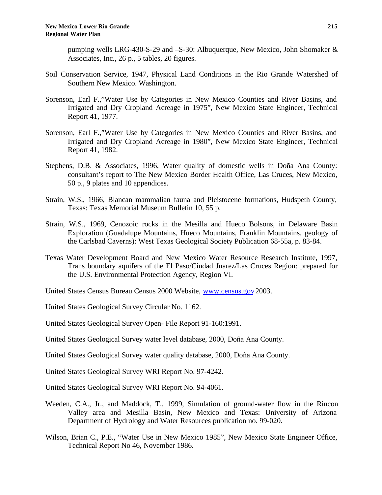pumping wells LRG-430-S-29 and –S-30: Albuquerque, New Mexico, John Shomaker & Associates, Inc., 26 p., 5 tables, 20 figures.

- Soil Conservation Service, 1947, Physical Land Conditions in the Rio Grande Watershed of Southern New Mexico. Washington.
- Sorenson, Earl F.,"Water Use by Categories in New Mexico Counties and River Basins, and Irrigated and Dry Cropland Acreage in 1975", New Mexico State Engineer, Technical Report 41, 1977.
- Sorenson, Earl F.,"Water Use by Categories in New Mexico Counties and River Basins, and Irrigated and Dry Cropland Acreage in 1980", New Mexico State Engineer, Technical Report 41, 1982.
- Stephens, D.B. & Associates, 1996, Water quality of domestic wells in Doña Ana County: consultant's report to The New Mexico Border Health Office, Las Cruces, New Mexico, 50 p., 9 plates and 10 appendices.
- Strain, W.S., 1966, Blancan mammalian fauna and Pleistocene formations, Hudspeth County, Texas: Texas Memorial Museum Bulletin 10, 55 p.
- Strain, W.S., 1969, Cenozoic rocks in the Mesilla and Hueco Bolsons, in Delaware Basin Exploration (Guadalupe Mountains, Hueco Mountains, Franklin Mountains, geology of the Carlsbad Caverns): West Texas Geological Society Publication 68-55a, p. 83-84.
- Texas Water Development Board and New Mexico Water Resource Research Institute, 1997, Trans boundary aquifers of the El Paso/Ciudad Juarez/Las Cruces Region: prepared for the U.S. Environmental Protection Agency, Region VI.
- United States Census Bureau Census 2000 Website, www.census.gov 2003.

United States Geological Survey Circular No. 1162.

United States Geological Survey Open- File Report 91-160:1991.

- United States Geological Survey water level database, 2000, Doña Ana County.
- United States Geological Survey water quality database, 2000, Doña Ana County.

United States Geological Survey WRI Report No. 97-4242.

United States Geological Survey WRI Report No. 94-4061.

- Weeden, C.A., Jr., and Maddock, T., 1999, Simulation of ground-water flow in the Rincon Valley area and Mesilla Basin, New Mexico and Texas: University of Arizona Department of Hydrology and Water Resources publication no. 99-020.
- Wilson, Brian C., P.E., "Water Use in New Mexico 1985", New Mexico State Engineer Office, Technical Report No 46, November 1986.